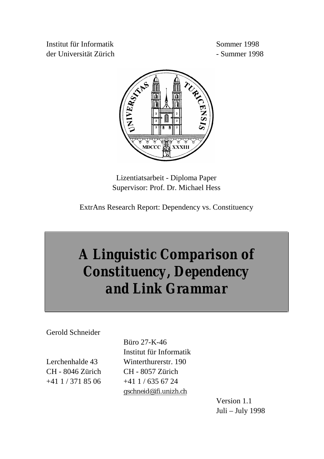Institut für Informatik Sommer 1998 der Universität Zürich - Summer 1998



Lizentiatsarbeit - Diploma Paper Supervisor: Prof. Dr. Michael Hess

ExtrAns Research Report: Dependency vs. Constituency

# *A Linguistic Comparison of Constituency, Dependency and Link Grammar*

Gerold Schneider

CH - 8046 Zürich CH - 8057 Zürich  $+41$  1 / 371 85 06  $+41$  1 / 635 67 24

 Büro 27-K-46 Institut für Informatik Lerchenhalde 43 Winterthurerstr. 190 gschneid@ifi.unizh.ch

> Version 1.1 Juli – July 1998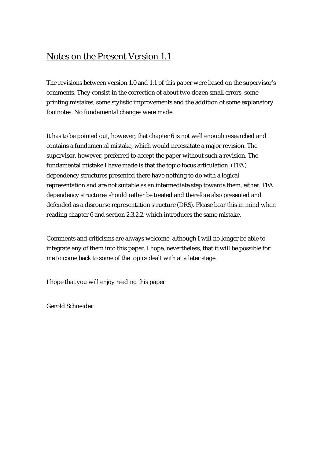## Notes on the Present Version 1.1

The revisions between version 1.0 and 1.1 of this paper were based on the supervisor's comments. They consist in the correction of about two dozen small errors, some printing mistakes, some stylistic improvements and the addition of some explanatory footnotes. No fundamental changes were made.

It has to be pointed out, however, that chapter 6 is not well enough researched and contains a fundamental mistake, which would necessitate a major revision. The supervisor, however, preferred to accept the paper without such a revision. The fundamental mistake I have made is that the topic-focus articulation (TFA) dependency structures presented there have nothing to do with a logical representation and are not suitable as an intermediate step towards them, either. TFA dependency structures should rather be treated and therefore also presented and defended as a discourse representation structure (DRS). Please bear this in mind when reading chapter 6 and section 2.3.2.2, which introduces the same mistake.

Comments and criticisms are always welcome, although I will no longer be able to integrate any of them into this paper. I hope, nevertheless, that it will be possible for me to come back to some of the topics dealt with at a later stage.

I hope that you will enjoy reading this paper

Gerold Schneider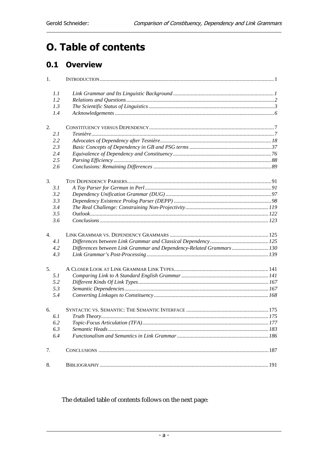# **O. Table of contents**

## 0.1 Overview

| 1.  |                                                                      |  |
|-----|----------------------------------------------------------------------|--|
| 1.1 |                                                                      |  |
| 1.2 |                                                                      |  |
| 1.3 |                                                                      |  |
| 1.4 |                                                                      |  |
| 2.  |                                                                      |  |
| 2.1 |                                                                      |  |
| 2.2 |                                                                      |  |
| 2.3 |                                                                      |  |
| 2.4 |                                                                      |  |
| 2.5 |                                                                      |  |
| 2.6 |                                                                      |  |
| 3.  |                                                                      |  |
| 3.1 |                                                                      |  |
| 3.2 |                                                                      |  |
| 3.3 |                                                                      |  |
| 3.4 |                                                                      |  |
| 3.5 |                                                                      |  |
| 3.6 |                                                                      |  |
| 4.  |                                                                      |  |
| 4.1 |                                                                      |  |
| 4.2 | Differences between Link Grammar and Dependency-Related Grammars 130 |  |
| 4.3 |                                                                      |  |
| 5.  |                                                                      |  |
| 5.1 |                                                                      |  |
| 5.2 |                                                                      |  |
| 5.3 |                                                                      |  |
| 5.4 |                                                                      |  |
| 6.  |                                                                      |  |
| 6.1 |                                                                      |  |
| 6.2 |                                                                      |  |
| 6.3 |                                                                      |  |
| 6.4 |                                                                      |  |
| 7.  |                                                                      |  |
| 8.  |                                                                      |  |

The detailed table of contents follows on the next page: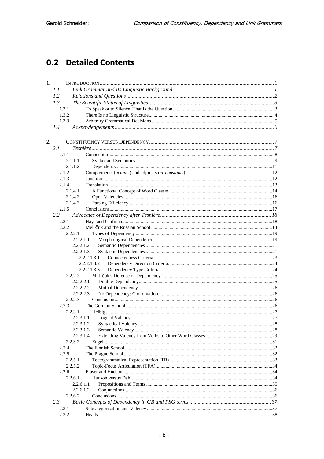## **0.2 Detailed Contents**

| 1. |                    |             |  |
|----|--------------------|-------------|--|
|    | 1.1                |             |  |
|    | 1.2                |             |  |
|    | 1.3                |             |  |
|    | 1.3.1              |             |  |
|    | 1.3.2              |             |  |
|    | 1.3.3              |             |  |
|    | 1.4                |             |  |
|    |                    |             |  |
|    |                    |             |  |
| 2. |                    |             |  |
|    | 2.1                |             |  |
|    | 2.1.1              |             |  |
|    | 2.1.1.1            |             |  |
|    | 2.1.1.2            |             |  |
|    | 2.1.2              |             |  |
|    | 2.1.3              |             |  |
|    | 2.1.4              |             |  |
|    | 2.1.4.1<br>2.1.4.2 |             |  |
|    |                    |             |  |
|    | 2.1.4.3<br>2.1.5   |             |  |
|    | 2.2                |             |  |
|    | 2.2.1              |             |  |
|    | 2.2.2              |             |  |
|    | 2.2.2.1            |             |  |
|    | 2.2.2.1.1          |             |  |
|    | 2.2.2.1.2          |             |  |
|    | 2.2.2.1.3          |             |  |
|    |                    | 2.2.2.1.3.1 |  |
|    |                    | 2.2.2.1.3.2 |  |
|    |                    | 2.2.2.1.3.3 |  |
|    | 2.2.2.2            |             |  |
|    | 2.2.2.2.1          |             |  |
|    | 2.2.2.2.2          |             |  |
|    | 2.2.2.2.3          |             |  |
|    | 2.2.2.3            |             |  |
|    | 2.2.3              |             |  |
|    | 2.2.3.1            |             |  |
|    | 2.2.3.1.1          |             |  |
|    |                    |             |  |
|    | 2.2.3.1.3          |             |  |
|    | 2.2.3.1.4          |             |  |
|    | 2.2.3.2            |             |  |
|    | 2.2.4              |             |  |
|    | 2.2.5              |             |  |
|    | 2.2.5.1            |             |  |
|    | 2.2.5.2            |             |  |
|    | 2.2.6              |             |  |
|    | 2.2.6.1            |             |  |
|    | 2.2.6.1.1          |             |  |
|    | 2.2.6.1.2          |             |  |
|    | 2.2.6.2            |             |  |
|    | 2.3                |             |  |
|    | 2.3.1              |             |  |
|    | 2.3.2              |             |  |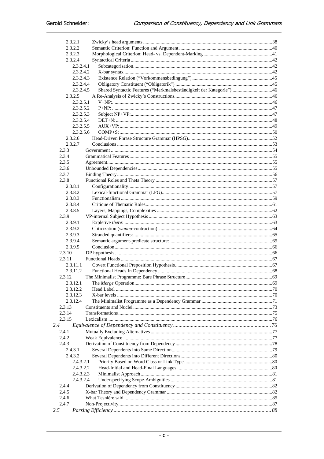| 2.3.2.1          |                                                                                   |  |
|------------------|-----------------------------------------------------------------------------------|--|
| 2.3.2.2          |                                                                                   |  |
| 2.3.2.3          |                                                                                   |  |
| 2.3.2.4          |                                                                                   |  |
|                  | 2.3.2.4.1                                                                         |  |
|                  | 2.3.2.4.2                                                                         |  |
|                  | 2.3.2.4.3                                                                         |  |
|                  | 2.3.2.4.4                                                                         |  |
|                  | Shared Syntactic Features ("Merkmalsbeständigkeit der Kategorie") 46<br>2.3.2.4.5 |  |
| 2.3.2.5          |                                                                                   |  |
|                  | 2.3.2.5.1                                                                         |  |
|                  | 2.3.2.5.2                                                                         |  |
|                  | 2.3.2.5.3<br>2.3.2.5.4                                                            |  |
|                  | 2.3.2.5.5                                                                         |  |
|                  | 2.3.2.5.6                                                                         |  |
| 2.3.2.6          |                                                                                   |  |
| 2.3.2.7          |                                                                                   |  |
| 2.3.3            |                                                                                   |  |
| 2.3.4            |                                                                                   |  |
| 2.3.5            |                                                                                   |  |
| 2.3.6            |                                                                                   |  |
| 2.3.7            |                                                                                   |  |
| 2.3.8            |                                                                                   |  |
| 2.3.8.1          |                                                                                   |  |
| 2.3.8.2          |                                                                                   |  |
| 2.3.8.3          |                                                                                   |  |
| 2.3.8.4          |                                                                                   |  |
| 2.3.8.5          |                                                                                   |  |
| 2.3.9            |                                                                                   |  |
| 2.3.9.1          |                                                                                   |  |
| 2.3.9.2          |                                                                                   |  |
| 2.3.9.3          |                                                                                   |  |
| 2.3.9.4          |                                                                                   |  |
| 2.3.9.5          |                                                                                   |  |
| 2.3.10<br>2.3.11 |                                                                                   |  |
| 2.3.11.1         |                                                                                   |  |
| 2.3.11.2         |                                                                                   |  |
| 2.3.12           |                                                                                   |  |
| 2.3.12.1         |                                                                                   |  |
| 2.3.12.2         |                                                                                   |  |
| 2.3.12.3         |                                                                                   |  |
| 2.3.12.4         |                                                                                   |  |
| 2.3.13           |                                                                                   |  |
| 2.3.14           |                                                                                   |  |
| 2.3.15           |                                                                                   |  |
| 2.4              |                                                                                   |  |
| 2.4.1            |                                                                                   |  |
| 2.4.2.           |                                                                                   |  |
| 2.4.3            |                                                                                   |  |
| 2.4.3.1          |                                                                                   |  |
| 2.4.3.2          |                                                                                   |  |
|                  | 2.4.3.2.1                                                                         |  |
|                  | 2.4.3.2.2                                                                         |  |
|                  | 2.4.3.2.3                                                                         |  |
|                  | 2.4.3.2.4                                                                         |  |
| 2.4.4            |                                                                                   |  |
| 2.4.5            |                                                                                   |  |
| 2.4.6<br>2.4.7   |                                                                                   |  |
| 2.5              |                                                                                   |  |
|                  |                                                                                   |  |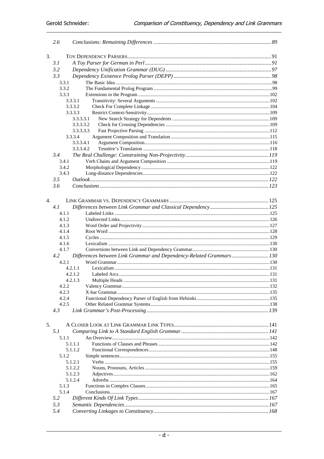|                  | 2.6            |                                                                      |  |
|------------------|----------------|----------------------------------------------------------------------|--|
| 3.               |                |                                                                      |  |
|                  | 3.1            |                                                                      |  |
|                  | 3.2            |                                                                      |  |
|                  | 3.3            |                                                                      |  |
|                  | 3.3.1          |                                                                      |  |
|                  | 3.3.2          |                                                                      |  |
|                  | 3.3.3          |                                                                      |  |
|                  | 3.3.3.1        |                                                                      |  |
|                  | 3.3.3.2        |                                                                      |  |
|                  | 3.3.3.3        |                                                                      |  |
|                  | 3.3.3.3.1      |                                                                      |  |
|                  | 3.3.3.3.2      |                                                                      |  |
|                  | 3.3.3.3.3      |                                                                      |  |
|                  | 3.3.3.4        |                                                                      |  |
|                  | 3.3.3.4.1      |                                                                      |  |
|                  | 3.3.3.4.2      |                                                                      |  |
|                  | 3.4            |                                                                      |  |
|                  | 3.4.1          |                                                                      |  |
|                  | 3.4.2          |                                                                      |  |
|                  | 3.4.3          |                                                                      |  |
|                  | 3.5            |                                                                      |  |
|                  | 3.6            |                                                                      |  |
|                  |                |                                                                      |  |
|                  |                |                                                                      |  |
| $\overline{4}$ . |                |                                                                      |  |
|                  | 4.1            |                                                                      |  |
|                  | 4.1.1          |                                                                      |  |
|                  | 4.1.2          |                                                                      |  |
|                  | 4.1.3          |                                                                      |  |
|                  | 4.1.4          |                                                                      |  |
|                  | 4.1.5          |                                                                      |  |
|                  | 4.1.6<br>4.1.7 |                                                                      |  |
|                  | 4.2            | Differences between Link Grammar and Dependency-Related Grammars 130 |  |
|                  | 4.2.1          |                                                                      |  |
|                  | 4,2,1,1        |                                                                      |  |
|                  | 4.2.1.2        |                                                                      |  |
|                  | 4.2.1.3        |                                                                      |  |
|                  | 4.2.2.         |                                                                      |  |
|                  | 4.2.3          |                                                                      |  |
|                  | 4.2.4          |                                                                      |  |
|                  | 4.2.5          |                                                                      |  |
|                  | 4.3            |                                                                      |  |
|                  |                |                                                                      |  |
| 5.               |                |                                                                      |  |
|                  | 5.1            |                                                                      |  |
|                  | 5.1.1          |                                                                      |  |
|                  | 5.1.1.1        |                                                                      |  |
|                  | 5.1.1.2        |                                                                      |  |
|                  | 5.1.2          |                                                                      |  |
|                  | 5.1.2.1        |                                                                      |  |
|                  | 5.1.2.2        |                                                                      |  |
|                  | 5.1.2.3        |                                                                      |  |
|                  | 5.1.2.4        |                                                                      |  |
|                  | 5.1.3          |                                                                      |  |
|                  | 5.1.4          |                                                                      |  |
|                  | 5.2            |                                                                      |  |
|                  | 5.3            |                                                                      |  |
|                  | 5.4            |                                                                      |  |
|                  |                |                                                                      |  |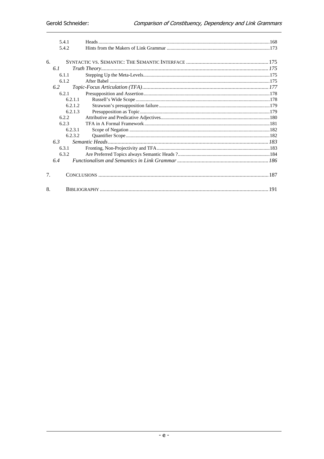|                | 5.4.1   |  |
|----------------|---------|--|
|                | 5.4.2   |  |
|                |         |  |
| 6.             |         |  |
|                | 6.1     |  |
|                | 6.1.1   |  |
|                | 6.1.2   |  |
|                | 6.2     |  |
|                | 6.2.1   |  |
|                | 6.2.1.1 |  |
|                | 6.2.1.2 |  |
|                | 6.2.1.3 |  |
|                | 6.2.2   |  |
|                | 6.2.3   |  |
|                | 6.2.3.1 |  |
|                | 6.2.3.2 |  |
|                | 6.3     |  |
|                | 6.3.1   |  |
|                | 6.3.2   |  |
|                | 6.4     |  |
|                |         |  |
| 7 <sub>1</sub> |         |  |
|                |         |  |
| 8.             |         |  |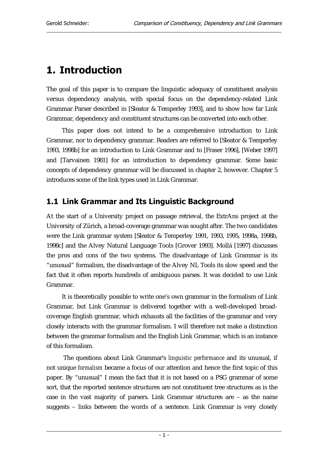# 1. Introduction

The goal of this paper is to compare the linguistic adequacy of constituent analysis versus dependency analysis, with special focus on the dependency-related Link Grammar Parser described in [Sleator & Temperley 1993], and to show how far Link Grammar, dependency and constituent structures can be converted into each other.

This paper does not intend to be a comprehensive introduction to Link Grammar, nor to dependency grammar. Readers are referred to [Sleator & Temperley 1993, 1998b] for an introduction to Link Grammar and to [Fraser 1996], [Weber 1997] and [Tarvainen 1981] for an introduction to dependency grammar. Some basic concepts of dependency grammar will be discussed in chapter 2, however. Chapter 5 introduces some of the link types used in Link Grammar.

## 1.1 Link Grammar and Its Linguistic Background

At the start of a University project on passage retrieval, the ExtrAns project at the University of Zürich, a broad-coverage grammar was sought after. The two candidates were the Link grammar system [Sleator & Temperley 1991, 1993, 1995, 1998a, 1998b, 1998c] and the Alvey Natural Language Tools [Grover 1993]. Mollá [1997] discusses the pros and cons of the two systems. The disadvantage of Link Grammar is its "unusual" formalism, the disadvantage of the Alvey NL Tools its slow speed and the fact that it often reports hundreds of ambiguous parses. It was decided to use Link Grammar.

It is theoretically possible to write one's own grammar in the formalism of Link Grammar, but Link Grammar is delivered together with a well-developed broadcoverage English grammar, which exhausts all the facilities of the grammar and very closely interacts with the grammar formalism. I will therefore not make a distinction between the grammar formalism and the English Link Grammar, which is an instance of this formalism.

 The questions about Link Grammar's *linguistic performance* and its unusual, if not unique *formalism* became a focus of our attention and hence the first topic of this paper. By "unusual" I mean the fact that it is not based on a PSG grammar of some sort, that the reported sentence structures are not constituent tree structures as is the case in the vast majority of parsers. Link Grammar structures are – as the name suggests – links between the words of a sentence. Link Grammar is very closely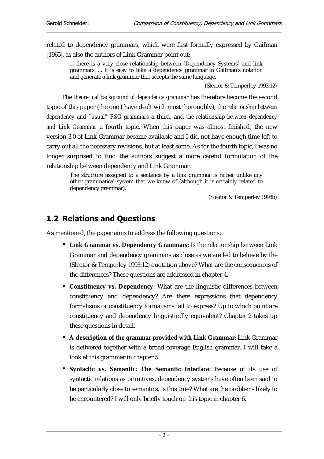related to dependency grammars, which were first formally expressed by Gaifman [1965], as also the authors of Link Grammar point out:

... there is a very close relationship between [Dependency Systems] and link grammars. ... It is easy to take a dependency grammar in Gaifman's notation and generate a link grammar that accepts the same language.

(Sleator & Temperley 1993:12)

The *theoretical background of dependency grammar* has therefore become the second topic of this paper (the one I have dealt with most thoroughly), the *relationship between dependency and "usual" PSG grammars* a third, and *the relationship between dependency and Link Grammar* a fourth topic. When this paper was almost finished, the new version 3.0 of Link Grammar became available and I did not have enough time left to carry out all the necessary revisions, but at least some. As for the fourth topic, I was no longer surprised to find the authors suggest a more careful formulation of the relationship between dependency and Link Grammar.

The structure assigned to a sentence by a link grammar is rather unlike any other grammatical system that we know of (although it is certainly related to dependency grammar).

(Sleator & Temperley 1998b)

## 1.2 Relations and Questions

As mentioned, the paper aims to address the following questions:

- **Link Grammar vs. Dependency Grammars:** Is the relationship between Link Grammar and dependency grammars as close as we are led to believe by the (Sleator & Temperley 1993:12) quotation above? What are the consequences of the differences? These questions are addressed in chapter 4.
- **Constituency vs. Dependency:** What are the linguistic differences between constituency and dependency? Are there expressions that dependency formalisms or constituency formalisms fail to express? Up to which point are constituency and dependency linguistically equivalent? Chapter 2 takes up these questions in detail.
- **A description of the grammar provided with Link Grammar:** Link Grammar is delivered together with a broad-coverage English grammar. I will take a look at this grammar in chapter 5.
- **Syntactic vs. Semantic: The Semantic Interface:** Because of its use of syntactic relations as primitives, dependency systems have often been said to be particularly close to semantics. Is this true? What are the problems likely to be encountered? I will only briefly touch on this topic in chapter 6.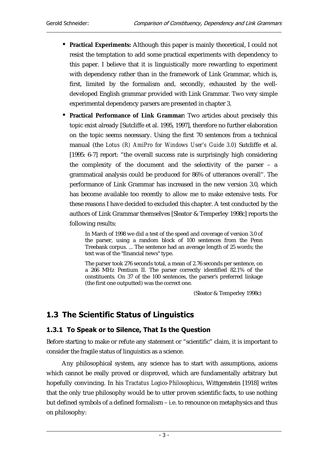- **Practical Experiments:** Although this paper is mainly theoretical, I could not resist the temptation to add some practical experiments with dependency to this paper. I believe that it is linguistically more rewarding to experiment with dependency rather than in the framework of Link Grammar, which is, first, limited by the formalism and, secondly, exhausted by the welldeveloped English grammar provided with Link Grammar. Two very simple experimental dependency parsers are presented in chapter 3.
- **Practical Performance of Link Grammar:** Two articles about precisely this topic exist already [Sutcliffe et al. 1995, 1997], therefore no further elaboration on the topic seems necessary. Using the first 70 sentences from a technical manual (the *Lotus (R) AmiPro for Windows User's Guide 3.0*) Sutcliffe et al. [1995: 6-7] report: "the overall success rate is surprisingly high considering the complexity of the document and the selectivity of the parser – a grammatical analysis could be produced for 86% of utterances overall". The performance of Link Grammar has increased in the new version 3.0, which has become available too recently to allow me to make extensive tests. For these reasons I have decided to excluded this chapter. A test conducted by the authors of Link Grammar themselves [Sleator & Temperley 1998c] reports the following results:

In March of 1998 we did a test of the speed and coverage of version 3.0 of the parser, using a random block of 100 sentences from the Penn Treebank corpus. ... The sentence had an average length of 25 words; the text was of the "financial news" type.

The parser took 276 seconds total, a mean of 2.76 seconds per sentence, on a 266 MHz Pentium II. The parser correctly identified 82.1% of the constituents. On 37 of the 100 sentences, the parser's preferred linkage (the first one outputted) was the correct one.

(Sleator & Temperley 1998c)

## 1.3 The Scientific Status of Linguistics

## 1.3.1 To Speak or to Silence, That Is the Question

Before starting to make or refute any statement or "scientific" claim, it is important to consider the fragile status of linguistics as a science.

Any philosophical system, any science has to start with assumptions, axioms which cannot be really proved or disproved, which are fundamentally arbitrary but hopefully convincing. In his *Tractatus Logico-Philosophicus*, Wittgenstein [1918] writes that the only true philosophy would be to utter proven scientific facts, to use nothing but defined symbols of a defined formalism – i.e. to renounce on metaphysics and thus on philosophy: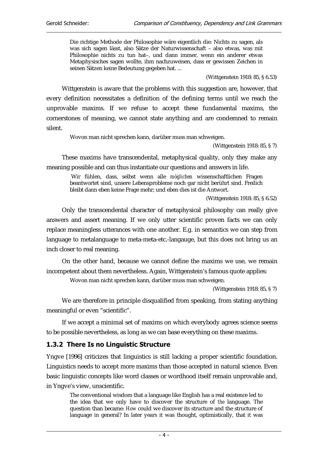Die richtige Methode der Philosophie wäre eigentlich die: Nichts zu sagen, als was sich sagen lässt, also Sätze der Naturwissenschaft – also etwas, was mit Philosophie nichts zu tun hat–, und dann immer, wenn ein anderer etwas Metaphysisches sagen wollte, ihm nachzuweisen, dass er gewissen Zeichen in seinen Sätzen keine Bedeutung gegeben hat. ...

(Wittgenstein 1918: 85, § 6.53)

Wittgenstein is aware that the problems with this suggestion are, however, that every definition necessitates a definition of the defining terms until we reach the unprovable maxims. If we refuse to accept these fundamental maxims, the cornerstones of meaning, we cannot state anything and are condemned to remain silent.

Wovon man nicht sprechen kann, darüber muss man schweigen.

(Wittgenstein 1918: 85, § 7)

These maxims have transcendental, metaphysical quality, only they make any meaning possible and can thus instantiate our questions and answers in life.

 Wir fühlen, dass, selbst wenn alle *möglichen* wissenschaftlichen Fragen beantwortet sind, unsere Lebensprobleme noch gar nicht berührt sind. Freilich bleibt dann eben keine Frage mehr; und eben dies ist die Antwort.

(Wittgenstein 1918: 85, § 6.52)

Only the transcendental character of metaphysical philosophy can really give answers and assert meaning. If we only utter scientific proven facts we can only replace meaningless utterances with one another. E.g. in semantics we can step from language to metalanguage to meta-meta-etc.-langauge, but this does not bring us an inch closer to real meaning.

On the other hand, because we cannot define the maxims we use, we remain incompetent about them nevertheless. Again, Wittgenstein's famous quote applies:

Wovon man nicht sprechen kann, darüber muss man schweigen.

(Wittgenstein 1918: 85, § 7)

We are therefore in principle disqualified from speaking, from stating anything meaningful or even "scientific".

If we accept a minimal set of maxims on which everybody agrees science seems to be possible nevertheless, as long as we can base everything on these maxims.

## 1.3.2 There Is no Linguistic Structure

Yngve [1996] criticizes that linguistics is still lacking a proper scientific foundation. Linguistics needs to accept more maxims than those accepted in natural science. Even basic linguistic concepts like word classes or wordhood itself remain unprovable and, in Yngve's view, unscientific.

The conventional wisdom that a language like English has a real existence led to the idea that we only have to discover the structure of *the* language. The question than became: *How* could we discover its structure and the structure of language in general? In later years it was thought, optimistically, that it was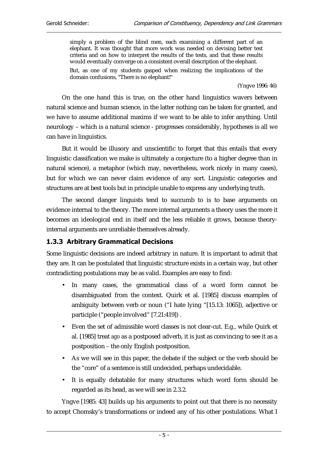simply a problem of the blind men, each examining a different part of an elephant. It was thought that more work was needed on devising better test criteria and on how to interpret the results of the tests, and that these results would eventually converge on a consistent overall description of the elephant. But, as one of my students gasped when realizing the implications of the domain confusions, "There is no elephant!"

(Yngve 1996: 46)

On the one hand this is true, on the other hand linguistics wavers between natural science and human science, in the latter nothing can be taken for granted, and we have to assume additional maxims if we want to be able to infer anything. Until neurology – which is a natural science - progresses considerably, hypotheses is all we can have in linguistics.

But it would be illusory and unscientific to forget that this entails that every linguistic classification we make is ultimately a conjecture (to a higher degree than in natural science), a metaphor (which may, nevertheless, work nicely in many cases), but for which we can never claim evidence of any sort. Linguistic categories and structures are at best tools but in principle unable to express any underlying truth.

The second danger linguists tend to succumb to is to base arguments on evidence internal to the theory. The more internal arguments a theory uses the more it becomes an ideological end in itself and the less reliable it grows, because theoryinternal arguments are unreliable themselves already.

## 1.3.3 Arbitrary Grammatical Decisions

Some linguistic decisions are indeed arbitrary in nature. It is important to admit that they are. It can be postulated that linguistic structure exists in a certain way, but other contradicting postulations may be as valid. Examples are easy to find:

- In many cases, the grammatical class of a word form cannot be disambiguated from the context. Quirk et al. [1985] discuss examples of ambiguity between verb or noun ("I hate lying "[15.13: 1065]), adjective or participle ("people involved" [7.21:419]) .
- Even the set of admissible word classes is not clear-cut. E.g., while Quirk et al. [1985] treat *ago* as a postposed adverb, it is just as convincing to see it as a postposition – the only English postposition.
- As we will see in this paper, the debate if the subject or the verb should be the "core" of a sentence is still undecided, perhaps undecidable.
- It is equally debatable for many structures which word form should be regarded as its head, as we will see in 2.3.2.

Yngve [1985: 43] builds up his arguments to point out that there is no necessity to accept Chomsky's transformations or indeed any of his other postulations. What I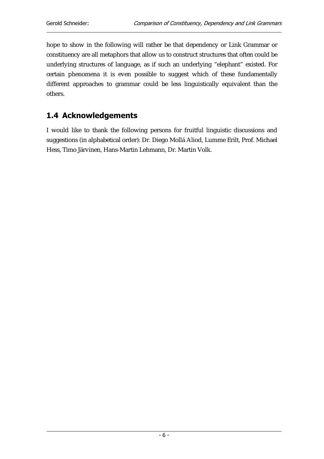hope to show in the following will rather be that dependency or Link Grammar or constituency are all metaphors that allow us to construct structures that often could be underlying structures of language, as if such an underlying "elephant" existed. For certain phenomena it is even possible to suggest which of these fundamentally different approaches to grammar could be less linguistically equivalent than the others.

## 1.4 Acknowledgements

I would like to thank the following persons for fruitful linguistic discussions and suggestions (in alphabetical order): Dr. Diego Mollá Aliod, Lumme Erilt, Prof. Michael Hess, Timo Järvinen, Hans-Martin Lehmann, Dr. Martin Volk.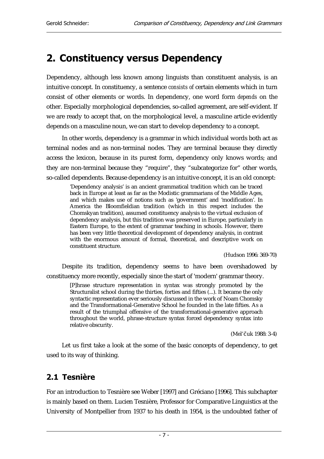## 2. Constituency versus Dependency

Dependency, although less known among linguists than constituent analysis, is an intuitive concept. In constituency, a sentence *consists of* certain elements which in turn consist of other elements or words. In dependency, one word form *depends* on the other. Especially morphological dependencies, so-called agreement, are self-evident. If we are ready to accept that, on the morphological level, a masculine article evidently depends on a masculine noun, we can start to develop dependency to a concept.

In other words, dependency is a grammar in which individual words both act as terminal nodes and as non-terminal nodes. They are terminal because they directly access the lexicon, because in its purest form, dependency only knows words; and they are non-terminal because they "require", they "subcategorize for" other words, so-called dependents. Because dependency is an intuitive concept, it is an old concept:

'Dependency analysis' is an ancient grammatical tradition which can be traced back in Europe at least as far as the Modistic grammarians of the Middle Ages, and which makes use of notions such as 'government' and 'modification'. In America the Bloomfieldian tradition (which in this respect includes the Chomskyan tradition), assumed constituency analysis to the virtual exclusion of dependency analysis, but this tradition was preserved in Europe, particularly in Eastern Europe, to the extent of grammar teaching in schools. However, there has been very little theoretical development of dependency analysis, in contrast with the enormous amount of formal, theoretical, and descriptive work on constituent structure.

(Hudson 1996: 369-70)

Despite its tradition, dependency seems to have been overshadowed by constituency more recently, especially since the start of 'modern' grammar theory.

[P]hrase structure representation in syntax was strongly promoted by the Structuralist school during the thirties, forties and fifties (...). It became the only syntactic representation ever seriously discussed in the work of Noam Chomsky and the Transformational-Generative School he founded in the late fifties. As a result of the triumphal offensive of the transformational-generative approach throughout the world, phrase-structure syntax forced dependency syntax into relative obscurity.

(Mel'čuk 1988: 3-4)

Let us first take a look at the some of the basic concepts of dependency, to get used to its way of thinking.

## 2.1 Tesnière

For an introduction to Tesnière see Weber [1997] and Gréciano [1996]. This subchapter is mainly based on them. Lucien Tesnière, Professor for Comparative Linguistics at the University of Montpellier from 1937 to his death in 1954, is the undoubted father of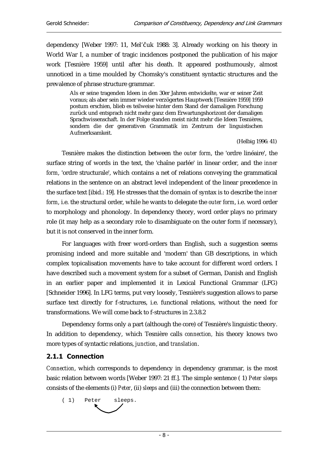dependency [Weber 1997: 11, Mel'čuk 1988: 3]. Already working on his theory in World War I, a number of tragic incidences postponed the publication of his major work [Tesnière 1959] until after his death. It appeared posthumously, almost unnoticed in a time moulded by Chomsky's constituent syntactic structures and the prevalence of phrase structure grammar.

Als er seine tragenden Ideen in den 30er Jahren entwickelte, war er seiner Zeit voraus; als aber sein immer wieder verzögertes Hauptwerk [Tesnière 1959] 1959 postum erschien, blieb es teilweise hinter dem Stand der damaligen Forschung zurück und entsprach nicht mehr ganz dem Erwartungshorizont der damaligen Sprachwissenschaft. In der Folge standen meist nicht mehr die Ideen Tesnières, sondern die der generativen Grammatik im Zentrum der linguistischen Aufmerksamkeit.

(Helbig 1996: 41)

Tesnière makes the distinction between the *outer form*, the 'ordre linéaire', the surface string of words in the text, the 'chaîne parlée' in linear order, and the *inner form*, 'ordre structurale', which contains a net of relations conveying the grammatical relations in the sentence on an abstract level independent of the linear precedence in the surface text [ibid.: 19]. He stresses that the domain of syntax is to describe the *inner form*, i.e. the structural order, while he wants to delegate the *outer form*, i.e. word order to morphology and phonology. In dependency theory, word order plays no primary role (it may help as a secondary role to disambiguate on the outer form if necessary), but it is not conserved in the inner form.

For languages with freer word-orders than English, such a suggestion seems promising indeed and more suitable and 'modern' than GB descriptions, in which complex topicalisation movements have to take account for different word orders. I have described such a movement system for a subset of German, Danish and English in an earlier paper and implemented it in Lexical Functional Grammar (LFG) [Schneider 1996]. In LFG terms, put very loosely, Tesnière's suggestion allows to parse surface text directly for f-structures, i.e. functional relations, without the need for transformations. We will come back to f-structures in 2.3.8.2

Dependency forms only a part (although the core) of Tesnière's linguistic theory. In addition to dependency, which Tesnière calls *connection,* his theory knows two more types of syntactic relations, *junction*, and *translation*.

## 2.1.1 Connection

*Connection*, which corresponds to dependency in dependency grammar, is the most basic relation between words [Weber 1997: 21 ff.]. The simple sentence ( 1) *Peter sleeps* consists of the elements (i) *Peter*, (ii) *sleeps* and (iii) the connection between them:

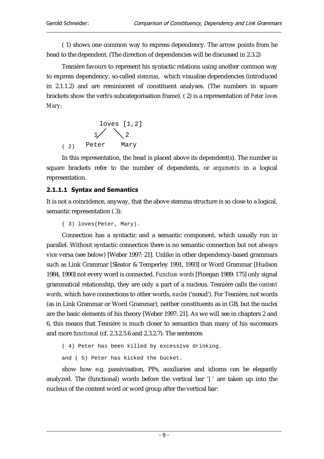( 1) shows one common way to express dependency. The arrow points from he head to the dependent. (The direction of dependencies will be discussed in 2.3.2)

Tesnière favours to represent his syntactic relations using another common way to express dependency, so-called *stemmas,* which visualise dependencies (introduced in 2.1.1.2) and are reminiscent of constituent analyses. (The numbers in square brackets show the verb's subcategorisation frame). ( 2) is a representation of *Peter loves Mary*:

( 2) loves [1,2] Peter Mary 1 2

In this representation, the head is placed above its dependent(s). The number in square brackets refer to the number of dependents, or *arguments* in a logical representation.

## 2.1.1.1 Syntax and Semantics

It is not a coincidence, anyway, that the above stemma structure is so close to a logical, semantic representation ( 3):

```
( 3) loves(Peter, Mary).
```
Connection has a syntactic and a semantic component, which usually run in parallel. Without syntactic connection there is no semantic connection but not always vice versa (see below) [Weber 1997: 21]. Unlike in other dependency-based grammars such as Link Grammar [Sleator & Temperley 1991, 1993] or Word Grammar [Hudson 1984, 1990] not every word is connected. *Function words* [Finegan 1989: 175] only signal grammatical relationship, they are only a part of a nucleus. Tesnière calls the *content words*, which have connections to other words, *nuclei* ('nœud'). For Tesnière, not words (as in Link Grammar or Word Grammar), neither constituents as in GB, but the nuclei are the basic elements of his theory [Weber 1997: 21]. As we will see in chapters 2 and 6, this means that Tesnière is much closer to semantics than many of his successors and more *functional* (cf. 2.3.2.5.6 and 2.3.2.7). The sentences

```
( 4) Peter has been killed by excessive drinking.
```
and ( 5) Peter has kicked the bucket.

show how e.g. passivisation, PPs, auxiliaries and idioms can be elegantly analyzed. The (functional) words before the vertical bar '|' are taken up into the nucleus of the content word or word group after the vertical bar: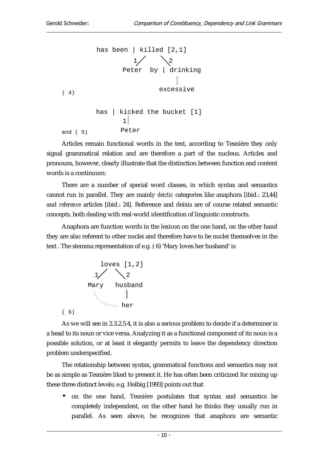

Articles remain functional words in the text, according to Tesnière they only signal grammatical relation and are therefore a part of the nucleus. Articles and pronouns, however, clearly illustrate that the distinction between function and content words is a continuum:

There are a number of special word classes, in which syntax and semantics cannot run in parallel. They are mainly *deictic* categories like anaphora [ibid.: 23,44] and *reference* articles [ibid.: 24]. Reference and deixis are of course related semantic concepts, both dealing with real-world identification of linguistic constructs.

Anaphora are function words in the lexicon on the one hand, on the other hand they are also referent to other nuclei and therefore have to be nuclei themselves in the text . The stemma representation of e.g. ( 6) 'Mary loves her husband' is



As we will see in 2.3.2.5.4, it is also a serious problem to decide if a determiner is a head to its noun or vice versa. Analyzing it as a functional component of its noun is a possible solution, or at least it elegantly permits to leave the dependency direction problem underspecified.

The relationship between syntax, grammatical functions and semantics may not be as simple as Tesnière liked to present it. He has often been criticized for mixing up these three distinct levels; e.g. Helbig [1993] points out that

• on the one hand, Tesnière postulates that syntax and semantics be completely independent, on the other hand he thinks they usually run in parallel. As seen above, he recognizes that anaphora are semantic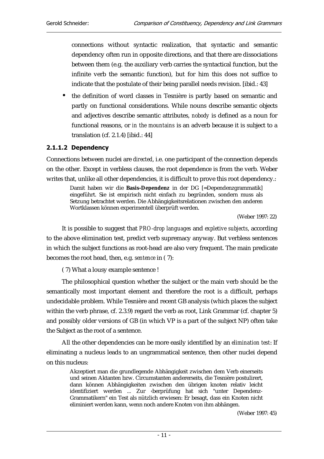connections without syntactic realization, that syntactic and semantic dependency often run in opposite directions, and that there are dissociations between them (e.g. the auxiliary verb carries the syntactical function, but the infinite verb the semantic function), but for him this does not suffice to indicate that the postulate of their being parallel needs revision. [ibid.: 43]

• the definition of word classes in Tesnière is partly based on semantic and partly on functional considerations. While nouns describe semantic objects and adjectives describe semantic attributes, *nobody* is defined as a noun for functional reasons, or *in the mountains* is an adverb because it is subject to a translation (cf. 2.1.4) [ibid.: 44]

#### 2.1.1.2 Dependency

Connections between nuclei are *directed*, i.e. one participant of the connection depends on the other. Except in verbless clauses, the root dependence is from the verb. Weber writes that, unlike all other dependencies, it is difficult to prove this root dependency.:

Damit haben wir die **Basis-Dependenz** in der DG [=Dependenzgrammatik] eingeführt. Sie ist empirisch nicht einfach zu begründen, sondern muss als Setzung betrachtet werden. Die Abhängigkeitsrelationen zwischen den anderen Wortklassen können experimentell überprüft werden.

(Weber 1997: 22)

It is possible to suggest that *PRO-drop languages* and *expletive subjects*, according to the above elimination test, predict verb supremacy anyway. But verbless sentences in which the subject functions as root-head are also very frequent. The main predicate becomes the root head, then, e.g. *sentence* in ( 7):

( 7) What a lousy example sentence !

The philosophical question whether the subject or the main verb should be the semantically most important element and therefore the root is a difficult, perhaps undecidable problem. While Tesnière and recent GB analysis (which places the subject within the verb phrase, cf. 2.3.9) regard the verb as root, Link Grammar (cf. chapter 5) and possibly older versions of GB (in which VP is a part of the subject NP) often take the Subject as the root of a sentence.

All the other dependencies can be more easily identified by an *elimination test*: If eliminating a nucleus leads to an ungrammatical sentence, then other nuclei depend on this nucleus:

Akzeptiert man die grundlegende Abhängigkeit zwischen dem Verb einerseits und seinen Aktanten bzw. Circumstanten andererseits, die Tesnière postulirert, dann können Abhängigkeiten zwischen den übrigen knoten relativ leicht identifiziert werden ... Zur ‹berprüfung hat sich "unter Dependenz-Grammatikern" ein Test als nützlich erwiesen: Er besagt, dass ein Knoten nicht eliminiert werden kann, wenn noch andere Knoten von ihm abhängen.

(Weber 1997: 45)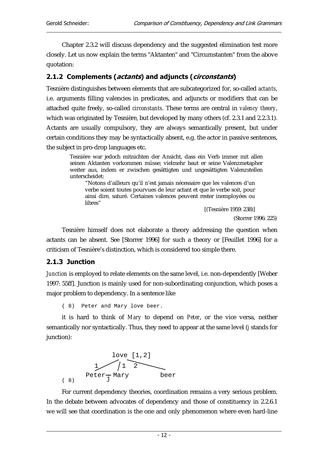Chapter 2.3.2 will discuss dependency and the suggested elimination test more closely. Let us now explain the terms "Aktanten" and "Circumstanten" from the above quotation:

## 2.1.2 Complements (actants) and adjuncts (circonstants)

Tesnière distinguishes between elements that are subcategorized for, so-called *actants*, i.e. arguments filling valencies in predicates, and adjuncts or modifiers that can be attached quite freely, so-called *circonstants*. These terms are central in *valency theory*, which was originated by Tesnière, but developed by many others (cf. 2.3.1 and 2.2.3.1). Actants are usually compulsory, they are always semantically present, but under certain conditions they may be syntactically absent, e.g. the actor in passive sentences, the subject in pro-drop languages etc.

Tesnière war jedoch mitnichten der Ansicht, dass ein Verb immer mit allen seinen Aktanten vorkommen müsse; vielmehr baut er seine Valenzmetapher weiter aus, indem er zwischen gesättigten und ungesättigten Valenzstellen unterscheidet:

"Notons d'ailleurs qu'il n'est jamais nécessaire que les valences d'un verbe soient toutes pourvues de leur actant et que le verbe soit, pour ainsi dire, saturé. Certaines valences peuvent rester inemployées ou libres"

[(Tesnière 1959: 238)]

(Storrer 1996: 225)

Tesnière himself does not elaborate a theory addressing the question when actants can be absent. See [Storrer 1996] for such a theory or [Feuillet 1996] for a criticism of Tesnière's distinction, which is considered too simple there.

## 2.1.3 Junction

*Junction* is employed to relate elements on the same level, i.e. non-dependently [Weber 1997: 55ff]. Junction is mainly used for non-subordinating conjunction, which poses a major problem to dependency. In a sentence like

( 8) Peter and Mary love beer.

it is hard to think of *Mary* to depend on *Peter*, or the vice versa, neither semantically nor syntactically. Thus, they need to appear at the same level (*j* stands for junction):



For current dependency theories, coordination remains a very serious problem. In the debate between advocates of dependency and those of constituency in 2.2.6.1 we will see that coordination is the one and only phenomenon where even hard-line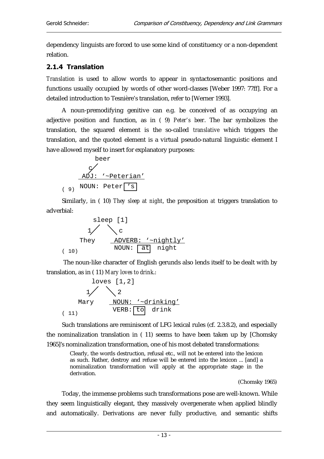dependency linguists are forced to use some kind of constituency or a non-dependent relation.

## 2.1.4 Translation

*Translation* is used to allow words to appear in syntactosemantic positions and functions usually occupied by words of other word-classes [Weber 1997: 77ff]. For a detailed introduction to Tesnière's translation, refer to [Werner 1993].

A noun-premodifying genitive can e.g. be conceived of as occupying an adjective position and function, as in ( 9) *Peter's beer*. The bar symbolizes the translation, the squared element is the so-called *translative* which triggers the translation, and the quoted element is a virtual pseudo-natural linguistic element I have allowed myself to insert for explanatory purposes:



Similarly, in ( 10) *They sleep at night*, the preposition *at* triggers translation to adverbial:

( 10) sleep [1] They 1 c ADVERB: '~nightly' NOUN: at night

 The noun-like character of English gerunds also lends itself to be dealt with by translation, as in ( 11) *Mary loves to drink*.:



Such translations are reminiscent of LFG lexical rules (cf. 2.3.8.2), and especially the nominalization translation in ( 11) seems to have been taken up by [Chomsky 1965]'s nominalization transformation, one of his most debated transformations:

Clearly, the words destruction, refusal etc., will not be entered into the lexicon as such. Rather, destroy and refuse will be entered into the lexicon ... [and] a nominalization transformation will apply at the appropriate stage in the derivation.

(Chomsky 1965)

Today, the immense problems such transformations pose are well-known. While they seem linguistically elegant, they massively overgenerate when applied blindly and automatically. Derivations are never fully productive, and semantic shifts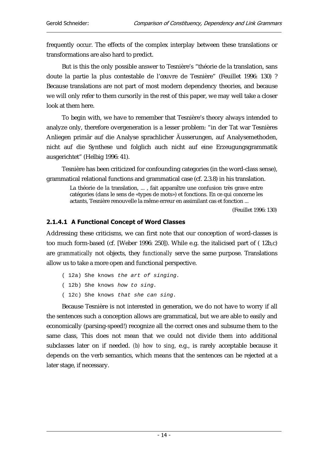frequently occur. The effects of the complex interplay between these translations or transformations are also hard to predict.

But is this the only possible answer to Tesnière's "théorie de la translation, sans doute la partie la plus contestable de l'œuvre de Tesnière" (Feuillet 1996: 130) ? Because translations are not part of most modern dependency theories, and because we will only refer to them cursorily in the rest of this paper, we may well take a closer look at them here.

To begin with, we have to remember that Tesnière's theory always intended to analyze only, therefore overgeneration is a lesser problem: "in der Tat war Tesnières Anliegen primär auf die Analyse sprachlicher Äusserungen, auf Analysemethoden, nicht auf die Synthese und folglich auch nicht auf eine Erzeugungsgrammatik ausgerichtet" (Helbig 1996: 41).

Tesnière has been criticized for confounding categories (in the word-class sense), grammatical relational functions and grammatical case (cf. 2.3.8) in his translation.

La théorie de la translation, ... , fait apparaître une confusion très grave entre catégories (dans le sens de «types de mots») et fonctions. En ce qui concerne les actants, Tesnière renouvelle la même erreur en assimilant cas et fonction ...

(Feuillet 1996: 130)

## 2.1.4.1 A Functional Concept of Word Classes

Addressing these criticisms, we can first note that our conception of word-classes is too much form-based (cf. [Weber 1996: 250]). While e.g. the italicised part of ( 12b,c) are *grammatically* not objects, they *functionally* serve the same purpose. Translations allow us to take a more open and functional perspective.

- ( 12a) She knows the art of singing.
- ( 12b) She knows how to sing.
- ( 12c) She knows that she can sing.

Because Tesnière is not interested in generation, we do not have to worry if all the sentences such a conception allows are grammatical, but we are able to easily and economically (parsing-speed!) recognize all the correct ones and subsume them to the same class, This does not mean that we could not divide them into additional subclasses later on if needed. *(b) how to sing*, e.g., is rarely acceptable because it depends on the verb semantics, which means that the sentences can be rejected at a later stage, if necessary.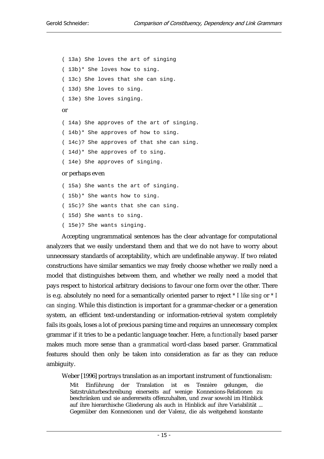( 13a) She loves the art of singing ( 13b)\* She loves how to sing. ( 13c) She loves that she can sing. ( 13d) She loves to sing. ( 13e) She loves singing. or ( 14a) She approves of the art of singing. ( 14b)\* She approves of how to sing. ( 14c)? She approves of that she can sing. ( 14d)\* She approves of to sing. ( 14e) She approves of singing. or perhaps even ( 15a) She wants the art of singing. ( 15b)\* She wants how to sing. ( 15c)? She wants that she can sing.

( 15d) She wants to sing.

( 15e)? She wants singing.

Accepting ungrammatical sentences has the clear advantage for computational analyzers that we easily understand them and that we do not have to worry about unnecessary standards of acceptability, which are undefinable anyway. If two related constructions have similar semantics we may freely choose whether we really need a model that distinguishes between them, and whether we really need a model that pays respect to historical arbitrary decisions to favour one form over the other. There is e.g. absolutely no need for a semantically oriented parser to reject *\* I like sing* or *\* I can singing.* While this distinction is important for a grammar-checker or a generation system, an efficient text-understanding or information-retrieval system completely fails its goals, loses a lot of precious parsing time and requires an unnecessary complex grammar if it tries to be a pedantic language teacher. Here, a *functionally* based parser makes much more sense than a *grammatical* word-class based parser. Grammatical features should then only be taken into consideration as far as they can reduce ambiguity.

Weber [1996] portrays translation as an important instrument of functionalism:

Mit Einführung der Translation ist es Tesnière gelungen, die Satzstrukturbeschreibung einerseits auf wenige Konnexions-Relationen zu beschränken und sie andererseits offenzuhalten, und zwar sowohl im Hinblick auf ihre hierarchische Gliederung als auch in Hinblick auf ihre Variabilität ... Gegenüber den Konnexionen und der Valenz, die als weitgehend konstante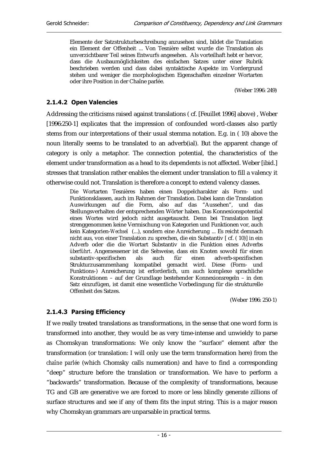Elemente der Satzstrukturbeschreibung anzusehen sind, bildet die Translation ein Element der Offenheit ... Von Tesnière selbst wurde die Translation als unverzichtbarer Teil seines Entwurfs angesehen. Als vorteilhaft hebt er hervor, dass die Ausbaumöglichkeiten des einfachen Satzes unter einer Rubrik beschrieben werden und dass dabei syntaktische Aspekte im Vordergrund stehen und weniger die morphologischen Eigenschaften einzelner Wortarten oder ihre Position in der Chaîne parlée.

(Weber 1996: 249)

#### 2.1.4.2 Open Valencies

Addressing the criticisms raised against translations ( cf. [Feuillet 1996] above) , Weber [1996:250-1] explicates that the impression of confounded word-classes also partly stems from our interpretations of their usual stemma notation. E.g. in ( 10) above the noun literally seems to be translated to an adverb(ial). But the apparent change of category is only a metaphor. The connection potential, the characteristics of the element under transformation as a head to its dependents is not affected. Weber [ibid.] stresses that translation rather enables the element under translation to fill a valency it otherwise could not. Translation is therefore a concept to extend valency classes.

Die Wortarten Tesnières haben einen Doppelcharakter als Form- und Funktionsklassen, auch im Rahmen der Translation. Dabei kann die Translation Auswirkungen auf die Form, also auf das "Aussehen", und das Stellungsverhalten der entsprechenden Wörter haben. Das Konnexionspotential eines Wortes wird jedoch nicht ausgetauscht. Denn bei Translation liegt strenggenommen keine Vermischung von Kategorien und Funktionen vor, auch kein Kategorien-*Wechsel* (...), sondern eine Anreicherung ... Es reicht demnach nicht aus, von einer Translation zu sprechen, die ein Substantiv [ cf. ( 10)] in ein Adverb oder die die Wortart Substantiv in die Funktion eines Adverbs *überführt*. Angemessener ist die Sehweise, dass ein Knoten sowohl für einen substantiv-spezifischen als auch für einen adverb-spezifischen Strukturzusammenhang kompatibel gemacht wird. Diese (Form- und Funktions-) Anreicherung ist erforderlich, um auch komplexe sprachliche Konstruktionen – auf der Grundlage bestehender Konnexionsregeln – in den Satz einzufügen, ist damit eine wesentliche Vorbedingung für die strukturelle Offenheit des Satzes.

(Weber 1996: 250-1)

## 2.1.4.3 Parsing Efficiency

If we really treated translations as transformations, in the sense that one word form is transformed into another, they would be as very time-intense and unwieldy to parse as Chomskyan transformations: We only know the "surface" element after the transformation (or translation: I will only use the term transformation here) from the *chaîne parlée* (which Chomsky calls numeration) and have to find a corresponding "deep" structure before the translation or transformation. We have to perform a "backwards" transformation. Because of the complexity of transformations, because TG and GB are generative we are forced to more or less blindly generate zillions of surface structures and see if any of them fits the input string. This is a major reason why Chomskyan grammars are unparsable in practical terms.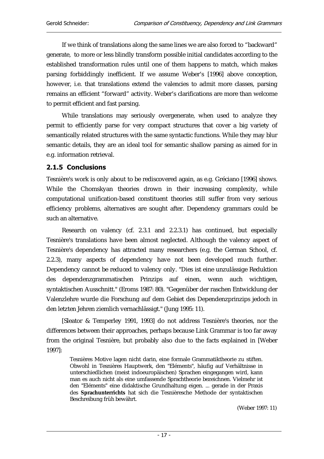If we think of translations along the same lines we are also forced to "backward" generate, to more or less blindly transform possible initial candidates according to the established transformation rules until one of them happens to match, which makes parsing forbiddingly inefficient. If we assume Weber's [1996] above conception, however, i.e. that translations extend the valencies to admit more classes, parsing remains an efficient "forward" activity. Weber's clarifications are more than welcome to permit efficient and fast parsing.

While translations may seriously overgenerate, when used to analyze they permit to efficiently parse for very compact structures that cover a big variety of semantically related structures with the same syntactic functions. While they may blur semantic details, they are an ideal tool for semantic shallow parsing as aimed for in e.g. information retrieval.

## 2.1.5 Conclusions

Tesnière's work is only about to be rediscovered again, as e.g. Gréciano [1996] shows. While the Chomskyan theories drown in their increasing complexity, while computational unification-based constituent theories still suffer from very serious efficiency problems, alternatives are sought after. Dependency grammars could be such an alternative.

Research on valency (cf. 2.3.1 and 2.2.3.1) has continued, but especially Tesnière's translations have been almost neglected. Although the valency aspect of Tesnière's dependency has attracted many researchers (e.g. the German School, cf. 2.2.3), many aspects of dependency have not been developed much further. Dependency cannot be reduced to valency only. "Dies ist eine unzulässige Reduktion des dependenzgrammatischen Prinzips auf einen, wenn auch wichtigen, syntaktischen Ausschnitt." (Eroms 1987: 80). "Gegenüber der raschen Entwicklung der Valenzlehre wurde die Forschung auf dem Gebiet des Dependenzprinzips jedoch in den letzten Jehren ziemlich vernachlässigt." (Jung 1995: 11).

[Sleator & Temperley 1991, 1993] do not address Tesnière's theories, nor the differences between their approaches, perhaps because Link Grammar is too far away from the original Tesnière, but probably also due to the facts explained in [Weber 1997]:

Tesnières Motive lagen nicht darin, eine formale Grammatiktheorie zu stiften. Obwohl in Tesnières Hauptwerk, den "Eléments", häufig auf Verhältnisse in unterschiedlichen (meist indoeuropäischen) Sprachen eingegangen wird, kann man es auch nicht als eine umfassende Sprachtheorie bezeichnen. Vielmehr ist den "Eléments" eine didaktische Grundhaltung eigen. ... gerade in der Praxis des **Sprachunterrichts** hat sich die Tesnièresche Methode der syntaktischen Beschreibung früh bewährt.

(Weber 1997: 11)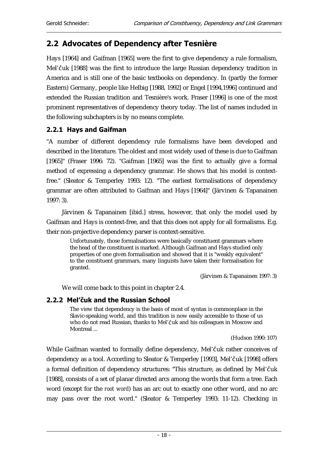## 2.2 Advocates of Dependency after Tesnière

Hays [1964] and Gaifman [1965] were the first to give dependency a rule formalism, Mel'čuk [1988] was the first to introduce the large Russian dependency tradition in America and is still one of the basic textbooks on dependency. In (partly the former Eastern) Germany, people like Helbig [1988, 1992] or Engel [1994,1996] continued and extended the Russian tradition and Tesnière's work. Fraser [1996] is one of the most prominent representatives of dependency theory today. The list of names included in the following subchapters is by no means complete.

## 2.2.1 Hays and Gaifman

"A number of different dependency rule formalisms have been developed and described in the literature. The oldest and most widely used of these is due to Gaifman [1965]" (Fraser 1996: 72). "Gaifman [1965] was the first to actually give a formal method of expressing a dependency grammar. He shows that his model is contextfree." (Sleator & Temperley 1993: 12). "The earliest formalisations of dependency grammar are often attributed to Gaifman and Hays [1964]" (Järvinen & Tapanainen 1997: 3).

Järvinen & Tapanainen [ibid.] stress, however, that only the model used by Gaifman and Hays is context-free, and that this does not apply for all formalisms. E.g. their non-projective dependency parser is context-sensitive.

Unfortunately, those formalisations were basically constituent grammars where the head of the constituent is marked. Although Gaifman and Hays studied only properties of one given formalisation and showed that it is "weakly equivalent" to the constituent grammars, many linguists have taken their formalisation for granted.

(Järvinen & Tapanainen 1997: 3)

We will come back to this point in chapter 2.4.

## 2.2.2 Mel'čuk and the Russian School

The view that dependency is the basis of most of syntax is commonplace in the Slavic-speaking world, and this tradition is now easily accessible to those of us who do not read Russian, thanks to Mel'Čuk and his colleagues in Moscow and Montreal ...

(Hudson 1990: 107)

While Gaifman wanted to formally define dependency, Mel'čuk rather conceives of dependency as a tool. According to Sleator & Temperley [1993], Mel'čuk [1998] offers a formal definition of dependency structures: "This structure, as defined by Mel'Čuk [1988], consists of a set of planar directed arcs among the words that form a tree. Each word (except for the *root word*) has an arc out to exactly one other word, and no arc may pass over the root word." (Sleator & Temperley 1993: 11-12). Checking in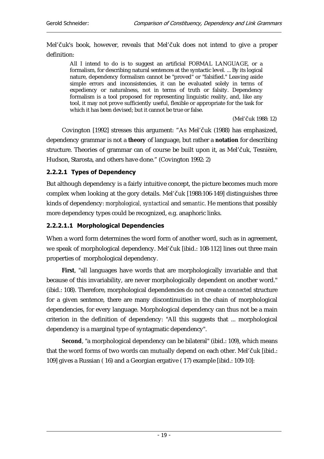Mel'čuk's book, however, reveals that Mel'čuk does not intend to give a proper definition:

All I intend to do is to suggest an artificial FORMAL LANGUAGE, or a formalism, for describing natural sentences at the syntactic level. ... By its logical nature, dependency formalism cannot be "proved" or "falsified." Leaving aside simple errors and inconsistencies, it can be evaluated solely in terms of expediency or naturalness, not in terms of truth or falsity. Dependency formalism is a tool proposed for representing linguistic reality, and, like any tool, it may not prove sufficiently useful, flexible or appropriate for the task for which it has been devised; but it cannot be true or false.

(Mel'čuk 1988: 12)

Covington [1992] stresses this argument: "As Mel'čuk (1988) has emphasized, dependency grammar is not a **theory** of language, but rather a **notation** for describing structure. Theories of grammar can of course be built upon it, as Mel'Čuk, Tesnière, Hudson, Starosta, and others have done." (Covington 1992: 2)

## 2.2.2.1 Types of Dependency

But although dependency is a fairly intuitive concept, the picture becomes much more complex when looking at the gory details. Mel'Čuk [1988:106-149] distinguishes three kinds of dependency: *morphological, syntactical* and *semantic*. He mentions that possibly more dependency types could be recognized, e.g. anaphoric links.

## 2.2.2.1.1 Morphological Dependencies

When a word form determines the word form of another word, such as in agreement, we speak of morphological dependency. Mel'čuk [ibid.: 108-112] lines out three main properties of morphological dependency.

**First**, "all languages have words that are morphologically invariable and that because of this invariability, are never morphologically dependent on another word." (ibid.: 108). Therefore, morphological dependencies do not create a *connected* structure for a given sentence, there are many discontinuities in the chain of morphological dependencies, for every language. Morphological dependency can thus not be a main criterion in the definition of dependency: "All this suggests that ... morphological dependency is a marginal type of syntagmatic dependency".

**Second**, "a morphological dependency can be bilateral" (ibid.: 109), which means that the word forms of two words can mutually depend on each other. Mel'čuk [ibid.: 109] gives a Russian ( 16) and a Georgian ergative ( 17) example [ibid.: 109-10]: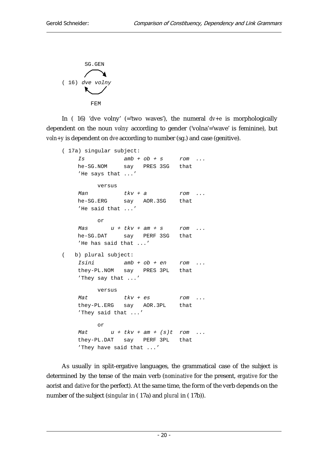SG.GEN ( 16) dve volny FEM

In ( 16) 'dve volny' (='two waves'), the numeral *dv+e* is morphologically dependent on the noun *volny* according to gender ('volna'='wave' is feminine), but *voln+y* is dependent on *dve* according to number (sg.) and case (genitive).

```
( 17a) singular subject: 
     Is amb + ob + s rom ... 
    he-SG.NOM say PRES 3SG that 
     'He says that ...' 
          versus 
    Man tkv + a rom ...
    he-SG.ERG say AOR.3SG that 
     'He said that ...' 
          or 
    Mas u + tkv + am + s rom ...
    he-SG.DAT say PERF 3SG that 
     'He has said that ...' 
( b) plural subject: 
     Isini amb + ob + en rom ... 
     they-PL.NOM say PRES 3PL that 
     'They say that ...' 
          versus 
    Mat tkv + es rom ...
     they-PL.ERG say AOR.3PL that 
     'They said that ...' 
          or 
    Mat u + tkv + am + (s)t rom ...
     they-PL.DAT say PERF 3PL that 
     'They have said that ...'
```
As usually in split-ergative languages, the grammatical case of the subject is determined by the tense of the main verb (*nominative* for the present, *ergative* for the aorist and *dative* for the perfect). At the same time, the form of the verb depends on the number of the subject (*singular* in ( 17a) and *plural* in ( 17b)).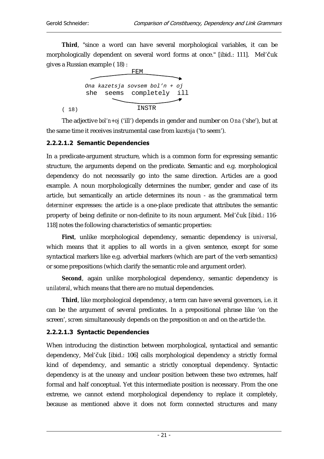**Third**, "since a word can have several morphological variables, it can be morphologically dependent on several word forms at once." [ibid.: 111]. Mel'čuk gives a Russian example ( 18) :



The adjective *bol'n+oj* ('ill') depends in gender and number on *Ona* ('she'), but at the same time it receives instrumental case from *kazetsja* ('to seem').

#### 2.2.2.1.2 Semantic Dependencies

In a predicate-argument structure, which is a common form for expressing semantic structure, the arguments depend on the predicate. Semantic and e.g. morphological dependency do not necessarily go into the same direction. Articles are a good example. A noun morphologically determines the number, gender and case of its article, but semantically an article determines its noun - as the grammatical term *determiner* expresses: the article is a one-place predicate that attributes the semantic property of being definite or non-definite to its noun argument. Mel'čuk [ibid.: 116-118] notes the following characteristics of semantic properties:

**First**, unlike morphological dependency, semantic dependency is *universal*, which means that it applies to all words in a given sentence, except for some syntactical markers like e.g. adverbial markers (which are part of the verb semantics) or some prepositions (which clarify the semantic role and argument order).

**Second**, again unlike morphological dependency, semantic dependency is *unilateral*, which means that there are no mutual dependencies.

**Third**, like morphological dependency, a term can have several governors, i.e. it can be the argument of several predicates. In a prepositional phrase like 'on the screen', *screen* simultaneously depends on the preposition *on* and on the article *the*.

#### 2.2.2.1.3 Syntactic Dependencies

When introducing the distinction between morphological, syntactical and semantic dependency, Mel'čuk [ibid.: 106] calls morphological dependency a strictly formal kind of dependency, and semantic a strictly conceptual dependency. Syntactic dependency is at the uneasy and unclear position between these two extremes, half formal and half conceptual. Yet this intermediate position is necessary. From the one extreme, we cannot extend morphological dependency to replace it completely, because as mentioned above it does not form connected structures and many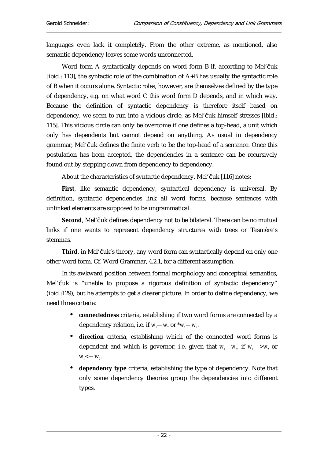languages even lack it completely. From the other extreme, as mentioned, also semantic dependency leaves some words unconnected.

Word form A syntactically depends on word form B if, according to Mel'čuk [ibid.: 113], the syntactic role of the combination of A+B has usually the syntactic role of B when it occurs alone. Syntactic roles, however, are themselves defined by the type of dependency, e.g. on what word C this word form D depends, and in which way. Because the definition of syntactic dependency is therefore itself based on dependency, we seem to run into a vicious circle, as Mel'čuk himself stresses [ibid.: 115]. This vicious circle can only be overcome if one defines a top-head, a unit which only has dependents but cannot depend on anything. As usual in dependency grammar, Mel'čuk defines the finite verb to be the top-head of a sentence. Once this postulation has been accepted, the dependencies in a sentence can be recursively found out by stepping down from dependency to dependency.

About the characteristics of syntactic dependency, Mel'čuk [116] notes:

**First**, like semantic dependency, syntactical dependency is universal. By definition, syntactic dependencies link all word forms, because sentences with unlinked elements are supposed to be ungrammatical.

**Second**, Mel'čuk defines dependency not to be bilateral. There can be no mutual links if one wants to represent dependency structures with trees or Tesnière's stemmas.

Third, in Mel'čuk's theory, any word form can syntactically depend on only one other word form. Cf. Word Grammar, 4.2.1, for a different assumption.

In its awkward position between formal morphology and conceptual semantics, Mel'čuk is "unable to propose a rigorous definition of syntactic dependency" (ibid.:129), but he attempts to get a clearer picture. In order to define dependency, we need three criteria:

- **connectedness** criteria, establishing if two word forms are connected by a dependency relation, i.e. if  $w_{\scriptscriptstyle I}{\color{blue}-}w_{\scriptscriptstyle 2}$  or  $^*w_{\scriptscriptstyle I}{\color{blue}-}w_{\scriptscriptstyle 2}$ .
- **direction** criteria, establishing which of the connected word forms is dependent and which is governor, i.e. given that  $w_1$ — $w_2$ , if  $w_1$ — $>w_2$  or  $W_1$  <  $-W_2$ .
- **dependency type** criteria, establishing the type of dependency. Note that only some dependency theories group the dependencies into different types.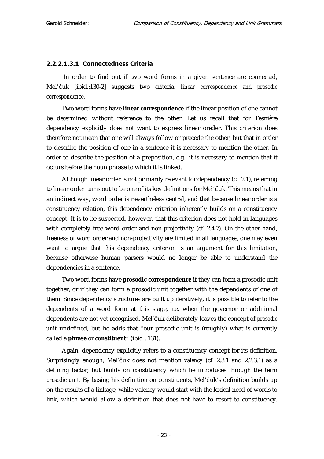## 2.2.2.1.3.1 Connectedness Criteria

 In order to find out if two word forms in a given sentence are connected, Mel'Čuk [ibid.:130-2] suggests two criteria: *linear correspondence and prosodic correspondence*.

Two word forms have **linear correspondence** if the linear position of one cannot be determined without reference to the other. Let us recall that for Tesnière dependency explicitly does not want to express linear oreder. This criterion does therefore not mean that one will always follow or precede the other, but that in order to describe the position of one in a sentence it is necessary to mention the other. In order to describe the position of a preposition, e.g., it is necessary to mention that it occurs before the noun phrase to which it is linked.

Although linear order is not primarily relevant for dependency (cf. 2.1), referring to linear order turns out to be one of its key definitions for Mel'čuk. This means that in an indirect way, word order is nevertheless central, and that because linear order is a constituency relation, this dependency criterion inherently builds on a constituency concept. It is to be suspected, however, that this criterion does not hold in languages with completely free word order and non-projectivity (cf. 2.4.7). On the other hand, freeness of word order and non-projectivity are limited in all languages, one may even want to argue that this dependency criterion is an argument for this limitation, because otherwise human parsers would no longer be able to understand the dependencies in a sentence.

Two word forms have **prosodic correspondence** if they can form a prosodic unit together, or if they can form a prosodic unit together with the dependents of one of them. Since dependency structures are built up iteratively, it is possible to refer to the dependents of a word form at this stage, i.e. when the governor or additional dependents are not yet recognised. Mel'čuk deliberately leaves the concept of *prosodic unit* undefined, but he adds that "our prosodic unit is (roughly) what is currently called a **phrase** or **constituent**" (ibid.: 131).

Again, dependency explicitly refers to a constituency concept for its definition. Surprisingly enough, Mel'čuk does not mention *valency* (cf. 2.3.1 and 2.2.3.1) as a defining factor, but builds on constituency which he introduces through the term *prosodic unit*. By basing his definition on constituents, Mel'čuk's definition builds up on the results of a linkage, while valency would start with the lexical need of words to link, which would allow a definition that does not have to resort to constituency.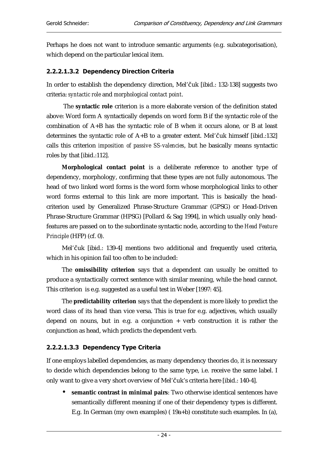Perhaps he does not want to introduce semantic arguments (e.g. subcategorisation), which depend on the particular lexical item.

## 2.2.2.1.3.2 Dependency Direction Criteria

In order to establish the dependency direction, Mel'Čuk [ibid.: 132-138] suggests two criteria: *syntactic role* and *morphological contact point*.

 The **syntactic role** criterion is a more elaborate version of the definition stated above: Word form A syntactically depends on word form B if the syntactic role of the combination of A+B has the syntactic role of B when it occurs alone, or B at least determines the syntactic role of  $A+B$  to a greater extent. Mel'čuk himself [ibid.:132] calls this criterion *imposition of passive SS-valencies*, but he basically means syntactic roles by that [ibid.:112].

**Morphological contact point** is a deliberate reference to another type of dependency, morphology, confirming that these types are not fully autonomous. The head of two linked word forms is the word form whose morphological links to other word forms external to this link are more important. This is basically the headcriterion used by Generalized Phrase-Structure Grammar (GPSG) or Head-Driven Phrase-Structure Grammar (HPSG) [Pollard & Sag 1994], in which usually only headfeatures are passed on to the subordinate syntactic node, according to the *Head Feature Principle* (HFP) (cf. 0).

Mel'čuk [ibid.: 139-4] mentions two additional and frequently used criteria, which in his opinion fail too often to be included:

The **omissibility criterion** says that a dependent can usually be omitted to produce a syntactically correct sentence with similar meaning, while the head cannot. This criterion is e.g. suggested as a useful test in Weber [1997: 45].

The **predictability criterion** says that the dependent is more likely to predict the word class of its head than vice versa. This is true for e.g. adjectives, which usually depend on nouns, but in e.g. a conjunction  $+$  verb construction it is rather the conjunction as head, which predicts the dependent verb.

## 2.2.2.1.3.3 Dependency Type Criteria

If one employs labelled dependencies, as many dependency theories do, it is necessary to decide which dependencies belong to the same type, i.e. receive the same label. I only want to give a very short overview of Mel'čuk's criteria here [ibid.: 140-4].

• **semantic contrast in minimal pairs**: Two otherwise identical sentences have semantically different meaning if one of their dependency types is different. E.g. In German (my own examples) ( 19a+b) constitute such examples. In (a),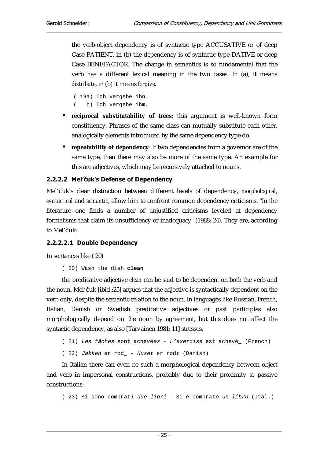the verb-object dependency is of syntactic type ACCUSATIVE or of deep Case PATIENT, in (b) the dependency is of syntactic type DATIVE or deep Case BENEFACTOR. The change in semantics is so fundamental that the verb has a different lexical meaning in the two cases. In (a), it means *distribute*, in (b) it means *forgive*.

( 19a) Ich vergebe ihn. ( b) Ich vergebe ihm.

- **reciprocal substitutability of trees**: this argument is well-known form constituency. Phrases of the same class can mutually substitute each other, analogically elements introduced by the same dependency type do.
- **repeatability of dependency**: If two dependencies from a governor are of the same type, then there may also be more of the same type. An example for this are adjectives, which may be recursively attached to nouns.

## 2.2.2.2 Mel'čuk's Defense of Dependency

Mel'čuk's clear distinction between different levels of dependency, *morphological*, *syntactical* and *semantic*, allow him to confront common dependency criticisms. "In the literature one finds a number of unjustified criticisms leveled at dependency formalisms that claim its unsufficiency or inadequacy" (1988: 24). They are, according to Mel'čuk:

#### 2.2.2.2.1 Double Dependency

In sentences like ( 20)

( 20) Wash the dish **clean**

the predicative adjective *clean* can be said to be dependent on both the verb and the noun. Mel'čuk [ibid.:25] argues that the adjective is syntactically dependent on the verb only, despite the semantic relation to the noun. In languages like Russian, French, Italian, Danish or Swedish predicative adjectives or past participles also morphologically depend on the noun by agreement, but this does not affect the syntactic dependency, as also [Tarvainen 1981: 11] stresses.

```
( 21) Les tâches sont achevées - L'exercise est achevé_ (French)
```
( 22) Jakken er rød\_ - Huset er rødt (Danish)

In Italian there can even be such a morphological dependency between object and verb in impersonal constructions, probably due to their proximity to passive constructions:

( 23) Si sono comprat<sup>i</sup> due libri - Si è comprat<sup>o</sup> un libro (Ital.)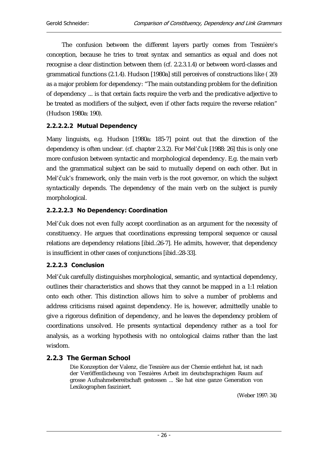The confusion between the different layers partly comes from Tesnière's conception, because he tries to treat syntax and semantics as equal and does not recognise a clear distinction between them (cf. 2.2.3.1.4) or between word-classes and grammatical functions (2.1.4). Hudson [1980a] still perceives of constructions like ( 20) as a major problem for dependency: "The main outstanding problem for the definition of dependency ... is that certain facts require the verb and the predicative adjective to be treated as modifiers of the subject, even if other facts require the reverse relation" (Hudson 1980a: 190).

## 2.2.2.2.2 Mutual Dependency

Many linguists, e.g. Hudson [1980a: 185-7] point out that the direction of the dependency is often unclear. (cf. chapter 2.3.2). For Mel'Čuk [1988: 26] this is only one more confusion between syntactic and morphological dependency. E.g. the main verb and the grammatical subject can be said to mutually depend on each other. But in Mel'čuk's framework, only the main verb is the root governor, on which the subject syntactically depends. The dependency of the main verb on the subject is purely morphological.

## 2.2.2.2.3 No Dependency: Coordination

Mel'čuk does not even fully accept coordination as an argument for the necessity of constituency. He argues that coordinations expressing temporal sequence or causal relations are dependency relations [ibid.:26-7]. He admits, however, that dependency is insufficient in other cases of conjunctions [ibid.:28-33].

## 2.2.2.3 Conclusion

Mel'čuk carefully distinguishes morphological, semantic, and syntactical dependency, outlines their characteristics and shows that they cannot be mapped in a 1:1 relation onto each other. This distinction allows him to solve a number of problems and address criticisms raised against dependency. He is, however, admittedly unable to give a rigorous definition of dependency, and he leaves the dependency problem of coordinations unsolved. He presents syntactical dependency rather as a tool for analysis, as a working hypothesis with no ontological claims rather than the last wisdom.

## 2.2.3 The German School

Die Konzeption der Valenz, die Tesnière aus der Chemie entlehnt hat, ist nach der Veröffentlicheung von Tesnières Arbeit im deutschsprachigen Raum auf grosse Aufnahmebereitschaft gestossen ... Sie hat eine ganze Generation von Lexikographen fasziniert.

(Weber 1997: 34)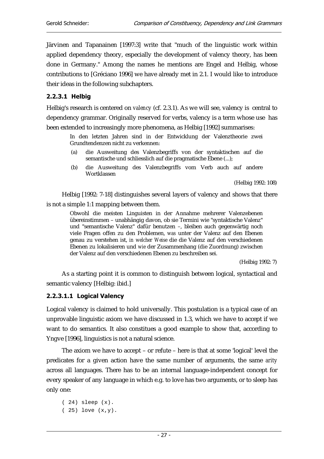Järvinen and Tapanainen [1997:3] write that "much of the linguistic work within applied dependency theory, especially the development of valency theory, has been done in Germany." Among the names he mentions are Engel and Helbig, whose contributions to [Gréciano 1996] we have already met in 2.1. I would like to introduce their ideas in the following subchapters.

#### 2.2.3.1 Helbig

Helbig's research is centered on *valency* (cf. 2.3.1). As we will see, valency is central to dependency grammar. Originally reserved for verbs, valency is a term whose use has been extended to increasingly more phenomena, as Helbig [1992] summarises:

In den letzten Jahren sind in der Entwicklung der Valenztheorie zwei Grundtendenzen nicht zu verkennen:

- (a) die Ausweitung des Valenzbegriffs von der syntaktischen auf die semantische und schliesslich auf die pragmatische Ebene (...);
- (b) die Ausweitung des Valenzbegriffs vom Verb auch auf andere Wortklassen

(Helbig 1992: 108)

Helbig [1992: 7-18] distinguishes several layers of valency and shows that there is not a simple 1:1 mapping between them.

Obwohl die meisten Linguisten in der Annahme mehrerer Valenzebenen übereinstimmen – unabhängig davon, ob sie Termini wie "syntaktische Valenz" und "semantische Valenz" dafür benutzen –, bleiben auch gegenwärtig noch viele Fragen offen zu den Problemen, *was* unter der Valenz auf den Ebenen genau zu verstehen ist, *in welcher Weise* die die Valenz auf den verschiedenen Ebenen zu lokalisieren und *wie* der Zusammenhang (die Zuordnung) zwischen der Valenz auf den verschiedenen Ebenen zu beschreiben sei.

(Helbig 1992: 7)

As a starting point it is common to distinguish between logical, syntactical and semantic valency [Helbig: ibid.]

#### 2.2.3.1.1 Logical Valency

Logical valency is claimed to hold universally. This postulation is a typical case of an unprovable linguistic axiom we have discussed in 1.3, which we have to accept if we want to do semantics. It also constitues a good example to show that, according to Yngve [1996], linguistics is not a natural science.

The axiom we have to accept – or refute – here is that at some 'logical' level the predicates for a given action have the same number of arguments, the same *arity* across all languages. There has to be an internal language-independent concept for every speaker of any language in which e.g. to love has two arguments, or to sleep has only one:

```
( 24) sleep (x). 
( 25) love (x,y).
```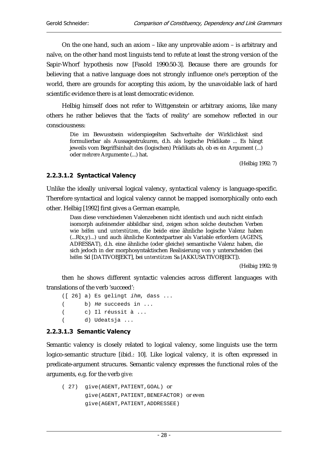On the one hand, such an axiom – like any unprovable axiom – is arbitrary and naïve, on the other hand most linguists tend to refute at least the strong version of the Sapir-Whorf hypothesis now [Fasold 1990:50-3]. Because there are grounds for believing that a native language does not strongly influence one's perception of the world, there are grounds for accepting this axiom, by the unavoidable lack of hard scientific evidence there is at least democratic evidence.

Helbig himself does not refer to Wittgenstein or arbitrary axioms, like many others he rather believes that the 'facts of reality' are somehow reflected in our consciousness:

Die im Bewusstsein widerspiegelten Sachverhalte der Wirklichkeit sind formulierbar als Aussagestrukuren, d.h. als logische Prädikate ... Es hängt jeweils vom Begriffsinhalt des (logischen) Prädikats ab, ob es *ein* Argument (...) oder *mehrere* Argumente (...) hat.

(Helbig 1992: 7)

## 2.2.3.1.2 Syntactical Valency

Unlike the ideally universal logical valency, syntactical valency is language-specific. Therefore syntactical and logical valency cannot be mapped isomorphically onto each other. Helbig [1992] first gives a German example,

Dass diese verschiedenen Valenzebenen nicht identisch und auch nicht einfach isomorph aufeinender abbildbar sind, zeigen schon solche deutschen Verben wie *helfen* und *unterstützen*, die beide eine ähnliche logische Valenz haben (...R(x,y)...) und auch ähnliche Kontextpartner als Variable erfordern (AGENS, ADRESSAT), d.h. eine ähnliche (oder gleiche) semantische Valenz haben, die sich jedoch in der morphosyntaktischen Realisierung von y unterscheiden (bei *helfen* Sd [DATIVOBJEKT], bei *unterstützen* Sa [AKKUSATIVOBJEKT]).

(Helbig 1992: 9)

then he shows different syntactic valencies across different languages with translations of the verb 'succeed':

([ 26] a) Es gelingt ihm, dass ... ( b) He succeeds in ... ( c) Il réussit à ... ( d) Udeatsja ...

#### 2.2.3.1.3 Semantic Valency

Semantic valency is closely related to logical valency, some linguists use the term logico-semantic structure [ibid.: 10]. Like logical valency, it is often expressed in predicate-argument strucures. Semantic valency expresses the functional roles of the arguments, e.g. for the verb *give*:

```
( 27) give(AGENT,PATIENT,GOAL) or
       give(AGENT,PATIENT,BENEFACTOR) or even
       give(AGENT,PATIENT,ADDRESSEE)
```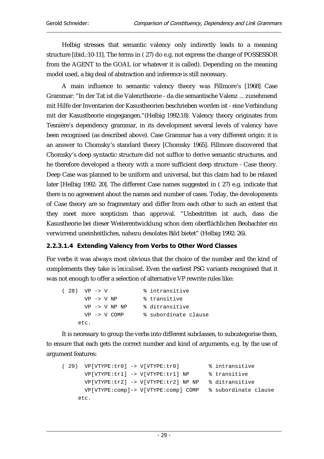Helbig stresses that semantic valency only indirectly leads to a meaning structure [ibid.:10-11]. The terms in ( 27) do e.g. not express the change of POSSESSOR from the AGENT to the GOAL (or whatever it is called). Depending on the meaning model used, a big deal of abstraction and inference is still necessary.

A main influence to semantic valency theory was Fillmore's [1968] Case Grammar: "In der Tat ist die Valenztheorie - da die semantische Valenz ... zunehmend mit Hilfe der Inventarien der Kasustheorien beschrieben worden ist - eine Verbindung mit der Kasustheorie eingegangen."(Helbig 1992:18). Valency theory originates from Tesnière's dependency grammar, in its development several levels of valency have been recognised (as described above). Case Grammar has a very different origin: it is an answer to Chomsky's standard theory [Chomsky 1965]. Fillmore discovered that Chomsky's deep syntactic structure did not suffice to derive semantic structures, and he therefore developed a theory with a more sufficient deep structure - Case theory. Deep Case was planned to be uniform and universal, but this claim had to be relaxed later [Helbig 1992: 20]. The different Case names suggested in ( 27) e.g. indicate that there is no agreement about the names and number of cases. Today, the developments of Case theory are so fragmentary and differ from each other to such an extent that they meet more scepticism than approval. "Unbestritten ist auch, dass die Kasustheorie bei dieser Weiterentwicklung schon dem oberflächlichen Beobachter ein verwirrend uneinheitliches, nahezu desolates Bild bietet" (Helbig 1992: 26).

## 2.2.3.1.4 Extending Valency from Verbs to Other Word Classes

For verbs it was always most obvious that the choice of the number and the kind of complements they take is *lexicalised*. Even the earliest PSG variants recognised that it was not enough to offer a selection of alternative VP rewrite rules like:

```
( 28) VP -> V % intransitive 
     VP -> V NP % transitive
      VP -> V NP NP % ditransitive 
      VP -> V COMP % subordinate clause 
     etc.
```
It is necessary to group the verbs into different subclasses, to subcategorise them, to ensure that each gets the correct number and kind of arguments, e.g. by the use of argument features:

```
( 29) VP[VTYPE:tr0] -> V[VTYPE:tr0] % intransitive 
       VP[VTYPE:tr1] -> V[VTYPE:tr1] NP % transitive 
       VP[VTYPE:tr2] -> V[VTYPE:tr2] NP NP % ditransitive 
       VP[VTYPE:comp]-> V[VTYPE:comp] COMP % subordinate clause 
     etc.
```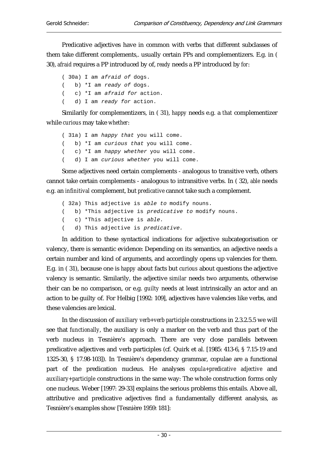Predicative adjectives have in common with verbs that different subclasses of them take different complements,. usually certain PPs and complementizers. E.g. in ( 30), *afraid* requires a PP introduced by of, *ready* needs a PP introduced by *for*:

( 30a) I am afraid of dogs. ( b) \*I am ready of dogs. ( c) \*I am afraid for action. ( d) I am ready for action.

Similarily for complementizers, in ( 31), *happy* needs e.g. a *that* complementizer while *curious* may take *whether*:

```
( 31a) I am happy that you will come. 
( b) *I am curious that you will come. 
( c) *I am happy whether you will come. 
( d) I am curious whether you will come.
```
Some adjectives need certain complements - analogous to transitive verb, others cannot take certain complements - analogous to intransitive verbs. In ( 32), *able* needs e.g. an *infinitival* complement, but *predicative* cannot take such a complement.

```
( 32a) This adjective is able to modify nouns.
```
- ( b) \*This adjective is predicative to modify nouns.
- ( c) \*This adjective is able.
- ( d) This adjective is predicative.

In addition to these syntactical indications for adjective subcategorisation or valency, there is semantic evidence: Depending on its semantics, an adjective needs a certain number and kind of arguments, and accordingly opens up valencies for them. E.g. in ( 31), because one is *happy* about facts but *curious* about questions the adjective valency is semantic. Similarily, the adjective *similar* needs two arguments, otherwise their can be no comparison, or e.g. *guilty* needs at least intrinsically an actor and an action to be guilty of. For Helbig [1992: 109], adjectives have valencies like verbs, and these valencies are lexical.

In the discussion of *auxiliary verb+verb participle* constructions in 2.3.2.5.5 we will see that *functionally*, the auxiliary is only a marker on the verb and thus part of the verb nucleus in Tesnière's approach. There are very close parallels between predicative adjectives and verb participles (cf. Quirk et al. [1985: 413-6, § 7.15-19 and 1325-30, § 17.98-103]). In Tesnière's dependency grammar, copulae are a functional part of the predication nucleus. He analyses *copula+predicative adjective* and *auxiliary+participle* constructions in the same way: The whole construction forms only one nucleus. Weber [1997: 29-33] explains the serious problems this entails. Above all, attributive and predicative adjectives find a fundamentally different analysis, as Tesnière's examples show [Tesnière 1959: 181]: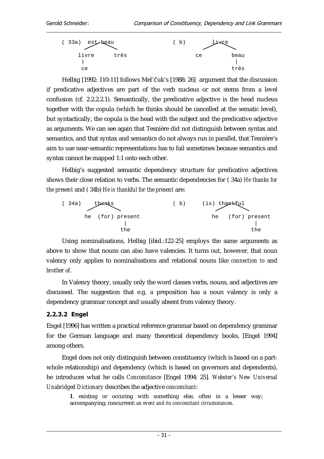

Helbig [1992: 110-11] follows Mel'Čuk's [1988: 26] argument that the discussion if predicative adjectives are part of the verb nucleus or not stems from a level confusion (cf. 2.2.2.2.1). Semantically, the predicative adjective is the head nucleus together with the copula (which he thinks should be cancelled at the sematic level), but syntactically, the copula is the head with the subject and the predicative adjective as arguments. We can see again that Tesnière did not distinguish between syntax and semantics, and that syntax and semantics do not always run in parallel, that Tesnière's aim to use near-semantic representations has to fail sometimes because semantics and syntax cannot be mapped 1:1 onto each other.

Helbig's suggested semantic dependency structure for predicative adjectives shows their close relation to verbs. The semantic dependencies for ( 34a) *He thanks for the present* and ( 34b) *He is thankful for the present* are:



Using nominalisations, Helbig [ibid.:122-25] employs the same arguments as above to show that nouns can also have valencies. It turns out, however, that noun valency only applies to nominalisations and relational nouns like *connection to* and *brother of*.

In Valency theory, usually only the word classes verbs, nouns, and adjectives are discussed. The suggestion that e.g. a preposition has a noun valency is only a dependency grammar concept and usually absent from valency theory.

### 2.2.3.2 Engel

Engel [1996] has written a practical reference grammar based on dependency grammar for the German language and many theoretical dependency books, [Engel 1994] among others.

Engel does not only distinguish between constituency (which is based on a partwhole relationship) and dependency (which is based on governors and dependents), he introduces what he calls *Concomitance* [Engel 1994: 25]*. Webster's New Universal Unabridged Dictionary* describes the adjective *concomitant*:

**1**. existing or occuring with something else, often in a lesser way; accompanying; concurrent: *an event and its concomitant circumstances*.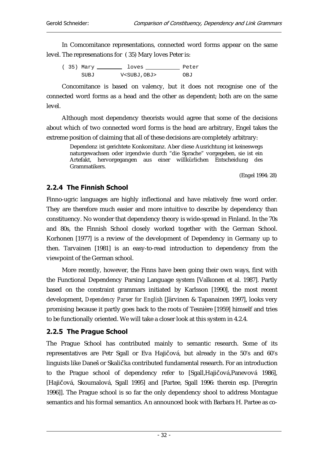In Comcomitance representations, connected word forms appear on the same level. The represenations for ( 35) Mary loves Peter is:

|  |      | Loves                    | Peter |
|--|------|--------------------------|-------|
|  | SUBJ | V <subj, obj=""></subj,> | OBJ   |

Concomitance is based on valency, but it does not recognise one of the connected word forms as a head and the other as dependent; both are on the same level.

Although most dependency theorists would agree that some of the decisions about which of two connected word forms is the head are arbitrary, Engel takes the extreme position of claiming that all of these decisions are completely arbitrary:

Dependenz ist gerichtete Konkomitanz. Aber diese Ausrichtung ist keineswegs naturgewachsen oder irgendwie durch "die Sprache" vorgegeben, sie ist ein Artefakt, hervorgegangen aus einer willkürlichen Entscheidung des Grammatikers.

(Engel 1994: 28)

## 2.2.4 The Finnish School

Finno-ugric languages are highly inflectional and have relatively free word order. They are therefore much easier and more intuitive to describe by dependency than constituency. No wonder that dependency theory is wide-spread in Finland. In the 70s and 80s, the Finnish School closely worked together with the German School. Korhonen [1977] is a review of the development of Dependency in Germany up to then. Tarvainen [1981] is an easy-to-read introduction to dependency from the viewpoint of the German school.

More recently, however, the Finns have been going their own ways, first with the Functional Dependency Parsing Language system [Valkonen et al. 1987]. Partly based on the constraint grammars initiated by Karlsson [1990], the most recent development, *Dependency Parser for English* [Järvinen & Tapanainen 1997], looks very promising because it partly goes back to the roots of Tesnière [1959] himself and tries to be functionally oriented. We will take a closer look at this system in 4.2.4.

## 2.2.5 The Prague School

The Prague School has contributed mainly to semantic research. Some of its representatives are Petr Sgall or Eva Hajičová, but already in the 50's and 60's linguists like Daneš or Skalička contributed fundamental research. For an introduction to the Prague school of dependency refer to [Sgall, Hajičová, Panevová 1986], [Hajičová, Skoumalová, Sgall 1995] and [Partee, Sgall 1996: therein esp. [Peregrin 1996]]. The Prague school is so far the only dependency shool to address Montague semantics and his formal semantics. An announced book with Barbara H. Partee as co-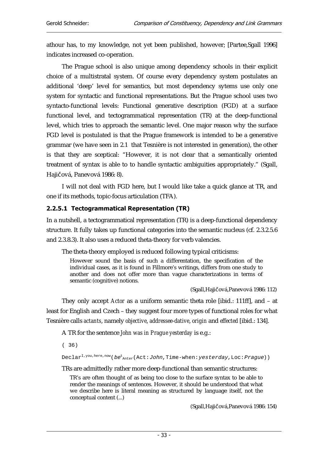athour has, to my knowledge, not yet been published, however; [Partee,Sgall 1996] indicates increased co-operation.

The Prague school is also unique among dependency schools in their explicit choice of a multistratal system. Of course every dependency system postulates an additional 'deep' level for semantics, but most dependency sytems use only one system for syntactic and functional representations. But the Prague school uses two syntacto-functional levels: Functional generative description (FGD) at a surface functional level, and tectogrammatical representation (TR) at the deep-functional level, which tries to approach the semantic level. One major reason why the surface FGD level is postulated is that the Prague framework is intended to be a generative grammar (we have seen in 2.1 that Tesnière is not interested in generation), the other is that they are sceptical: "However, it is not clear that a semantically oriented treatment of syntax is able to to handle syntactic ambiguities appropriately." (Sgall, Hajičová, Panevová 1986: 8).

I will not deal with FGD here, but I would like take a quick glance at TR, and one if its methods, topic-focus articulation (TFA).

#### 2.2.5.1 Tectogrammatical Representation (TR)

In a nutshell, a tectogrammatical representation (TR) is a deep-functional dependency structure. It fully takes up functional categories into the semantic nucleus (cf. 2.3.2.5.6 and 2.3.8.3). It also uses a reduced theta-theory for verb valencies.

The theta-theory employed is reduced following typical criticisms:

However sound the basis of such a differentation, the specification of the individual cases, as it is found in Fillmore's writings, differs from one study to another and does not offer more than vague characterizations in terms of semantic (cognitive) notions.

(Sgall, Hajičová, Panevová 1986: 112)

They only accept *Actor* as a uniform semantic theta role [ibid.: 111ff], and – at least for English and Czech – they suggest four more types of functional roles for what Tesnière calls *actants*, namely *objective*, *addressee*-*dative*, *origin* and *effected* [ibid.: 134].

A TR for the sentence *John was in Prague yesterday* is e.g.:

( 36)

Declar<sup>I,you,here,now</sup>(*be*<sup>t</sup><sub>Anter</sub>(Act:*John,*Time-when:*yesterday,*Loc:*Prague*))

TRs are admittedly rather more deep-functional than semantic structures:

TR's are often thought of as being too close to the surface syntax to be able to render the meanings of sentences. However, it should be understood that what we describe here is literal meaning as structured by language itself, not the conceptual content (...)

(Sgall, Hajičová, Panevová 1986: 154)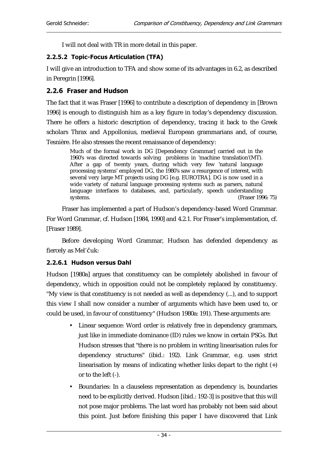I will not deal with TR in more detail in this paper.

#### 2.2.5.2 Topic-Focus Articulation (TFA)

I will give an introduction to TFA and show some of its advantages in 6.2, as described in Peregrin [1996].

## 2.2.6 Fraser and Hudson

The fact that it was Fraser [1996] to contribute a description of dependency in [Brown 1996] is enough to distinguish him as a key figure in today's dependency discussion. There he offers a historic description of dependency, tracing it back to the Greek scholars Thrax and Appollonius, medieval European grammarians and, of course, Tesnière. He also stresses the recent renaissance of dependency:

Much of the formal work in DG [Dependency Grammar] carried out in the 1960's was directed towards solving problems in 'machine translation'(MT). After a gap of twenty years, during which very few 'natural language processing systems' employed DG, the 1980's saw a resurgence of interest, with several very large MT projects using DG [e.g. EUROTRA]. DG is now used in a wide variety of natural language processing systems such as parsers, natural language interfaces to databases, and, particularly, speech understanding systems. (Fraser 199 (Fraser 1996: 75)

Fraser has implemented a part of Hudson's dependency-based Word Grammar. For Word Grammar, cf. Hudson [1984, 1990] and 4.2.1. For Fraser's implementation, cf. [Fraser 1989].

Before developing Word Grammar, Hudson has defended dependency as fiercely as Mel'čuk:

### 2.2.6.1 Hudson versus Dahl

Hudson [1980a] argues that constituency can be completely abolished in favour of dependency, which in opposition could not be completely replaced by constituency. "My view is that constituency is *not* needed as well as dependency (...), and to support this view I shall now consider a number of arguments which have been used to, or could be used, in favour of constituency" (Hudson 1980a: 191). These arguments are:

- Linear sequence: Word order is relatively free in dependency grammars, just like in immediate dominance (ID) rules we know in certain PSGs. But Hudson stresses that "there is no problem in writing linearisation rules for dependency structures" (ibid.: 192). Link Grammar, e.g. uses strict linearisation by means of indicating whether links depart to the right (+) or to the left (-).
- Boundaries: In a clauseless representation as dependency is, boundaries need to be explicitly derived. Hudson [ibid.: 192-3] is positive that this will not pose major problems. The last word has probably not been said about this point. Just before finishing this paper I have discovered that Link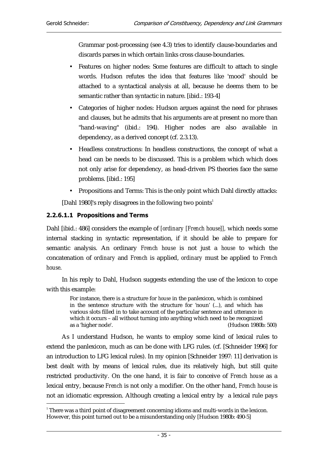Grammar post-processing (see 4.3) tries to identify clause-boundaries and discards parses in which certain links cross clause-boundaries.

- Features on higher nodes: Some features are difficult to attach to single words. Hudson refutes the idea that features like 'mood' should be attached to a syntactical analysis at all, because he deems them to be semantic rather than syntactic in nature. [ibid.: 193-4]
- Categories of higher nodes: Hudson argues against the need for phrases and clauses, but he admits that his arguments are at present no more than "hand-waving" (ibid.: 194). Higher nodes are also available in dependency, as a derived concept (cf. 2.3.13).
- Headless constructions: In headless constructions, the concept of what a head can be needs to be discussed. This is a problem which which does not only arise for dependency, as head-driven PS theories face the same problems. [ibid.: 195]
- Propositions and Terms: This is the only point which Dahl directly attacks:

[Dahl 1980]'s reply disagrees in the following two points<sup>1</sup>

### 2.2.6.1.1 Propositions and Terms

Dahl [ibid.: 486] considers the example of *[ordinary [French house]],* which needs some internal stacking in syntactic representation, if it should be able to prepare for semantic analysis. An ordinary *French house* is not just a *house* to which the concatenation of *ordinary* and *French* is applied, *ordinary* must be applied to *French house*.

In his reply to Dahl, Hudson suggests extending the use of the lexicon to cope with this example:

For instance, there is a structure for *house* in the panlexicon, which is combined in the sentence structure with the structure for 'noun' (...), and which has various slots filled in to take account of the particular sentence and utterance in which it occurs – all without turning into anything which need to be recognized as a 'higher node'. (Hudson 1980b: 500)

As I understand Hudson, he wants to employ some kind of lexical rules to extend the panlexicon, much as can be done with LFG rules. (cf. [Schneider 1996] for an introduction to LFG lexical rules). In my opinion [Schneider 1997: 11] derivation is best dealt with by means of lexical rules, due its relatively high, but still quite restricted productivity. On the one hand, it is fair to conceive of *French house* as a lexical entry, because *French* is not only a modifier. On the other hand, *French house* is not an idiomatic expression. Although creating a lexical entry by a lexical rule pays

 $\overline{a}$  $^{\prime}$  There was a third point of disagreement concerning idioms and multi-words in the lexicon. However, this point turned out to be a misunderstanding only [Hudson 1980b: 490-5]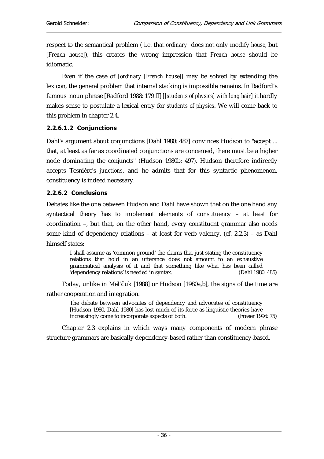respect to the semantical problem ( i.e. that *ordinary* does not only modify *house*, but *[French house]*), this creates the wrong impression that *French house* should be idiomatic.

Even if the case of *[ordinary [French house]]* may be solved by extending the lexicon, the general problem that internal stacking is impossible remains. In Radford's famous noun phrase [Radford 1988: 179 ff] *[[students of physics] with long hair]* it hardly makes sense to postulate a lexical entry for *students of physics*. We will come back to this problem in chapter 2.4.

### 2.2.6.1.2 Conjunctions

Dahl's argument about conjunctions [Dahl 1980: 487] convinces Hudson to "accept ... that, at least as far as coordinated conjunctions are concerned, there must be a higher node dominating the conjuncts" (Hudson 1980b: 497). Hudson therefore indirectly accepts Tesnière's *junctions*, and he admits that for this syntactic phenomenon, constituency is indeed necessary.

### 2.2.6.2 Conclusions

Debates like the one between Hudson and Dahl have shown that on the one hand any syntactical theory has to implement elements of constituency – at least for coordination –, but that, on the other hand, every constituent grammar also needs some kind of dependency relations – at least for verb valency, (cf. 2.2.3) – as Dahl himself states:

I shall assume as 'common ground' the claims that just stating the constituency relations that hold in an utterance does not amount to an exhaustive grammatical analysis of it and that something like what has been called 'dependency relations' is needed in syntax. (Dahl 1980: 485)

Today, unlike in Mel'Čuk [1988] or Hudson [1980a,b], the signs of the time are rather cooperation and integration.

> The debate between advocates of dependency and advocates of constituency [Hudson 1980, Dahl 1980] has lost much of its force as linguistic theories have increasingly come to incorporate aspects of both. (Fraser 1996: 75)

Chapter 2.3 explains in which ways many components of modern phrase structure grammars are basically dependency-based rather than constituency-based.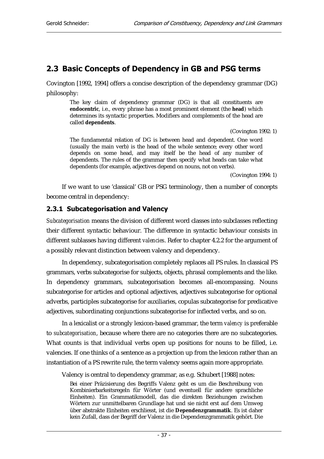# 2.3 Basic Concepts of Dependency in GB and PSG terms

Covington [1992, 1994] offers a concise description of the dependency grammar (DG) philosophy:

The key claim of dependency grammar (DG) is that all constituents are **endocentric**, i.e., every phrase has a most prominent element (the **head**) which determines its syntactic properties. Modifiers and complements of the head are called **dependents**.

(Covington 1992: 1)

The fundamental relation of DG is between head and dependent. One word (usually the main verb) is the head of the whole sentence; every other word depends on some head, and may itself be the head of any number of dependents. The rules of the grammar then specify what heads can take what dependents (for example, adjectives depend on nouns, not on verbs).

(Covington 1994: 1)

If we want to use 'classical' GB or PSG terminology, then a number of concepts become central in dependency:

#### 2.3.1 Subcategorisation and Valency

*Subcategorisation* means the division of different word classes into subclasses reflecting their different syntactic behaviour. The difference in syntactic behaviour consists in different sublasses having different *valencies*. Refer to chapter 4.2.2 for the argument of a possibly relevant distinction between valency and dependency.

In dependency, subcategorisation completely replaces all PS rules. In classical PS grammars, verbs subcategorise for subjects, objects, phrasal complements and the like. In dependency grammars, subcategorisation becomes all-encompassing. Nouns subcategorise for articles and optional adjectives, adjectives subcategorise for optional adverbs, participles subcategorise for auxiliaries, copulas subcategorise for predicative adjectives, subordinating conjunctions subcategorise for inflected verbs, and so on.

In a lexicalist or a strongly lexicon-based grammar, the term *valency* is preferable to *subcategorisation*, because where there are no categories there are no subcategories. What counts is that individual verbs open up positions for nouns to be filled, i.e. valencies. If one thinks of a sentence as a projection up from the lexicon rather than an instantiation of a PS rewrite rule, the term valency seems again more appropriate.

Valency is central to dependency grammar, as e.g. Schubert [1988] notes:

Bei einer Präzisierung des Begriffs Valenz geht es um die Beschreibung von Kombinierbarkeitsregeln für Wörter (und eventuell für andere sprachliche Einheiten). Ein Grammatikmodell, das die direkten Beziehungen zwischen Wörtern zur unmittelbaren Grundlage hat und sie nicht erst auf dem Umweg über abstrakte Einheiten erschliesst, ist die **Dependenzgrammatik**. Es ist daher kein Zufall, dass der Begriff der Valenz in die Dependenzgrammatik gehört. Die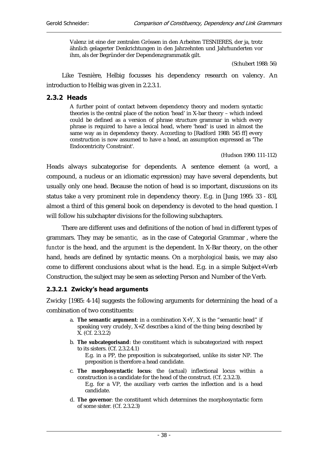Valenz ist eine der zentralen Grössen in den Arbeiten TESNIERES, der ja, trotz ähnlich gelagerter Denkrichtungen in den Jahrzehnten und Jahrhunderten vor ihm, als der Begründer der Dependenzgrammatik gilt.

(Schubert 1988: 56)

Like Tesnière, Helbig focusses his dependency research on valency. An introduction to Helbig was given in 2.2.3.1.

#### $2.3.2$  Heads

A further point of contact between dependency theory and modern syntactic theories is the central place of the notion 'head' in X-bar theory – which indeed could be defined as a version of phrase structure grammar in which every phrase is required to have a lexical head, where 'head' is used in almost the same way as in dependency theory. According to [Radford 1988: 545 ff] every construction is now assumed to have a head, an assumption expressed as 'The Endocentricity Constraint'.

(Hudson 1990: 111-112)

Heads always subcategorise for dependents. A sentence element (a word, a compound, a nucleus or an idiomatic expression) may have several dependents, but usually only one head. Because the notion of head is so important, discussions on its status take a very prominent role in dependency theory. E.g. in [Jung 1995: 33 - 83], almost a third of this general book on dependency is devoted to the head question. I will follow his subchapter divisions for the following subchapters.

There are different uses and definitions of the notion of *head* in different types of grammars. They may be *semantic,* as in the case of Categorial Grammar , where the *functor* is the head, and the *argument* is the dependent. In X-Bar theory, on the other hand, heads are defined by syntactic means. On a *morphological* basis, we may also come to different conclusions about what is the head. E.g. in a simple Subject+Verb Construction, the subject may be seen as selecting Person and Number of the Verb.

#### 2.3.2.1 Zwicky's head arguments

Zwicky [1985: 4-14] suggests the following arguments for determining the head of a combination of two constituents:

- a. **The semantic argument**: in a combination X+Y, X is the "semantic head" if speaking very crudely, X+Z describes a kind of the thing being described by X. (Cf. 2.3.2.2)
- b. **The subcategorisand**: the constituent which is subcategorized with respect to its sisters. (Cf. 2.3.2.4.1) E.g. in a PP, the preposition is subcategorised, unlike its sister NP. The preposition is therefore a head candidate.
- c. **The morphosyntactic locus**: the (actual) inflectional locus within a construction is a candidate for the head of the construct. (Cf. 2.3.2.3). E.g. for a VP, the auxiliary verb carries the inflection and is a head candidate.
- d. **The governor**: the constituent which determines the morphosyntactic form of some sister. (Cf. 2.3.2.3)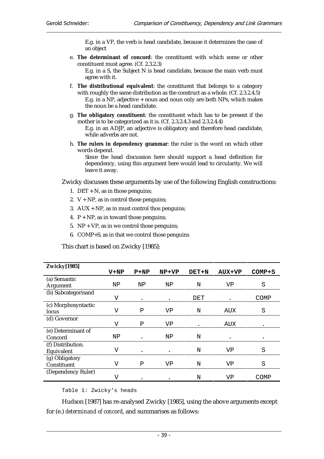E.g. in a VP, the verb is head candidate, because it determines the case of an object

e. **The determinant of concord**: the constituent with which some or other constituent must agree. (Cf. 2.3.2.3)

E.g. in a S, the Subject N is head candidate, because the main verb must agree with it.

- f. **The distributional equivalent**: the constituent that belongs to a category with roughly the same distribution as the construct as a whole. (Cf. 2.3.2.4.5) E.g. in a NP, adjective + noun and noun only are both NPs, which makes the noun be a head candidate.
- g. **The obligatory constituent**: the constituent which has to be present if the mother is to be categorized as it is. (Cf. 2.3.2.4.3 and 2.3.2.4.4) E.g. in an ADJP, an adjective is obligatory and therefore head candidate, while adverbs are not.
- h. **The rulers in dependency grammar**: the ruler is the word on which other words depend.

Since the head discussion here should support a head definition for dependency, using this argument here would lead to circularity. We will leave it away.

Zwicky discusses these arguments by use of the following English constructions:

- 1. DET  $+ N$ , as in those penguins;
- 2.  $V + NP$ , as in control those penguins;
- 3.  $AUX + NP$ , as in must control thos penguins;
- 4.  $P + NP$ , as in toward those penguins;
- 5. NP + VP, as in we control those penguins;
- 6. COMP+S, as in that we control those penguins

This chart is based on Zwicky [1985]:

| <b>Zwicky[1985]</b> |        |           |         |              |        |          |
|---------------------|--------|-----------|---------|--------------|--------|----------|
|                     | $V+NP$ | $P+NP$    | $NP+VP$ | <b>DET+N</b> | AUX+VP | $COMP+S$ |
| (a) Semantic        |        |           |         |              |        |          |
| Argument            | NP     | ΝP        | NP      | N            | VP     | S        |
| (b) Subcategorisand |        |           |         |              |        |          |
|                     | V      |           |         | DET          |        | COMP     |
| (c) Morphosyntactic |        |           |         |              |        |          |
| locus               | V      | Ρ         | VP      | N            | AUX    | S        |
| (d) Governor        |        |           |         |              |        |          |
|                     | V      | Ρ         | VP      |              | AUX    | ٠        |
| (e) Determinant of  |        |           |         |              |        |          |
| Concord             | ΝP     |           | ΝP      | N            |        |          |
| (f) Distribution.   |        |           |         |              |        |          |
| Equivalent          | V      | $\bullet$ |         | N            | VP     | S        |
| (g) Obligatory      |        |           |         |              |        |          |
| Constituent         | V      | Ρ         | VP      | N            | VP     | S        |
| (Dependency Ruler)  |        |           |         |              |        |          |
|                     | V      |           |         | N            | VP     | COMP     |

Table 1: Zwicky's heads

Hudson [1987] has re-analysed Zwicky [1985], using the above arguments except for (e.) *determinand of concord*, and summarises as follows: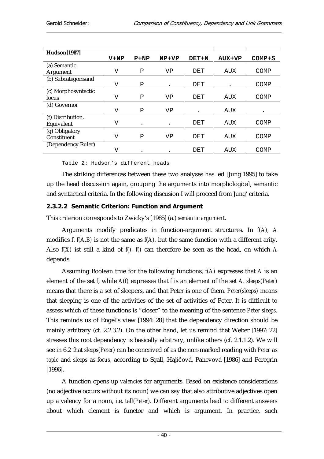| <b>Hudson</b> [1987] |        |           |         |              |               |            |
|----------------------|--------|-----------|---------|--------------|---------------|------------|
|                      | $V+NP$ | $P+NP$    | $NP+VP$ | <b>DET+N</b> | <b>AUX+VP</b> | $COMP + S$ |
| (a) Semantic         |        |           |         |              |               |            |
| <b>Argument</b>      | V      | Ρ         | VP      | DET          | AUX           | COMP       |
| (b) Subcategorisand  |        |           |         |              |               |            |
|                      | V      | Ρ         |         | DET          |               | COMP       |
| (c) Morphosyntactic  |        |           |         |              |               |            |
| locus                | V      | Ρ         | VP      | DET          | AUX           | COMP       |
| (d) Governor         |        |           |         |              |               |            |
|                      | V      | Ρ         | VP      |              | AUX           | ٠          |
| (f) Distribution.    |        |           |         |              |               |            |
| Equivalent           | V      | $\bullet$ |         | DET          | AUX           | COMP       |
| (g) Obligatory       |        |           |         |              |               |            |
| Constituent          | V      | Ρ         | VP      | DET          | AUX           | COMP       |
| (Dependency Ruler)   |        |           |         |              |               |            |
|                      | V      |           |         | DET          | AUX           | COMP       |

Table 2: Hudson's different heads

The striking differences between these two analyses has led [Jung 1995] to take up the head discussion again, grouping the arguments into morphological, semantic and syntactical criteria. In the following discusion I will proceed from Jung' criteria.

#### 2.3.2.2 Semantic Criterion: Function and Argument

This criterion corresponds to Zwicky's [1985] (a.) *semantic argument*.

Arguments modify predicates in function-argument structures. In *f(A), A* modifies *f*. *f(A,B)* is not the same as *f(A),* but the same function with a different arity. Also *f(X)* ist still a kind of *f(). f()* can therefore be seen as the head, on which *A* depends.

Assuming Boolean true for the following functions, *f(A)* expresses that *A* is an element of the set *f*, while *A(f)* expresses that *f* is an element of the set *A*. *sleeps(Peter)* means that there is a set of sleepers, and that Peter is one of them. *Peter(sleeps)* means that sleeping is one of the activities of the set of activities of Peter. It is difficult to assess which of these functions is "closer" to the meaning of the sentence *Peter sleeps*. This reminds us of Engel's view [1994: 28] that the dependency direction should be mainly arbitrary (cf. 2.2.3.2). On the other hand, let us remind that Weber [1997: 22] stresses this root dependency is basically arbitrary, unlike others (cf. 2.1.1.2). We will see in 6.2 that *sleeps(Peter)* can be conceived of as the non-marked reading with *Peter* as *topic* and *sleeps* as *focus*, according to Sgall, Hajičová, Panevová [1986] and Peregrin [1996].

A function opens up *valencies* for arguments. Based on existence considerations (no adjective occurs without its noun) we can say that also attributive adjectives open up a valency for a noun, i.e. *tall(Peter).* Different arguments lead to different answers about which element is functor and which is argument. In practice, such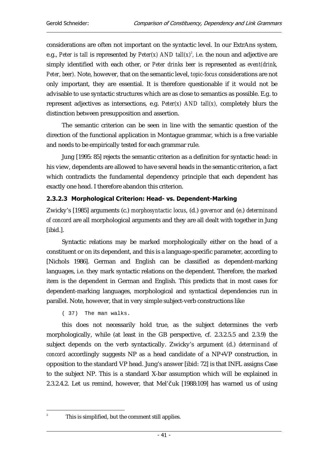considerations are often not important on the syntactic level. In our ExtrAns system, e.g., *Peter is tall* is represented by *Peter(x)* AND tall(x)<sup>2</sup>, i.e. the noun and adjective are simply identified with each other, or *Peter drinks beer* is represented as *event(drink, Peter, beer).* Note, however, that on the semantic level, *topic-focus* considerations are not only important, they are essential. It is therefore questionable if it would not be advisable to use syntactic structures which are as close to semantics as possible. E.g. to represent adjectives as intersections, e.g. *Peter(x) AND tall(x),* completely blurs the distinction between presupposition and assertion.

The semantic criterion can be seen in line with the semantic question of the direction of the functional application in Montague grammar, which is a free variable and needs to be empirically tested for each grammar rule.

Jung [1995: 85] rejects the semantic criterion as a definition for syntactic head: in his view, dependents are allowed to have several heads in the semantic criterion, a fact which contradicts the fundamental dependency principle that each dependent has exactly one head. I therefore abandon this criterion.

### 2.3.2.3 Morphological Criterion: Head- vs. Dependent-Marking

Zwicky's [1985] arguments (c.) *morphosyntactic locus*, (d.) *governor* and (e.) *determinand of concord* are all morphological arguments and they are all dealt with together in Jung [ibid.].

Syntactic relations may be marked morphologically either on the head of a constituent or on its dependent, and this is a language-specific parameter, according to [Nichols 1986]. German and English can be classified as dependent-marking languages, i.e. they mark syntactic relations on the dependent. Therefore, the marked item is the dependent in German and English. This predicts that in most cases for dependent-marking languages, morphological and syntactical dependencies run in parallel. Note, however, that in very simple subject-verb constructions like

( 37) The man walks.

this does not necessarily hold true, as the subject determines the verb morphologically, while (at least in the GB perspective, cf. 2.3.2.5.5 and 2.3.9) the subject depends on the verb syntactically. Zwicky's argument (d.) *determinand of concord* accordingly suggests NP as a head candidate of a NP+VP construction, in opposition to the standard VP head. Jung's answer [ibid: 72] is that INFL assigns Case to the subject NP. This is a standard X-bar assumption which will be explained in 2.3.2.4.2. Let us remind, however, that Mel'čuk  $[1988:109]$  has warned us of using

 $\overline{a}$ 2

This is simplified, but the comment still applies.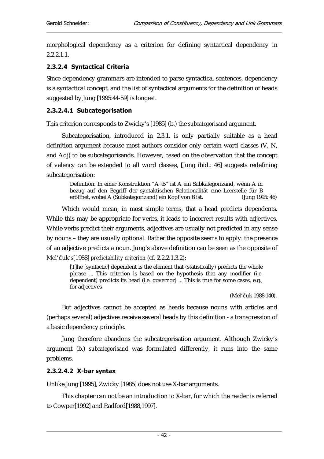morphological dependency as a criterion for defining syntactical dependency in 2.2.2.1.1.

### 2.3.2.4 Syntactical Criteria

Since dependency grammars are intended to parse syntactical sentences, dependency is a syntactical concept, and the list of syntactical arguments for the definition of heads suggested by Jung [1995:44-59] is longest.

#### 2.3.2.4.1 Subcategorisation

This criterion corresponds to Zwicky's [1985] (b.) the *subcategorisand* argument.

Subcategorisation, introduced in 2.3.1, is only partially suitable as a head definition argument because most authors consider only certain word classes (V, N, and Adj) to be subcategorisands. However, based on the observation that the concept of valency can be extended to all word classes, [Jung ibid.: 46] suggests redefining subcategorisation:

Definition: In einer Konstruktion "A+B" ist A ein Subkategorizand, wenn A in bezug auf den Begriff der syntaktischen Relationalität eine Leerstelle für B eröffnet, wobei A (Subkategorizand) ein Kopf von B ist. (Jung 1995: 46)

Which would mean, in most simple terms, that a head predicts dependents. While this may be appropriate for verbs, it leads to incorrect results with adjectives. While verbs predict their arguments, adjectives are usually not predicted in any sense by nouns – they are usually optional. Rather the opposite seems to apply: the presence of an adjective predicts a noun. Jung's above definition can be seen as the opposite of Mel'Čuk's[1988] *predictability criterion* (cf. 2.2.2.1.3.2):

[T]he [syntactic] dependent is the element that (statistically) predicts the whole phrase ... This criterion is based on the hypothesis that any modifier (i.e. dependent) predicts its head (i.e. governor) ... This is true for some cases, e.g., for adjectives

(Mel'čuk 1988:140).

But adjectives cannot be accepted as heads because nouns with articles and (perhaps several) adjectives receive several heads by this definition - a transgression of a basic dependency principle.

Jung therefore abandons the subcategorisation argument. Although Zwicky's argument (b.) *subcategorisand* was formulated differently, it runs into the same problems.

### $2.3.2.4.2$  X-bar syntax

Unlike Jung [1995], Zwicky [1985] does not use X-bar arguments.

This chapter can not be an introduction to X-bar, for which the reader is referred to Cowper[1992] and Radford[1988,1997].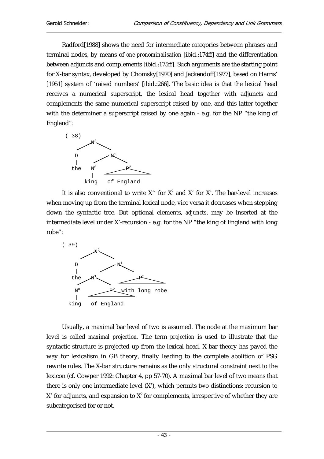Radford[1988] shows the need for intermediate categories between phrases and terminal nodes, by means of *one-pronominalisation* [ibid.:174ff] and the differentiation between adjuncts and complements [ibid.:175ff]. Such arguments are the starting point for X-bar syntax, developed by Chomsky[1970] and Jackendoff[1977], based on Harris' [1951] system of 'raised numbers' [ibid.:266]. The basic idea is that the lexical head receives a numerical superscript, the lexical head together with adjuncts and complements the same numerical superscript raised by one, and this latter together with the determiner a superscript raised by one again - e.g. for the NP "the king of England":



It is also conventional to write X" for  $X^2$  and X" for  $X^1$ . The bar-level increases when moving up from the terminal lexical node, vice versa it decreases when stepping down the syntactic tree. But optional elements, *adjuncts*, may be inserted at the intermediate level under X'-recursion - e.g. for the NP "the king of England with long robe":



Usually, a maximal bar level of two is assumed. The node at the maximum bar level is called *maximal projection*. The term *projection* is used to illustrate that the syntactic structure is projected up from the lexical head. X-bar theory has paved the way for lexicalism in GB theory, finally leading to the complete abolition of PSG rewrite rules. The X-bar structure remains as the only structural constraint next to the lexicon (cf. Cowper 1992: Chapter 4, pp 57-70). A maximal bar level of two means that there is only one intermediate level (X'), which permits two distinctions: recursion to X' for adjuncts, and expansion to  $X^0$  for complements, irrespective of whether they are subcategorised for or not.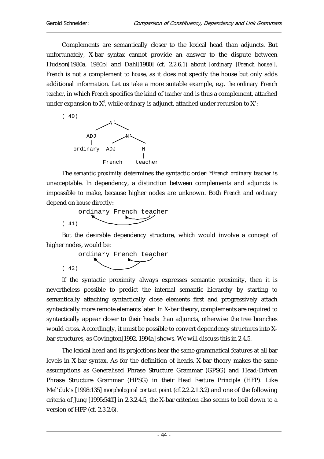$($ 

 $($ 

Complements are semantically closer to the lexical head than adjuncts. But unfortunately, X-bar syntax cannot provide an answer to the dispute between Hudson[1980a, 1980b] and Dahl[1980] (cf. 2.2.6.1) about *[ordinary [French house]]. French* is not a complement to *house*, as it does not specify the house but only adds additional information. Let us take a more suitable example, e.g. *the ordinary French teacher*, in which *French* specifies the kind of *teacher* and is thus a complement, attached under expansion to  $X^0$ , while *ordinary* is adjunct, attached under recursion to  $X^{\cdot}$ :



The *semantic proximity* determines the syntactic order: \**French ordinary teacher* is unacceptable. In dependency, a distinction between complements and adjuncts is impossible to make, because higher nodes are unknown. Both *French* and *ordinary* depend on *house* directly:

$$
\underbrace{\text{ordinary French teacher}}_{41)}
$$

But the desirable dependency structure, which would involve a concept of higher nodes, would be:

ordinary French teacher

If the syntactic proximity always expresses semantic proximity, then it is nevertheless possible to predict the internal semantic hierarchy by starting to semantically attaching syntactically close elements first and progressively attach syntactically more remote elements later. In X-bar theory, complements are required to syntactically appear closer to their heads than adjuncts, otherwise the tree branches would cross. Accordingly, it must be possible to convert dependency structures into Xbar structures, as Covington[1992, 1994a] shows. We will discuss this in 2.4.5.

The lexical head and its projections bear the same grammatical features at all bar levels in X-bar syntax. As for the definition of heads, X-bar theory makes the same assumptions as Generalised Phrase Structure Grammar (GPSG) and Head-Driven Phrase Structure Grammar (HPSG) in their *Head Feature Principle* (HFP). Like Mel'čuk's [1998:135] *morphological contact point* (cf.2.2.2.1.3.2) and one of the following criteria of Jung [1995:54ff] in 2.3.2.4.5, the X-bar criterion also seems to boil down to a version of HFP (cf. 2.3.2.6).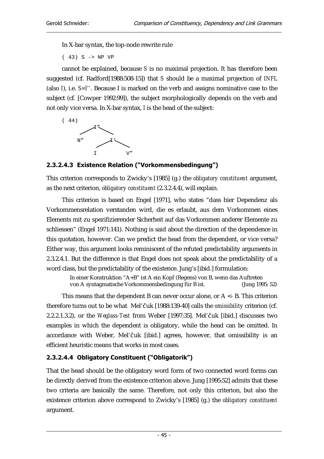In X-bar syntax, the top-node rewrite rule

( 43) S -> NP VP

cannot be explained, because *S* is no maximal projection. It has therefore been suggested (cf. Radford[1988:508-15]) that *S* should be a maximal projection of *INFL* (also *I*), i.e. *S=I''*. Because I is marked on the verb and assigns nominative case to the subject (cf. [Cowper 1992:99]), the subject morphologically depends on the verb and not only vice versa. In X-bar syntax, *I* is the head of the subject:



## 2.3.2.4.3 Existence Relation ("Vorkommensbedingung")

This criterion corresponds to Zwicky's [1985] (g.) the *obligatory constituent* argument, as the next criterion, *obligatory constituent* (2.3.2.4.4), will explain.

This criterion is based on Engel [1971], who states "dass hier Dependenz als Vorkommensrelation verstanden wird, die es erlaubt, aus dem Vorkommen eines Elements mit zu spezifizierender Sicherheit auf das Vorkommen anderer Elemente zu schliessen" (Engel 1971:141). Nothing is said about the direction of the dependence in this quotation, however. Can we predict the head from the dependent, or vice versa? Either way, this argument looks reminiscent of the refuted predictability arguments in 2.3.2.4.1. But the difference is that Engel does not speak about the predictability of a word class, but the predictability of the existence. Jung's [ibid.] formulation:

> In einer Konstruktion "A+B" ist A ein Kopf (Regens) von B, wenn das Auftreten von A syntagmatische Vorkommensbedingung für B ist. (Jung 1995: 52)

This means that the dependent B can never occur alone, or  $A \leq B$ . This criterion therefore turns out to be what Mel'Čuk [1988:139-40] calls the *omissibility* criterion (cf. 2.2.2.1.3.2), or the *Weglass-Test* from Weber [1997:35]. Mel'Čuk [ibid.] discusses two examples in which the dependent is obligatory, while the head can be omitted. In accordance with Weber, Mel'čuk [ibid.] agrees, however, that omissibility is an efficient heuristic means that works in most cases.

## 2.3.2.4.4 Obligatory Constituent ("Obligatorik")

That the head should be the obligatory word form of two connected word forms can be directly derived from the existence criterion above. Jung [1995:52] admits that these two criteria are basically the same. Therefore, not only this criterion, but also the existence criterion above correspond to Zwicky's [1985] (g.) the *obligatory constituent* argument.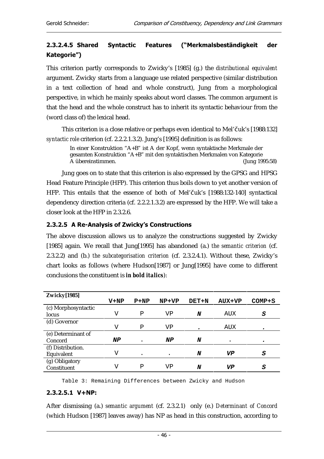## 2.3.2.4.5 Shared Syntactic Features ("Merkmalsbeständigkeit der Kategorie")

This criterion partly corresponds to Zwicky's [1985] (g.) the *distributional equivalent* argument. Zwicky starts from a language use related perspective (similar distribution in a text collection of head and whole construct), Jung from a morphological perspective, in which he mainly speaks about word classes. The common argument is that the head and the whole construct has to inherit its syntactic behaviour from the (word class of) the lexical head.

This criterion is a close relative or perhaps even identical to Mel'Čuk's [1988:132] *syntactic role* criterion (cf. 2.2.2.1.3.2). Jung's [1995] definition is as follows:

In einer Konstruktion "A+B" ist A der Kopf, wenn syntaktische Merkmale der gesamten Konstruktion "A+B" mit den syntaktischen Merkmalen von Kategorie A übereinstimmen. (Jung 1995:58)

Jung goes on to state that this criterion is also expressed by the GPSG and HPSG Head Feature Principle (HFP). This criterion thus boils down to yet another version of HFP. This entails that the essence of both of Mel'čuk's [1988:132-140] syntactical dependency direction criteria (cf. 2.2.2.1.3.2) are expressed by the HFP. We will take a closer look at the HFP in 2.3.2.6.

#### 2.3.2.5 A Re-Analysis of Zwicky's Constructions

The above discussion allows us to analyze the constructions suggested by Zwicky [1985] again. We recall that Jung[1995] has abandoned (a.) *the semantic criterion* (cf. 2.3.2.2) and (b.) *the subcategorisation criterion* (cf. 2.3.2.4.1). Without these, Zwicky's chart looks as follows (where Hudson[1987] or Jung[1995] have come to different conclusions the constituent is *in bold italics*):

| <b>Zwicky[1985]</b> |        |        |           |       |        |        |
|---------------------|--------|--------|-----------|-------|--------|--------|
|                     | $V+NP$ | $P+NP$ | $NP+VP$   | DET+N | AUX+VP | COMP+S |
| (c) Morphosyntactic |        |        |           |       |        |        |
| locus               | V      | Ρ      | VP        | N     | AUX    | S      |
| (d) Governor        |        |        |           |       |        |        |
|                     | ٦T     | Ρ      | VP        |       | AUX    |        |
| (e) Determinant of  |        |        |           |       |        |        |
| Concord             | NP     |        | NP        | N     |        |        |
| (f) Distribution.   |        |        |           |       |        |        |
| Equivalent          | V      | ٠      | $\bullet$ | N     | VP     | S      |
| (g) Obligatory      |        |        |           |       |        |        |
| Constituent         | V      | P      | VP        | N     | VP     | S      |

Table 3: Remaining Differences between Zwicky and Hudson

### $2.3.2.5.1$  V+NP:

After dismissing (a.) *semantic argument* (cf. 2.3.2.1) only (e.) *Determinant of Concord* (which Hudson [1987] leaves away) has NP as head in this construction, according to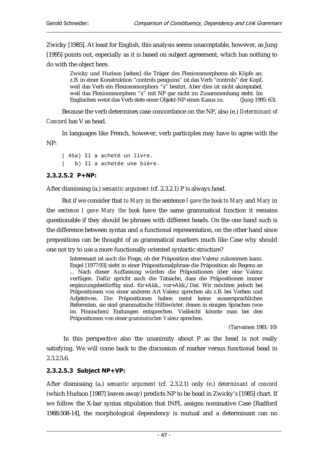Zwicky [1985]. At least for English, this analysis seems unacceptable, however, as Jung [1995] points out, especially as it is based on subject agreement, which has nothing to do with the object here.

Zwicky und Hudson [sehen] die Träger des Flexionsmorphems als Köpfe an: z.B. in einer Konstruktion "controls penguins" ist das Verb "controls" der Kopf, weil das Verb ein Flexionsmorphem "s" besitzt. Aber dies ist nicht akzeptabel, weil das Flexionsmorphem "s" mit NP gar nicht im Zusammenhang steht. Im Englischen weist das Verb stets einer Objekt-NP einen Kasus zu. (Jung 1995: 63).

Because the verb determines case concordance on the NP, also (e.) *Determinant of Concord* has V as head.

In languages like French, however, verb participles may have to agree with the NP:

( 45a) Il a acheté un livre. ( b) Il a achetée une bière.

## $2.3.2.5.2$  P+NP:

After dismissing (a.) *semantic argument* (cf. 2.3.2.1) P is always head.

But if we consider that *to Mary* in the sentence *I gave the book to Mary* and *Mary* in the *sentence I gave Mary the book* have the same grammatical function it remains questionable if they should be phrases with different heads. On the one hand such is the difference between syntax and a functional representation, on the other hand since prepositions can be thought of as grammatical markers much like Case why should one not try to use a more functionally oriented syntactic structure?

Interessant ist auch die Frage, ob der Präposition eine Valenz zukommen kann. Engel [1977:93] sieht in einer Präpositionalphrase die Präposition als Regens an ... Nach dieser Auffassung würden die Präpositionen über eine Valenz verfügen. Dafür spricht auch die Tatsache, dass die Präpositionen immer ergänzungsbedürftig sind. für+Akk., vor+Akk./Dat. Wir möchten jedoch bei Präpositionen von einer anderen Art Valenz sprechen als z.B. bei Verben und Adjektiven. Die Präpositionen haben meist keine aussersprachlichen Referenten, sie sind grammatische Hilfswörter, denen in einigen Sprachen (wie im Finnischen) Endungen entsprechen. Vielleicht könnte man bei den Präpositionen von einer *grammatischen Valenz* sprechen.

(Tarvainen 1981: 10)

 In this perspective also the unanimity about P as the head is not really satisfying. We will come back to the discussion of marker versus functional head in 2.3.2.5.6.

### $2.3.2.5.3$  Subject NP+VP:

After dismissing (a.) *semantic argument* (cf. 2.3.2.1) only (e.) *determinant of concord* (which Hudson [1987] leaves away) predicts NP to be head in Zwicky's [1985] chart. If we follow the X-bar syntax stipulation that INFL assigns nominative Case [Radford 1988:508-14], the morphological dependency is mutual and a determinant can no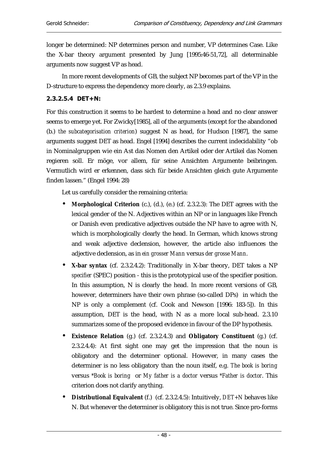longer be determined: NP determines person and number, VP determines Case. Like the X-bar theory argument presented by Jung [1995:46-51,72], all determinable arguments now suggest VP as head.

In more recent developments of GB, the subject NP becomes part of the VP in the D-structure to express the dependency more clearly, as 2.3.9 explains.

#### $2.3.2.5.4$  DET+N:

For this construction it seems to be hardest to determine a head and no clear answer seems to emerge yet. For Zwicky[1985], all of the arguments (except for the abandoned (b.) *the subcategorisation criterion*) suggest N as head, for Hudson [1987], the same arguments suggest DET as head. Engel [1994] describes the current indecidability "ob in Nominalgruppen wie ein Ast das Nomen den Artikel oder der Artikel das Nomen regieren soll. Er möge, vor allem, für seine Ansichten Argumente beibringen. Vermutlich wird er erkennen, dass sich für beide Ansichten gleich gute Argumente finden lassen." (Engel 1994: 28)

Let us carefully consider the remaining criteria:

- **Morphological Criterion** (c.), (d.), (e.) (cf. 2.3.2.3): The DET agrees with the lexical gender of the N. Adjectives within an NP or in languages like French or Danish even predicative adjectives outside the NP have to agree with N, which is morphologically clearly the head. In German, which knows strong and weak adjective declension, however, the article also influences the adjective declension, as in *ein grosser Mann* versus *der grosse Mann*.
- **X-bar syntax** (cf. 2.3.2.4.2): Traditionally in X-bar theory, DET takes a NP *specifier* (SPEC) position - this is the prototypical use of the specifier position. In this assumption, N is clearly the head. In more recent versions of GB, however, determiners have their own phrase (so-called DPs) in which the NP is only a complement (cf. Cook and Newson [1996: 183-5]). In this assumption, DET is the head, with N as a more local sub-head. 2.3.10 summarizes some of the proposed evidence in favour of the DP hypothesis.
- **Existence Relation** (g.) (cf. 2.3.2.4.3) and **Obligatory Constituent** (g.) (cf. 2.3.2.4.4): At first sight one may get the impression that the noun is obligatory and the determiner optional. However, in many cases the determiner is no less obligatory than the noun itself, e.g. *The book is boring* versus *\*Book is boring* or *My father is a doctor* versus *\*Father is doctor*. This criterion does not clarify anything.
- **Distributional Equivalent** (f.) (cf. 2.3.2.4.5): Intuitively, *DET+N* behaves like N. But whenever the determiner is obligatory this is not true. Since pro-forms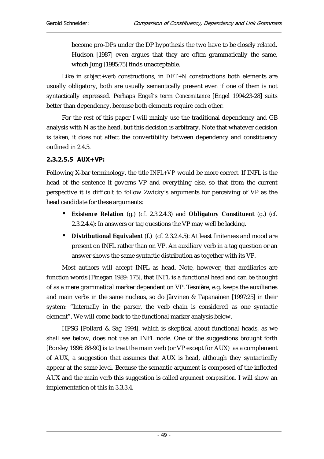become pro-DPs under the DP hypothesis the two have to be closely related. Hudson [1987] even argues that they are often grammatically the same, which Jung [1995:75] finds unacceptable.

Like in *subject+verb* constructions, in *DET+N* constructions both elements are usually obligatory, both are usually semantically present even if one of them is not syntactically expressed. Perhaps Engel's term *Concomitance* [Engel 1994:23-28] suits better than dependency, because both elements require each other.

For the rest of this paper I will mainly use the traditional dependency and GB analysis with N as the head, but this decision is arbitrary. Note that whatever decision is taken, it does not affect the convertibility between dependency and constituency outlined in 2.4.5.

#### 2.3.2.5.5 AUX+VP:

Following X-bar terminology, the title *INFL+VP* would be more correct. If INFL is the head of the sentence it governs VP and everything else, so that from the current perspective it is difficult to follow Zwicky's arguments for perceiving of VP as the head candidate for these arguments:

- **Existence Relation** (g.) (cf. 2.3.2.4.3) and **Obligatory Constituent** (g.) (cf. 2.3.2.4.4): In answers or tag questions the VP may well be lacking.
- **Distributional Equivalent** (f.) (cf. 2.3.2.4.5): At least finiteness and mood are present on INFL rather than on VP. An auxiliary verb in a tag question or an answer shows the same syntactic distribution as together with its VP.

Most authors will accept INFL as head. Note, however, that auxiliaries are function words [Finegan 1989: 175], that INFL is a functional head and can be thought of as a mere grammatical marker dependent on VP. Tesnière, e.g. keeps the auxiliaries and main verbs in the same nucleus, so do Järvinen & Tapanainen [1997:25] in their system: "Internally in the parser, the verb chain is considered as one syntactic element". We will come back to the functional marker analysis below.

HPSG [Pollard & Sag 1994], which is skeptical about functional heads, as we shall see below, does not use an INFL node. One of the suggestions brought forth [Borsley 1996: 88-90] is to treat the main verb (or VP except for AUX) as a complement of AUX, a suggestion that assumes that AUX is head, although they syntactically appear at the same level. Because the semantic argument is composed of the inflected AUX and the main verb this suggestion is called *argument composition*. I will show an implementation of this in 3.3.3.4.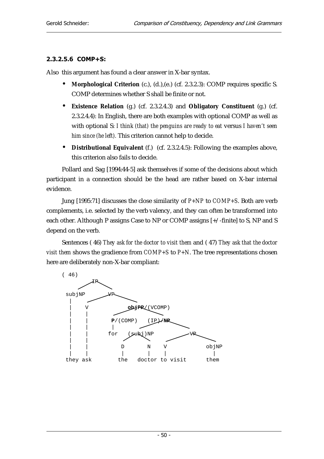### 2.3.2.5.6 COMP+S:

Also this argument has found a clear answer in X-bar syntax.

- **Morphological Criterion** (c.), (d.),(e.) (cf. 2.3.2.3): COMP requires specific S. COMP determines whether S shall be finite or not.
- **Existence Relation** (g.) (cf. 2.3.2.4.3) and **Obligatory Constituent** (g.) (cf. 2.3.2.4.4): In English, there are both examples with optional COMP as well as with optional S: *I think (that) the penguins are ready to eat* versus *I haven't seen him since (he left).* This criterion cannot help to decide.
- **Distributional Equivalent** (f.) (cf. 2.3.2.4.5): Following the examples above, this criterion also fails to decide.

Pollard and Sag [1994:44-5] ask themselves if some of the decisions about which participant in a connection should be the head are rather based on X-bar internal evidence.

Jung [1995:71] discusses the close similarity of *P+NP* to *COMP+S*. Both are verb complements, i.e. selected by the verb valency, and they can often be transformed into each other. Although P assigns Case to NP or COMP assigns [+/-finite] to S, NP and S depend on the verb.

Sentences ( 46) *They ask for the doctor to visit them* and ( 47) *They ask that the doctor visit them* shows the gradience from *COMP+S* to *P+N*. The tree representations chosen here are deliberately non-X-bar compliant:

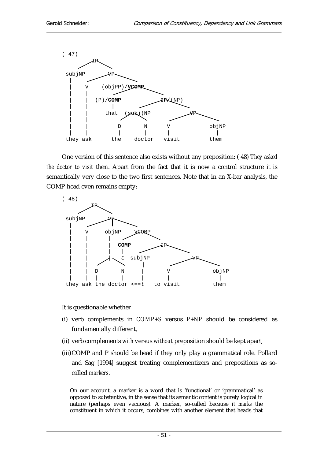

One version of this sentence also exists without any preposition: ( 48) *They asked the doctor to visit them*. Apart from the fact that it is now a control structure it is semantically very close to the two first sentences. Note that in an X-bar analysis, the COMP-head even remains empty:



It is questionable whether

- (i) verb complements in *COMP+S* versus *P+NP* should be considered as fundamentally different,
- (ii) verb complements *with* versus *without* preposition should be kept apart,
- (iii) COMP and P should be head if they only play a grammatical role. Pollard and Sag [1994] suggest treating complementizers and prepositions as socalled *markers*.

On our account, a marker is a word that is 'functional' or 'grammatical' as opposed to substantive, in the sense that its semantic content is purely logical in nature (perhaps even vacuous). A marker, so-called because it *marks* the constituent in which it occurs, combines with another element that heads that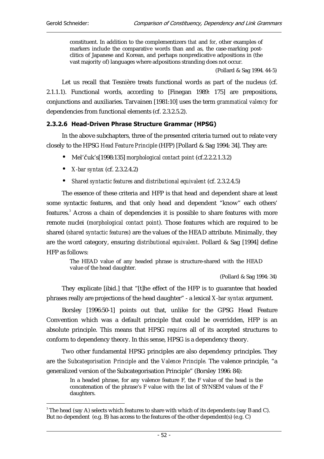$\overline{a}$ 

constituent. In addition to the complementizers *that* and *for*, other examples of markers include the comparative words than and as, the case-marking postclitics of Japanese and Korean, and perhaps nonpredicative adpositions in (the vast majority of) languages where adpositions stranding does not occur.

(Pollard & Sag 1994. 44-5)

Let us recall that Tesnière treats functional words as part of the nucleus (cf. 2.1.1.1). Functional words, according to [Finegan 1989: 175] are prepositions, conjunctions and auxiliaries. Tarvainen [1981:10] uses the term *grammatical valency* for dependencies from functional elements (cf. 2.3.2.5.2).

#### 2.3.2.6 Head-Driven Phrase Structure Grammar (HPSG)

In the above subchapters, three of the presented criteria turned out to relate very closely to the HPSG *Head Feature Principle* (HFP) [Pollard & Sag 1994: 34]. They are:

- Mel'čuk's<sup>[1998:135]</sup> *morphological contact point* (cf.2.2.2.1.3.2)
- *X-bar syntax* (cf. 2.3.2.4.2)
- *Shared syntactic features* and *distributional equivalent* (cf. 2.3.2.4.5)

The essence of these criteria and HFP is that head and dependent share at least some syntactic features, and that only head and dependent "know" each others' features.<sup>3</sup> Across a chain of dependencies it is possible to share features with more remote nuclei (*morphological contact point*). Those features which are required to be shared (*shared syntactic features*) are the values of the HEAD attribute. Minimally, they are the word category, ensuring *distributional equivalent*. Pollard & Sag [1994] define HFP as follows:

The HEAD value of any headed phrase is structure-shared with the HEAD value of the head daughter.

(Pollard & Sag 1994: 34)

They explicate [ibid.] that "[t]he effect of the HFP is to guarantee that headed phrases really are projections of the head daughter" - a lexical *X-bar syntax* argument.

Borsley [1996:50-1] points out that, unlike for the GPSG Head Feature Convention which was a default principle that could be overridden, HFP is an absolute principle. This means that HPSG *requires* all of its accepted structures to conform to dependency theory. In this sense, HPSG is a dependency theory.

Two other fundamental HPSG principles are also dependency principles. They are the *Subcategorisation Principle* and the *Valence Principle.* The valence principle, "a generalized version of the Subcategorisation Principle" (Borsley 1996: 84):

In a headed phrase, for any valence feature F, the F value of the head is the concatenation of the phrase's F value with the list of SYNSEM values of the F daughters.

 $^{\circ}$  The head (say A) selects which features to share with which of its dependents (say B and C). But no dependent (e.g. B) has access to the features of the other dependent(s) (e.g. C)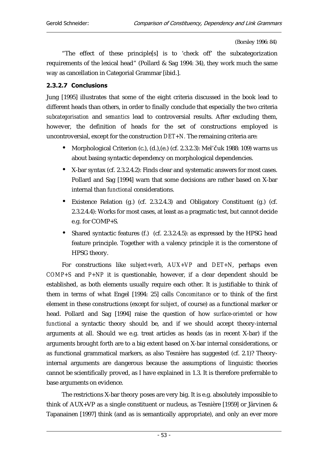(Borsley 1996: 84)

"The effect of these principle[s] is to 'check off' the subcategorization requirements of the lexical head" (Pollard & Sag 1994: 34), they work much the same way as cancellation in Categorial Grammar [ibid.].

#### 2.3.2.7 Conclusions

Jung [1995] illustrates that some of the eight criteria discussed in the book lead to different heads than others, in order to finally conclude that especially the two criteria *subcategorisation* and *semantics* lead to controversial results. After excluding them, however, the definition of heads for the set of constructions employed is uncontroversial, except for the construction *DET+N.* The remaining criteria are:

- Morphological Criterion (c.), (d.), (e.) (cf. 2.3.2.3): Mel'Čuk 1988: 109) warns us about basing syntactic dependency on morphological dependencies.
- X-bar syntax (cf. 2.3.2.4.2): Finds clear and systematic answers for most cases. Pollard and Sag [1994] warn that some decisions are rather based on X-bar internal than *functional* considerations.
- Existence Relation (g.) (cf. 2.3.2.4.3) and Obligatory Constituent (g.) (cf. 2.3.2.4.4): Works for most cases, at least as a pragmatic test, but cannot decide e.g. for COMP+S.
- Shared syntactic features (f.) (cf. 2.3.2.4.5): as expressed by the HPSG head feature principle. Together with a valency principle it is the cornerstone of HPSG theory.

For constructions like *subject+verb*, *AUX+VP* and *DET+N*, perhaps even *COMP+S* and *P+NP* it is questionable, however, if a clear dependent should be established, as both elements usually require each other. It is justifiable to think of them in terms of what Engel [1994: 25] calls *Concomitance* or to think of the first element in these constructions (except for *subject*, of course) as a functional marker or head. Pollard and Sag [1994] raise the question of how *surface-oriented* or how *functional* a syntactic theory should be, and if we should accept theory-internal arguments at all. Should we e.g. treat articles as heads (as in recent X-bar) if the arguments brought forth are to a big extent based on X-bar internal considerations, or as functional grammatical markers, as also Tesnière has suggested (cf. 2.1)? Theoryinternal arguments are dangerous because the assumptions of linguistic theories cannot be scientifically proved, as I have explained in 1.3. It is therefore preferrable to base arguments on evidence.

The restrictions X-bar theory poses are very big. It is e.g. absolutely impossible to think of AUX+VP as a single constituent or nucleus, as Tesnière [1959] or Järvinen & Tapanainen [1997] think (and as is semantically appropriate), and only an ever more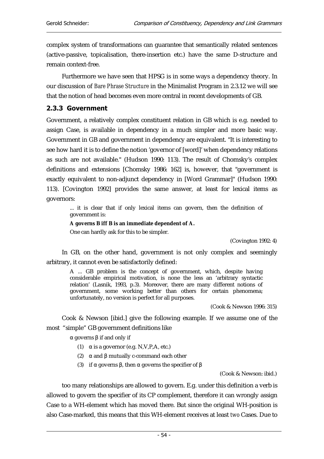complex system of transformations can guarantee that semantically related sentences (active-passive, topicalisation, there-insertion etc.) have the same D-structure and remain context-free.

Furthermore we have seen that HPSG is in some ways a dependency theory. In our discussion of *Bare Phrase Structure* in the Minimalist Program in 2.3.12 we will see that the notion of head becomes even more central in recent developments of GB.

#### 2.3.3 Government

Government, a relatively complex constituent relation in GB which is e.g. needed to assign Case, is available in dependency in a much simpler and more basic way. Government in GB and government in dependency are equivalent. "It is interesting to see how hard it is to define the notion 'governor of [word]' when dependency relations as such are not available." (Hudson 1990: 113). The result of Chomsky's complex definitions and extensions [Chomsky 1986: 162] is, however, that "government is exactly equivalent to non-adjunct dependency in [Word Grammar]" (Hudson 1990: 113). [Covington 1992] provides the same answer, at least for lexical items as governors:

... it is clear that if only lexical items can govern, then the definition of government is:

#### **A governs B iff B is an immediate dependent of A.**

One can hardly ask for this to be simpler.

(Covington 1992: 4)

In GB, on the other hand, government is not only complex and seemingly arbitrary, it cannot even be satisfactorily defined:

A ... GB problem is the concept of government, which, despite having considerable empirical motivation, is none the less an 'arbitrary syntactic relation' (Lasnik, 1993, p.3). Moreover, there are many different notions of government, some working better than others for certain phenomena; unfortunately, no version is perfect for all purposes.

(Cook & Newson 1996: 315)

Cook & Newson [ibid.] give the following example. If we assume one of the most "simple" GB government definitions like

α governs β if and only if

- (1)  $\alpha$  is a governor (e.g. N, V, P, A, etc.)
- (2)  $\alpha$  and  $\beta$  mutually c-command each other
- (3) if α governs β, then α governs the specifier of β

(Cook & Newson: ibid.)

too many relationships are allowed to govern. E.g. under this definition a verb is allowed to govern the specifier of its CP complement, therefore it can wrongly assign Case to a WH-element which has moved there. But since the original WH-position is also Case-marked, this means that this WH-element receives at least *two* Cases. Due to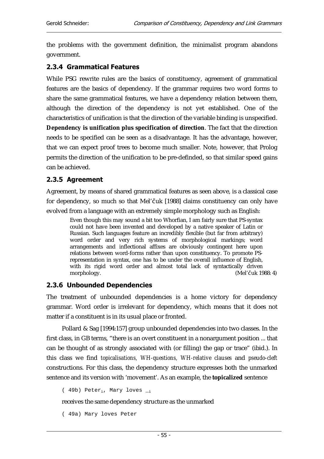the problems with the government definition, the minimalist program abandons government.

#### **2.3.4 Grammatical Features**

While PSG rewrite rules are the basics of constituency, agreement of grammatical features are the basics of dependency. If the grammar requires two word forms to share the same grammatical features, we have a dependency relation between them, although the direction of the dependency is not yet established. One of the characteristics of unification is that the direction of the variable binding is unspecified. **Dependency is unification plus specification of direction**. The fact that the direction needs to be specified can be seen as a disadvantage. It has the advantage, however, that we can expect proof trees to become much smaller. Note, however, that Prolog permits the direction of the unification to be pre-definded, so that similar speed gains can be achieved.

#### 2.3.5 Agreement

Agreement, by means of shared grammatical features as seen above, is a classical case for dependency, so much so that Mel'Čuk [1988] claims constituency can only have evolved from a language with an extremely simple morphology such as English:

Even though this may sound a bit too Whorfian, I am fairly sure that PS-syntax could not have been invented and developed by a native speaker of Latin or Russian. Such languages feature an incredibly flexible (but far from arbitrary) word order and very rich systems of morphological markings; word arrangements and inflectional affixes are obviously contingent here upon relations between word-forms rather than upon constituency. To promote PSrepresentation in syntax, one has to be under the overall influence of English, with its rigid word order and almost total lack of syntactically driven<br>morphology. (Mel'čuk 19 (Mel'čuk 1988: 4)

#### 2.3.6 Unbounded Dependencies

The treatment of unbounded dependencies is a home victory for dependency grammar. Word order is irrelevant for dependency, which means that it does not matter if a constituent is in its usual place or fronted.

Pollard & Sag [1994:157] group unbounded dependencies into two classes. In the first class, in GB terms, "there is an overt constituent in a nonargument position ... that can be thought of as strongly associated with (or filling) the gap or trace" (ibid.). In this class we find *topicalisations, WH-questions, WH-relative clauses* and *pseudo-cleft*  constructions. For this class, the dependency structure expresses both the unmarked sentence and its version with 'movement'. As an example, the **topicalized** sentence

( 49b) Peter<sub>i</sub>, Mary loves  $_{ii}$ 

receives the same dependency structure as the unmarked

( 49a) Mary loves Peter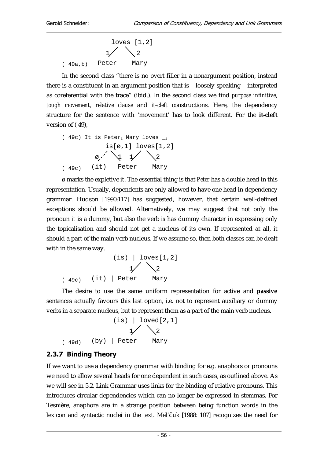$$
\begin{array}{c|cc}\n & \text{loves} & [1,2] \\
 & \text{1} & \text{2} \\
 & \text{(40a,b)} & \text{Peter} & \text{Mary}\n\end{array}
$$

In the second class "there is no overt filler in a nonargument position, instead there is a constituent in an argument position that is – loosely speaking – interpreted as coreferential with the trace" (ibid.). In the second class we find *purpose infinitive*, *tough movement, relative clause* and *it-cleft* constructions. Here, the dependency structure for the sentence with 'movement' has to look different. For the **it-cleft** version of ( 49),

(49c) It is Peter<sub>i</sub> Mary loves 
$$
\_i
$$
  
is[ $\varnothing, 1$ ] loves[1,2]  
 $\varnothing, \quad \bigvee$   
 $\downarrow$   $\bigvee$   
 $\downarrow$   $\searrow$   
 $\searrow$   
 $\searrow$   
 $\searrow$   
 $\searrow$   
 $\searrow$   
 $\searrow$   
 $\searrow$   
 $\searrow$   
 $\searrow$   
 $\searrow$   
 $\searrow$   
 $\searrow$   
 $\searrow$   
 $\searrow$   
 $\searrow$   
 $\searrow$   
 $\searrow$   
 $\searrow$   
 $\searrow$   
 $\searrow$   
 $\searrow$   
 $\searrow$   
 $\searrow$   
 $\searrow$   
 $\searrow$   
 $\searrow$   
 $\searrow$   
 $\searrow$   
 $\searrow$   
 $\searrow$   
 $\searrow$   
 $\searrow$   
 $\searrow$   
 $\searrow$   
 $\searrow$   
 $\searrow$   
 $\searrow$   
 $\searrow$   
 $\searrow$   
 $\searrow$   
 $\searrow$   
 $\searrow$   
 $\searrow$   
 $\searrow$   
 $\searrow$   
 $\searrow$   
 $\searrow$   
 $\searrow$   
 $\searrow$   
 $\searrow$   
 $\searrow$   
 $\searrow$   
 $\searrow$   
 $\searrow$   
 $\searrow$   
 $\searrow$   
 $\searrow$   
 $\searrow$   
 $\searrow$   
 $\searrow$   
 $\searrow$   
 $\searrow$   
 $\searrow$   
 $\searrow$   
 $\searrow$   
 $\searrow$   
 $\searrow$   
 $\searrow$   
 $\searrow$   
 $\searrow$   
 $\searrow$   
 $\searrow$   
 $\searrow$   
 $\searrow$   

ø marks the expletive *it*. The essential thing is that *Peter* has a double head in this representation. Usually, dependents are only allowed to have one head in dependency grammar. Hudson [1990:117] has suggested, however, that certain well-defined exceptions should be allowed. Alternatively, we may suggest that not only the pronoun *it* is a dummy, but also the verb *is* has dummy character in expressing only the topicalisation and should not get a nucleus of its own. If represented at all, it should a part of the main verb nucleus. If we assume so, then both classes can be dealt with in the same way.

(i)  
\n
$$
\begin{array}{c|c}\n & \text{[is]} & \text{[does[1,2]} \\
 & \text{[if]} & \text{[else]} & \text{[days]} \\
 & \text{(if)} & \text{[eeter]} & \text{[days]} \\
\end{array}
$$

The desire to use the same uniform representation for active and **passive** sentences actually favours this last option, i.e. not to represent auxiliary or dummy verbs in a separate nucleus, but to represent them as a part of the main verb nucleus.

(i)  
\n
$$
\begin{array}{c|c}\n & \text{level[2,1]} \\
 & \text{if } \\
2 \\
 & \text{end}\n\end{array}
$$
\n(by) | Peter Mary

# 2.3.7 Binding Theory

If we want to use a dependency grammar with binding for e.g. anaphors or pronouns we need to allow several heads for one dependent in such cases, as outlined above. As we will see in 5.2, Link Grammar uses links for the binding of relative pronouns. This introduces circular dependencies which can no longer be expressed in stemmas. For Tesnière, anaphora are in a strange position between being function words in the lexicon and syntactic nuclei in the text. Mel'čuk [1988: 107] recognizes the need for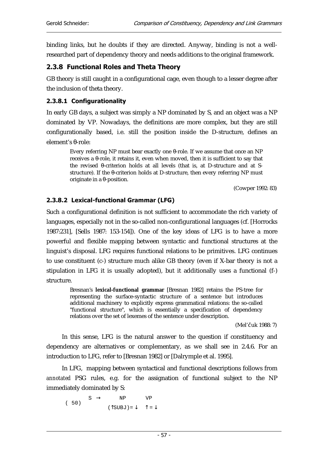binding links, but he doubts if they are directed. Anyway, binding is not a wellresearched part of dependency theory and needs additions to the original framework.

## 2.3.8 Functional Roles and Theta Theory

GB theory is still caught in a configurational cage, even though to a lesser degree after the inclusion of theta theory.

## 2.3.8.1 Configurationality

In early GB days, a subject was simply a NP dominated by S, and an object was a NP dominated by VP. Nowadays, the definitions are more complex, but they are still configurationally based, i.e. still the position inside the D-structure, defines an element's θ-role:

Every referring NP must bear exactly one θ-role. If we assume that once an NP receives a θ-role, it retains it, even when moved, then it is sufficient to say that the revised θ-criterion holds at all levels (that is, at D-structure and at Sstructure). If the θ-criterion holds at D-structure, then every referring NP must originate in a θ-position.

(Cowper 1992: 83)

## 2.3.8.2 Lexical-functional Grammar (LFG)

Such a configurational definition is not sufficient to accommodate the rich variety of languages, especially not in the so-called non-configurational languages (cf. [Horrocks 1987:231], [Sells 1987: 153-154]). One of the key ideas of LFG is to have a more powerful and flexible mapping between syntactic and functional structures at the linguist's disposal. LFG requires functional relations to be primitives. LFG continues to use constituent (c-) structure much alike GB theory (even if X-bar theory is not a stipulation in LFG it is usually adopted), but it additionally uses a functional (f-) structure.

Bresnan's **lexical-functional grammar** [Bresnan 1982] retains the PS-tree for representing the surface-syntactic structure of a sentence but introduces additional machinery to explicitly express grammatical relations: the so-called "functional structure", which is essentially a specification of dependency relations over the set of lexemes of the sentence under description.

(Mel'čuk 1988: 7)

In this sense, LFG is the natural answer to the question if constituency and dependency are alternatives or complementary, as we shall see in 2.4.6. For an introduction to LFG, refer to [Bresnan 1982] or [Dalrymple et al. 1995].

In LFG, mapping between syntactical and functional descriptions follows from *annotated* PSG rules, e.g. for the assignation of functional subject to the NP immediately dominated by S:

 ( 50)  $S \rightarrow \text{NP}$  VP  $(\uparrow$ SUBJ) =  $\downarrow \qquad \uparrow = \downarrow$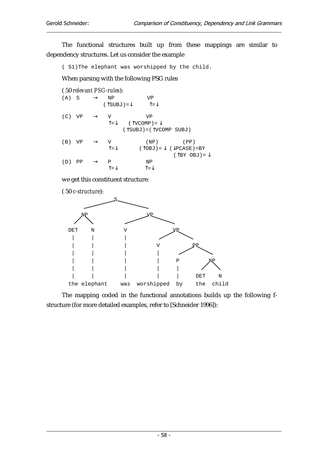The functional structures built up from these mappings are similar to dependency structures. Let us consider the example

( 51)The elephant was worshipped by the child.

When parsing with the following PSG rules

|     |                        | (50 relevant PSG-rules):                          |                                                                                                           |                                                                                                                  |
|-----|------------------------|---------------------------------------------------|-----------------------------------------------------------------------------------------------------------|------------------------------------------------------------------------------------------------------------------|
|     | $(A)$ S $\rightarrow$  | ΝP                                                | VP<br>$(\uparrow$ SUBJ) = $\downarrow$ $\uparrow$ = $\downarrow$                                          |                                                                                                                  |
|     | $(C) VP \rightarrow V$ |                                                   | VP<br>$\uparrow = \downarrow$ ( $\uparrow$ vcomp) = $\downarrow$<br>$(\hat{T}SUBJ) = (\hat{T}VCOMP SUBJ)$ |                                                                                                                  |
|     |                        | (B) VP $\rightarrow$ V<br>$\uparrow = \downarrow$ |                                                                                                           | $(NP)$ $(PP)$<br>$(\uparrow$ OBJ) = $\downarrow$ ( $\downarrow$ PCASE) =BY<br>$(\uparrow$ BY OBJ) = $\downarrow$ |
| (D) | $PP \rightarrow P$     |                                                   | ΝP                                                                                                        |                                                                                                                  |

we get this constituent structure:

( 50 *c-structure*):



The mapping coded in the functional annotations builds up the following fstructure (for more detailed examples, refer to [Schneider 1996]):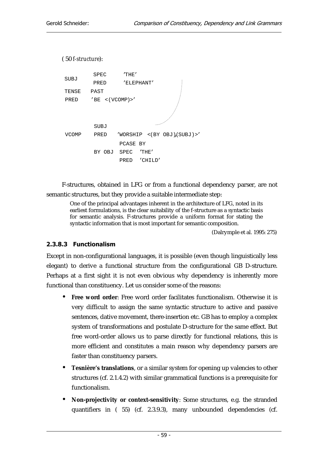```
( 50 f-structure):
```


F-structures, obtained in LFG or from a functional dependency parser, are not semantic structures, but they provide a suitable intermediate step:

One of the principal advantages inherent in the architecture of LFG, noted in its earliest formulations, is the clear suitability of the f-structure as a syntactic basis for semantic analysis. F-structures provide a uniform format for stating the syntactic information that is most important for semantic composition.

(Dalrymple et al. 1995: 275)

### 2.3.8.3 Functionalism

Except in non-configurational languages, it is possible (even though linguistically less elegant) to derive a functional structure from the configurational GB D-structure. Perhaps at a first sight it is not even obvious why dependency is inherently more functional than constituency. Let us consider some of the reasons:

- **Free word order**: Free word order facilitates functionalism. Otherwise it is very difficult to assign the same syntactic structure to active and passive sentences, dative movement, there-insertion etc. GB has to employ a complex system of transformations and postulate D-structure for the same effect. But free word-order allows us to parse directly for functional relations, this is more efficient and constitutes a main reason why dependency parsers are faster than constituency parsers.
- **Tesnière's translations**, or a similar system for opening up valencies to other structures (cf. 2.1.4.2) with similar grammatical functions is a prerequisite for functionalism.
- **Non-projectivity or context-sensitivity**: Some structures, e.g. the stranded quantifiers in ( 55) (cf. 2.3.9.3), many unbounded dependencies (cf.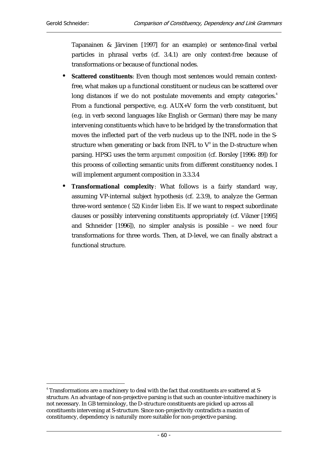Tapanainen & Järvinen [1997] for an example) or sentence-final verbal particles in phrasal verbs (cf. 3.4.1) are only context-free because of transformations or because of functional nodes.

- **Scattered constituents**: Even though most sentences would remain contextfree, what makes up a functional constituent or nucleus can be scattered over long distances if we do not postulate movements and empty categories.<sup>4</sup> From a functional perspective, e.g. AUX+V form the verb constituent, but (e.g. in verb second languages like English or German) there may be many intervening constituents which have to be bridged by the transformation that moves the inflected part of the verb nucleus up to the INFL node in the Sstructure when generating or back from INFL to  $\mathrm{V}^{\scriptscriptstyle{0}}$  in the D-structure when parsing. HPSG uses the term *argument composition* (cf. Borsley [1996: 89]) for this process of collecting semantic units from different constituency nodes. I will implement argument composition in 3.3.3.4
- **Transformational complexity**: What follows is a fairly standard way, assuming VP-internal subject hypothesis (cf. 2.3.9), to analyze the German three-word sentence ( 52) *Kinder lieben Eis*. If we want to respect subordinate clauses or possibly intervening constituents appropriately (cf. Vikner [1995] and Schneider [1996]), no simpler analysis is possible – we need four transformations for three words. Then, at D-level, we can finally abstract a functional structure.

 $\overline{a}$ 4 Transformations are a machinery to deal with the fact that constituents *are* scattered at Sstructure. An advantage of non-projective parsing is that such an counter-intuitive machinery is not necessary. In GB terminology, the D-structure constituents are picked up across all constituents intervening at S-structure. Since non-projectivity contradicts a maxim of constituency, dependency is naturally more suitable for non-projective parsing.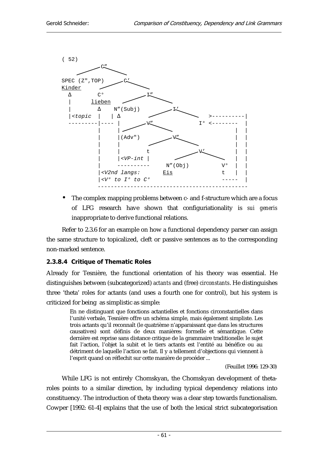

• The complex mapping problems between c- and f-structure which are a focus of LFG research have shown that configuriationality is *sui generis* inappropriate to derive functional relations.

Refer to 2.3.6 for an example on how a functional dependency parser can assign the same structure to topicalized, cleft or passive sentences as to the corresponding non-marked sentence.

#### 2.3.8.4 Critique of Thematic Roles

Already for Tesnière, the functional orientation of his theory was essential. He distinguishes between (subcategorized) *actants* and (free) *circonstants*. He distinguishes three 'theta' roles for actants (and uses a fourth one for control), but his system is criticized for being as simplistic as simple:

En ne distinguant que fonctions actantielles et fonctions circonstantielles dans l'unité verbale, Tesnière offre un schéma simple, mais également simpliste. Les trois actants qu'il reconnaît (le quatrième n'apparaissant que dans les structures causatives) sont définis de deux manières: formelle et sémantique. Cette dernière est reprise sans distance critique de la grammaire traditionelle: le sujet fait l'action, l'objet la subit et le tiers actants est l'entité au bénéfice ou au détriment de laquelle l'action se fait. Il y a tellement d'objections qui viennent à l'esprit quand on réflechit sur cette manière de procéder ...

(Feuillet 1996: 129-30)

While LFG is not entirely Chomskyan, the Chomskyan development of thetaroles points to a similar direction, by including typical dependency relations into constituency. The introduction of theta theory was a clear step towards functionalism. Cowper [1992: 61-4] explains that the use of both the lexical strict subcategorisation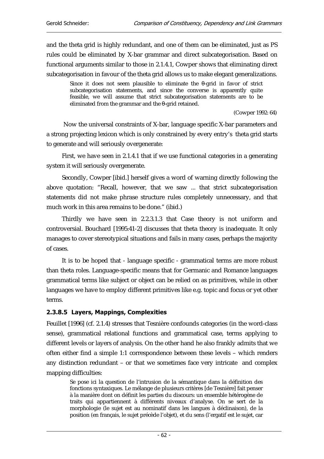and the theta grid is highly redundant, and one of them can be eliminated, just as PS rules could be eliminated by X-bar grammar and direct subcategorisation. Based on functional arguments similar to those in 2.1.4.1, Cowper shows that eliminating direct subcategorisation in favour of the theta grid allows us to make elegant generalizations.

Since it does not seem plausible to eliminate the θ-grid in favor of strict subcategorisation statements, and since the converse is apparently quite feasible, we will assume that strict subcategorisation statements are to be eliminated from the grammar and the θ-grid retained.

(Cowper 1992: 64)

 Now the universal constraints of X-bar, language specific X-bar parameters and a strong projecting lexicon which is only constrained by every entry's theta grid starts to generate and will seriously overgenerate:

First, we have seen in 2.1.4.1 that if we use functional categories in a generating system it will seriously overgenerate.

Secondly, Cowper [ibid.] herself gives a word of warning directly following the above quotation: "Recall, however, that we saw ... that strict subcategorisation statements did not make phrase structure rules completely unnecessary, and that much work in this area remains to be done." (ibid.)

Thirdly we have seen in 2.2.3.1.3 that Case theory is not uniform and controversial. Bouchard [1995:41-2] discusses that theta theory is inadequate. It only manages to cover stereotypical situations and fails in many cases, perhaps the majority of cases.

It is to be hoped that - language specific - grammatical terms are more robust than theta roles. Language-specific means that for Germanic and Romance languages grammatical terms like subject or object can be relied on as primitives, while in other languages we have to employ different primitives like e.g. topic and focus or yet other terms.

#### 2.3.8.5 Layers, Mappings, Complexities

Feuillet [1996] (cf. 2.1.4) stresses that Tesnière confounds categories (in the word-class sense), grammatical relational functions and grammatical case, terms applying to different levels or layers of analysis. On the other hand he also frankly admits that we often either find a simple 1:1 correspondence between these levels – which renders any distinction redundant – or that we sometimes face very intricate and complex mapping difficulties:

Se pose ici la question de l'intrusion de la sémantique dans la définition des fonctions syntaxiques. Le mélange de plusieurs critères [de Tesnière] fait penser à la manière dont on définit les parties du discours: un ensemble hétérogène de traits qui appartiennent à différents niveaux d'analyse. On se sert de la morphologie (le sujet est au nominatif dans les langues à déclinaison), de la position (en français, le sujet précède l'objet), et du sens (l'ergatif est le sujet, car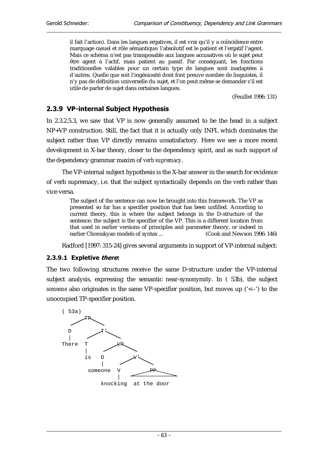il fait l'action). Dans les langues ergatives, il est vrai qu'il y a coïncidence entre marquage casuel et rôle sémantique: l'absolutif est le patient et l'ergatif l'agent. Mais ce schéma n'est pas transposable aux langues accusatives où le sujet peut être agent à l'actif, mais patient au passif. Par conséquant, les fonctions traditionelles valables pour un certain type de langues sont inadaptées à d'autres. Quelle que soit l'ingéniosité dont font preuve nombre de linguistes, il n'y pas de définition universelle du sujet, et l'on peut même se demander s'il est utile de parler de sujet dans certaines langues.

(Feuillet 1996: 131)

## 2.3.9 VP-internal Subject Hypothesis

In 2.3.2.5.3, we saw that VP is now generally assumed to be the head in a subject NP+VP construction. Still, the fact that it is actually only INFL which dominates the subject rather than VP directly remains unsatisfactory. Here we see a more recent development in X-bar theory, closer to the dependency spirit, and as such support of the dependency grammar maxim of *verb supremacy*.

The VP-internal subject hypothesis is the X-bar answer in the search for evidence of verb supremacy, i.e. that the subject syntactically depends on the verb rather than vice versa.

The subject of the sentence can now be brought into this framework. The VP as presented so far has a specifier position that has been unfilled. According to current theory, this is where the subject belongs in the D-structure of the sentence: the subject is the specifier of the VP. This is a different location from that used in earlier versions of principles and parameter theory, or indeed in earlier Chomskyan models of syntax ... (Cook and Newson 1996: 146)

Radford [1997: 315-24] gives several arguments in support of VP-internal subject:

#### 2.3.9.1 Expletive there:

The two following structures receive the same D-structure under the VP-internal subject analysis, expressing the semantic near-synonymity. In ( 53b), the subject *someone* also originates in the same VP-specifier position, but moves up ('<--') to the unoccupied TP-specifier position.

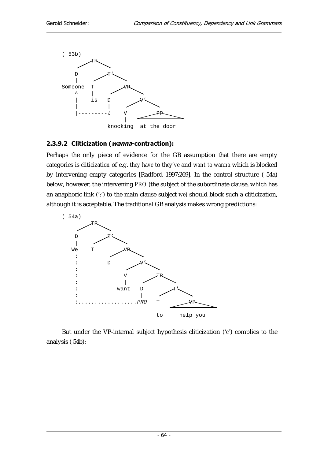

#### 2.3.9.2 Cliticization (wanna-contraction):

Perhaps the only piece of evidence for the GB assumption that there are empty categories is *cliticization* of e.g. *they have* to *they've* and *want to wanna* which is blocked by intervening empty categories [Radford 1997:269]. In the control structure ( 54a) below, however, the intervening *PRO* (the subject of the subordinate clause, which has an anaphoric link (':') to the main clause subject *we*) should block such a cliticization, although it is acceptable. The traditional GB analysis makes wrong predictions:



But under the VP-internal subject hypothesis cliticization ('*c'*) complies to the analysis ( 54b):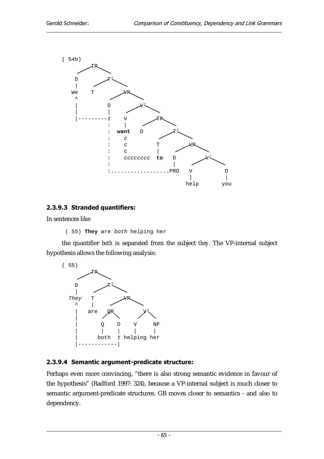

#### 2.3.9.3 Stranded quantifiers:

In sentences like

( 55) **They** are both helping her

the quantifier *both* is separated from the subject *they*. The VP-internal subject hypothesis allows the following analysis:



### 2.3.9.4 Semantic argument-predicate structure:

Perhaps even more convincing, "there is also strong semantic evidence in favour of the hypothesis" (Radford 1997: 324), because a VP-internal subject is much closer to semantic argument-predicate structures. GB moves closer to semantics - and also to dependency.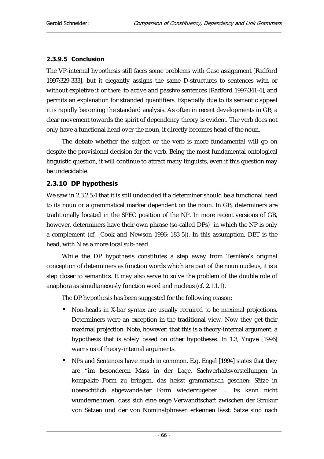#### 2.3.9.5 Conclusion

The VP-internal hypothesis still faces some problems with Case assignment [Radford 1997:329-333], but it elegantly assigns the same D-structures to sentences with or without expletive *it* or *there*, to active and passive sentences [Radford 1997:341-4], and permits an explanation for stranded quantifiers. Especially due to its semantic appeal it is rapidly becoming the standard analysis. As often in recent developments in GB, a clear movement towards the spirit of dependency theory is evident. The verb does not only have a functional head over the noun, it directly becomes head of the noun.

The debate whether the subject or the verb is more fundamental will go on despite the provisional decision for the verb. Being the most fundamental ontological linguistic question, it will continue to attract many linguists, even if this question may be undecidable.

#### 2.3.10 DP hypothesis

We saw in 2.3.2.5.4 that it is still undecided if a determiner should be a functional head to its noun or a grammatical marker dependent on the noun. In GB, determiners are traditionally located in the SPEC position of the NP. In more recent versions of GB, however, determiners have their own phrase (so-called DPs) in which the NP is only a complement (cf. [Cook and Newson 1996: 183-5]). In this assumption, DET is the head, with N as a more local sub-head.

While the DP hypothesis constitutes a step away from Tesnière's original conception of determiners as function words which are part of the noun nucleus, it is a step closer to semantics. It may also serve to solve the problem of the double role of anaphora as simultaneously function word and nucleus (cf. 2.1.1.1).

The DP hypothesis has been suggested for the following reason:

- Non-heads in X-bar syntax are usually required to be maximal projections. Determiners were an exception in the traditional view. Now they get their maximal projection. Note, however, that this is a theory-internal argument, a hypothesis that is solely based on other hypotheses. In 1.3, Yngve [1996] warns us of theory-internal arguments.
- NPs and Sentences have much in common. E.g. Engel [1994] states that they are "im besonderen Mass in der Lage, Sachverhaltsvorstellungen in kompakte Form zu bringen, das heisst grammatisch gesehen: Sätze in übersichtlich abgewandelter Form wiederzugeben ... Es kann nicht wundernehmen, dass sich eine enge Verwandtschaft zwischen der Strukur von Sätzen und der von Nominalphrasen erkennen lässt: Sätze sind nach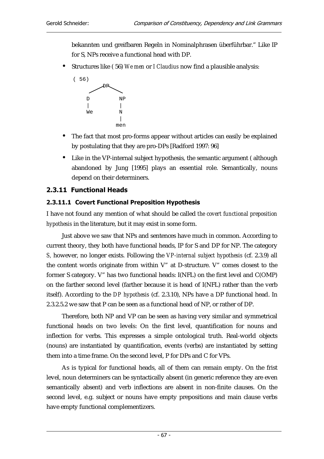bekannten und greifbaren Regeln in Nominalphrasen überführbar." Like IP for S, NPs receive a functional head with DP.

• Structures like ( 56) *We men* or *I Claudius* now find a plausible analysis:



- The fact that most pro-forms appear without articles can easily be explained by postulating that they are pro-DPs [Radford 1997: 96]
- Like in the VP-internal subject hypothesis, the semantic argument ( although abandoned by Jung [1995] plays an essential role. Semantically, nouns depend on their determiners.

#### 2.3.11 Functional Heads

#### 2.3.11.1 Covert Functional Preposition Hypothesis

I have not found any mention of what should be called *the covert functional preposition hypothesis* in the literature, but it may exist in some form.

Just above we saw that NPs and sentences have much in common. According to current theory, they both have functional heads, IP for S and DP for NP. The category *S,* however, no longer exists. Following the *VP-internal subject hypothesis* (cf. 2.3.9) all the content words originate from within V" at D-structure. V" comes closest to the former S category. V" has two functional heads: I(NFL) on the first level and C(OMP) on the farther second level (farther because it is head of I(NFL) rather than the verb itself). According to the *DP hypothesis* (cf. 2.3.10), NPs have a DP functional head. In 2.3.2.5.2 we saw that P can be seen as a functional head of NP, or rather of DP.

Therefore, both NP and VP can be seen as having very similar and symmetrical functional heads on two levels: On the first level, quantification for nouns and inflection for verbs. This expresses a simple ontological truth. Real-world objects (nouns) are instantiated by quantification, events (verbs) are instantiated by setting them into a time frame. On the second level, P for DPs and C for VPs.

As is typical for functional heads, all of them can remain empty. On the frist level, noun determiners can be syntactically absent (in generic reference they are even semantically absent) and verb inflections are absent in non-finite clauses. On the second level, e.g. subject or nouns have empty prepositions and main clause verbs have empty functional complementizers.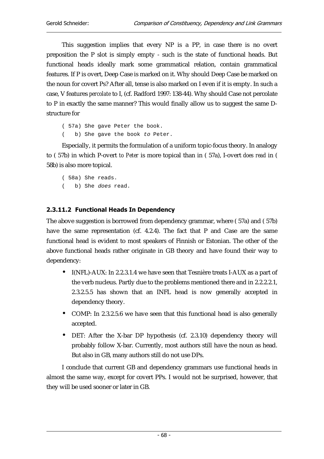This suggestion implies that every NP is a PP, in case there is no overt preposition the P slot is simply empty - such is the state of functional heads. But functional heads ideally mark some grammatical relation, contain grammatical features. If P is overt, Deep Case is marked on it. Why should Deep Case be marked on the noun for covert Ps? After all, tense is also marked on I even if it is empty. In such a case, V features *percolate* to I, (cf. Radford 1997: 138-44). Why should Case not percolate to P in exactly the same manner? This would finally allow us to suggest the same Dstructure for

( 57a) She gave Peter the book. b) She gave the book to Peter.

Especially, it permits the formulation of a uniform topic-focus theory. In analogy to ( 57b) in which P-overt *to Peter* is more topical than in ( 57a), I-overt *does read* in ( 58b) is also more topical.

( 58a) She reads. ( b) She does read.

#### 2.3.11.2 Functional Heads In Dependency

The above suggestion is borrowed from dependency grammar, where ( 57a) and ( 57b) have the same representation (cf. 4.2.4). The fact that P and Case are the same functional head is evident to most speakers of Finnish or Estonian. The other of the above functional heads rather originate in GB theory and have found their way to dependency:

- I(NFL)-AUX: In 2.2.3.1.4 we have seen that Tesnière treats I-AUX as a part of the verb nucleus. Partly due to the problems mentioned there and in 2.2.2.2.1, 2.3.2.5.5 has shown that an INFL head is now generally accepted in dependency theory.
- COMP: In 2.3.2.5.6 we have seen that this functional head is also generally accepted.
- DET: After the X-bar DP hypothesis (cf. 2.3.10) dependency theory will probably follow X-bar. Currently, most authors still have the noun as head. But also in GB, many authors still do not use DPs.

I conclude that current GB and dependency grammars use functional heads in almost the same way, except for covert PPs. I would not be surprised, however, that they will be used sooner or later in GB.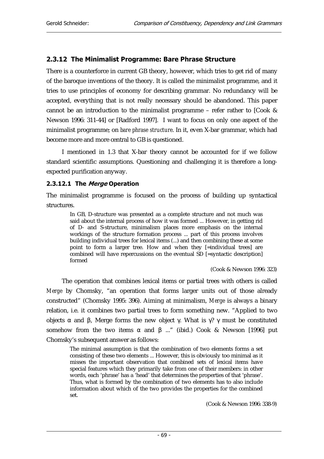#### 2.3.12 The Minimalist Programme: Bare Phrase Structure

There is a counterforce in current GB theory, however, which tries to get rid of many of the baroque inventions of the theory. It is called the minimalist programme, and it tries to use principles of economy for describing grammar. No redundancy will be accepted, everything that is not really necessary should be abandoned. This paper cannot be an introduction to the minimalist programme – refer rather to [Cook & Newson 1996: 311-44] or [Radford 1997]. I want to focus on only one aspect of the minimalist programme; on *bare phrase structure*. In it, even X-bar grammar, which had become more and more central to GB is questioned.

I mentioned in 1.3 that X-bar theory cannot be accounted for if we follow standard scientific assumptions. Questioning and challenging it is therefore a longexpected purification anyway.

#### 2.3.12.1 The Merge Operation

The minimalist programme is focused on the process of building up syntactical structures.

In GB, D-structure was presented as a complete structure and not much was said about the internal process of how it was formed ... However, in getting rid of D- and S-structure, minimalism places more emphasis on the internal workings of the structure formation process ... part of this process involves building individual trees for lexical items (...) and then combining these at some point to form a larger tree. How and when they [=individual trees] are combined will have repercussions on the eventual SD [=syntactic description] formed

(Cook & Newson 1996: 323)

The operation that combines lexical items or partial trees with others is called *Merge* by Chomsky, "an operation that forms larger units out of those already constructed" (Chomsky 1995: 396). Aiming at minimalism, *Merge* is always a binary relation, i.e. it combines two partial trees to form something new. "Applied to two objects α and β, Merge forms the new object γ. What is γ? γ must be constituted somehow from the two items α and  $\beta$  ..." (ibid.) Cook & Newson [1996] put Chomsky's subsequent answer as follows:

The minimal assumption is that the combination of two elements forms a set consisting of these two elements ... However, this is obviously too minimal as it misses the important observation that combined sets of lexical items have special features which they primarily take from one of their members: in other words, each 'phrase' has a 'head' that determines the properties of that 'phrase'. Thus, what is formed by the combination of two elements has to also include information about which of the two provides the properties for the combined set.

(Cook & Newson 1996: 338-9)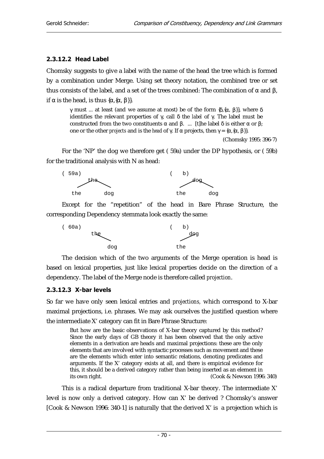#### $2.3.12.2$  Head Label

Chomsky suggests to give a label with the name of the head the tree which is formed by a combination under Merge. Using set theory notation, the combined tree or set thus consists of the label, and a set of the trees combined: The combination of α and β, if  $\alpha$  is the head, is thus  $\{\alpha, \{\alpha, \beta\}\}\$ .

γ must ... at least (and we assume at most) be of the form  $\{\delta,\{\alpha,\beta\}\}\)$ , where δ identifies the relevant properties of γ, call δ the *label* of γ. The label must be constructed from the two constituents  $\alpha$  and  $\beta$ . ... [t]he label δ is either  $\alpha$  or  $\beta$ ; one or the other *projects* and is the *head* of γ. If α projects, then  $γ = {α, {α, β}}$ .

(Chomsky 1995: 396-7)

For the 'NP' the dog we therefore get ( 59a) under the DP hypothesis, or ( 59b) for the traditional analysis with N as head:



Except for the "repetition" of the head in Bare Phrase Structure, the corresponding Dependency stemmata look exactly the same:



The decision which of the two arguments of the Merge operation is head is based on lexical properties, just like lexical properties decide on the direction of a dependency. The label of the Merge node is therefore called *projection*.

#### $2.3.12.3$  X-bar levels

So far we have only seen lexical entries and *projections,* which correspond to X-bar maximal projections, i.e. phrases. We may ask ourselves the justified question where the intermediate X' category can fit in Bare Phrase Structure:

But how are the basic observations of X-bar theory captured by this method? Since the early days of GB theory it has been observed that the only active elements in a derivation are heads and maximal projections: these are the only elements that are involved with syntactic processes such as movement and these are the elements which enter into semantic relations, denoting predicates and arguments. If the X' category exists at all, and there is empirical evidence for this, it should be a derived category rather than being inserted as an element in its own right. (Cook & Newson 1996: 340)

This is a radical departure from traditional X-bar theory. The intermediate X' level is now only a derived category. How can X' be derived ? Chomsky's answer [Cook & Newson 1996: 340-1] is naturally that the derived X' is a projection which is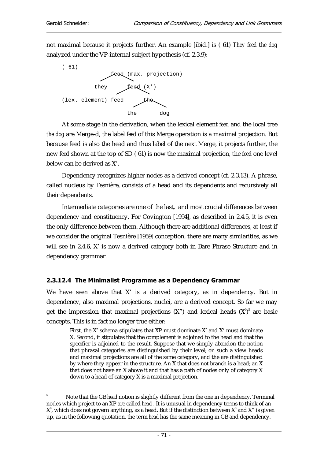not maximal because it projects further. An example [ibid.] is ( 61) *They feed the dog*  analyzed under the VP-internal subject hypothesis (cf. 2.3.9):



At some stage in the derivation, when the lexical element *feed* and the local tree *the dog* are Merge-d, the label *feed* of this Merge operation is a maximal projection. But because feed is also the head and thus label of the next Merge, it projects further, the new *feed* shown at the top of SD ( 61) is now the maximal projection, the *feed* one level below can be derived as X'.

Dependency recognizes higher nodes as a derived concept (cf. 2.3.13). A phrase, called nucleus by Tesnière, consists of a head and its dependents and recursively all their dependents.

Intermediate categories are one of the last, and most crucial differences between dependency and constituency. For Covington [1994], as described in 2.4.5, it is even the only difference between them. Although there are additional differences, at least if we consider the original Tesnière [1959] conception, there are many similarities, as we will see in 2.4.6, X' is now a derived category both in Bare Phrase Structure and in dependency grammar.

#### 2.3.12.4 The Minimalist Programme as a Dependency Grammar

We have seen above that X' is a derived category, as in dependency. But in dependency, also maximal projections, nuclei, are a derived concept. So far we may get the impression that maximal projections  $(X^{\prime\prime})$  and lexical heads  $(X^{\prime})^5$  are basic concepts. This is in fact no longer true either:

First, the X' schema stipulates that XP must dominate X' and X' must dominate X. Second, it stipulates that the complement is adjoined to the head and that the specifier is adjoined to the result. Suppose that we simply abandon the notion that phrasal categories are distinguished by their level; on such a view heads and maximal projections are all of the same category, and the are distinguished by where they appear in the structure. An X that does not branch is a head; an X that does not have an X above it and that has a path of nodes only of category X down to a head of category X is a maximal projection.

 $\overline{a}$ 5 Note that the GB *head* notion is slightly different from the one in dependency. Terminal nodes which project to an XP are called *head* . It is unusual in dependency terms to think of an  $X^{\scriptscriptstyle 0}$ , which does not govern anything, as a head. But if the distinction between  $X^{\scriptscriptstyle 0}$  and  $X^{\scriptscriptstyle n}$  is given up, as in the following quotation, the term *head* has the same meaning in GB and dependency.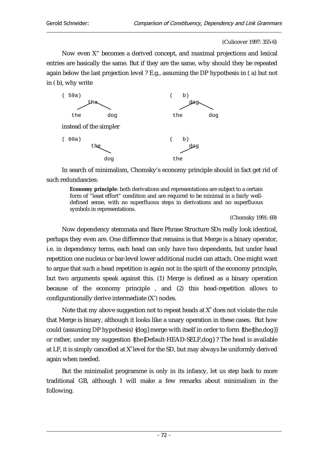(Culicover 1997: 355-6)

Now even X" becomes a derived concept, and maximal projections and lexical entries are basically the same. But if they are the same, why should they be repeated again below the last projection level ? E.g., assuming the DP hypothesis in ( a) but not in ( b), why write



In search of minimalism, Chomsky's economy principle should in fact get rid of such redundancies:

**Economy principle**: both derivations and representations are subject to a certain form of "least effort" condition and are required to be minimal in a fairly welldefined sense, with no superfluous steps in derivations and no superfluous symbols in representations.

(Chomsky 1991: 69)

Now dependency stemmata and Bare Phrase Structure SDs really look identical, perhaps they even are. One difference that remains is that Merge is a binary operator, i.e. in dependency terms, each head can only have two dependents, but under head repetition one nucleus or bar-level lower additional nuclei can attach. One might want to argue that such a head repetition is again not in the spirit of the economy principle, but two arguments speak against this. (1) Merge is defined as a binary operation because of the economy principle , and (2) this head-repetition allows to configurationally derive intermediate (X') nodes.

Note that my above suggestion not to repeat heads at  $X^0$  does not violate the rule that Merge is binary, although it looks like a unary operation in these cases. But how could (assuming DP hypothesis) {dog} merge with itself in order to form {the{the,dog}} or rather, under my suggestion {the{Default-HEAD-SELF,dog} ? The head is available at LF, it is simply cancelled at  $X^0$  level for the SD, but may always be uniformly derived again when needed.

But the minimalist programme is only in its infancy, let us step back to more traditional GB, although I will make a few remarks about minimalism in the following.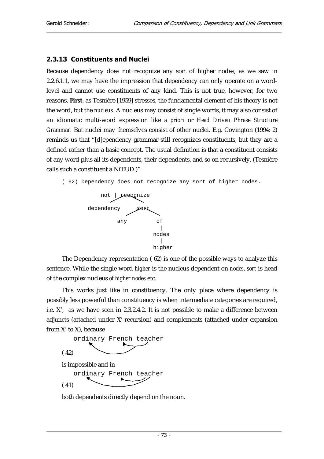#### 2.3.13 Constituents and Nuclei

Because dependency does not recognize any sort of higher nodes, as we saw in 2.2.6.1.1, we may have the impression that dependency can only operate on a wordlevel and cannot use constituents of any kind. This is not true, however, for two reasons. **First**, as Tesnière [1959] stresses, the fundamental element of his theory is not the word, but the *nucleus*. A nucleus may consist of single words, it may also consist of an idiomatic multi-word expression like *a priori* or *Head Driven Phrase Structure Grammar.* But nuclei may themselves consist of other nuclei. E.g. Covington (1994: 2) reminds us that "[d]ependency grammar still recognizes constituents, but they are a defined rather than a basic concept. The usual definition is that a constituent consists of any word plus all its dependents, their dependents, and so on recursively. (Tesnière calls such a constituent a NŒUD.)"

( 62) Dependency does not recognize any sort of higher nodes.



The Dependency representation ( 62) is one of the possible ways to analyze this sentence. While the single word *higher* is the nucleus dependent on *nodes*, *sort* is head of the complex nucleus *of higher nodes* etc.

This works just like in constituency. The only place where dependency is possibly less powerful than constituency is when intermediate categories are required, i.e. X', as we have seen in 2.3.2.4.2. It is not possible to make a difference between adjuncts (attached under X'-recursion) and complements (attached under expansion from X' to X), because



is impossible and in

( 41) ordinary French teacher

both dependents directly depend on the noun.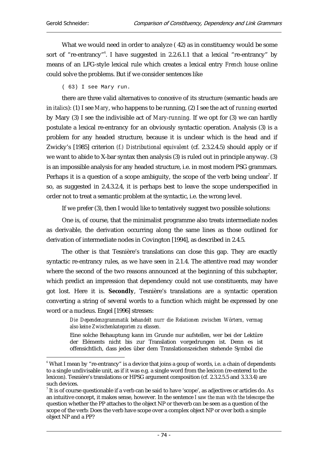What we would need in order to analyze ( 42) as in constituency would be some sort of "re-entrancy"<sup>6</sup>. I have suggested in 2.2.6.1.1 that a lexical "re-entrancy" by means of an LFG-style lexical rule which creates a lexical entry *French house* online could solve the problems. But if we consider sentences like

( 63) I see Mary run.

there are three valid alternatives to conceive of its structure (semantic heads are in *italics*): (1) I see *Mary*, who happens to be running, (2) I see the act of *running* exerted by Mary (3) I see the indivisible act of *Mary*-*running.* If we opt for (3) we can hardly postulate a lexical re-entrancy for an obviously syntactic operation. Analysis (3) is a problem for any headed structure, because it is unclear which is the head and if Zwicky's [1985] criterion *(f.) Distributional equivalent* (cf. 2.3.2.4.5) should apply or if we want to abide to X-bar syntax then analysis (3) is ruled out in principle anyway. (3) is an impossible analysis for any headed structure, i.e. in most modern PSG grammars. Perhaps it is a question of a scope ambiguity, the scope of the verb being unclear<sup>7</sup>. If so, as suggested in 2.4.3.2.4, it is perhaps best to leave the scope underspecified in order not to treat a semantic problem at the syntactic, i.e. the wrong level.

If we prefer (3), then I would like to tentatively suggest two possible solutions:

One is, of course, that the minimalist programme also treats intermediate nodes as derivable, the derivation occurring along the same lines as those outlined for derivation of intermediate nodes in Covington [1994], as described in 2.4.5.

The other is that Tesnière's translations can close this gap. They are exactly syntactic re-entrancy rules, as we have seen in 2.1.4. The attentive read may wonder where the second of the two reasons announced at the beginning of this subchapter, which predict an impression that dependency could not use constituents, may have got lost. Here it is. **Secondly**, Tesnière's translations are a syntactic operation converting a string of several words to a function which might be expressed by one word or a nucleus. Engel [1996] stresses:

> *Die Dependenzgrammatik behandelt nurr die Relationen zwischen Wörtern, vermag also keine Zwischenkategorien zu efassen.*

> Eine solche Behauptung kann im Grunde nur aufstellen, wer bei der Lektüre der Eléments nicht bis zur Translation vorgedrungen ist. Denn es ist offensichtlich, dass jedes über dem Translationszeichen stehende Symbol die

 $\overline{a}$  $^{\circ}$  What I mean by "re-entrancy" is a device that joins a goup of words, i.e. a chain of dependents to a single undivisable unit, as if it was e.g. a single word from the lexicon (re-entered to the lexicon). Tesnière's translations or HPSG argument composition (cf. 2.3.2.5.5 and 3.3.3.4) are such devices.

 $^7$  It is of course questionable if a verb can be said to have 'scope', as adjectives or articles do. As an intuitive concept, it makes sense, however. In the sentence *I saw the man with the telescope* the question whether the PP attaches to the object NP or theverb can be seen as a question of the scope of the verb: Does the verb have scope over a complex object NP or over both a simple object NP and a PP?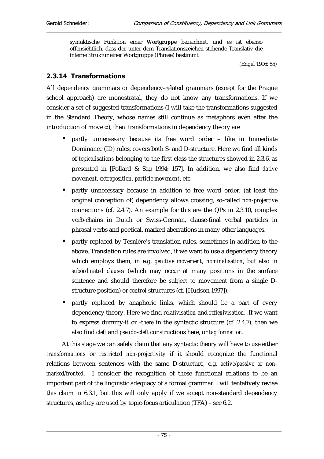syntaktische Funktion einer **Wortgruppe** bezeichnet, und es ist ebenso offensichtlich, dass der unter dem Translationszeichen stehende Translativ die interne Struktur einer Wortgruppe (Phrase) bestimmt.

(Engel 1996: 55)

## 2.3.14 Transformations

All dependency grammars or dependency-related grammars (except for the Prague school approach) are monostratal, they do not know any transformations. If we consider a set of suggested transformations (I will take the transformations suggested in the Standard Theory, whose names still continue as metaphors even after the introduction of move  $\alpha$ ), then transformations in dependency theory are

- partly unnecessary because its free word order like in Immediate Dominance (ID) rules, covers both S- and D-structure. Here we find all kinds of *topicalisations* belonging to the first class the structures showed in 2.3.6, as presented in [Pollard & Sag 1994: 157]. In addition, we also find *dative movement, extraposition, particle movement*, etc.
- partly unnecessary because in addition to free word order, (at least the original conception of) dependency allows crossing, so-called *non-projective* connections (cf. 2.4.7). An example for this are the QPs in 2.3.10, complex verb-chains in Dutch or Swiss-German, clause-final verbal particles in phrasal verbs and poetical, marked aberrations in many other languages.
- partly replaced by Tesnière's translation rules, sometimes in addition to the above. Translation rules are involved, if we want to use a dependency theory which employs them, in e.g. *genitive movement, nominalisation*, but also in *subordinated clauses* (which may occur at many positions in the surface sentence and should therefore be subject to movement from a single Dstructure position) or *control* structures (cf. [Hudson 1997]).
- partly replaced by anaphoric links, which should be a part of every dependency theory. Here we find *relativisation* and *reflexivisation*. .If we want to express dummy-*it* or -*there* in the syntactic structure (cf. 2.4.7), then we also find *cleft* and *pseudo-cleft* constructions here, or *tag formation.*

At this stage we can safely claim that any syntactic theory will have to use either *transformations* or *restricted non-projectivity* if it should recognize the functional relations between sentences with the same D-structure, e.g. *active/passive or nonmarked/fronted*. I consider the recognition of these functional relations to be an important part of the linguistic adequacy of a formal grammar. I will tentatively revise this claim in 6.3.1, but this will only apply if we accept non-standard dependency structures, as they are used by topic-focus articulation (TFA) – see 6.2.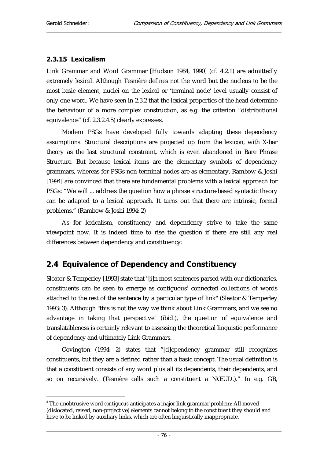$\overline{a}$ 

#### 2.3.15 Lexicalism

Link Grammar and Word Grammar [Hudson 1984, 1990] (cf. 4.2.1) are admittedly extremely lexical. Although Tesnière defines not the word but the nucleus to be the most basic element, nuclei on the lexical or 'terminal node' level usually consist of only one word. We have seen in 2.3.2 that the lexical properties of the head determine the behaviour of a more complex construction, as e.g. the criterion "distributional equivalence" (cf. 2.3.2.4.5) clearly expresses.

Modern PSGs have developed fully towards adapting these dependency assumptions. Structural descriptions are projected up from the lexicon, with X-bar theory as the last structural constraint, which is even abandoned in Bare Phrase Structure. But because lexical items are the elementary symbols of dependency grammars, whereas for PSGs non-terminal nodes are as elementary, Rambow & Joshi [1994] are convinced that there are fundamental problems with a lexical approach for PSGs: "We will ... address the question how a phrase structure-based syntactic theory can be adapted to a lexical approach. It turns out that there are intrinsic, formal problems." (Rambow & Joshi 1994: 2)

As for lexicalism, constituency and dependency strive to take the same viewpoint now. It is indeed time to rise the question if there are still any real differences between dependency and constituency:

# 2.4 Equivalence of Dependency and Constituency

Sleator & Temperley [1993] state that "[i]n most sentences parsed with our dictionaries, constituents can be seen to emerge as contiguous<sup>8</sup> connected collections of words attached to the rest of the sentence by a particular type of link" (Sleator & Temperley 1993: 3). Although "this is not the way we think about Link Grammars, and we see no advantage in taking that perspective" (ibid.), the question of equivalence and translatableness is certainly relevant to assessing the theoretical linguistic performance of dependency and ultimately Link Grammars.

Covington (1994: 2) states that "[d]ependency grammar still recognizes constituents, but they are a defined rather than a basic concept. The usual definition is that a constituent consists of any word plus all its dependents, their dependents, and so on recursively. (Tesnière calls such a constituent a NŒUD.)." In e.g. GB,

<sup>8</sup> The unobtrusive word *contiguous* anticipates a major link grammar problem: All moved (dislocated, raised, non-projective) elements cannot belong to the constituent they should and have to be linked by auxiliary links, which are often linguistically inappropriate.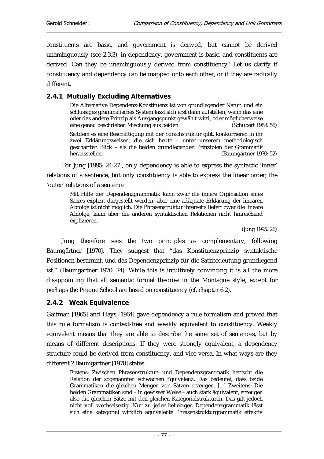constituents are basic, and government is derived, but cannot be derived unambiguously (see 2.3.3); in dependency, government is basic, and constituents are derived. Can they be unambiguously derived from constituency? Let us clarify if constituency and dependency can be mapped onto each other, or if they are radically different.

## 2.4.1 Mutually Excluding Alternatives

Die Alternative Dependenz-Konstituenz ist von grundlegender Natur, und ein schlüssiges grammatisches System lässt sich erst dann aufstellen, wenn das eine oder das andere Prinzip als Ausgangspunkt gewählt wird, oder möglicherweise eine genau beschrieben Mischung aus beiden. (Schubert 1988: 56)

Seitdem es eine Beschäftigung mit der Sprachstruktur gibt, konkurrieren in ihr zwei Erklärungsweisen, die sich heute – unter unserem methodologisch geschärften Blick – als die beiden grundlegenden Prinzipien der Grammatik (Baumgärtner 1970: 52)

For Jung [1995: 24-27], only dependency is able to express the syntactic 'inner' relations of a sentence, but only constituency is able to express the linear order, the 'outer' relations of a sentence:

Mit Hilfe der Dependenzgrammatik kann zwar die innere Orginsation eines Satzes explizit dargestellt werden, aber eine adäquate Erklärung der linearen Abfolge ist nicht möglich. Die Phrasenstruktur ihrerseits liefert zwar die lineare Abfolge, kann aber die anderen syntaktischen Relationen nicht hinreichend explizieren.

(Jung 1995: 26)

Jung therefore sees the two principles as complementary, following Baumgärtner [1970]. They suggest that "das Konstituenzprinzip syntaktische Positionen bestimmt, und das Dependenzprinzip für die Satzbedeutung grundlegend ist." (Baumgärtner 1970: 74). While this is intuitively convincing it is all the more disappointing that all semantic formal theories in the Montague style, except for perhaps the Prague School are based on constituency (cf. chapter 6.2).

#### 2.4.2 Weak Equivalence

Gaifman [1965] and Hays [1964] gave dependency a rule formalism and proved that this rule formalism is context-free and weakly equivalent to constituency. Weakly equivalent means that they are able to describe the same set of sentences, but by means of different descriptions. If they were strongly equivalent, a dependency structure could be derived from constituency, and vice versa. In what ways are they different ? Baumgärtner [1970] states:

Erstens: Zwischen Phrasenstruktur- und Dependenzgrammatik herrscht die Relation der sogenannten schwachen ƒquivalenz. Das bedeutet, dass beide Grammatiken die gleichen Mengen von Sätzen erzeugen. [...] Zweitens: Die beiden Grammatiken sind – in gewisser Weise – auch stark äquivalent, erzeugen also die gleichen Sätze mit den gleichen Kategorialstrukturen. Das gilt jedoch nicht voll wechselseitig. Nur zu jeder beliebigen Dependenzgrammatik lässt sich eine kategorial wirklich äquivalente Phrasenstrukturgrammatik effektiv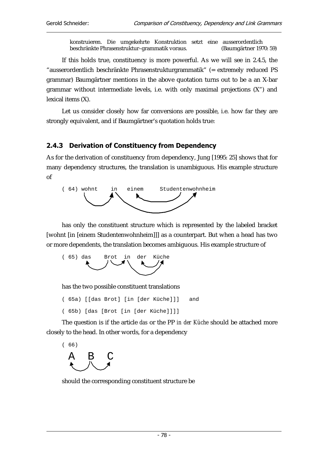konstruieren. Die umgekehrte Konstruktion setzt eine ausserordentlich beschränkte Phrasenstruktur–grammatik voraus. (Baumgärtner 1970: 59)

If this holds true, constituency is more powerful. As we will see in 2.4.5, the "ausserordentlich beschränkte Phrasenstrukturgrammatik" (= extremely reduced PS grammar) Baumgärtner mentions in the above quotation turns out to be a an X-bar grammar without intermediate levels, i.e. with only maximal projections (X") and lexical items (X).

Let us consider closely how far conversions are possible, i.e. how far they are strongly equivalent, and if Baumgärtner's quotation holds true:

#### 2.4.3 Derivation of Constituency from Dependency

As for the derivation of constituency from dependency, Jung [1995: 25] shows that for many dependency structures, the translation is unambiguous. His example structure of



has only the constituent structure which is represented by the labeled bracket [wohnt [in [einem Studentenwohnheim]]] as a counterpart. But when a head has two or more dependents, the translation becomes ambiguous. His example structure of



has the two possible constituent translations

( 65a) [[das Brot] [in [der Küche]]] and

( 65b) [das [Brot [in [der Küche]]]]

The question is if the article *das* or the PP *in der Küche* should be attached more closely to the head. In other words, for a dependency



should the corresponding constituent structure be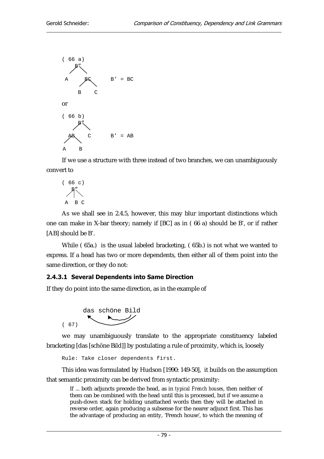

If we use a structure with three instead of two branches, we can unambiguously convert to

$$
\begin{array}{c}\n \left( \begin{array}{cc} 66 & c \end{array} \right) \\
 \begin{array}{c}\n \text{A} \\
 \text{B} \\
 \text{C}\n \end{array}
$$

As we shall see in 2.4.5, however, this may blur important distinctions which one can make in X-bar theory; namely if [BC] as in ( 66 a) should be B', or if rather [AB] should be B'.

While ( 65a.) is the usual labeled bracketing, ( 65b.) is not what we wanted to express. If a head has two or more dependents, then either all of them point into the same direction, or they do not:

#### 2.4.3.1 Several Dependents into Same Direction

If they do point into the same direction, as in the example of



we may unambiguously translate to the appropriate constituency labeled bracketing [das [schöne Bild]] by postulating a rule of proximity, which is, loosely

Rule: Take closer dependents first.

This idea was formulated by Hudson [1990: 149-50], it builds on the assumption that semantic proximity can be derived from syntactic proximity:

If ... both adjuncts precede the head, as in *typical French houses*, then neither of them can be combined with the head until this is processed, but if we assume a push-down stack for holding unattached words then they will be attached in reverse order, again producing a subsense for the nearer adjunct first. This has the advantage of producing an entity, 'French house', to which the meaning of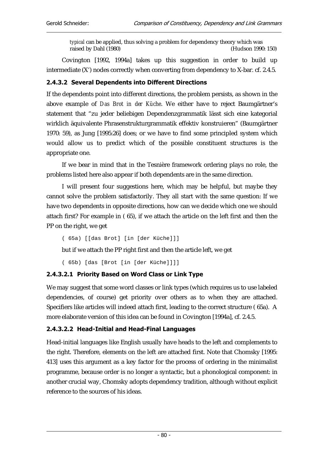*typical* can be applied, thus solving a problem for dependency theory which was raised by Dahl (1980) (Hudson 1990: 150)

Covington [1992, 1994a] takes up this suggestion in order to build up intermediate (X') nodes correctly when converting from dependency to X-bar. cf. 2.4.5.

#### 2.4.3.2 Several Dependents into Different Directions

If the dependents point into different directions, the problem persists, as shown in the above example of *Das Brot in der Küche*. We either have to reject Baumgärtner's statement that "zu jeder beliebigen Dependenzgrammatik lässt sich eine kategorial wirklich äquivalente Phrasenstrukturgrammatik effektiv konstruieren" (Baumgärtner 1970: 59), as Jung [1995:26] does; or we have to find some principled system which would allow us to predict which of the possible constituent structures is the appropriate one.

If we bear in mind that in the Tesnière framework ordering plays no role, the problems listed here also appear if both dependents are in the same direction.

I will present four suggestions here, which may be helpful, but maybe they cannot solve the problem satisfactorily. They all start with the same question: If we have two dependents in opposite directions, how can we decide which one we should attach first? For example in ( 65), if we attach the article on the left first and then the PP on the right, we get

( 65a) [[das Brot] [in [der Küche]]]

but if we attach the PP right first and then the article left, we get

( 65b) [das [Brot [in [der Küche]]]]

#### 2.4.3.2.1 Priority Based on Word Class or Link Type

We may suggest that some word classes or link types (which requires us to use labeled dependencies, of course) get priority over others as to when they are attached. Specifiers like articles will indeed attach first, leading to the correct structure ( 65a). A more elaborate version of this idea can be found in Covington [1994a], cf. 2.4.5.

#### 2.4.3.2.2 Head-Initial and Head-Final Languages

Head-initial languages like English usually have heads to the left and complements to the right. Therefore, elements on the left are attached first. Note that Chomsky [1995: 413] uses this argument as a key factor for the process of ordering in the minimalist programme, because order is no longer a syntactic, but a phonological component: in another crucial way, Chomsky adopts dependency tradition, although without explicit reference to the sources of his ideas.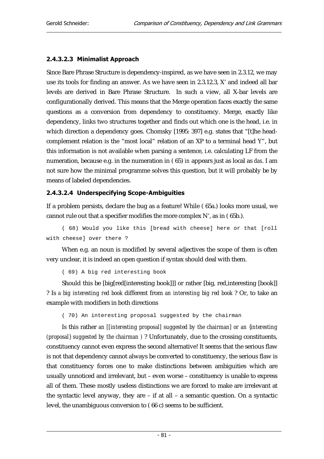#### 2.4.3.2.3 Minimalist Approach

Since Bare Phrase Structure is dependency-inspired, as we have seen in 2.3.12, we may use its tools for finding an answer. As we have seen in 2.3.12.3, X' and indeed all bar levels are derived in Bare Phrase Structure. In such a view, all X-bar levels are configurationally derived. This means that the Merge operation faces exactly the same questions as a conversion from dependency to constituency. Merge, exactly like dependency, links two structures together and finds out which one is the head, i.e. in which direction a dependency goes. Chomsky [1995: 397] e.g. states that "[t]he headcomplement relation is the "most local" relation of an XP to a terminal head Y", but this information is not available when parsing a sentence, i.e. calculating LF from the numeration, because e.g. in the numeration in ( 65) *in* appears just as local as *das*. I am not sure how the minimal programme solves this question, but it will probably be by means of labeled dependencies.

#### 2.4.3.2.4 Underspecifying Scope-Ambiguities

If a problem persists, declare the bug as a feature! While ( 65a.) looks more usual, we cannot rule out that a specifier modifies the more complex N', as in ( 65b.).

( 68) Would you like this [bread with cheese] here or that [roll with cheese] over there ?

When e.g. an noun is modified by several adjectives the scope of them is often very unclear, it is indeed an open question if syntax should deal with them.

( 69) A big red interesting book

Should this be [big[red[interesting book]]] or rather [big, red,interesting [book]] ? Is *a big interesting red book* different from *an interesting big red book* ? Or, to take an example with modifiers in both directions

( 70) An interesting proposal suggested by the chairman

Is this rather *an [[interesting proposal] suggested by the chairman] or an {interesting (proposal} suggested by the chairman )* ? Unfortunately, due to the crossing constituents, constituency cannot even express the second alternative! It seems that the serious flaw is not that dependency cannot always be converted to constituency, the serious flaw is that constituency forces one to make distinctions between ambiguities which are usually unnoticed and irrelevant, but – even worse – constituency is unable to express all of them. These mostly useless distinctions we are forced to make are irrelevant at the syntactic level anyway, they are – if at all – a semantic question. On a syntactic level, the unambiguous conversion to ( 66 c) seems to be sufficient.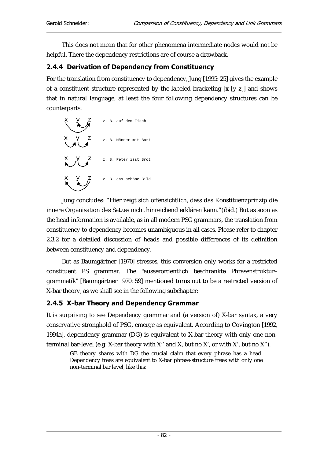This does not mean that for other phenomena intermediate nodes would not be helpful. There the dependency restrictions are of course a drawback.

#### 2.4.4 Derivation of Dependency from Constituency

For the translation from constituency to dependency, Jung [1995: 25] gives the example of a constituent structure represented by the labeled bracketing [x [y z]] and shows that in natural language, at least the four following dependency structures can be counterparts:



Jung concludes: "Hier zeigt sich offensichtlich, dass das Konstituenzprinzip die innere Organisation des Satzes nicht hinreichend erklären kann."(ibid.) But as soon as the head information is available, as in all modern PSG grammars, the translation from constituency to dependency becomes unambiguous in all cases. Please refer to chapter 2.3.2 for a detailed discussion of heads and possible differences of its definition between constituency and dependency.

But as Baumgärtner [1970] stresses, this conversion only works for a restricted constituent PS grammar. The "ausserordentlich beschränkte Phrasenstruktur– grammatik" [Baumgärtner 1970: 59] mentioned turns out to be a restricted version of X-bar theory, as we shall see in the following subchapter:

## 2.4.5 X-bar Theory and Dependency Grammar

It is surprising to see Dependency grammar and (a version of) X-bar syntax, a very conservative stronghold of PSG, emerge as equivalent. According to Covington [1992, 1994a], dependency grammar (DG) is equivalent to X-bar theory with only one nonterminal bar-level (e.g. X-bar theory with X'' and X, but no X', or with X', but no X").

GB theory shares with DG the crucial claim that every phrase has a head. Dependency trees are equivalent to X-bar phrase-structure trees with only one non-terminal bar level, like this: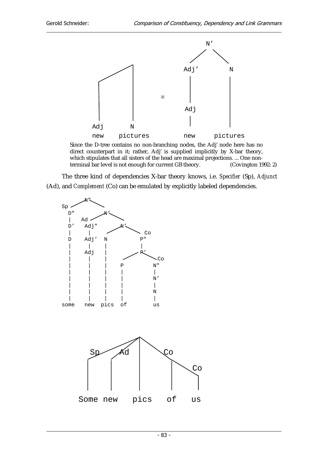

Since the D-tree contains no non-branching nodes, the Adj' node here has no direct counterpart in it; rather, Adj' is supplied implicitly by X-bar theory, which stipulates that all sisters of the head are maximal projections. ... One nonterminal bar level is not enough for current GB theory. (Covington 1992: 2)

The three kind of dependencies X-bar theory knows, i.e. *Specifier* (Sp), *Adjunct*  (Ad), and *Complement* (Co) can be emulated by explicitly labeled dependencies.

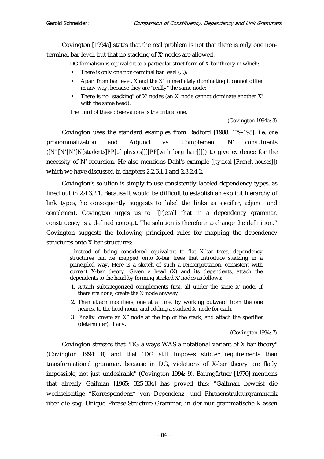Covington [1994a] states that the real problem is not that there is only one nonterminal bar-level, but that no stacking of X' nodes are allowed.

DG formalism is equivalent to a particular strict form of X-bar theory in which:

- There is only one non-terminal bar level (...);
- Apart from bar level, X and the X' immediately dominating it cannot differ in any way, because they are "really" the same node;
- There is no "stacking" of X' nodes (an X' node cannot dominate another X' with the same head).

The third of these observations is the critical one.

(Covington 1994a: 3)

Covington uses the standard examples from Radford [1988: 179-195], i.e. *one* pronominalization and Adjunct vs. Complement N' constituents (*[N"[N'[N'[N[students]PP[of physics]]][PP[with long hair]]]]*) to give evidence for the necessity of N' recursion. He also mentions Dahl's example *([typical [French houses]]*) which we have discussed in chapters 2.2.6.1.1 and 2.3.2.4.2.

Covington's solution is simply to use consistently labeled dependency types, as lined out in 2.4.3.2.1. Because it would be difficult to establish an explicit hierarchy of link types, he consequently suggests to label the links as *specifier*, *adjunct* and *complement*. Covington urges us to "[r]ecall that in a dependency grammar, constituency is a defined concept. The solution is therefore to change the definition." Covington suggests the following principled rules for mapping the dependency structures onto X-bar structures:

...instead of being considered equivalent to flat X-bar trees, dependency structures can be mapped onto X-bar trees that introduce stacking in a principled way. Here is a sketch of such a reinterpretation, consistent with current X-bar theory. Given a head (X) and its dependents, attach the dependents to the head by forming stacked X' nodes as follows:

- 1. Attach subcategorized complements first, all under the same X' node. If there are none, create the X' node anyway.
- 2. Then attach modifiers, one at a time, by working outward from the one nearest to the head noun, and adding a stacked X' node for each.
- 3. Finally, create an X'' node at the top of the stack, and attach the specifier (determiner), if any.

(Covington 1994: 7)

Covington stresses that "DG always WAS a notational variant of X-bar theory" (Covington 1994: 8) and that "DG still imposes stricter requirements than transformational grammar, because in DG, violations of X-bar theory are flatly impossible, not just undesirable" (Covington 1994: 9). Baumgärtner [1970] mentions that already Gaifman [1965: 325-334] has proved this: "Gaifman beweist die wechselseitige "Korrespondenz" von Dependenz- und Phrasenstrukturgrammatik über die sog. Unique Phrase-Structure Grammar, in der nur grammatische Klassen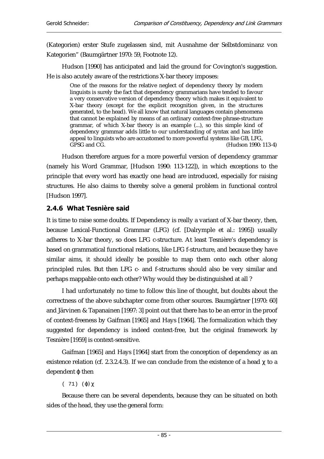(Kategorien) erster Stufe zugelassen sind, mit Ausnahme der Selbstdominanz von Kategorien" (Baumgärtner 1970: 59, Footnote 12).

Hudson [1990] has anticipated and laid the ground for Covington's suggestion. He is also acutely aware of the restrictions X-bar theory imposes:

One of the reasons for the relative neglect of dependency theory by modern linguists is surely the fact that dependency grammarians have tended to favour a very conservative version of dependency theory which makes it equivalent to X-bar theory (except for the explicit recognition given, in the structures generated, to the head). We all know that natural languages contain phenomena that cannot be explained by means of an ordinary context-free phrase-structure grammar, of which X-bar theory is an example (...), so this simple kind of dependency grammar adds little to our understanding of syntax and has little appeal to linguists who are accustomed to more powerful systems like GB, LFG, GPSG and CG. (Hudson 1990: 113-4)

Hudson therefore argues for a more powerful version of dependency grammar (namely his Word Grammar, [Hudson 1990: 113-122]), in which exceptions to the principle that every word has exactly one head are introduced, especially for raising structures. He also claims to thereby solve a general problem in functional control [Hudson 1997].

## 2.4.6 What Tesnière said

It is time to raise some doubts. If Dependency is really a variant of X-bar theory, then, because Lexical-Functional Grammar (LFG) (cf. [Dalrymple et al.: 1995]) usually adheres to X-bar theory, so does LFG c-structure. At least Tesnière's dependency is based on grammatical functional relations, like LFG f-structure, and because they have similar aims, it should ideally be possible to map them onto each other along principled rules. But then LFG c- and f-structures should also be very similar and perhaps mappable onto each other? Why would they be distinguished at all ?

I had unfortunately no time to follow this line of thought, but doubts about the correctness of the above subchapter come from other sources. Baumgärtner [1970: 60] and Järvinen & Tapanainen [1997: 3] point out that there has to be an error in the proof of context-freeness by Gaifman [1965] and Hays [1964]. The formalization which they suggested for dependency is indeed context-free, but the original framework by Tesnière [1959] is context-sensitive.

Gaifman [1965] and Hays [1964] start from the conception of dependency as an existence relation (cf. 2.3.2.4.3). If we can conclude from the existence of a head  $\chi$  to a  $dependent$   $\phi$  then

( 71) (ϕ) χ

Because there can be several dependents, because they can be situated on both sides of the head, they use the general form: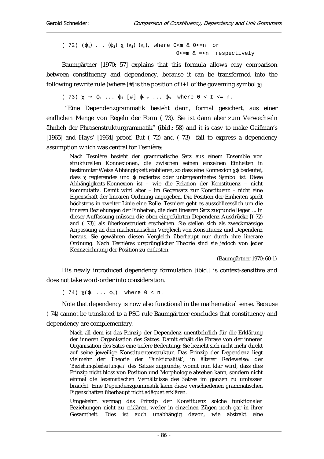( 72) ( $\varphi_m$ ) ...  $(\varphi_1)$   $\chi$   $(\kappa_1)$   $(\kappa_n)$ , where 0 < m & 0 < = n or 0 <= m & = < n respectively

Baumgärtner [1970: 57] explains that this formula allows easy comparison between constituency and dependency, because it can be transformed into the following rewrite rule (where  $[\n#]$  is the position of *i*+1 of the governing symbol  $\gamma$ :

( 73)  $\chi \rightarrow \varphi_1$  ...  $\varphi_i$  [#]  $\varphi_{i+2}$  ...  $\varphi_n$  where  $0 < I \le n$ .

 "Eine Dependenzgrammatik besteht dann, formal gesichert, aus einer endlichen Menge von Regeln der Form ( 73). Sie ist dann aber zum Verwechseln ähnlich der Phrasenstrukturgrammatik" (ibid.: 58) and it is easy to make Gaifman's [1965] and Hays' [1964] proof. But (72) and (73) fail to express a dependency assumption which was central for Tesnière:

Nach Tesnière besteht der grammatische Satz aus einem Ensemble von strukturellen Konnexionen, die zwischen seinen einzelnen Einheiten in bestimmter Weise Abhängigkeit etablieren, so dass eine Konnexion γø bedeutet, dass  $\gamma$  regierendes und  $\sigma$  regiertes oder untergeordnetes Symbol ist. Diese Abhängigkeits-Konnexion ist – wie die Relation der Konstituenz – nicht kommutativ. Damit wird aber – im Gegensatz zur Konstituenz – nicht eine Eigenschaft der linearen Ordnung angegeben. Die Position der Einheiten spielt höchstens in zweiter Linie eine Rolle. Tesnière geht es ausschlieesslich um die inneren Beziehungen der Einheiten, die dem linearen Satz zugrunde liegen ... In dieser Auffassung müssen die oben eingeführten Dependenz-Ausdrücke [( 72) and ( 73)] als überkonstruiert erscheinen. Sie stellen sich als zweckmässige Anpassung an den mathematischen Vergleich von Konstituenz und Dependenz heraus. Sie gewähren diesen Vergleich überhaupt nur durch ihre linerare Ordnung. Nach Tesnières ursprünglicher Theorie sind sie jedoch von jeder Kennzeichnung der Position zu entlasten.

(Baumgärtner 1970: 60-1)

His newly introduced dependency formulation [ibid.] is context-sensitive and does not take word-order into consideration.

( 74)  $\chi(\varphi_1 \ldots \varphi_n)$  where  $0 \le n$ .

Note that dependency is now also functional in the mathematical sense. Because ( 74) cannot be translated to a PSG rule Baumgärtner concludes that constituency and dependency are complementary.

Nach all dem ist das Prinzip der Dependenz unentbehrlich für die Erklärung der inneren Organisation des Satzes. Damit erhält die Phrase von der inneren Organisation des Sates eine tiefere Bedeutung: Sie bezieht sich nicht mehr direkt auf seine jeweilige Konstituentenstruktur. Das Prinzip der Dependenz liegt vielmehr der Theorie der '*Funktionalität'*, in älterer Redeweise: der '*Beziehungsbedeutungen'* des Satzes zugrunde, womit nun klar wird, dass dies Prinzip nicht bloss von Position und Morphologie absehen kann, sondern nicht einmal die lexematischen Verhältnisse des Satzes im ganzen zu umfassen braucht. Eine Dependenzgrammatik kann diese verschiedenen grammatischen Eigenschaften überhaupt nicht adäquat erklären.

Umgekehrt vermag das Prinzip der Konstituenz solche funktionalen Beziehungen nicht zu erklären, weder in einzelnen Zügen noch gar in ihrer Gesamtheit. Dies ist auch unabhängig davon, wie abstrakt eine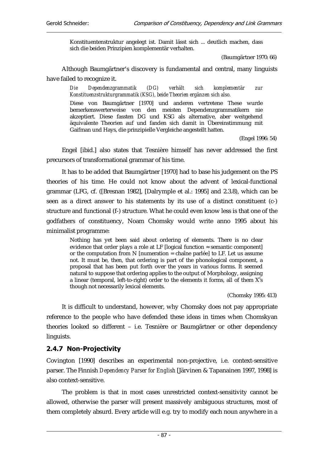Konstituentenstruktur angelegt ist. Damit lässt sich ... deutlich machen, dass sich die beiden Prinzipien komplementär verhalten.

(Baumgärtner 1970: 66)

Although Baumgärtner's discovery is fundamental and central, many linguists have failed to recognize it.

*Die Dependenzgrammatik (DG) verhält sich komplementär zur Konstituenzstrukturgrammatik (KSG), beide Theorien ergänzen sich also.* 

Diese von Baumgärtner [1970] und anderen vertretene These wurde bemerkenswerterweise von den meisten Dependenzgrammatikern nie akzeptiert. Diese fassten DG und KSG als alternative, aber weitgehend äquivalente Theorien auf und fanden sich damit in Übereinstimmung mit Gaifman und Hays, die prinzipielle Vergleiche angestellt hatten.

(Engel 1996: 54)

Engel [ibid.] also states that Tesnière himself has never addressed the first precursors of transformational grammar of his time.

It has to be added that Baumgärtner [1970] had to base his judgement on the PS theories of his time. He could not know about the advent of lexical-functional grammar (LFG, cf. ([Bresnan 1982], [Dalrymple et al.: 1995] and 2.3.8), which can be seen as a direct answer to his statements by its use of a distinct constituent (c-) structure and functional (f-) structure. What he could even know less is that one of the godfathers of constituency, Noam Chomsky would write anno 1995 about his minimalist programme:

Nothing has yet been said about ordering of elements. There is no clear evidence that order plays a role at LF [logical function  $\approx$  semantic component] or the computation from N [numeration = chaîne parlée] to LF. Let us assume not. It must be, then, that ordering is part of the phonological component, a proposal that has been put forth over the years in various forms. It seemed natural to suppose that ordering applies to the output of Morphology, assigning a linear (temporal, left-to-right) order to the elements it forms, all of them  $X^0s$ though not necessarily lexical elements.

(Chomsky 1995: 413)

It is difficult to understand, however, why Chomsky does not pay appropriate reference to the people who have defended these ideas in times when Chomskyan theories looked so different – i.e. Tesnière or Baumgärtner or other dependency linguists.

## 2.4.7 Non-Projectivity

Covington [1990] describes an experimental non-projective, i.e. context-sensitive parser. The Finnish *Dependency Parser for English* [Järvinen & Tapanainen 1997, 1998] is also context-sensitive.

The problem is that in most cases unrestricted context-sensitivity cannot be allowed, otherwise the parser will present massively ambiguous structures, most of them completely absurd. Every article will e.g. try to modify each noun anywhere in a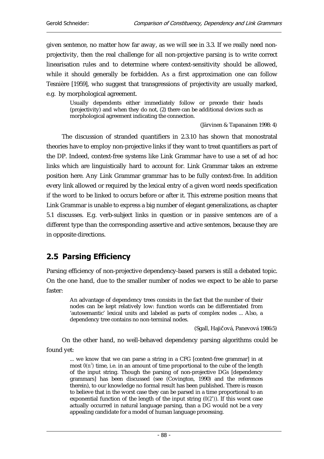given sentence, no matter how far away, as we will see in 3.3. If we really need nonprojectivity, then the real challenge for all non-projective parsing is to write correct linearisation rules and to determine where context-sensitivity should be allowed, while it should generally be forbidden. As a first approximation one can follow Tesnière [1959], who suggest that transgressions of projectivity are usually marked, e.g. by morphological agreement.

> Usually dependents either immediately follow or precede their heads (projectivity) and when they do not, (2) there can be additional devices such as morphological agreement indicating the connection.

> > (Järvinen & Tapanainen 1998: 4)

The discussion of stranded quantifiers in 2.3.10 has shown that monostratal theories have to employ non-projective links if they want to treat quantifiers as part of the DP. Indeed, context-free systems like Link Grammar have to use a set of ad hoc links which are linguistically hard to account for. Link Grammar takes an extreme position here. Any Link Grammar grammar has to be fully context-free. In addition every link allowed or required by the lexical entry of a given word needs specification if the word to be linked to occurs before or after it. This extreme position means that Link Grammar is unable to express a big number of elegant generalizations, as chapter 5.1 discusses. E.g. verb-subject links in question or in passive sentences are of a different type than the corresponding assertive and active sentences, because they are in opposite directions.

# 2.5 Parsing Efficiency

Parsing efficiency of non-projective dependency-based parsers is still a debated topic. On the one hand, due to the smaller number of nodes we expect to be able to parse faster:

An advantage of dependency trees consists in the fact that the number of their nodes can be kept relatively low: function words can be differentiated from 'autosemantic' lexical units and labeled as parts of complex nodes ... Also, a dependency tree contains no non-terminal nodes.

(Sgall, Hajičová, Panevová 1986:5)

On the other hand, no well-behaved dependency parsing algorithms could be found yet:

... we know that we can parse a string in a CFG [context-free grammar] in at most  $\theta(n^3)$  time, i.e. in an amount of time proportional to the cube of the length of the input string. Though the parsing of non-projective DGs [dependency grammars] has been discussed (see (Covington, 1990) and the references therein), to our knowledge no formal result has been published. There is reason to believe that in the worst case they can be parsed in a time proportional to an exponential function of the length of the input string  $(0(2<sup>n</sup>))$ . If this worst case actually occurred in natural language parsing, than a DG would not be a very appealing candidate for a model of human language processing.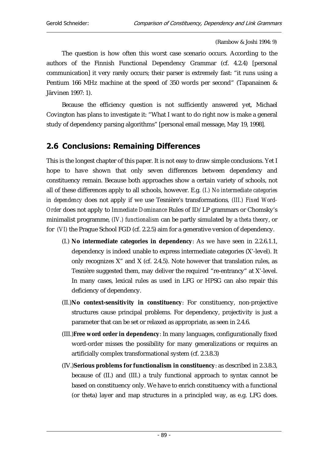(Rambow & Joshi 1994: 9)

The question is how often this worst case scenario occurs. According to the authors of the Finnish Functional Dependency Grammar (cf. 4.2.4) [personal communication] it very rarely occurs; their parser is extremely fast: "it runs using a Pentium 166 MHz machine at the speed of 350 words per second" (Tapanainen & Järvinen 1997: 1).

Because the efficiency question is not sufficiently answered yet, Michael Covington has plans to investigate it: "What I want to do right now is make a general study of dependency parsing algorithms" [personal email message, May 19, 1998].

# 2.6 Conclusions: Remaining Differences

This is the longest chapter of this paper. It is not easy to draw simple conclusions. Yet I hope to have shown that only seven differences between dependency and constituency remain. Because both approaches show a certain variety of schools, not all of these differences apply to all schools, however. E.g*. (I.) No intermediate categories in dependency* does not apply if we use Tesnière's transformations*, (III.) Fixed Word-Order* does not apply to *Immediate Dominance* Rules of ID/LP grammars or Chomsky's minimalist programme, *(IV.) functionalism* can be partly simulated by a *theta theory*, or for *(VI)* the Prague School FGD (cf. 2.2.5) aim for a generative version of dependency.

- (I.) **No intermediate categories in dependency**: As we have seen in 2.2.6.1.1, dependency is indeed unable to express intermediate categories (X'-level). It only recognizes  $X^*$  and  $X$  (cf. 2.4.5). Note however that translation rules, as Tesnière suggested them, may deliver the required "re-entrancy" at X'-level. In many cases, lexical rules as used in LFG or HPSG can also repair this deficiency of dependency.
- (II.) **No context-sensitivity in constituency**: For constituency, non-projective structures cause principal problems. For dependency, projectivity is just a parameter that can be set or relaxed as appropriate, as seen in 2.4.6.
- (III.)**Free word order in dependency**: In many languages, configurationally fixed word-order misses the possibility for many generalizations or requires an artificially complex transformational system (cf. 2.3.8.3)
- (IV.)**Serious problems for functionalism in constituency**: as described in 2.3.8.3, because of (II.) and (III.) a truly functional approach to syntax cannot be based on constituency only. We have to enrich constituency with a functional (or theta) layer and map structures in a principled way, as e.g. LFG does.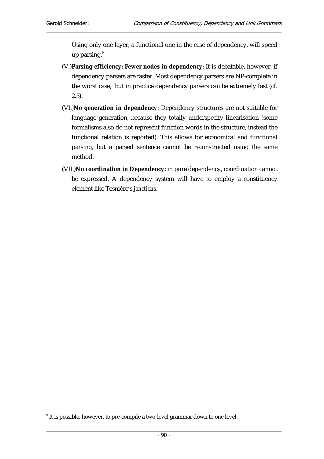Using only one layer, a functional one in the case of dependency, will speed up parsing.<sup>9</sup>

- (V.)**Parsing efficiency: Fewer nodes in dependency**: It is debatable, however, if dependency parsers are faster. Most dependency parsers are NP-complete in the worst case, but in practice dependency parsers can be extremely fast (cf. 2.5).
- (VI.)**No generation in dependency**: Dependency structures are not suitable for language generation, because they totally underspecify linearisation (some formalisms also do not represent function words in the structure, instead the functional relation is reported). This allows for economical and functional parsing, but a parsed sentence cannot be reconstructed using the same method.
- (VII.)**No coordination in Dependency:** in pure dependency, coordination cannot be expressed. A dependency system will have to employ a constituency element like Tesnière's *jonctions*.

 $\overline{a}$  $^{\circ}$  It is possible, however, to pre-compile a two-level grammar down to one level.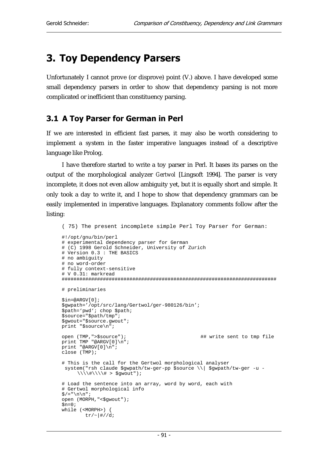# 3. Toy Dependency Parsers

Unfortunately I cannot prove (or disprove) point (V.) above. I have developed some small dependency parsers in order to show that dependency parsing is not more complicated or inefficient than constituency parsing.

## 3.1 A Toy Parser for German in Perl

If we are interested in efficient fast parses, it may also be worth considering to implement a system in the faster imperative languages instead of a descriptive language like Prolog.

I have therefore started to write a toy parser in Perl. It bases its parses on the output of the morphological analyzer *Gertwol* [Lingsoft 1994]. The parser is very incomplete, it does not even allow ambiguity yet, but it is equally short and simple. It only took a day to write it, and I hope to show that dependency grammars can be easily implemented in imperative languages. Explanatory comments follow after the listing:

```
( 75) The present incomplete simple Perl Toy Parser for German: 
#!/opt/gnu/bin/perl 
# experimental dependency parser for German 
# (C) 1998 Gerold Schneider, University of Zurich 
# Version 0.3 : THE BASICS 
# no ambiguity 
# no word-order 
# fully context-sensitive 
# V 0.31: markread 
######################################################################### 
# preliminaries 
$in=@ARGV[0]; 
$gwpath='/opt/src/lang/Gertwol/ger-980126/bin'; 
$path='pwd'; chop $path; 
$source="$path/tmp"; 
$gwout="$source.gwout"; 
print "$source\n";
open (TMP,">$source"); ## write sent to tmp file 
print TMP "@ARGV[0]\n"; 
print "@ARGV[0]\n"; 
close (TMP); 
# This is the call for the Gertwol morphological analyser 
  system("rsh claude $gwpath/tw-ger-pp $source \\| $gwpath/tw-ger -u -
     \\\\#\\\\# > $gwout"); 
# Load the sentence into an array, word by word, each with 
# Gertwol morphological info 
\hat{S}/=\text{``}\backslash n\backslash n " ;
open (MORPH,"<$gwout"); 
\sin=0;while (<MORPH>) { 
        tr/-|#//di
```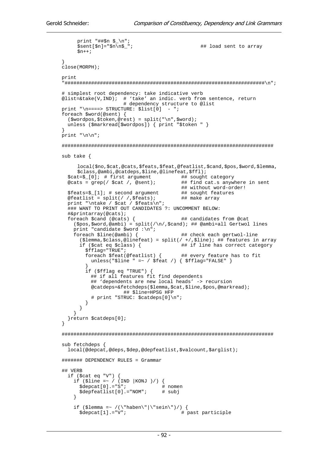```
 print "##$n $_\n"; 
     5 \text{sent}[Sn] = "Sn\backslash nS"; \qquad \qquad \qquad \text{#} load sent to array
     sn++;} 
close(MORPH); 
print 
"####################################################################\n"; 
# simplest root dependency: take indicative verb 
\text{Qlist} = \text{stack}(V, IND); # 'take' an indic. verb from sentence, return
                        # dependency structure to @list 
print "n===> STRUCTURE: $list[0] - ";
foreach $word(@sent) { 
   ($wordpos,$token,@rest) = split("\n",$word); 
   unless ($markread[$wordpos]) { print "$token " } 
} 
print "\n\n\cdot;
######################################################################## 
sub take { 
     local($no,$cat,@cats,$feats,$feat,@featlist,$cand,$pos,$word,$lemma,
     $class,@ambi,@catdeps,$line,@linefeat,$ffl); 
  $cat = $[0]; # first argument @cast = 9rep() % cat / @sent);## find cat.s anywhere in sent
                                             ## without word-order!<br>## sought features
  $feats=\$ [1]; # second argument
  \mathcal{L} efeatlist = split(/ /, $feats); ## make array
   print "\ntake / $cat / $feats\n"; 
   ### WANT TO PRINT OUT CANDIDATES ?: UNCOMMENT BELOW: 
   #&printarray(@cats); 
  foreach $cand (@cats) { ## candidates from @cat
    (\text{Spos}, \text{Sword}, \text{Qambi}) = \text{split}(\sqrt{n}, \text{Scand});## @ambi=all Gertwol lines
    print "candidate $word :\n";<br>foreach $line(@ambi) {
                                             ## check each gertwol-line
        ($lemma,$class,@linefeat) = split(/ +/,$line); ## features in array 
       if ($cat eq $class) { ## if line has correct category 
          $fflag="TRUE"; 
          foreach $feat(@featlist) { ## every feature has to fit 
           unless("$line " =~ / $feat /) { $fflag="FALSE" }
 } 
          if ($fflag eq "TRUE") { 
            ## if all features fit find dependents 
            ## 'dependents are new local heads' -> recursion 
            @catdeps=&fetchdeps($lemma,$cat,$line,$pos,@markread); 
                       ## $line=HPSG HFP 
            # print "STRUC: $catdeps[0]\n"; 
 } 
       } 
     } 
   }return $catdeps[0]; 
} 
######################################################################## 
sub fetchdeps { 
   local(@depcat,@deps,$dep,@depfeatlist,$valcount,$arglist); 
####### DEPENDENCY RULES = Grammar 
## VERB 
   if ($cat eq "V") { 
    if ($line =~ / (IND |KONJ|)/)
      \text{Sdepcat}[0] = "S"; # nomen<br>
\text{Sdepfeatlist}[0] = "NOM"; # subj
      $depthlist[0].="NOM"; } 
    if ($lemma =~ /(\"haben\"|\"sein\")/) {<br>$depcat[1].="V"; # past participle
       $depth[1].="V";
```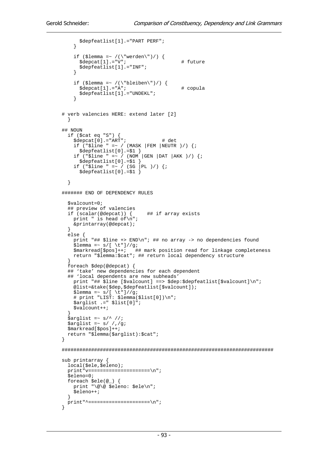```
 $depfeatlist[1].="PART PERF"; 
     } 
    if ($lemma =~ /(\"werden\")/) {
       \texttt{Sdepart}[1] = "V"; # future
        $depfeatlist[1].="INF"; 
     } 
 if ($lemma =~ /(\"bleiben\")/) { 
 $depcat[1].="A"; # copula 
        $depfeatlist[1].="UNDEKL"; 
     } 
# verb valencies HERE: extend later [2] 
 } 
## NOUN 
   if ($cat eq "S") { 
     $depcat[0].="ART"; # det 
    if (\text{``$line " =~ / (MASK | FEM | NEUTR )/ } $depfeatlist[0].=$1 } 
    if ("$line " =~ / ( NOM | GEN | DAT | AKK) / ) {;
       $depfeatlist[0].=$1 } 
    if ("$line " =~ / (SG |PL )/) {;
      Sdepfeatlist[0],=S1 } 
####### END OF DEPENDENCY RULES 
   $valcount=0; 
   ## preview of valencies 
   if (scalar(@depcat)) { ## if array exists 
    print " is head of\n";
     &printarray(@depcat); 
   } 
   else { 
     print "## $line +> END\n"; ## no array -> no dependencies found 
 $lemma =~ s/[ \t"]//g; 
 $markread[$pos]++; ## mark position read for linkage completeness 
     return "$lemma:$cat"; ## return local dependency structure 
 } 
   foreach $dep(@depcat) { 
  ## 'take' new dependencies for each dependent
   ## 'local dependents are new subheads' 
    print "## $line [$valcount] ==> $dep:$depfeatlist[$valcount]\n";
     @list=&take($dep,$depfeatlist[$valcount]); 
    $lemma = ~ s/[ \ \{t"\}/q; # print "LIST: $lemma($list[0])\n"; 
 $arglist .=" $list[0]"; 
    \overline{\text{svalcount}}++;
 } 
\sqrt{2} \sqrt{3} \sqrt{2} \sqrt{3} \sqrt{2} \sqrt{2} \sqrt{2} \sqrt{2} \sqrt{2} \sqrt{2} \sqrt{2} \sqrt{2} \sqrt{2} \sqrt{2} \sqrt{2} \sqrt{2} \sqrt{2} \sqrt{2} \sqrt{2} \sqrt{2} \sqrt{2} \sqrt{2} \sqrt{2} \sqrt{2} \sqrt{2} \sqrt{2} \sqrt{2} \sqrt{2 $arglist =~ s/ /,/g; 
   $markread[$pos]++; 
   return "$lemma($arglist):$cat"; 
} 
######################################################################## 
sub printarray { 
  local($ele,$eleno); 
   print"v=====================\n"; 
   $eleno=0; 
   foreach $ele(@_) { 
     print "\@\@ $eleno: $ele\n"; 
     $eleno++; 
   } 
  print"^=====================\n"; 
}
```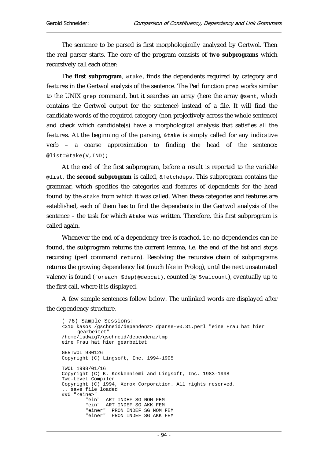The sentence to be parsed is first morphologically analyzed by Gertwol. Then the real parser starts. The core of the program consists of **two subprograms** which recursively call each other:

The **first subprogram**, &take, finds the dependents required by category and features in the Gertwol analysis of the sentence. The Perl function grep works similar to the UNIX grep command, but it searches an array (here the array @sent, which contains the Gertwol output for the sentence) instead of a file. It will find the candidate words of the required category (non-projectively across the whole sentence) and check which candidate(s) have a morphological analysis that satisfies all the features. At the beginning of the parsing, &take is simply called for any indicative verb – a coarse approximation to finding the head of the sentence: @list=&take(V,IND);

At the end of the first subprogram, before a result is reported to the variable @list, the **second subprogram** is called, &fetchdeps. This subprogram contains the grammar, which specifies the categories and features of dependents for the head found by the &take from which it was called. When these categories and features are established, each of them has to find the dependents in the Gertwol analysis of the sentence – the task for which  $\&$  take was written. Therefore, this first subprogram is called again.

Whenever the end of a dependency tree is reached, i.e. no dependencies can be found, the subprogram returns the current lemma, i.e. the end of the list and stops recursing (perl command return). Resolving the recursive chain of subprograms returns the growing dependency list (much like in Prolog), until the next unsaturated valency is found (foreach \$dep(@depcat), counted by \$valcount), eventually up to the first call, where it is displayed.

A few sample sentences follow below. The unlinked words are displayed after the dependency structure.

```
( 76) Sample Sessions: 
<310 kasos /gschneid/dependenz> dparse-v0.31.perl "eine Frau hat hier 
     gearbeitet" 
/home/ludwig7/gschneid/dependenz/tmp 
eine Frau hat hier gearbeitet 
GERTWOL 980126 
Copyright (C) Lingsoft, Inc. 1994-1995 
TWOL 1998/01/16 
Copyright (C) K. Koskenniemi and Lingsoft, Inc. 1983-1998 
Two-Level Compiler 
Copyright (C) 1994, Xerox Corporation. All rights reserved. 
  save file loaded
##0 "<eine>" 
         "ein" ART INDEF SG NOM FEM 
         "ein" ART INDEF SG AKK FEM 
 "einer" PRON INDEF SG NOM FEM 
 "einer" PRON INDEF SG AKK FEM
```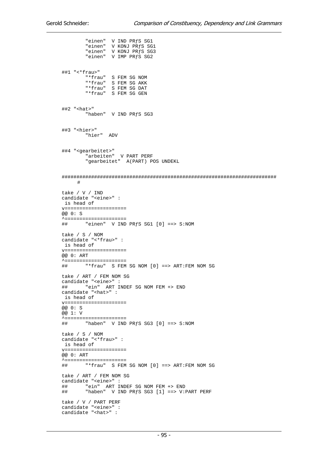"einen" V IND PRƒS SG1 "einen" V KONJ PRƒS SG1 "einen" V KONJ PRfS SG3 "einen" V IMP PRƒS SG2 ##1 "<\*frau>" "\*frau" S FEM SG NOM "\*frau" S FEM SG AKK "\*frau" S FEM SG DAT "\*frau" S FEM SG GEN ##2 "<hat>" "haben" V IND PRƒS SG3 ##3 "<hier>" "hier" ADV ##4 "<gearbeitet>" "arbeiten" V PART PERF "gearbeitet" A(PART) POS UNDEKL ######################################################################### # take / V / IND candidate "<eine>" : is head of v===================== @@ 0: S ^===================== "einen" V IND PR $fS$  SG1  $[0]$  ==> S:NOM take / S / NOM candidate "<\*frau>" : is head of v===================== @@ 0: ART ^===================== ## "\*frau" S FEM SG NOM [0] ==> ART:FEM NOM SG take / ART / FEM NOM SG candidate "<eine>" : ## "ein" ART INDEF SG NOM FEM +> END candidate "<hat>" : is head of v===================== @@ 0: S @@ 1: V ^===================== ## "haben" V IND PRƒS SG3 [0] ==> S:NOM take / S / NOM candidate "<\*frau>" : is head of v===================== @@ 0: ART ^===================== "\*frau" S FEM SG NOM [0] ==> ART:FEM NOM SG take / ART / FEM NOM SG candidate "<eine>" : ## "ein" ART INDEF SG NOM FEM +> END "haben" V IND PRfS SG3 [1] ==> V:PART PERF take / V / PART PERF candidate "<eine>" : candidate "<hat>" :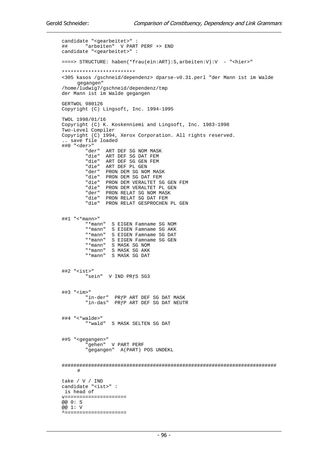```
candidate "<gearbeitet>" : 
       "arbeiten" V PART PERF +> END
candidate "<gearbeitet>" : 
====> STRUCTURE: haben(*frau(ein:ART):S,arbeiten:V):V - "<hier>" 
************************* 
<305 kasos /gschneid/dependenz> dparse-v0.31.perl "der Mann ist im Walde 
    gegangen" 
/home/ludwig7/gschneid/dependenz/tmp 
der Mann ist im Walde gegangen 
GERTWOL 980126 
Copyright (C) Lingsoft, Inc. 1994-1995 
TWOL 1998/01/16 
Copyright (C) K. Koskenniemi and Lingsoft, Inc. 1983-1998 
Two-Level Compiler 
Copyright (C) 1994, Xerox Corporation. All rights reserved. 
.. save file loaded 
##0 "<der>" 
        "der" ART DEF SG NOM MASK 
 "die" ART DEF SG DAT FEM 
 "die" ART DEF SG GEN FEM 
 "die" ART DEF PL GEN 
 "der" PRON DEM SG NOM MASK 
 "die" PRON DEM SG DAT FEM 
        "die" PRON DEM VERALTET SG GEN FEM 
 "die" PRON DEM VERALTET PL GEN 
 "der" PRON RELAT SG NOM MASK 
 "die" PRON RELAT SG DAT FEM 
        "die" PRON RELAT GESPROCHEN PL GEN 
##1 "<*mann>" 
 "*mann" S EIGEN Famname SG NOM 
 "*mann" S EIGEN Famname SG AKK 
 "*mann" S EIGEN Famname SG DAT 
 "*mann" S EIGEN Famname SG GEN 
 "*mann" S MASK SG NOM 
 "*mann" S MASK SG AKK 
 "*mann" S MASK SG DAT 
##2 "<ist>" 
        "sein" V IND PRƒS SG3 
##3 "<im>" 
 "in-der" PRƒP ART DEF SG DAT MASK 
 "in-das" PRƒP ART DEF SG DAT NEUTR 
##4 "<*walde>" 
        "*wald" S MASK SELTEN SG DAT 
##5 "<gegangen>" 
         "gehen" V PART PERF 
        "gegangen" A(PART) POS UNDEKL 
#########################################################################
     # 
take / V / IND 
candidate "<ist>" : 
 is head of 
v===================== 
@@ 0: S 
@@ 1: V 
^=====================
```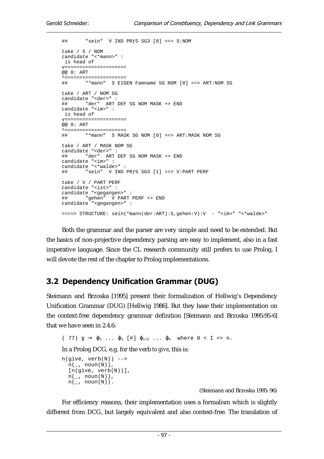```
## "sein" V IND PRƒS SG3 [0] ==> S:NOM 
take / S / NOM 
candidate "<*mann>" : 
 is head of 
v===================== 
@@ 0: ART 
^===================== 
## "*mann" S EIGEN Famname SG NOM [0] ==> ART:NOM SG 
take / ART / NOM SG 
candidate "<der>" : 
## "der" ART DEF SG NOM MASK +> END 
candidate "<im>" : 
 is head of 
v===================== 
@@ 0: ART 
^===================== 
## "*mann" S MASK SG NOM [0] ==> ART:MASK NOM SG 
take / ART / MASK NOM SG 
candidate "<der>" : 
## "der" ART DEF SG NOM MASK +> END 
candidate "<im>" : 
candidate "<*walde>" : 
## "sein" V IND PRƒS SG3 [1] ==> V:PART PERF 
take / V / PART PERF 
candidate "<ist>" : 
candidate "<gegangen>" : 
## "gehen" V PART PERF +> END 
candidate "<gegangen>" : 
====> STRUCTURE: sein(*mann(der:ART):S,gehen:V):V - "<im>" "<*walde>"
```
Both the grammar and the parser are very simple and need to be extended. But the basics of non-projective dependency parsing are easy to implement, also in a fast imperative language. Since the CL research community still prefers to use Prolog, I will devote the rest of the chapter to Prolog implementations.

# 3.2 Dependency Unification Grammar (DUG)

Steimann and Brzoska [1995] present their formalization of Hellwig's Dependency Unification Grammar (DUG) [Hellwig 1986]. But they base their implementation on the context-free dependency grammar definition [Steimann and Brzoska 1995:95-6] that we have seen in 2.4.6:

```
( 77) \chi \rightarrow \varphi_1 ... \varphi_i [#] \varphi_{i+2} ... \varphi_n where 0 < I \le n.
In a Prolog DCG, e.g. for the verb to give, this is: 
n(give, verb(N)) \longrightarrown(\_, \text{noun}(N)),
  [n(give, verb(N))],
  n(\_, \text{noun}(N)),
   n(\_, noun(N)).
```
(Steimann and Brzoska 1995: 96)

For efficiency reasons, their implementation uses a formalism which is slightly different from DCG, but largely equivalent and also context-free. The translation of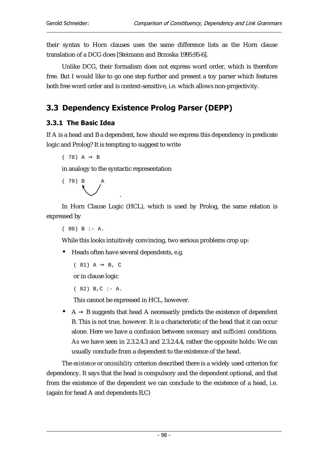their syntax to Horn clauses uses the same difference lists as the Horn clause translation of a DCG does [Steimann and Brzoska 1995:95-6].

Unlike DCG, their formalism does not express word order, which is therefore free. But I would like to go one step further and present a toy parser which features both free word order and is context-sensitive, i.e. which allows non-projectivity.

# 3.3 Dependency Existence Prolog Parser (DEPP)

#### 3.3.1 The Basic Idea

If A is a head and B a dependent, how should we express this dependency in predicate logic and Prolog? It is tempting to suggest to write

```
(78) A \rightarrow B
```
in analogy to the syntactic representation



In Horn Clause Logic (HCL), which is used by Prolog, the same relation is expressed by

 $(80) B : - A$ .

While this looks intuitively convincing, two serious problems crop up:

• Heads often have several dependents, e.g.

```
(81) A \rightarrow B, C
```
or in clause logic

```
(82) B,C : -A.
```
This cannot be expressed in HCL, however.

• A  $\rightarrow$  B suggests that head A necessarily predicts the existence of dependent B. This is not true, however. It is a characteristic of the head that it can occur alone. Here we have a confusion between *necessary* and *sufficient* conditions. As we have seen in 2.3.2.4.3 and 2.3.2.4.4, rather the opposite holds: We can usually conclude from a dependent to the existence of the head.

The *existence* or *omissibility* criterion described there is a widely used criterion for dependency. It says that the head is compulsory and the dependent optional, and that from the existence of the dependent we can conclude to the existence of a head, i.e. (again for head A and dependents B,C)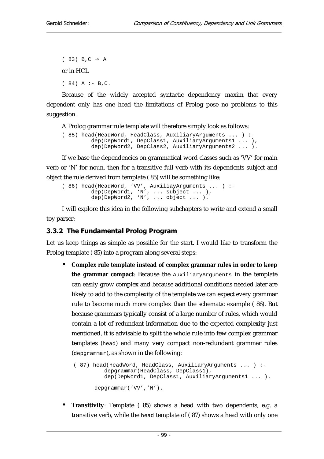```
(83) B, C \rightarrow A
or in HCL 
(84) A :- B, C.
```
Because of the widely accepted syntactic dependency maxim that every dependent only has one head the limitations of Prolog pose no problems to this suggestion.

A Prolog grammar rule template will therefore simply look as follows:

```
( 85) head(HeadWord, HeadClass, AuxiliaryArguments ... ) :- 
 dep(DepWord1, DepClass1, AuxiliaryArguments1 ... ), 
 dep(DepWord2, DepClass2, AuxiliaryArguments2 ... ).
```
If we base the dependencies on grammatical word classes such as 'VV' for main verb or 'N' for noun, then for a transitive full verb with its dependents subject and object the rule derived from template ( 85) will be something like:

```
( 86) head(HeadWord, 'VV', AuxiliayArguments ... ) :- 
 dep(DepWord1, 'N', ... subject ... ), 
 dep(DepWord2, 'N', ... object ... ).
```
I will explore this idea in the following subchapters to write and extend a small toy parser:

#### 3.3.2 The Fundamental Prolog Program

Let us keep things as simple as possible for the start. I would like to transform the Prolog template ( 85) into a program along several steps:

• **Complex rule template instead of complex grammar rules in order to keep the grammar compact**: Because the AuxiliaryArguments in the template can easily grow complex and because additional conditions needed later are likely to add to the complexity of the template we can expect every grammar rule to become much more complex than the schematic example ( 86). But because grammars typically consist of a large number of rules, which would contain a lot of redundant information due to the expected complexity just mentioned, it is advisable to split the whole rule into few complex grammar templates (head) and many very compact non-redundant grammar rules (depgrammar), as shown in the following:

```
 ( 87) head(HeadWord, HeadClass, AuxiliaryArguments ... ) :- 
         depgrammar(HeadClass, DepClass1),
          dep(DepWord1, DepClass1, AuxiliaryArguments1 ... ). 
       depgrammar('VV','N').
```
• **Transitivity**: Template ( 85) shows a head with two dependents, e.g. a transitive verb, while the head template of ( 87) shows a head with only one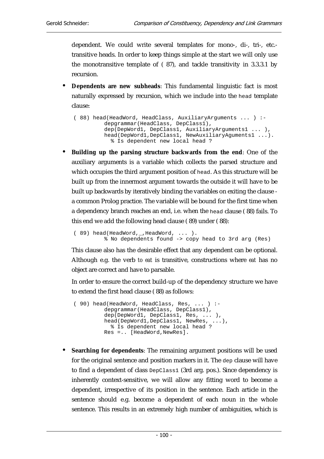dependent. We could write several templates for mono-, di-, tri-, etc. transitive heads. In order to keep things simple at the start we will only use the monotransitive template of ( 87), and tackle transitivity in 3.3.3.1 by recursion.

• **Dependents are new subheads**: This fundamental linguistic fact is most naturally expressed by recursion, which we include into the head template clause:

```
 ( 88) head(HeadWord, HeadClass, AuxiliaryArguments ... ) :- 
          depgrammar(HeadClass, DepClass1), 
          dep(DepWord1, DepClass1, AuxiliaryArguments1 ... ), 
          head(DepWord1,DepClass1, NewAuxiliaryAguments1 ...). 
             % Is dependent new local head ?
```
• **Building up the parsing structure backwards from the end**: One of the auxiliary arguments is a variable which collects the parsed structure and which occupies the third argument position of head. As this structure will be built up from the innermost argument towards the outside it will have to be built up backwards by iteratively binding the variables on exiting the clause a common Prolog practice. The variable will be bound for the first time when a dependency branch reaches an end, i.e. when the head clause ( 88) fails. To this end we add the following head clause ( 89) under ( 88):

```
 ( 89) head(HeadWord,_,HeadWord, ... ). 
          % No dependents found -> copy head to 3rd arg (Res)
```
This clause also has the desirable effect that any dependent can be optional. Although e.g. the verb *to eat* is transitive, constructions where *eat* has no object are correct and have to parsable.

In order to ensure the correct build-up of the dependency structure we have to extend the first head clause ( 88) as follows:

```
 ( 90) head(HeadWord, HeadClass, Res, ... ) :- 
            depgrammar(HeadClass, DepClass1), 
           dep(DepWord1, DepClass1, Res, ... ),
           dep(Depword1, Depcrass1, New, ...,,<br>head(DepWord1,DepClass1, NewRes, ...),
               % Is dependent new local head ? 
            Res =.. [HeadWord,NewRes].
```
• **Searching for dependents**: The remaining argument positions will be used for the original sentence and position markers in it. The dep clause will have to find a dependent of class DepClass1 (3rd arg. pos.). Since dependency is inherently context-sensitive, we will allow any fitting word to become a dependent, irrespective of its position in the sentence. Each article in the sentence should e.g. become a dependent of each noun in the whole sentence. This results in an extremely high number of ambiguities, which is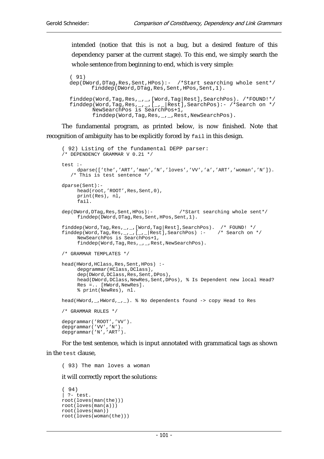intended (notice that this is not a bug, but a desired feature of this dependency parser at the current stage). To this end, we simply search the whole sentence from beginning to end, which is very simple:

```
( 91) 
dep(DWord,DTag,Res,Sent,HPos):- /*Start searching whole sent*/ 
       finddep(DWord,DTag,Res,Sent,HPos,Sent,1). 
finddep(Word,Tag,Res,_,_,[Word,Tag|Rest],SearchPos). /*FOUND!*/ 
finddep(Word,Tag,Res,_-,,[-,Rest],SearchPos):- /*Search on */
 NewSearchPos is SearchPos+1, 
       finddep(Word,Tag,Res,_,_,Rest,NewSearchPos).
```
The fundamental program, as printed below, is now finished. Note that recognition of ambiguity has to be explicitly forced by fail in this design.

```
( 92) Listing of the fundamental DEPP parser: 
/* DEPENDENCY GRAMMAR V 0.21 */ 
test :- 
     dparse(['the','ART','man','N','loves','VV','a','ART','woman','N']). 
    /* This is test sentence */ 
dparse(Sent):- 
     head(root,'ROOT',Res,Sent,0),
      print(Res), nl, 
      fail. 
dep(DWord,DTag,Res,Sent,HPos):- /*Start searching whole sent*/
       finddep(DWord,DTag,Res,Sent,HPos,Sent,1). 
finddep(Word,Tag,Res,_,_,[Word,Tag|Rest],SearchPos). /* FOUND! */<br>finddep(Word,Tag,Res,_,_,[_,_|Rest],SearchPos) :- /* Search on */
finddep(Word,Tag,Res,_{-,-},[,]Rest],SearchPos) :-
      NewSearchPos is SearchPos+1, 
      finddep(Word,Tag,Res,_,_,Rest,NewSearchPos).
/* GRAMMAR TEMPLATES */ 
head(HWord,HClass,Res,Sent,HPos) :- 
     depgrammar(HClass, DClass),
      dep(DWord,DClass,Res,Sent,DPos), 
      head(DWord,DClass,NewRes,Sent,DPos), % Is Dependent new local Head? 
      Res =.. [HWord,NewRes]. 
      % print(NewRes), nl. 
head(HWord,_,HWord,_,_). % No dependents found -> copy Head to Res 
/* GRAMMAR RULES */ 
depgrammar('ROOT','VV'). 
depgrammar('VV','N'). 
depgrammar('N','ART').
```
For the test sentence, which is input annotated with grammatical tags as shown in the test clause,

( 93) The man loves a woman

it will correctly report the solutions:

```
( 94) 
| ?- test. 
root(loves(man(the))) 
root(loves(man(a))) 
root(loves(man)) 
root(loves(woman(the)))
```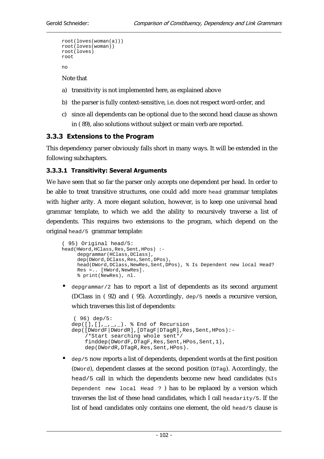```
root(loves(woman(a))) 
root(loves(woman)) 
root(loves) 
root 
no
```
Note that

- a) transitivity is not implemented here, as explained above
- b) the parser is fully context-sensitive, i.e. does not respect word-order, and
- c) since all dependents can be optional due to the second head clause as shown in ( 89), also solutions without subject or main verb are reported.

### 3.3.3 Extensions to the Program

This dependency parser obviously falls short in many ways. It will be extended in the following subchapters.

### 3.3.3.1 Transitivity: Several Arguments

We have seen that so far the parser only accepts one dependent per head. In order to be able to treat transitive structures, one could add more head grammar templates with higher arity. A more elegant solution, however, is to keep one universal head grammar template, to which we add the ability to recursively traverse a list of dependents. This requires two extensions to the program, which depend on the original head/5 grammar template:

```
( 95) Original head/5: 
head(HWord,HClass,Res,Sent,HPos) :- 
     depgrammar(HClass, DClass),
     dep(DWord,DClass,Res,Sent,DPos),
      head(DWord,DClass,NewRes,Sent,DPos), % Is Dependent new local Head? 
      Res =.. [HWord,NewRes]. 
      % print(NewRes), nl.
```
 $\deg$ rammar/2 has to report a list of dependents as its second argument (DClass in ( 92) and ( 95). Accordingly, dep/5 needs a recursive version, which traverses this list of dependents:

```
( 96) dep/5: 
dep([ ] , [ ] , _{-, -,-} ). % End of Recursion
dep([DWordF|DWordR],[DTagF|DTagR],Res,Sent,HPos):- 
      /*Start searching whole sent*/ 
     finddep(DWordF,DTagF,Res,Sent,HPos,Sent,1), 
     dep(DWordR,DTagR,Res,Sent,HPos).
```
• dep/5 now reports a list of dependents, dependent words at the first position (DWord), dependent classes at the second position (DTag). Accordingly, the head/5 call in which the dependents become new head candidates (%Is Dependent new local Head ? ) has to be replaced by a version which traverses the list of these head candidates, which I call headarity/5. If the list of head candidates only contains one element, the old head/5 clause is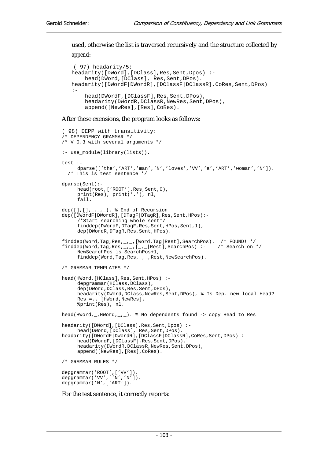# used, otherwise the list is traversed recursively and the structure collected by

#### *append*:

```
( 97) headarity/5: 
headarity([DWord],[DClass],Res,Sent,Dpos) :- 
     head(DWord,[DClass], Res,Sent,DPos). 
headarity([DWordF|DWordR],[DClassF|DClassR],CoRes,Sent,DPos) 
: - :
     head(DWordF,[DClassF],Res,Sent,DPos), 
    headarity(DWordR,DClassR,NewRes,Sent,DPos),
     append([NewRes],[Res],CoRes).
```
### After these exensions, the program looks as follows:

```
( 98) DEPP with transitivity: 
/* DEPENDENCY GRAMMAR */ 
/* V 0.3 with several arguments */ 
:- use_module(library(lists)). 
test :- 
     dparse(['the','ART','man','N','loves','VV','a','ART','woman','N']). 
   /* This is test sentence */ 
dparse(Sent):- 
      head(root,['ROOT'],Res,Sent,0), 
      print(Res), print('.'), nl, 
      fail. 
dep([],[],_,_,_). % End of Recursion
dep([DWordF|DWordR],[DTagF|DTagR],Res,Sent,HPos):- 
       /*Start searching whole sent*/ 
      finddep(DWordF,DTagF,Res,Sent,HPos,Sent,1), 
      dep(DWordR,DTagR,Res,Sent,HPos). 
finddep(Word,Tag,Res,_,_,[Word,Tag|Rest],SearchPos). /* FOUND! */<br>finddep(Word,Tag,Res,_,_,[_,_|Rest],SearchPos) :- /* Search on */
finddep(Word,Tag,Res,_{-,-},[-,-]Rest],SearchPos) :-
      NewSearchPos is SearchPos+1, 
     finddep(Word,Tag,Res,_,_,Rest,NewSearchPos).
/* GRAMMAR TEMPLATES */ 
head(HWord,[HClass],Res,Sent,HPos) :- 
     depgrammar(HClass, DClass),
     dep(DWord,DClass,Res,Sent,DPos),
      headarity(DWord,DClass,NewRes,Sent,DPos), % Is Dep. new local Head? 
      Res =.. [HWord,NewRes]. 
      %print(Res), nl. 
head(HWord,_,HWord,_,_). % No dependents found -> copy Head to Res 
headarity([DWord],[DClass],Res,Sent,Dpos) :- 
      head(DWord,[DClass], Res,Sent,DPos). 
headarity([DWordF|DWordR],[DClassF|DClassR],CoRes,Sent,DPos) :- 
      head(DWordF,[DClassF],Res,Sent,DPos), 
     headarity(DWordR,DClassR,NewRes,Sent,DPos),
      append([NewRes],[Res],CoRes). 
/* GRAMMAR RULES */depgrammar('ROOT',['VV']). 
depgrammar('VV',['N','N']).
depgrammar('N',['ART']).
```
For the test sentence, it correctly reports: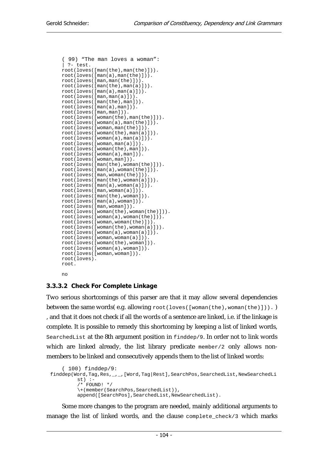```
( 99) "The man loves a woman": 
| ?- test. 
root(loves([man(the),man(the)])). 
root(loves([man(a),man(the)])). 
root(loves([man,man(the)])). 
root(loves([man(the),man(a)])). 
root(loves([man(a),man(a)])). 
root(loves([man,man(a)])). 
root(loves([man(the),man])). 
root(loves([man(a),man])). 
root(loves([man,man])). 
root(loves([woman(the),man(the)])). 
root(loves([woman(a),man(the)])). 
root(loves([woman,man(the)])). 
root(loves([woman(the),man(a)])). 
root(loves([woman(a),man(a)])). 
root(loves([woman,man(a)])). 
root(loves([woman(the),man])). 
root(loves([woman(a),man])). 
root(loves([woman,man])). 
root(loves([man(the),woman(the)])). 
root(loves([man(a),woman(the)])). 
root(loves([man,woman(the)])). 
root(loves([man(the),woman(a)])). 
root(loves([man(a),woman(a)])). 
root(loves([man,woman(a)])). 
root(loves([man(the),woman])). 
root(loves([man(a),woman])). 
root(loves([man,woman])). 
root(loves([woman(the),woman(the)])). 
root(loves([woman(a),woman(the)])). 
root(loves([woman,woman(the)])). 
root(loves([woman(the),woman(a)])). 
root(loves([woman(a),woman(a)])). 
root(loves([woman,woman(a)])). 
root(loves([woman(the),woman])). 
root(loves([woman(a),woman])). 
root(loves([woman,woman])). 
root(loves). 
root.
```
#### no

### 3.3.3.2 Check For Complete Linkage

Two serious shortcomings of this parser are that it may allow several dependencies between the same words(e.g. allowing  $root(loves([woman(the),woman(the))))$ . , and that it does not check if all the words of a sentence are linked, i.e. if the linkage is complete. It is possible to remedy this shortcoming by keeping a list of linked words, SearchedList at the 8th argument position in finddep/9. In order not to link words which are linked already, the list library predicate member/2 only allows nonmembers to be linked and consecutively appends them to the list of linked words:

```
( 100) finddep/9: 
finddep(Word,Tag,Res,_,_,[Word,Tag|Rest],SearchPos,SearchedList,NewSearchedLi
         st) :-
          /* FOUND! */ 
          \+(member(SearchPos,SearchedList)), 
         append([SearchPos],SearchedList,NewSearchedList).
```
Some more changes to the program are needed, mainly additional arguments to manage the list of linked words, and the clause complete check/3 which marks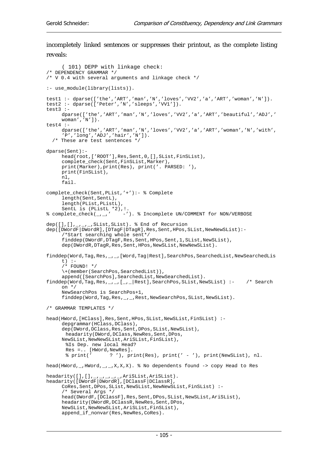incompletely linked sentences or suppresses their printout, as the complete listing reveals:

```
( 101) DEPP with linkage check: 
/* DEPENDENCY GRAMMAR */ 
/* V 0.4 with several arguments and linkage check */ 
:- use_module(library(lists)). 
test1 :- dparse(['the','ART','man','N','loves','VV2','a','ART','woman','N']). 
test2 :- dparse(['Peter','N','sleeps','VV1']). 
test3 : -dparse(['the','ART','man','N','loves','VV2','a','ART','beautiful','ADJ','
     woman','N']). 
test4 :- 
     dparse(['the','ART','man','N','loves','VV2','a','ART','woman','N','with',
     'P','long','ADJ','hair','N']). 
   /* These are test sentences */ 
dparse(Sent):- 
      head(root,['ROOT'],Res,Sent,0,[],SList,FinSList), 
      complete_check(Sent,FinSList,Marker), 
      print(Marker),print(Res), print('. PARSED: '), 
      print(FinSList), 
      nl, 
      fail. 
complete check(Sent, PList, '+'):- % Complete
      length(Sent,SentL), 
      length(PList,PListL), 
SentL is (PlistL *2), \cdot<br> * complete_check(_,_,' -'
                           -'). % Incomplete UN/COMMENT for NON/VERBOSE
dep([],[],_,_,_,SList,SList). % End of Recursion
dep([DWordF|DWordR],[DTagF|DTagR],Res,Sent,HPos,SList,NewNewSList):- 
       /*Start searching whole sent*/ 
     finddep(DWordF,DTagF,Res,Sent,HPos,Sent,1,SList,NewSList),
     dep(DWordR, DTagR, Res, Sent, HPos, NewSList, NewNewSList).
finddep(Word,Tag,Res,_,_,[Word,Tag|Rest],SearchPos,SearchedList,NewSearchedLis
     t) :- 
     /* FOUND! */
      \+(member(SearchPos,SearchedList)), 
     append([SearchPos],SearchedList,NewSearchedList).
finddep(Word,Tag,Res,_,_,[_,_|Rest],SearchPos,SList,NewSList) :- /* Search 
     on */ 
      NewSearchPos is SearchPos+1, 
     finddep(Word,Tag,Res,_,_,Rest,NewSearchPos,SList,NewSList).
/* GRAMMAR TEMPLATES */ 
head(HWord,[HClass],Res,Sent,HPos,SList,NewSList,FinSList) :- 
     depgrammar(HClass, DClass),
     dep(DWord,DClass,Res,Sent,DPos,SList,NewSList),
      headarity(DWord, DClass, NewRes, Sent, DPos,
     NewSList,NewNewSList,AriSList,FinSList), 
        %Is Dep. new local Head? 
      Res =.. [HWord, NewRes].<br>% print(' ?'). pr
                      ? '), print(Res), print(' - '), print(NewSList), nl.
head(HWord, _,HWord, _, _,X,X,X). % No dependents found -> copy Head to Res
headarity([],[],_,_,_,_,_,AriSList,AriSList). 
headarity([DWordF|DWordR],[DClassF|DClassR], 
     CoRes, Sent, DPos, SList, NewSList, NewNewSList, FinSList) :-
      /* Several Args */ 
      head(DWordF,[DClassF],Res,Sent,DPos,SList,NewSList,AriSList), 
     headarity(DWordR,DClassR,NewRes,Sent,DPos,
     NewSList,NewNewSList,AriSList,FinSList), 
      append_if_nonvar(Res,NewRes,CoRes).
```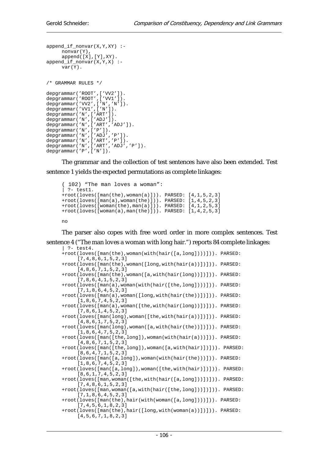```
append_if_nonvar(X,Y,XY) :- 
      nonvar(Y), 
      append([X],[Y],XY). 
append_if_nonvar(X,Y,X) :- 
      var(Y). 
/* GRAMMAR RULES */ 
depgrammar('ROOT',['VV2']). 
depgrammar('ROOT', ['VV1']).
depgrammar('VV2',['N','N']).
depgrammar('VV1',['N']). 
depgrammar('N',['ART']). 
depgrammar('N',['ADJ']). 
depgrammar('N',['ART','ADJ']). 
depgrammar('N',['P']). 
depgrammar('N',['ADJ','P']).
depgrammar('N',['ART','P']). 
depgrammar('N',['ART','ADJ','P']). 
depgrammar('P',['N']).
```
The grammar and the collection of test sentences have also been extended. Test sentence 1 yields the expected permutations as complete linkages:

```
( 102) "The man loves a woman": 
| ?- test1. 
+root(loves([man(the),woman(a)])). PARSED: [4,1,5,2,3]
+root(loves([man(a),woman(the)])). PARSED: [1,4,5,2,3] 
+root(loves([woman(the),man(a)])). PARSED: [4,1,2,5,3] 
+root(loves([woman(a),man(the)])). PARSED: [1,4,2,5,3]
```
no

The parser also copes with free word order in more complex sentences. Test sentence 4 ("The man loves a woman with long hair.") reports 84 complete linkages: | ?- test4.

```
+root(loves([man(the),woman(with(hair([a,long])))])). PARSED: 
     [7,4,8,6,1,5,2,3]+root(loves([man(the),woman([long,with(hair(a))])])). PARSED: 
     [4,8,6,7,1,5,2,3] 
+root(loves([man(the),woman([a,with(hair(long))])])). PARSED: 
     [7,8,6,4,1,5,2,3] 
+root(loves([man(a),woman(with(hair([the,long])))])). PARSED: 
     [7,1,8,6,4,5,2,3] 
+root(loves([man(a),woman([long,with(hair(the))])])). PARSED: 
     [1,8,6,7,4,5,2,3] 
+root(loves([man(a),woman([the,with(hair(long))])])). PARSED: 
     [7,8,6,1,4,5,2,3] 
+root(loves([man(long),woman([the,with(hair(a))])])). PARSED: 
     [4,8,6,1,7,5,2,3] 
+root(loves([man(long),woman([a,with(hair(the))])])). PARSED: 
     [1,8,6,4,7,5,2,3] 
+root(loves([man([the,long]),woman(with(hair(a)))])). PARSED: 
     [4,8,6,7,1,5,2,3] 
+root(loves([man([the,long]),woman([a,with(hair)])])). PARSED: 
     [8,6,4,7,1,5,2,3] 
+root(loves([man([a,long]),woman(with(hair(the)))])). PARSED: 
     [1,8,6,7,4,5,2,3] 
+root(loves([man([a,long]),woman([the,with(hair)])])). PARSED: 
     [8,6,1,7,4,5,2,3] 
+root(loves([man,woman([the,with(hair([a,long]))])])). PARSED: 
     [7,4,8,6,1,5,2,3]+root(loves([man,woman([a,with(hair([the,long]))])])). PARSED: 
     [7,1,8,6,4,5,2,3] 
+root(loves([man(the),hair(with(woman([a,long])))])). PARSED: 
     [7,4,5,6,1,8,2,3] 
+root(loves([man(the),hair([long,with(woman(a))])])). PARSED: 
     [4,5,6,7,1,8,2,3]
```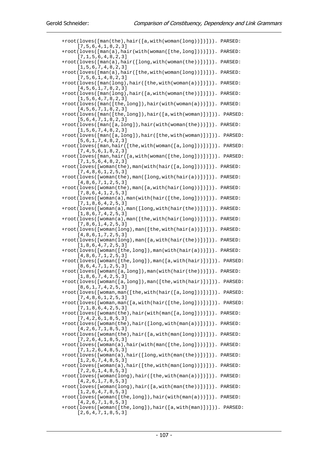+root(loves([man(the),hair([a,with(woman(long))])])). PARSED: [7,5,6,4,1,8,2,3] +root(loves([man(a),hair(with(woman([the,long])))])). PARSED: [7,1,5,6,4,8,2,3] +root(loves([man(a),hair([long,with(woman(the))])])). PARSED: [1,5,6,7,4,8,2,3] +root(loves([man(a),hair([the,with(woman(long))])])). PARSED: [7,5,6,1,4,8,2,3] +root(loves([man(long),hair([the,with(woman(a))])])). PARSED: [4,5,6,1,7,8,2,3] +root(loves([man(long),hair([a,with(woman(the))])])). PARSED: [1,5,6,4,7,8,2,3] +root(loves([man([the,long]),hair(with(woman(a)))])). PARSED: [4,5,6,7,1,8,2,3] +root(loves([man([the,long]),hair([a,with(woman)])])). PARSED: [5,6,4,7,1,8,2,3] +root(loves([man([a,long]),hair(with(woman(the)))])). PARSED: [1,5,6,7,4,8,2,3] +root(loves([man([a,long]),hair([the,with(woman)])])). PARSED: [5,6,1,7,4,8,2,3] +root(loves([man,hair([the,with(woman([a,long]))])])). PARSED: [7,4,5,6,1,8,2,3] +root(loves([man,hair([a,with(woman([the,long]))])])). PARSED: [7,1,5,6,4,8,2,3] +root(loves([woman(the),man(with(hair([a,long])))])). PARSED: [7,4,8,6,1,2,5,3] +root(loves([woman(the),man([long,with(hair(a))])])). PARSED: [4,8,6,7,1,2,5,3] +root(loves([woman(the),man([a,with(hair(long))])])). PARSED: [7,8,6,4,1,2,5,3] +root(loves([woman(a),man(with(hair([the,long])))])). PARSED: [7,1,8,6,4,2,5,3] +root(loves([woman(a),man([long,with(hair(the))])])). PARSED: [1,8,6,7,4,2,5,3] +root(loves([woman(a),man([the,with(hair(long))])])). PARSED: [7,8,6,1,4,2,5,3] +root(loves([woman(long),man([the,with(hair(a))])])). PARSED: [4,8,6,1,7,2,5,3] +root(loves([woman(long),man([a,with(hair(the))])])). PARSED: [1,8,6,4,7,2,5,3] +root(loves([woman([the,long]),man(with(hair(a)))])). PARSED: [4,8,6,7,1,2,5,3] +root(loves([woman([the,long]),man([a,with(hair)])])). PARSED: [8,6,4,7,1,2,5,3] +root(loves([woman([a,long]),man(with(hair(the)))])). PARSED: [1,8,6,7,4,2,5,3] +root(loves([woman([a,long]),man([the,with(hair)])])). PARSED: [8,6,1,7,4,2,5,3] +root(loves([woman,man([the,with(hair([a,long]))])])). PARSED: [7,4,8,6,1,2,5,3] +root(loves([woman,man([a,with(hair([the,long]))])])). PARSED: [7,1,8,6,4,2,5,3] +root(loves([woman(the),hair(with(man([a,long])))])). PARSED: [7,4,2,6,1,8,5,3] +root(loves([woman(the),hair([long,with(man(a))])])). PARSED: [4,2,6,7,1,8,5,3] +root(loves([woman(the),hair([a,with(man(long))])])). PARSED: [7,2,6,4,1,8,5,3] +root(loves([woman(a),hair(with(man([the,long])))])). PARSED: [7,1,2,6,4,8,5,3] +root(loves([woman(a),hair([long,with(man(the))])])). PARSED: [1,2,6,7,4,8,5,3] +root(loves([woman(a),hair([the,with(man(long))])])). PARSED: [7,2,6,1,4,8,5,3] +root(loves([woman(long),hair([the,with(man(a))])])). PARSED: [4,2,6,1,7,8,5,3] +root(loves([woman(long),hair([a,with(man(the))])])). PARSED: [1,2,6,4,7,8,5,3] +root(loves([woman([the,long]),hair(with(man(a)))])). PARSED: [4,2,6,7,1,8,5,3] +root(loves([woman([the,long]),hair([a,with(man)])])). PARSED: [2,6,4,7,1,8,5,3]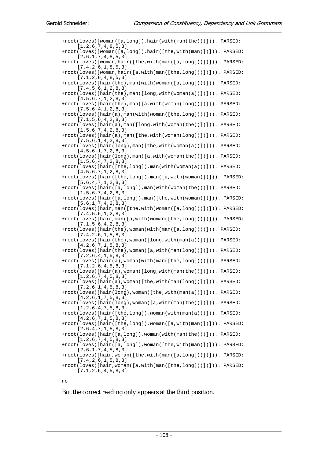|  | +root(loves([woman([a,long]),hair(with(man(the)))])). PARSED:<br>[1, 2, 6, 7, 4, 8, 5, 3]                              |
|--|------------------------------------------------------------------------------------------------------------------------|
|  | +root(loves([woman([a,long]),hair([the,with(man)])])). PARSED:<br>[2,6,1,7,4,8,5,3]                                    |
|  | +root(loves([woman,hair([the,with(man([a,long]))])])). PARSED:<br>[7, 4, 2, 6, 1, 8, 5, 3]                             |
|  | +root(loves([woman,hair([a,with(man([the,long]))])])). PARSED:<br>[7, 1, 2, 6, 4, 8, 5, 3]                             |
|  | +root(loves([hair(the),man(with(woman([a,long])))])). PARSED:<br>[7, 4, 5, 6, 1, 2, 8, 3]                              |
|  | +root(loves([hair(the),man([long,with(woman(a))])])). PARSED:<br>[4,5,6,7,1,2,8,3]                                     |
|  | +root(loves([hair(the),man([a,with(woman(long))])])). PARSED:<br>[7, 5, 6, 4, 1, 2, 8, 3]                              |
|  | $+root(loves([hair(a), man(with(woman([the, long)])))).$<br>PARSED:                                                    |
|  | [7, 1, 5, 6, 4, 2, 8, 3]<br>+root(loves([hair(a),man([long,with(woman(the))])])). PARSED:                              |
|  | [1, 5, 6, 7, 4, 2, 8, 3]<br>+root(loves([hair(a), man([the, with(woman(long))])])). PARSED:                            |
|  | [7, 5, 6, 1, 4, 2, 8, 3]<br>+root(loves([hair(long), man([the, with(woman(a))])])). PARSED:                            |
|  | [4,5,6,1,7,2,8,3]<br>+root(loves([hair(long),man([a,with(woman(the))])])). PARSED:                                     |
|  | [1, 5, 6, 4, 7, 2, 8, 3]<br>$+root(loves([hair([the, long]), man(with(woman(a)))])).$ PARSED:                          |
|  | [4,5,6,7,1,2,8,3]<br>+root(loves([hair([the,long]),man([a,with(woman)])])). PARSED:                                    |
|  | [5, 6, 4, 7, 1, 2, 8, 3]<br>+root(loves([hair([a,long]), man(with(woman(the)))])). PARSED:                             |
|  | [1, 5, 6, 7, 4, 2, 8, 3]<br>$+root(loves([hair([a, long]), man([the, with(woman)])))$ . PARSED:                        |
|  | [5, 6, 1, 7, 4, 2, 8, 3]<br>+root(loves([hair,man([the,with(woman([a,long]))])])). PARSED:                             |
|  | [7, 4, 5, 6, 1, 2, 8, 3]<br>+root(loves([hair,man([a,with(woman([the,long]))])])). PARSED:                             |
|  | [7, 1, 5, 6, 4, 2, 8, 3]<br>+root(loves([hair(the),woman(with(man([a,long])))])). PARSED:                              |
|  | [7, 4, 2, 6, 1, 5, 8, 3]<br>+root(loves([hair(the),woman([long,with(man(a))])])). PARSED:                              |
|  | [4, 2, 6, 7, 1, 5, 8, 3]<br>$+root(loves([hair(the), woman([a, with(max(long)))]))$ .<br>PARSED:                       |
|  | [7, 2, 6, 4, 1, 5, 8, 3]<br>+root(loves([hair(a), woman(with(man([the,long])))])). PARSED:                             |
|  | [7, 1, 2, 6, 4, 5, 8, 3]<br>+root(loves([hair(a),woman([long,with(man(the))])])). PARSED:                              |
|  | [1, 2, 6, 7, 4, 5, 8, 3]<br>+root(loves([hair(a),woman([the,with(man(long))])])). PARSED:                              |
|  | [7, 2, 6, 1, 4, 5, 8, 3]<br>+root(loves([hair(long), woman([the, with(man(a))])])). PARSED:                            |
|  | [4, 2, 6, 1, 7, 5, 8, 3]<br>+root(loves([hair(long), woman([a, with(man(the))])])). PARSED:                            |
|  | [1, 2, 6, 4, 7, 5, 8, 3]<br>+root(loves([hair([the,long]), woman(with(man(a)))])). PARSED:                             |
|  | [4, 2, 6, 7, 1, 5, 8, 3]<br>+root(loves([hair([the,long]),woman([a,with(man)])])). PARSED:<br>[2, 6, 4, 7, 1, 5, 8, 3] |
|  | $+root(loves([hair([a, long]), woman(withman(the))))$ . PARSED:<br>[1, 2, 6, 7, 4, 5, 8, 3]                            |
|  | $+root(loves([hair([a, long]), woman([the, with(max)))]))$ . PARSED:<br>[2,6,1,7,4,5,8,3]                              |
|  | $+root (loves([hair, woman([the, with(max([a, long)])))])).$ PARSED:<br>[7, 4, 2, 6, 1, 5, 8, 3]                       |
|  | +root(loves([hair,woman([a,with(man([the,long]))])])). PARSED:<br>[7, 1, 2, 6, 4, 5, 8, 3]                             |
|  |                                                                                                                        |

no

But the correct reading only appears at the third position.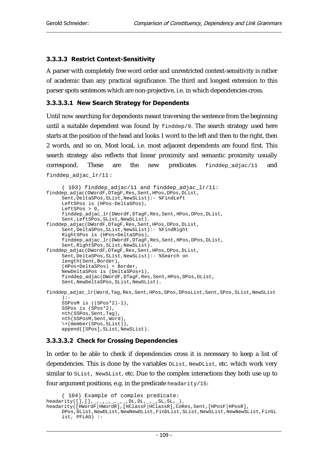### 3.3.3.3 Restrict Context-Sensitivity

A parser with completely free word order and unrestricted context-sensitivity is rather of academic than any practical significance. The third and longest extension to this parser spots sentences which are non-projective, i.e. in which dependencies cross.

### 3.3.3.3.1 New Search Strategy for Dependents

Until now searching for dependents meant traversing the sentence from the beginning until a suitable dependent was found by finddep/9. The search strategy used here starts at the position of the head and looks 1 word to the left and then to the right, then 2 words, and so on. Most local, i.e. most adjacent dependents are found first. This search strategy also reflects that linear proximity and semantic proximity usually correspond. These are the new predicates  $f$ inddep adjac/11 and finddep\_adjac\_lr/11 :

```
( 103) finddep_adjac/11 and finddep_adjac_lr/11: 
finddep_adjac(DWordF,DTagF,Res,Sent,HPos,DPos,DList, 
     Sent,DeltaSPos,SList,NewSList):- %FindLeft 
      LeftSPos is (HPos-DeltaSPos), 
     LeftSPos > 0.
     finddep_adjac_lr(DWordF,DTagF,Res,Sent,HPos,DPos,DList,
     Sent, LeftSPos, SList, NewSList).
finddep_adjac(DWordF,DTagF,Res,Sent,HPos,DPos,DList, 
     Sent,DeltaSPos,SList,NewSList):- %FindRight 
      RightSPos is (HPos+DeltaSPos), 
      finddep_adjac_lr(DWordF,DTagF,Res,Sent,HPos,DPos,DList, 
     Sent,RightSPos,SList,NewSList). 
finddep_adjac(DWordF,DTagF,Res,Sent,HPos,DPos,DList, 
     Sent, DeltaSPos, SList, NewSList): - %Search on
     length(Sent,Border),
      (HPos+DeltaSPos) < Border, 
      NewDeltaSPos is (DeltaSPos+1), 
      finddep_adjac(DWordF,DTagF,Res,Sent,HPos,DPos,DList, 
     Sent,NewDeltaSPos,SList,NewSList). 
finddep_adjac_lr(Word,Tag,Res,Sent,HPos,SPos,DPosList,Sent,SPos,SList,NewSList
     ):- 
      SSPosM is ((SPos*2)-1), 
      SSPos is (SPos*2), 
      nth(SSPos,Sent,Tag), 
      nth(SSPosM,Sent,Word), 
      \+(member(SPos,SList)), 
      append([SPos],SList,NewSList).
```
### 3.3.3.3.2 Check for Crossing Dependencies

In order to be able to check if dependencies cross it is necessary to keep a list of dependencies. This is done by the variables DList, NewDList, etc. which work very similar to SList, NewSList, etc. Due to the complex interactions they both use up to four argument positions, e.g. in the predicate headarity/15:

```
( 104) Example of complex predicate: 
headarity([],[],_,_,_,_,_,_,DL,DL,_,_,SL,SL,_).
headarity([HWordF|HWordR],[HClassF|HClassR],CoRes,Sent,[HPosF|HPosR], 
    DPos, DList, NewDList, NewNewDList, FinDList, SList, NewSList, NewNewSList, FinSL
     ist, PFLAG) :-
```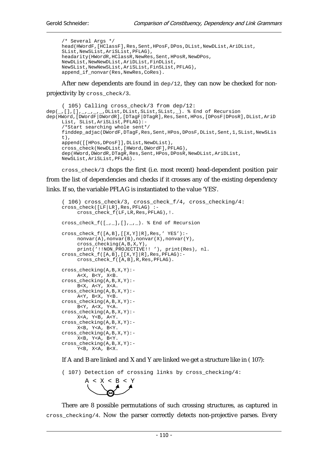/\* Several Args \*/ head(HWordF,[HClassF],Res,Sent,HPosF,DPos,DList,NewDList,AriDList, SList,NewSList,AriSList,PFLAG), headarity(HWordR,HClassR,NewRes,Sent,HPosR,NewDPos, NewDList,NewNewDList,AriDList,FinDList, NewSList,NewNewSList,AriSList,FinSList,PFLAG), append\_if\_nonvar(Res,NewRes,CoRes).

After new dependents are found in  $\text{dep}/12$ , they can now be checked for non-

projectivity by cross\_check/3.

```
( 105) Calling cross_check/3 from dep/12: 
dep(, [], [], _{-1}, _{-1}, DList, DList, SList, SList, ). % End of Recursion
dep(HWord,[DWordF|DWordR],[DTagF|DTagR],Res,Sent,HPos,[DPosF|DPosR],DList,AriD
     List, SList,AriSList,PFLAG):- 
      /*Start searching whole sent*/ 
      finddep_adjac(DWordF,DTagF,Res,Sent,HPos,DPosF,DList,Sent,1,SList,NewSLis
     t).
      append([[HPos,DPosF]],DList,NewDList), 
      cross_check(NewDList,[HWord,DWordF],PFLAG), 
      dep(HWord,DWordR,DTagR,Res,Sent,HPos,DPosR,NewDList,AriDList, 
     NewSList,AriSList,PFLAG).
```
cross\_check/3 chops the first (i.e. most recent) head-dependent position pair from the list of dependencies and checks if it crosses any of the existing dependency links. If so, the variable PFLAG is instantiated to the value 'YES'.

```
( 106) cross_check/3, cross_check_f/4, cross_checking/4: 
cross_check([LF|LR],Res,PFLAG) :- 
     cross_check_f(LF,LR,Res,PFLAG), !.
cross_check_f([, ], [], ], ], ], ]). \ End of Recursion
cross\_check_f([A,B],[[X,Y]\vert R],Res,''YES'):- nonvar(A),nonvar(B),nonvar(X),nonvar(Y), 
      cross_checking(A,B,X,Y), 
      print('!!NON_PROJECTIVE!! '), print(Res), nl. 
cross\_check_f([A,B],[[X,Y]\vert R],Res,PFLAG):- cross_check_f([A,B],R,Res,PFLAG). 
cross_checking(A,B,X,Y):- 
      A<X, B<Y, X<B. 
cross_checking(A,B,X,Y):- 
      B<X, A<Y, X<A. 
cross_checking(A,B,X,Y):- 
      A<Y, B<X, Y<B. 
cross_checking(A,B,X,Y):- 
      B<Y, A<X, Y<A. 
cross_checking(A,B,X,Y):- 
      X<A, Y<B, A<Y. 
cross_checking(A,B,X,Y):- 
     X\texttt{<}B , Y\texttt{<}A , B\texttt{<}Y .
cross\_checking(A,B,X,Y):-X < B, Y < A, B < Y.
cross_checking(A,B,X,Y):- 
     Y < B, X < A, B < X.
```
If A and B are linked and X and Y are linked we get a structure like in ( 107):

( 107) Detection of crossing links by cross\_checking/4:



There are 8 possible permutations of such crossing structures, as captured in cross\_checking/4. Now the parser correctly detects non-projective parses. Every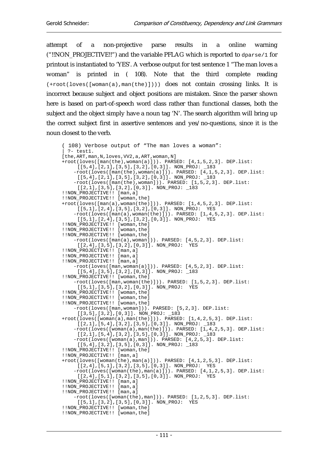attempt of a non-projective parse results in a online warning ("!!NON\_PROJECTIVE!!") and the variable PFLAG which is reported to  $d_{\text{parse/1}}$  for printout is instantiated to 'YES'. A verbose output for test sentence 1 "The man loves a woman" is printed in ( 108). Note that the third complete reading (+root(loves([woman(a),man(the)]))) does not contain crossing links. It is incorrect because subject and object positions are mistaken. Since the parser shown here is based on part-of-speech word class rather than functional classes, both the subject and the object simply have a noun tag 'N'. The search algorithm will bring up the correct subject first in assertive sentences and yes/no-questions, since it is the noun closest to the verb.

```
( 108) Verbose output of "The man loves a woman": 
  ? - test1.[the,ART,man,N,loves,VV2,a,ART,woman,N]
+root(loves([man(the),woman(a)])). PARSED: [4,1,5,2,3]. DEP.list: 
     [[5,4],[2,1],[3,5],[3,2],[0,3]]. NON_PROJ: _183 
     -root(loves([man(the),woman(a)])). PARSED: [4,1,5,2,3]. DEP.list: 
     [[5,4],[2,1],[3,5],[3,2],[0,3]]. NON_PROJ: _183 
     -root(loves([man(the),woman])). PARSED: [1,5,2,3]. DEP.list: 
     [[2,1],[3,5],[3,2],[0,3]]. NON_PROJ: _183 
!!NON_PROJECTIVE!! [man,a] 
!!NON_PROJECTIVE!! [woman,the] 
+root(loves([man(a),woman(the)])). PARSED: [1,4,5,2,3]. DEP.list: 
     [[5,1],[2,4],[3,5],[3,2],[0,3]]. NON_PROJ: YES
     -root(loves([man(a),woman(the)])). PARSED: [1,4,5,2,3]. DEP.list: 
     [[5,1],[2,4],[3,5],[3,2],[0,3]]. NON_PROJ: YES 
!!NON_PROJECTIVE!! [woman,the] 
!!NON_PROJECTIVE!! [woman,the] 
!!NON_PROJECTIVE!! [woman,the] 
     -root(loves([man(a),woman])). PARSED: [4,5,2,3]. DEP.list: 
     [[2,4],[3,5],[3,2],[0,3]]. NON_PROJ: YES 
!!NON_PROJECTIVE!! [man,a] 
!!NON PROJECTIVE!! [man,a]
!!NON_PROJECTIVE!! [man,a] 
     -root(loves([man,woman(a)])). PARSED: [4,5,2,3]. DEP.list: 
     [[5,4],[3,5],[3,2],[0,3]]. NON_PROJ: _183 
!!NON_PROJECTIVE!! [woman,the] 
     -root(loves([man,woman(the)])). PARSED: [1,5,2,3]. DEP.list: 
     [[5,1],[3,5],[3,2],[0,3]]. NON_PROJ: YES 
!!NON PROJECTIVE!! [woman,the]
!!NON_PROJECTIVE!! [woman,the] 
!!NON PROJECTIVE!! [woman,the]
     -root(loves([man,woman])). PARSED: [5,2,3]. DEP.list: 
     [[3,5],[3,2],[0,3]]. NON_PROJ: _183 
+root(loves([woman(a),man(the)])). PARSED: [1,4,2,5,3]. DEP.list: 
     [[2,1],[5,4],[3,2],[3,5],[0,3]]. NON_PROJ: _183 
     -root(loves([woman(a),man(the)])). PARSED: [1,4,2,5,3]. DEP.list: 
     [[2,1],[5,4],[3,2],[3,5],[0,3]]. NON_PROJ: _183 
     -root(loves([woman(a),man])). PARSED: [4,2,5,3]. DEP.list: 
     [[5,4],[3,2],[3,5],[0,3]]. NON_PROJ: _183 
!!NON_PROJECTIVE!! [woman,the] 
!!NON_PROJECTIVE!! [man,a] 
+root(loves([woman(the),man(a)])). PARSED: [4,1,2,5,3]. DEP.list: 
     [2,4], [5,1], [3,2], [3,5], [0,3]]. NON_PROJ: YES
     -root(loves([woman(the),man(a)])). PARSED: [4,1,2,5,3]. DEP.list: 
     [[2,4],[5,1],[3,2],[3,5],[0,3]]. NON_PROJ: YES 
!!NON PROJECTIVE!! [man,a]
!!NON_PROJECTIVE!! [man,a] 
!!NON_PROJECTIVE!! [man,a] 
     -root(loves([woman(the),man])). PARSED: [1,2,5,3]. DEP.list: 
     [[5,1],[3,2],[3,5],[0,3]]. NON_PROJ: YES 
!!NON_PROJECTIVE!! [woman,the] 
!!NON_PROJECTIVE!! [woman,the]
```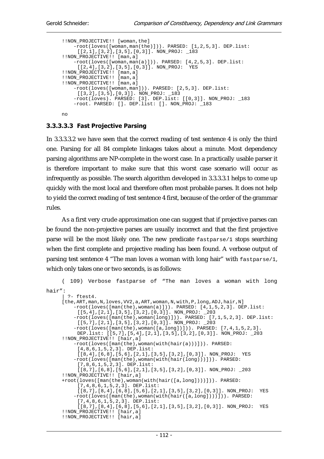```
!!NON PROJECTIVE!! [woman,the]
     -root(loves([woman,man(the)])). PARSED: [1,2,5,3]. DEP.list: 
     [[2,1],[3,2],[3,5],[0,3]]. NON_PROJ: _183 
!!NON_PROJECTIVE!! [man,a] 
     -root(loves([woman,man(a)])). PARSED: [4,2,5,3]. DEP.list: 
     [[2,4],[3,2],[3,5],[0,3]]. NON_PROJ: YES 
!!NON PROJECTIVE!! [man,a]
!!NON_PROJECTIVE!! [man,a] 
!!NON_PROJECTIVE!! [man,a] 
     -root(loves([woman,man])). PARSED: [2,5,3]. DEP.list: 
    [[3,2],[3,5],[0,3]]. NON_PROJ: _183 
     -root(loves). PARSED: [3]. DEP.list: [[0,3]]. NON_PROJ: _183 
     -root. PARSED: []. DEP.list: []. NON_PROJ: _183 
no
```
### 3.3.3.3.3 Fast Projective Parsing

In 3.3.3.3.2 we have seen that the correct reading of test sentence 4 is only the third one. Parsing for all 84 complete linkages takes about a minute. Most dependency parsing algorithms are NP-complete in the worst case. In a practically usable parser it is therefore important to make sure that this worst case scenario will occur as infrequently as possible. The search algorithm developed in 3.3.3.3.1 helps to come up quickly with the most local and therefore often most probable parses. It does not help to yield the correct reading of test sentence 4 first, because of the order of the grammar rules.

As a first very crude approximation one can suggest that if projective parses can be found the non-projective parses are usually incorrect and that the first projective parse will be the most likely one. The new predicate fastparse/1 stops searching when the first complete and projective reading has been found. A verbose output of parsing test sentence 4 "The man loves a woman with long hair" with fastparse/1, which only takes one or two seconds, is as follows:

```
( 109) Verbose fastparse of "The man loves a woman with long 
hair": 
      | ?- ftest4. 
     [the,ART,man,N,loves,VV2,a,ART,woman,N,with,P,long,ADJ,hair,N] 
          -root(loves([man(the),woman(a)])). PARSED: [4,1,5,2,3]. DEP.list: 
          [[5,4],[2,1],[3,5],[3,2],[0,3]]. NON_PROJ: _203 
          -root(loves([man(the),woman(long)])). PARSED: [7,1,5,2,3]. DEP.list: 
          [[5,7],[2,1],[3,5],[3,2],[0,3]]. NON_PROJ: _203 
          -root(loves([man(the),woman([a,long])])). PARSED: [7,4,1,5,2,3]. 
          DEP.list: [[5,7],[5,4],[2,1],[3,5],[3,2],[0,3]]. NON_PROJ: _203 
     !!NON_PROJECTIVE!! [hair,a] 
          -root(loves([man(the),woman(with(hair(a)))])). PARSED: 
          [4,8,6,1,5,2,3]. DEP.list: 
          [[8,4],[6,8],[5,6],[2,1],[3,5],[3,2],[0,3]]. NON_PROJ: YES 
          -root(loves([man(the),woman(with(hair(long)))])). PARSED: 
          [7,8,6,1,5,2,3]. DEP.list: 
           [[8,7],[6,8],[5,6],[2,1],[3,5],[3,2],[0,3]]. NON_PROJ: _203 
     !!NON_PROJECTIVE!! [hair,a] 
     +root(loves([man(the),woman(with(hair([a,long])))])). PARSED: 
           [7,4,8,6,1,5,2,3]. DEP.list: 
          [[8,7],[8,4],[6,8],[5,6],[2,1],[3,5],[3,2],[0,3]]. NON_PROJ: YES 
          -root(loves([man(the),woman(with(hair([a,long])))])). PARSED: 
          [7,4,8,6,1,5,2,3]. DEP.list: 
          [[8,7],[8,4],[6,8],[5,6],[2,1],[3,5],[3,2],[0,3]]. NON_PROJ: YES 
     !!NON_PROJECTIVE!! [hair,a] 
     !!NON_PROJECTIVE!! [hair,a]
```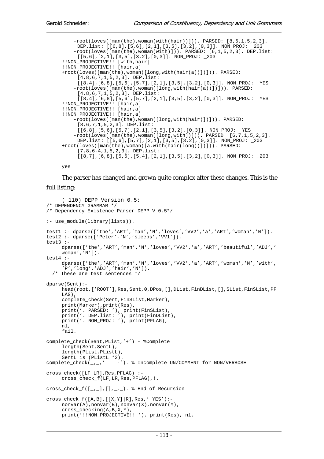```
-root(loves([man(the),woman(with(hair))])). PARSED: [8, 6, 1, 5, 2, 3].<br>DEP list: [[6,8] [5,6] [2,1] [3,5] [3,2] [0,3]] NON PROJ: 203
     DEP.list: [(6,8), [5,6], [2,1], [3,5], [3,2], [0,3]]. NON_PROJ:
     -root(loves([man(the),woman(with)])). PARSED: [6,1,5,2,3]. DEP.list: 
     [[5,6],[2,1],[3,5],[3,2],[0,3]]. NON_PROJ: _203 
!!NON_PROJECTIVE!! [with,hair] 
!!NON_PROJECTIVE!! [hair,a] 
+root(loves([man(the),woman([long,with(hair(a))])])). PARSED: 
     [4,8,6,7,1,5,2,3]. DEP.list: 
     [[8,4],[6,8],[5,6],[5,7],[2,1],[3,5],[3,2],[0,3]]. NON_PROJ: YES 
     -root(loves([man(the),woman([long,with(hair(a))])])). PARSED: 
     [4,8,6,7,1,5,2,3]. DEP.list: 
     [[8,4],[6,8],[5,6],[5,7],[2,1],[3,5],[3,2],[0,3]]. NON_PROJ: YES 
!!NON_PROJECTIVE!! [hair,a] 
!!NON_PROJECTIVE!! [hair,a] 
!!NON_PROJECTIVE!! [hair,a] 
     -root(loves([man(the),woman([long,with(hair)])])). PARSED: 
     [8,6,7,1,5,2,3]. DEP.list: 
     [6,8],[5,6],[5,7],[2,1],[3,5],[3,2],[0,3]]. NON PROJ: YES
     -root(loves([man(the),woman([long,with])])). PARSED: [6,7,1,5,2,3]. 
     DEP.list: [[5,6],[5,7],[2,1],[3,5],[3,2],[0,3]]. NON_PROJ: _203 
+root(loves([man(the),woman([a,with(hair(long))])])). PARSED: 
     [7,8,6,4,1,5,2,3]. DEP.list: 
     [[8,7],[6,8],[5,6],[5,4],[2,1],[3,5],[3,2],[0,3]]. NON_PROJ: _203
```
yes

The parser has changed and grown quite complex after these changes. This is the full listing:

```
( 110) DEPP Version 0.5: 
/* DEPENDENCY GRAMMAR */ 
/* Dependency Existence Parser DEPP V 0.5*/ 
:- use_module(library(lists)). 
test1 :- dparse(['the','ART','man','N','loves','VV2','a','ART','woman','N']).
test2 :- dparse(['Peter','N','sleeps','VV1']). 
test3 :- 
     dparse(['the','ART','man','N','loves','VV2','a','ART','beautiful','ADJ','
     woman','N']). 
test4 :- 
     dparse(['the','ART','man','N','loves','VV2','a','ART','woman','N','with',
     'P','long','ADJ','hair','N']). 
   /* These are test sentences */ 
dparse(Sent):- 
      head(root,['ROOT'],Res,Sent,0,DPos,[],DList,FinDList,[],SList,FinSList,PF
     LAG), 
     complete_check(Sent,FinSList,Marker),
      print(Marker),print(Res), 
 print('. PARSED: '), print(FinSList), 
 print('. DEP.list: '), print(FinDList), 
 print('. NON_PROJ: '), print(PFLAG), 
      nl, 
      fail. 
complete_check(Sent,PList,'+'):- %Complete 
     length(Sent, SentL),
      length(PList,PListL), 
SentL is (PListL *2).<br>complete_check(_,_,' -'
                        -'). % Incomplete UN/COMMENT for NON/VERBOSE
cross_check([LF|LR],Res,PFLAG) :- 
      cross_check_f(LF,LR,Res,PFLAG),!. 
cross_check_f([], [], [], ], ], []. % End of Recursion
cross_check_f([A,B],[[X,Y]|R],Res,' YES'):-
      nonvar(A),nonvar(B),nonvar(X),nonvar(Y), 
      cross_checking(A,B,X,Y), 
      print('!!NON_PROJECTIVE!! '), print(Res), nl.
```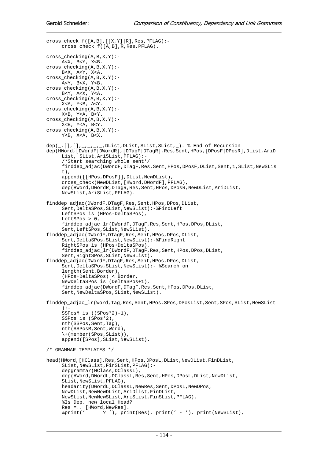```
cross_check_f([A,B],[[X,Y]|R],Res,PFLAG):- cross_check_f([A,B],R,Res,PFLAG). 
cross_checking(A,B,X,Y):- 
      A<X, B<Y, X<B. 
cross\_checking(A,B,X,Y): B<X, A<Y, X<A. 
cross_checking(A,B,X,Y):- 
      A<Y, B<X, Y<B. 
cross_checking(A,B,X,Y):- 
      B<Y, A<X, Y<A. 
cross_checking(A,B,X,Y):- 
      X<A, Y<B, A<Y. 
cross_checking(A,B,X,Y):- 
     X< B, Y< A, B< Y.
cross_checking(A,B,X,Y):- 
     X < B, Y < A, B < Y.
cross checkinq(A,B,X,Y):- Y<B, X<A, B<X. 
dep(\_,[],[],\_],\_],\_, DList, DList, SList, SList, ]). % End of Recursion
dep(HWord,[DWordF|DWordR],[DTagF|DTagR],Res,Sent,HPos,[DPosF|DPosR],DList,AriD
     List, SList,AriSList,PFLAG):- 
      /*Start searching whole sent*/ 
      finddep_adjac(DWordF,DTagF,Res,Sent,HPos,DPosF,DList,Sent,1,SList,NewSLis
     t).
      append([[HPos,DPosF]],DList,NewDList), 
      cross_check(NewDList,[HWord,DWordF],PFLAG), 
     dep(HWord,DWordR,DTagR,Res,Sent,HPos,DPosR,NewDList,AriDList,
     NewSList,AriSList,PFLAG). 
finddep_adjac(DWordF,DTagF,Res,Sent,HPos,DPos,DList, 
     Sent, DeltaSPos, SList, NewSList): - %FindLeft
      LeftSPos is (HPos-DeltaSPos), 
     LeftSPos > 0.
     finddep_adjac_lr(DWordF,DTagF,Res,Sent,HPos,DPos,DList,
     Sent,LeftSPos,SList,NewSList). 
finddep_adjac(DWordF,DTagF,Res,Sent,HPos,DPos,DList, 
     Sent,DeltaSPos,SList,NewSList):-%FindRight 
      RightSPos is (HPos+DeltaSPos), 
      finddep_adjac_lr(DWordF,DTagF,Res,Sent,HPos,DPos,DList, 
     Sent,RightSPos,SList,NewSList). 
finddep_adjac(DWordF,DTagF,Res,Sent,HPos,DPos,DList, 
     Sent,DeltaSPos,SList,NewSList):- %Search on 
      length(Sent,Border), 
      (HPos+DeltaSPos) < Border, 
      NewDeltaSPos is (DeltaSPos+1), 
      finddep_adjac(DWordF,DTagF,Res,Sent,HPos,DPos,DList, 
     Sent, NewDeltaSPos, SList, NewSList).
finddep_adjac_lr(Word,Tag,Res,Sent,HPos,SPos,DPosList,Sent,SPos,SList,NewSList
     ):- 
      SSPosM is ((SPos*2)-1), 
      SSPos is (SPos*2), 
      nth(SSPos,Sent,Tag), 
      nth(SSPosM,Sent,Word), 
      \+(member(SPos,SList)), 
      append([SPos],SList,NewSList). 
/* GRAMMAR TEMPLATES */ 
head(HWord,[HClass],Res,Sent,HPos,DPosL,DList,NewDList,FinDList, 
     SList,NewSList,FinSList,PFLAG):- 
      depgrammar(HClass,DClassL), 
     dep(HWord,DWordL,DClassL,Res,Sent,HPos,DPosL,DList,NewDList,
     SList,NewSList,PFLAG), 
      headarity(DWordL,DClassL,NewRes,Sent,DPosL,NewDPos, 
     NewDList,NewNewDList,AriDlist,FinDList, 
     NewSList,NewNewSList,AriSList,FinSList,PFLAG), 
      %Is Dep. new local Head? 
     Res =.. [HWord,NewRes].<br>$print(' ? '), pri
                    ? ', print(Res), print(' - '), print(NewSList),
```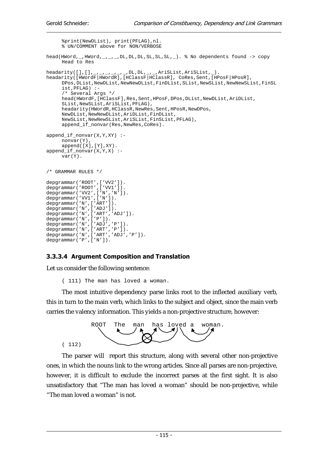```
 %print(NewDList), print(PFLAG),nl. 
      % UN/COMMENT above for NON/VERBOSE 
head(HWord, _, HWord, _, _, _, DL, DL, DL, SL, SL, SL, _). % No dependents found -> copy
     Head to Res 
headarity([],[],_,_,_,_,_,_,DL,DL,_,_,AriSList,AriSList,_). 
headarity([HWordF|HWordR],[HClassF|HClassR], CoRes,Sent,[HPosF|HPosR], 
     DPos,DList,NewDList,NewNewDList,FinDList,SList,NewSList,NewNewSList,FinSL
     ist,PFLAG) :- 
      /* Several Args */ 
      head(HWordF,[HClassF],Res,Sent,HPosF,DPos,DList,NewDList,AriDList, 
     SList,NewSList,AriSList,PFLAG), 
      headarity(HWordR,HClassR,NewRes,Sent,HPosR,NewDPos, 
     NewDList,NewNewDList,AriDList,FinDList, 
     NewSList,NewNewSList,AriSList,FinSList,PFLAG), 
      append_if_nonvar(Res,NewRes,CoRes). 
append_if_nonvar(X,Y,XY) :- 
      nonvar(Y), 
     append([X],[Y],XY).
append_if_nonvar(X,Y,X) :- 
      var(Y). 
/* GRAMMAR RIILES */depgrammar('ROOT', ['VV2']).
depgrammar('ROOT',['VV1']). 
depgrammar('VV2',['N','N']). 
depgrammar('VV1',['N']). 
depgrammar('N',['ART']). 
depgrammar('N',['ADJ']). 
depgrammar('N',['ART','ADJ']). 
depgrammar('N',['P']). 
depgrammar('N',['ADJ','P']). 
depgrammar('N',['ART','P']). 
depgrammar('N',['ART','ADJ','P']). 
depgrammar('P',['N']).
```
### 3.3.3.4 Argument Composition and Translation

Let us consider the following sentence:

( 111) The man has loved a woman.

The most intuitive dependency parse links root to the inflected auxiliary verb, this in turn to the main verb, which links to the subject and object, since the main verb carries the valency information. This yields a non-projective structure, however:



The parser will report this structure, along with several other non-projective ones, in which the nouns link to the wrong articles. Since all parses are non-projective, however, it is difficult to exclude the incorrect parses at the first sight. It is also unsatisfactory that "The man has loved a woman" should be non-projective, while "The man loved a woman" is not.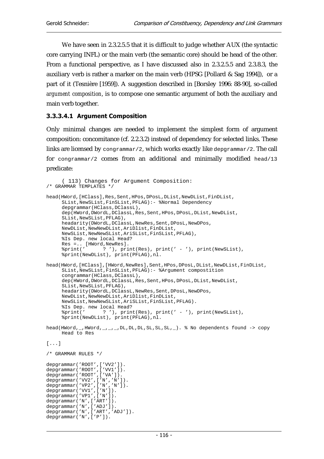depgrammar('N',['P']).

We have seen in 2.3.2.5.5 that it is difficult to judge whether AUX (the syntactic core carrying INFL) or the main verb (the semantic core) should be head of the other. From a functional perspective, as I have discussed also in 2.3.2.5.5 and 2.3.8.3, the auxiliary verb is rather a marker on the main verb (HPSG [Pollard & Sag 1994]), or a part of it (Tesnière [1959]). A suggestion described in [Borsley 1996: 88-90], so-called *argument composition*, is to compose one semantic argument of both the auxiliary and main verb together.

### 3.3.3.4.1 Argument Composition

Only minimal changes are needed to implement the simplest form of argument composition: concomitance (cf. 2.2.3.2) instead of dependency for selected links. These links are licensed by congrammar/2, which works exactly like depgrammar/2. The call for congrammar/2 comes from an additional and minimally modified head/13 predicate:

```
( 113) Changes for Argument Composition: 
/* GRAMMAR TEMPLATES */ 
head(HWord,[HClass],Res,Sent,HPos,DPosL,DList,NewDList,FinDList,
     SList,NewSList,FinSList,PFLAG):- %Normal Dependency 
      depgrammar(HClass,DClassL), 
     dep(HWord,DWordL,DClassL,Res,Sent,HPos,DPosL,DList,NewDList,
     SList,NewSList,PFLAG), 
     headarity(DWordL,DClassL,NewRes,Sent,DPosL,NewDPos,
     NewDList,NewNewDList,AriDlist,FinDList, 
     NewSList,NewNewSList,AriSList,FinSList,PFLAG), 
      %Is Dep. new local Head? 
     Res =.. [HWord,NewRes].<br>%print(' ? '), pri
                 ? '), print(Res), print(' - '), print(NewSList),
      %print(NewDList), print(PFLAG),nl. 
head(HWord,[HClass],[HWord,NewRes],Sent,HPos,DPosL,DList,NewDList,FinDList,
     SList,NewSList,FinSList,PFLAG):- %Argument compostition 
      congrammar(HClass,DClassL), 
     dep(HWord,DWordL,DClassL,Res,Sent,HPos,DPosL,DList,NewDList,
     SList,NewSList,PFLAG), 
      headarity(DWordL,DClassL,NewRes,Sent,DPosL,NewDPos, 
     NewDList,NewNewDList,AriDlist,FinDList, 
     NewSList,NewNewSList,AriSList,FinSList,PFLAG). 
      %Is Dep. new local Head? 
 %print(' ? '), print(Res), print(' - '), print(NewSList), 
 %print(NewDList), print(PFLAG),nl. 
head(HWord, _, HWord, _, _, _, DL, DL, DL, SL, SL, SL, _). % No dependents found -> copy
     Head to Res 
[...]/* GRAMMAR RULES */ 
depgrammar('ROOT',['VV2']). 
depgrammar('ROOT',['VV1']). 
depgrammar('ROOT',['VA']). 
depgrammar('VV2',['N','N']).
depgrammar('VP2',['N','N']). 
depgrammar('VV1',['N']). 
depgrammar('VP1',['N']). 
depgrammar('N',['ART']). 
depgrammar('N',['ADJ']).
depgrammar('N',['ART','ADJ']).
```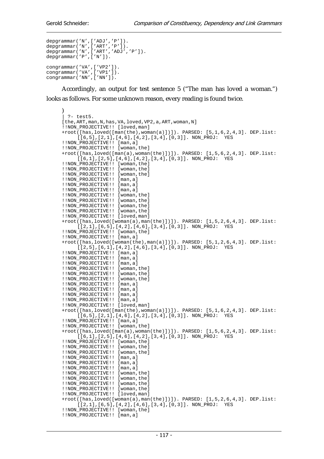```
depgrammar('N',['ADJ','P']). 
depgrammar('N',['ART','P']). 
depgrammar('N',['ART','ADJ','P']). 
depgrammar('P',['N']). 
congrammar('VA',['VP2']). 
congrammar('VA',['VP1']). 
congrammar('NN',['NN']).
```
Accordingly, an output for test sentence 5 ("The man has loved a woman.") looks as follows. For some unknown reason, every reading is found twice.

```
) 
| ?- test5.
[the,ART,man,N,has,VA,loved,VP2,a,ART,woman,N] 
!!NON_PROJECTIVE!! [loved,man] 
+root([has,loved([man(the),woman(a)])]). PARSED: [5,1,6,2,4,3]. DEP.list: 
     [[6,5],[2,1],[4,6],[4,2],[3,4],[0,3]]. NON_PROJ: YES 
!!NON PROJECTIVE!! [man,a]
!!NON_PROJECTIVE!! [woman,the] 
+root([has,loved([man(a),woman(the)])]). PARSED: [1,5,6,2,4,3]. DEP.list: 
     [[6,1],[2,5],[4,6],[4,2],[3,4],[0,3]]. NON_PROJ: YES 
!!NON_PROJECTIVE!! [woman,the] 
!!NON_PROJECTIVE!! [woman,the] 
!!NON_PROJECTIVE!! [woman,the] 
!!NON_PROJECTIVE!! [man,a] 
!!NON_PROJECTIVE!! [man,a] 
!!NON_PROJECTIVE!! [man,a] 
!!NON_PROJECTIVE!! [woman,the] 
!!NON_PROJECTIVE!! [woman,the] 
!!NON_PROJECTIVE!! [woman,the] 
!!NON_PROJECTIVE!! [woman,the] 
!!NON_PROJECTIVE!! [loved,man] 
+root([has,loved([woman(a),man(the)])]). PARSED: [1,5,2,6,4,3]. DEP.list: 
     [[2,1],[6,5],[4,2],[4,6],[3,4],[0,3]]. NON_PROJ: YES 
!!NON_PROJECTIVE!! [woman,the] 
!!NON_PROJECTIVE!! [man,a] 
+root([has,loved([woman(the),man(a)])]). PARSED: [5,1,2,6,4,3]. DEP.list: 
     [[2,5],[6,1],[4,2],[4,6],[3,4],[0,3]]. NON_PROJ: YES 
!!NON PROJECTIVE!! [man,a]
!!NON_PROJECTIVE!! [man,a] 
!!NON_PROJECTIVE!! [man,a] 
!!NON_PROJECTIVE!! [woman,the] 
!!NON_PROJECTIVE!! [woman,the] 
!!NON_PROJECTIVE!! [woman,the] 
!!NON PROJECTIVE!! [man,a]
!!NON_PROJECTIVE!! [man,a] 
!!NON_PROJECTIVE!! [man,a] 
!!NON_PROJECTIVE!! [man,a] 
!!NON_PROJECTIVE!! [loved,man]
+root([has,loved([man(the),woman(a)])]). PARSED: [5,1,6,2,4,3]. DEP.list: 
     [ [6,5], [2,1], [4,6], [4,2], [3,4], [0,3]]. NON_PROJ: YES
!!NON_PROJECTIVE!! [man,a] 
!!NON_PROJECTIVE!! [woman,the] 
+root([has,loved([man(a),woman(the)])]). PARSED: [1,5,6,2,4,3]. DEP.list: 
     [[6,1],[2,5],[4,6],[4,2],[3,4],[0,3]]. NON_PROJ: YES 
!!NON_PROJECTIVE!! [woman,the] 
!!NON_PROJECTIVE!! [woman,the] 
!!NON PROJECTIVE!! [woman, the]
!!NON_PROJECTIVE!! [man,a] 
!!NON PROJECTIVE!! [man,a]
!!NON_PROJECTIVE!! [man,a] 
!!NON_PROJECTIVE!! [woman,the] 
!!NON_PROJECTIVE!! [woman,the]
!!NON_PROJECTIVE!! [woman,the] 
!!NON_PROJECTIVE!! [woman,the] 
!!NON_PROJECTIVE!! [loved,man] 
+root([has,loved([woman(a),man(the)])]). PARSED: [1,5,2,6,4,3]. DEP.list: 
     [[2,1],[6,5],[4,2],[4,6],[3,4],[0,3]]. NON_PROJ: YES 
!!NON_PROJECTIVE!! [woman,the] 
!!NON_PROJECTIVE!! [man,a]
```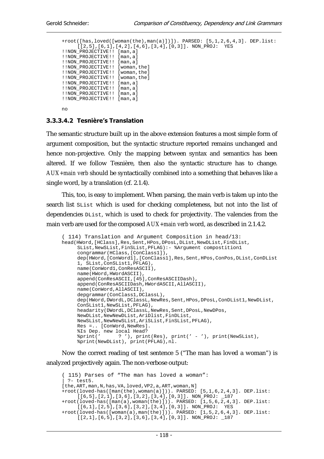```
+root([has,loved([woman(the),man(a)])]). PARSED: [5,1,2,6,4,3]. DEP.list: 
     [[2,5],[6,1],[4,2],[4,6],[3,4],[0,3]]. NON_PROJ: YES 
!!NON_PROJECTIVE!! [man,a] 
!!NON_PROJECTIVE!! [man,a] 
!!NON_PROJECTIVE!! [man,a] 
!!NON_PROJECTIVE!! [woman,the] 
!!NON_PROJECTIVE!! [woman,the] 
!!NON_PROJECTIVE!! [woman,the] 
!!NON_PROJECTIVE!! [man,a] 
!!NON_PROJECTIVE!! [man,a] 
!!NON PROJECTIVE!! [man,a]
!!NON_PROJECTIVE!! [man,a] 
no
```
### 3.3.3.4.2 Tesnière's Translation

The semantic structure built up in the above extension features a most simple form of argument composition, but the syntactic structure reported remains unchanged and hence non-projective. Only the mapping between syntax and semantics has been altered. If we follow Tesnière, then also the syntactic structure has to change. *AUX+main verb* should be syntactically combined into a something that behaves like a single word, by a translation (cf. 2.1.4).

This, too, is easy to implement. When parsing, the main verb is taken up into the search list SList which is used for checking completeness, but not into the list of dependencies DList, which is used to check for projectivity. The valencies from the main verb are used for the composed *AUX+main verb* word, as described in 2.1.4.2.

```
( 114) Translation and Argument Composition in head/13: 
head(HWord,[HClass],Res,Sent,HPos,DPosL,DList,NewDList,FinDList,
     SList,NewSList,FinSList,PFLAG):- %Argument compostition1 
      congrammar(HClass,[ConClass1]), 
     dep(HWord,[ConWord1],[ConClass1],Res,Sent,HPos,ConPos,DList,ConDList
     1, SList,ConSList1,PFLAG), 
      name(ConWord1,ConResASCII), 
      name(HWord,HWordASCII), 
      append(ConResASCII,[45],ConResASCIIDash), 
      append(ConResASCIIDash,HWordASCII,AllASCII), 
      name(ConWord,AllASCII), 
     depgrammar(ConClass1, DClassL),
      dep(HWord,DWordL,DClassL,NewRes,Sent,HPos,DPosL,ConDList1,NewDList, 
     ConSList1,NewSList,PFLAG), 
     headarity(DWordL,DClassL,NewRes,Sent,DPosL,NewDPos,
     NewDList,NewNewDList,AriDlist,FinDList, 
     NewSList,NewNewSList,AriSList,FinSList,PFLAG), 
      Res =.. [ConWord,NewRes]. 
      %Is Dep. new local Head? 
 %print(' ? '), print(Res), print(' - '), print(NewSList), 
 %print(NewDList), print(PFLAG),nl.
```
Now the correct reading of test sentence 5 ("The man has loved a woman") is analyzed projectively again. The non-verbose output:

```
( 115) Parses of "The man has loved a woman": 
 | ?- test5. 
[the,ART,man,N,has,VA,loved,VP2,a,ART,woman,N] 
+root(loved-has([man(the),woman(a)])). PARSED: [5,1,6,2,4,3]. DEP.list: 
     [[6,5],[2,1],[3,6],[3,2],[3,4],[0,3]]. NON_PROJ: _187 
+root(loved-has([man(a),woman(the)])). PARSED: [1,5,6,2,4,3]. DEP.list: 
     [[6,1],[2,5],[3,6],[3,2],[3,4],[0,3]]. NON_PROJ: YES 
+root(loved-has([woman(a),man(the)])). PARSED: [1,5,2,6,4,3]. DEP.list: 
     [ [2,1], [6,5], [3,2], [3,6], [3,4], [0,3]]. NON_PROJ: _187
```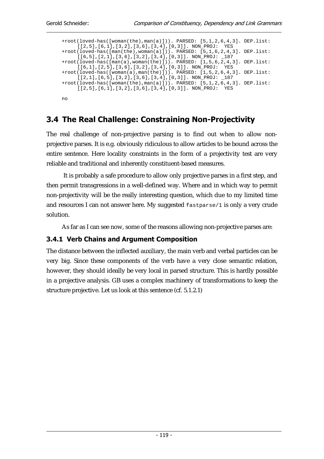```
+root(loved-has([woman(the),man(a)])). PARSED: [5,1,2,6,4,3]. DEP.list:<br>[[2 5] [6 1] [3 2] [3 6] [3 4] [0 3]] NON PROT: YES
      [2,5],[6,1],[3,2],[3,6],[3,4],[0,3]]. NON PROJ:
+root(loved-has([man(the),woman(a)])). PARSED: [5,1,6,2,4,3]. DEP.list: 
     [[6,5],[2,1],[3,6],[3,2],[3,4],[0,3]]. NON_PROJ: _187 
+root(loved-has([man(a),woman(the)])). PARSED: [1,5,6,2,4,3]. DEP.list: 
      [[6,1],[2,5],[3,6],[3,2],[3,4],[0,3]]. NON_PROJ: YES 
+root(loved-has([woman(a),man(the)])). PARSED: [1,5,2,6,4,3]. DEP.list: 
      [[2,1],[6,5],[3,2],[3,6],[3,4],[0,3]]. NON_PROJ: _187 
+root(loved-has([woman(the),man(a)])). PARSED: [5,1,2,6,4,3]. DEP.list: 
      [[2,5],[6,1],[3,2],[3,6],[3,4],[0,3]]. NON_PROJ: YES 
no
```
# 3.4 The Real Challenge: Constraining Non-Projectivity

The real challenge of non-projective parsing is to find out when to allow nonprojective parses. It is e.g. obviously ridiculous to allow articles to be bound across the entire sentence. Here locality constraints in the form of a projectivity test are very reliable and traditional and inherently constituent-based measures.

 It is probably a safe procedure to allow only projective parses in a first step, and then permit transgressions in a well-defined way. Where and in which way to permit non-projectivity will be the really interesting question, which due to my limited time and resources I can not answer here. My suggested fastparse/1 is only a very crude solution.

As far as I can see now, some of the reasons allowing non-projective parses are:

## 3.4.1 Verb Chains and Argument Composition

The distance between the inflected auxiliary, the main verb and verbal particles can be very big. Since these components of the verb have a very close semantic relation, however, they should ideally be very local in parsed structure. This is hardly possible in a projective analysis. GB uses a complex machinery of transformations to keep the structure projective. Let us look at this sentence (cf. 5.1.2.1)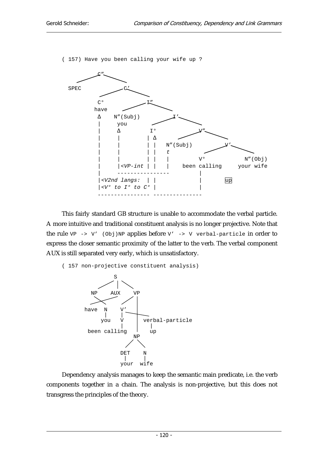( 157) Have you been calling your wife up ?



This fairly standard GB structure is unable to accommodate the verbal particle. A more intuitive and traditional constituent analysis is no longer projective. Note that the rule  $VP \rightarrow V'$  (Obj)NP applies before  $V' \rightarrow V$  verbal-particle in order to express the closer semantic proximity of the latter to the verb. The verbal component AUX is still separated very early, which is unsatisfactory.

```
( 157 non-projective constituent analysis)
```


Dependency analysis manages to keep the semantic main predicate, i.e. the verb components together in a chain. The analysis is non-projective, but this does not transgress the principles of the theory.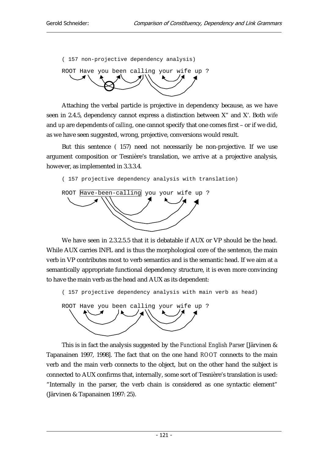( 157 non-projective dependency analysis)



Attaching the verbal particle is projective in dependency because, as we have seen in 2.4.5, dependency cannot express a distinction between X" and X'. Both *wife* and *up* are dependents of *calling*, one cannot specify that one comes first – or if we did, as we have seen suggested, wrong, projective, conversions would result.

But this sentence ( 157) need not necessarily be non-projective. If we use argument composition or Tesnière's translation, we arrive at a projective analysis, however, as implemented in 3.3.3.4.

( 157 projective dependency analysis with translation)



We have seen in 2.3.2.5.5 that it is debatable if AUX or VP should be the head. While AUX carries INFL and is thus the morphological core of the sentence, the main verb in VP contributes most to verb semantics and is the semantic head. If we aim at a semantically appropriate functional dependency structure, it is even more convincing to have the main verb as the head and AUX as its dependent:

( 157 projective dependency analysis with main verb as head)



This is in fact the analysis suggested by the *Functional English Parser* [Järvinen & Tapanainen 1997, 1998]. The fact that on the one hand *ROOT* connects to the main verb and the main verb connects to the object, but on the other hand the subject is connected to AUX confirms that, internally, some sort of Tesnière's translation is used: "Internally in the parser, the verb chain is considered as one syntactic element" (Järvinen & Tapanainen 1997: 25).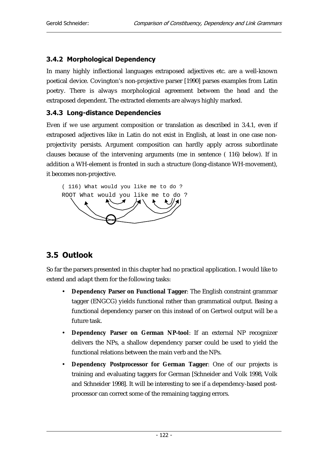## 3.4.2 Morphological Dependency

In many highly inflectional languages extraposed adjectives etc. are a well-known poetical device. Covington's non-projective parser [1990] parses examples from Latin poetry. There is always morphological agreement between the head and the extraposed dependent. The extracted elements are always highly marked.

### 3.4.3 Long-distance Dependencies

Even if we use argument composition or translation as described in 3.4.1, even if extraposed adjectives like in Latin do not exist in English, at least in one case nonprojectivity persists. Argument composition can hardly apply across subordinate clauses because of the intervening arguments (me in sentence ( 116) below). If in addition a WH-element is fronted in such a structure (long-distance WH-movement), it becomes non-projective.



# 3.5 Outlook

So far the parsers presented in this chapter had no practical application. I would like to extend and adapt them for the following tasks:

- **Dependency Parser on Functional Tagger**: The English constraint grammar tagger (ENGCG) yields functional rather than grammatical output. Basing a functional dependency parser on this instead of on Gertwol output will be a future task.
- **Dependency Parser on German NP-tool**: If an external NP recognizer delivers the NPs, a shallow dependency parser could be used to yield the functional relations between the main verb and the NPs.
- **Dependency Postprocessor for German Tagger**: One of our projects is training and evaluating taggers for German [Schneider and Volk 1998, Volk and Schneider 1998]. It will be interesting to see if a dependency-based postprocessor can correct some of the remaining tagging errors.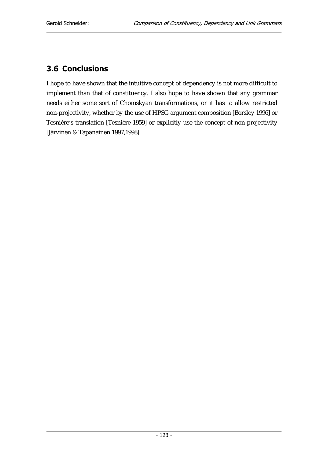# 3.6 Conclusions

I hope to have shown that the intuitive concept of dependency is not more difficult to implement than that of constituency. I also hope to have shown that any grammar needs either some sort of Chomskyan transformations, or it has to allow restricted non-projectivity, whether by the use of HPSG argument composition [Borsley 1996] or Tesnière's translation [Tesnière 1959] or explicitly use the concept of non-projectivity [Järvinen & Tapanainen 1997,1998].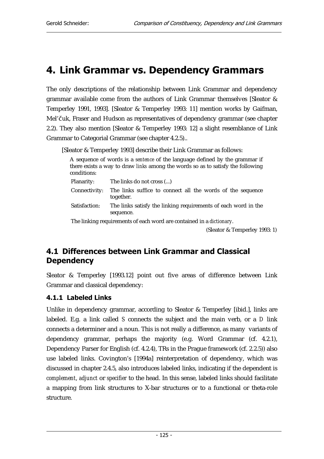# 4. Link Grammar vs. Dependency Grammars

The only descriptions of the relationship between Link Grammar and dependency grammar available come from the authors of Link Grammar themselves [Sleator & Temperley 1991, 1993]. [Sleator & Temperley 1993: 11] mention works by Gaifman, Mel'čuk, Fraser and Hudson as representatives of dependency grammar (see chapter 2.2). They also mention [Sleator & Temperley 1993: 12] a slight resemblance of Link Grammar to Categorial Grammar (see chapter 4.2.5)..

[Sleator & Temperley 1993] describe their Link Grammar as follows:

A sequence of words is a *sentence* of the language defined by the grammar if there exists a way to draw *links* among the words so as to satisfy the following conditions: Planarity: The links do not cross (...) Connectivity: The links suffice to connect all the words of the sequence together. Satisfaction: The links satisfy the linking requirements of each word in the sequence. The linking requirements of each word are contained in a *dictionary*.

(Sleator & Temperley 1993: 1)

## 4.1 Differences between Link Grammar and Classical Dependency

Sleator & Temperley [1993.12] point out five areas of difference between Link Grammar and classical dependency:

## 4.1.1 Labeled Links

Unlike in dependency grammar, according to Sleator & Temperley [ibid.], links are labeled. E.g. a link called *S* connects the subject and the main verb, or a *D* link connects a determiner and a noun. This is not really a difference, as many variants of dependency grammar, perhaps the majority (e.g. Word Grammar (cf. 4.2.1), Dependency Parser for English (cf. 4.2.4), TRs in the Prague framework (cf. 2.2.5)) also use labeled links. Covington's [1994a] reinterpretation of dependency, which was discussed in chapter 2.4.5, also introduces labeled links, indicating if the dependent is *complement*, *adjunct* or *specifier* to the head. In this sense, labeled links should facilitate a mapping from link structures to X-bar structures or to a functional or theta-role structure.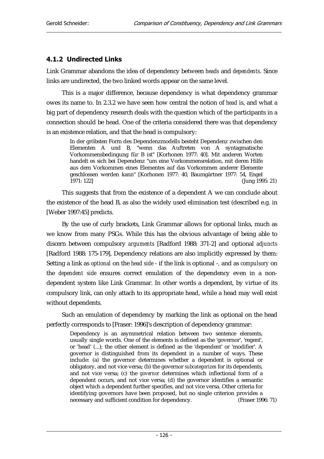### 4.1.2 Undirected Links

Link Grammar abandons the idea of dependency between *heads* and *dependents*. Since links are undirected, the two linked words appear on the same level.

This is a major difference, because dependency is what dependency grammar owes its name to. In 2.3.2 we have seen how central the notion of *head* is, and what a big part of dependency research deals with the question which of the participants in a connection should be head. One of the criteria considered there was that dependency is an existence relation, and that the head is compulsory:

In der gröbsten Form des Dependenzmodells besteht Dependenz zwischen den Elementen A und B, "wenn das Auftreten von A syntagmatische Vorkommensbedingung für B ist" [Korhonen 1977: 40]. Mit anderen Worten handelt es sich bei Dependenz "um eine Vorkommensrelation, mit deren Hilfe aus dem Vorkommen eines Elementes auf das Vorkommen anderer Elemente geschlossen werden kann" [Korhonen 1977: 40, Baumgärtner 1977: 54, Engel 1971: 122] (Jung 1995: 21)

This suggests that from the existence of a dependent A we can conclude about the existence of the head B, as also the widely used elimination test (described e.g. in [Weber 1997:45] predicts.

By the use of curly brackets, Link Grammar allows for optional links, much as we know from many PSGs. While this has the obvious advantage of being able to discern between compulsory *arguments* [Radford 1988: 371-2] and optional *adjuncts*  [Radford 1988: 175-179], Dependency relations are also implicitly expressed by them: Setting a link as *optional* on the *head side* - if the link is optional -*,* and as *compulsory* on the *dependent side* ensures correct emulation of the dependency even in a nondependent system like Link Grammar. In other words a dependent, by virtue of its compulsory link, can only attach to its appropriate head, while a head may well exist without dependents.

Such an emulation of dependency by marking the link as optional on the head perfectly corresponds to [Fraser: 1996]'s description of dependency grammar:

Dependency is an asymmetrical relation between two sentence elements, usually single words. One of the elements is defined as the 'governor', 'regent', or 'head' (...); the other element is defined as the 'dependent' or 'modifier'. A governor is distinguished from its dependent in a number of ways. These include: (a) the governor determines whether a dependent is optional or obligatory, and not vice versa; (b) the governor *subcategorizes* for its dependents, and not vice versa; (c) the *governor* determines which inflectional form of a dependent occurs, and not vice versa; (d) the governor identifies a semantic object which a dependent further specifies, and not vice versa. Other criteria for identifying governors have been proposed, but no single criterion provides a necessary and sufficient condition for dependency. (Fraser 1996: 71)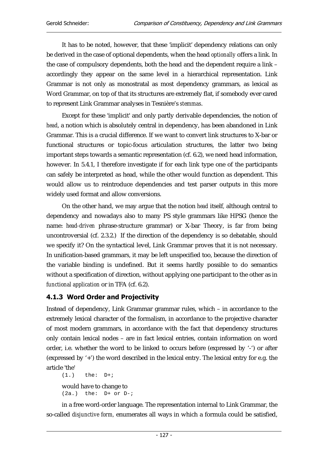It has to be noted, however, that these 'implicit' dependency relations can only be derived in the case of optional dependents, when the head *optionally* offers a link. In the case of compulsory dependents, both the head and the dependent require a link – accordingly they appear on the same level in a hierarchical representation. Link Grammar is not only as monostratal as most dependency grammars, as lexical as Word Grammar, on top of that its structures are extremely flat, if somebody ever cared to represent Link Grammar analyses in Tesnière's *stemmas*.

Except for these 'implicit' and only partly derivable dependencies, the notion of *head*, a notion which is absolutely central in dependency, has been abandoned in Link Grammar. This is a crucial difference. If we want to convert link structures to X-bar or functional structures or topic-focus articulation structures, the latter two being important steps towards a semantic representation (cf. 6.2), we need head information, however. In 5.4.1, I therefore investigate if for each link type one of the participants can safely be interpreted as head, while the other would function as dependent. This would allow us to reintroduce dependencies and test parser outputs in this more widely used format and allow conversions.

On the other hand, we may argue that the notion *head* itself*,* although central to dependency and nowadays also to many PS style grammars like HPSG (hence the name: *head-driven* phrase-structure grammar) or X-bar Theory, is far from being uncontroversial (cf. 2.3.2.) If the direction of the dependency is so debatable, should we specify it? On the syntactical level, Link Grammar proves that it is not necessary. In unification-based grammars, it may be left unspecified too, because the direction of the variable binding is undefined. But it seems hardly possible to do semantics without a specification of direction, without applying one participant to the other as in *functional application* or in TFA (cf. 6.2).

## 4.1.3 Word Order and Projectivity

Instead of dependency, Link Grammar grammar rules, which – in accordance to the extremely lexical character of the formalism, in accordance to the projective character of most modern grammars, in accordance with the fact that dependency structures only contain lexical nodes – are in fact lexical entries, contain information on word order, i.e. whether the word to be linked to occurs before (expressed by '-') or after (expressed by '+') the word described in the lexical entry. The lexical entry for e.g. the article 'the'

```
(1.) the: D+iwould have to change to 
(2a.) the: D+ or D-i
```
in a free word-order language. The representation internal to Link Grammar, the so-called *disjunctive form,* enumerates all ways in which a formula could be satisfied,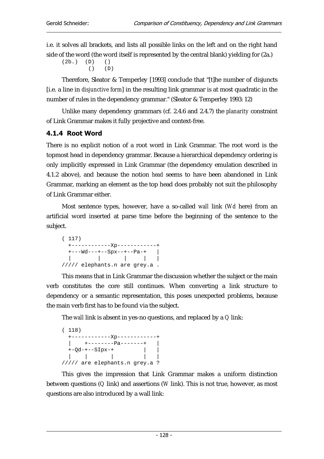i.e. it solves all brackets, and lists all possible links on the left and on the right hand side of the word (the word itself is represented by the central blank) yielding for (2a.)

```
(2b.) (D) () 
         () (D)
```
Therefore, Sleator & Temperley [1993] conclude that "[t]he number of disjuncts [i.e. a line in *disjunctive form*] in the resulting link grammar is at most quadratic in the number of rules in the dependency grammar." (Sleator & Temperley 1993: 12)

Unlike many dependency grammars (cf. 2.4.6 and 2.4.7) the *planarity* constraint of Link Grammar makes it fully projective and context-free.

## 4.1.4 Root Word

There is no explicit notion of a root word in Link Grammar. The root word is the topmost head in dependency grammar. Because a hierarchical dependency ordering is only implicitly expressed in Link Grammar (the dependency emulation described in 4.1.2 above), and because the notion *head* seems to have been abandoned in Link Grammar, marking an element as the top head does probably not suit the philosophy of Link Grammar either.

Most sentence types, however, have a so-called *wall* link (*Wd* here) from an artificial word inserted at parse time before the beginning of the sentence to the subject.

```
( 117) 
  +------------Xp------------+ 
  +---Wd---+--Spx--+--Pa-+ | 
  | | | | | 
///// elephants.n are grey.a .
```
This means that in Link Grammar the discussion whether the subject or the main verb constitutes the core still continues. When converting a link structure to dependency or a semantic representation, this poses unexpected problems, because the main verb first has to be found via the subject.

The *wall* link is absent in yes-no questions, and replaced by a *Q* link:

( 118) +------------Xp------------+  $|$  +---------Pa-------+ +-Qd-+--SIpx-+  $|$  | | | | | ///// are elephants.n grey.a ?

This gives the impression that Link Grammar makes a uniform distinction between questions (*Q* link) and assertions (*W* link). This is not true, however, as most questions are also introduced by a wall link: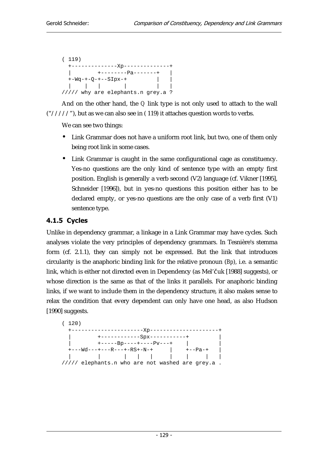```
( 119) 
  +--------------Xp--------------+ 
  | +--------Pa-------+ | 
 +-Wq-+-Q-+--SIpx-+ | | 
 | | | | | | 
///// why are elephants.n grey.a ?
```
And on the other hand, the *Q* link type is not only used to attach to the wall  $("///")$ , but as we can also see in  $(119)$  it attaches question words to verbs.

We can see two things:

- Link Grammar does not have a uniform root link, but two, one of them only being root link in some cases.
- Link Grammar is caught in the same configurational cage as constituency. Yes-no questions are the only kind of sentence type with an empty first position. English is generally a verb second (V2) language (cf. Vikner [1995], Schneider [1996]), but in yes-no questions this position either has to be declared empty, or yes-no questions are the only case of a verb first (V1) sentence type.

## 4.1.5 Cycles

Unlike in dependency grammar, a linkage in a Link Grammar may have cycles. Such analyses violate the very principles of dependency grammars. In Tesnière's stemma form (cf. 2.1.1), they can simply not be expressed. But the link that introduces circularity is the anaphoric binding link for the relative pronoun (*Bp*), i.e. a semantic link, which is either not directed even in Dependency (as Mel'čuk [1988] suggests), or whose direction is the same as that of the links it parallels. For anaphoric binding links, if we want to include them in the dependency structure, it also makes sense to relax the condition that every dependent can only have one head, as also Hudson [1990] suggests.

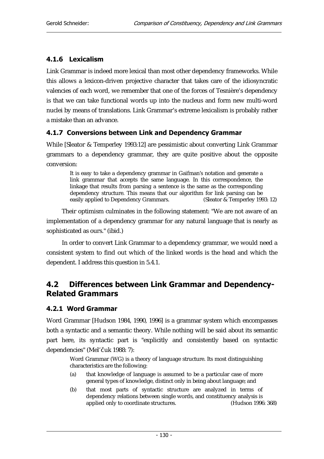## 4.1.6 Lexicalism

Link Grammar is indeed more lexical than most other dependency frameworks. While this allows a lexicon-driven projective character that takes care of the idiosyncratic valencies of each word, we remember that one of the forces of Tesnière's dependency is that we can take functional words up into the nucleus and form new multi-word nuclei by means of translations. Link Grammar's extreme lexicalism is probably rather a mistake than an advance.

## 4.1.7 Conversions between Link and Dependency Grammar

While [Sleator & Temperley 1993:12] are pessimistic about converting Link Grammar grammars to a dependency grammar, they are quite positive about the opposite conversion:

It is easy to take a dependency grammar in Gaifman's notation and generate a link grammar that accepts the same language. In this correspondence, the linkage that results from parsing a sentence is the same as the corresponding dependency structure. This means that our algorithm for link parsing can be easily applied to Dependency Grammars. (Sleator & Temperley 1993: 12) easily applied to Dependency Grammars.

Their optimism culminates in the following statement: "We are not aware of an implementation of a dependency grammar for any natural language that is nearly as sophisticated as ours." (ibid.)

In order to convert Link Grammar to a dependency grammar, we would need a consistent system to find out which of the linked words is the head and which the dependent. I address this question in 5.4.1.

## 4.2 Differences between Link Grammar and Dependency-**Related Grammars**

### 4.2.1 Word Grammar

Word Grammar [Hudson 1984, 1990, 1996] is a grammar system which encompasses both a syntactic and a semantic theory. While nothing will be said about its semantic part here, its syntactic part is "explicitly and consistently based on syntactic dependencies" (Mel'čuk 1988: 7):

Word Grammar (WG) is a theory of language structure. Its most distinguishing characteristics are the following:

- (a) that knowledge of language is assumed to be a particular case of more general types of knowledge, distinct only in being about language; and
- (b) that most parts of syntactic structure are analyzed in terms of dependency relations between single words, and constituency analysis is<br>applied only to coordinate structures. (Hudson 1996: 368) applied only to coordinate structures.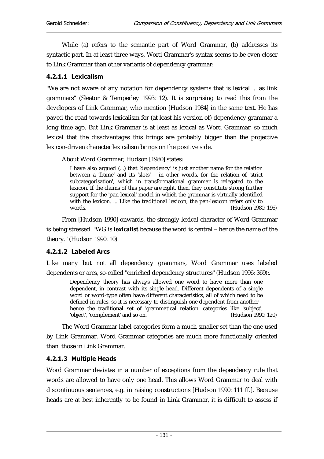While (a) refers to the semantic part of Word Grammar, (b) addresses its syntactic part. In at least three ways, Word Grammar's syntax seems to be even closer to Link Grammar than other variants of dependency grammar:

### 4.2.1.1 Lexicalism

"We are not aware of any notation for dependency systems that is lexical ... as link grammars" (Sleator & Temperley 1993: 12). It is surprising to read this from the developers of Link Grammar, who mention [Hudson 1984] in the same text. He has paved the road towards lexicalism for (at least his version of) dependency grammar a long time ago. But Link Grammar is at least as lexical as Word Grammar, so much lexical that the disadvantages this brings are probably bigger than the projective lexicon-driven character lexicalism brings on the positive side.

About Word Grammar, Hudson [1980] states:

I have also argued (...) that 'dependency' is just another name for the relation between a 'frame' and its 'slots' – in other words, for the relation of 'strict subcategorisation', which in transformational grammar is relegated to the lexicon. If the claims of this paper are right, then, they constitute strong further support for the 'pan-lexical' model in which the grammar is virtually identified with the lexicon. ... Like the traditional lexicon, the pan-lexicon refers only to words. (Hudson 1980: 196)

From [Hudson 1990] onwards, the strongly lexical character of Word Grammar is being stressed. "WG is **lexicalist** because the word is central – hence the name of the theory." (Hudson 1990: 10)

### 4.2.1.2 Labeled Arcs

Like many but not all dependency grammars, Word Grammar uses labeled dependents or arcs, so-called "enriched dependency structures" (Hudson 1996: 369):.

Dependency theory has always allowed one word to have more than one dependent, in contrast with its single head. Different dependents of a single word or word-type often have different characteristics, all of which need to be defined in rules, so it is necessary to distinguish one dependent from another – hence the traditional set of 'grammatical relation' categories like 'subject', 'object', 'complement' and so on. (Hudson 1990: 120)

The Word Grammar label categories form a much smaller set than the one used by Link Grammar. Word Grammar categories are much more functionally oriented than those in Link Grammar.

### 4.2.1.3 Multiple Heads

Word Grammar deviates in a number of exceptions from the dependency rule that words are allowed to have only one head. This allows Word Grammar to deal with discontinuous sentences, e.g. in raising constructions [Hudson 1990: 111 ff.]. Because heads are at best inherently to be found in Link Grammar, it is difficult to assess if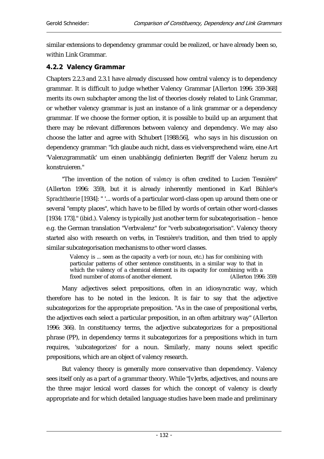similar extensions to dependency grammar could be realized, or have already been so, within Link Grammar.

### 4.2.2 Valency Grammar

Chapters 2.2.3 and 2.3.1 have already discussed how central valency is to dependency grammar. It is difficult to judge whether Valency Grammar [Allerton 1996: 359-368] merits its own subchapter among the list of theories closely related to Link Grammar, or whether valency grammar is just an instance of a link grammar or a dependency grammar. If we choose the former option, it is possible to build up an argument that there may be relevant differences between valency and dependency. We may also choose the latter and agree with Schubert [1988:56], who says in his discussion on dependency grammar: "Ich glaube auch nicht, dass es vielversprechend wäre, eine Art 'Valenzgrammatik' um einen unabhängig definierten Begriff der Valenz herum zu konstruieren."

"The invention of the notion of *valency* is often credited to Lucien Tesnière" (Allerton 1996: 359), but it is already inherently mentioned in Karl Bühler's *Sprachtheorie* [1934]: " '... words of a particular word-class open up around them one or several "empty places", which have to be filled by words of certain other word-classes [1934: 173]." (ibid.). Valency is typically just another term for subcategorisation – hence e.g. the German translation "Verbvalenz" for "verb subcategorisation". Valency theory started also with research on verbs, in Tesnière's tradition, and then tried to apply similar subcategorisation mechanisms to other word classes.

Valency is ... seen as the capacity a verb (or noun, etc.) has for combining with particular patterns of other sentence constituents, in a similar way to that in which the valency of a chemical element is its capacity for combining with a fixed number of atoms of another element. (Allerton 1996: 359)

Many adjectives select prepositions, often in an idiosyncratic way, which therefore has to be noted in the lexicon. It is fair to say that the adjective subcategorizes for the appropriate preposition. "As in the case of prepositional verbs, the adjectives each select a particular preposition, in an often arbitrary way" (Allerton 1996: 366). In constituency terms, the adjective subcategorizes for a prepositional phrase (PP), in dependency terms it subcategorizes for a prepositions which in turn requires, 'subcategorizes' for a noun. Similarly, many nouns select specific prepositions, which are an object of valency research.

But valency theory is generally more conservative than dependency. Valency sees itself only as a part of a grammar theory. While "[v]erbs, adjectives, and nouns are the three major lexical word classes for which the concept of valency is clearly appropriate and for which detailed language studies have been made and preliminary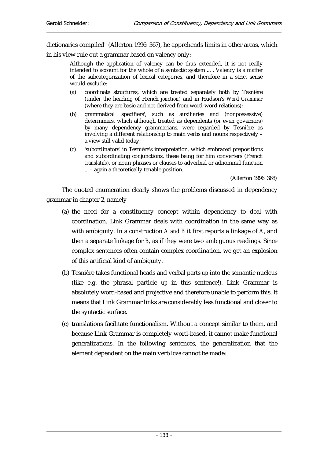dictionaries compiled" (Allerton 1996: 367), he apprehends limits in other areas, which

in his view rule out a grammar based on valency only:

Although the application of valency can be thus extended, it is not really intended to account for the whole of a syntactic system ... . Valency is a matter of the subcategorization of lexical categories, and therefore in a strict sense would exclude:

- (a) coordinate structures, which are treated separately both by Tesnière (under the heading of French *jonction*) and in Hudson's *Word Grammar*  (where they are basic and not derived from word-word relations);
- (b) grammatical 'specifiers', such as auxiliaries and (nonpossessive) determiners, which although treated as dependents (or even governors) by many dependency grammarians, were regarded by Tesnière as involving a different relationship to main verbs and nouns respectively – a view still valid today;
- (c) 'subordinators' in Tesnière's interpretation, which embraced prepositions and subordinating conjunctions, these being for him converters (French *translatifs*), or noun phrases or clauses to adverbial or adnominal function ... – again a theoretically tenable position.

(Allerton 1996: 368)

The quoted enumeration clearly shows the problems discussed in dependency grammar in chapter 2, namely

- (a) the need for a constituency concept within dependency to deal with coordination. Link Grammar deals with coordination in the same way as with ambiguity. In a construction *A and B* it first reports a linkage of *A*, and then a separate linkage for *B,* as if they were two ambiguous readings. Since complex sentences often contain complex coordination, we get an explosion of this artificial kind of ambiguity.
- (b) Tesnière takes functional heads and verbal parts *up* into the semantic nucleus (like e.g. the phrasal particle *up* in this sentence!). Link Grammar is absolutely word-based and projective and therefore unable to perform this. It means that Link Grammar links are considerably less functional and closer to the syntactic surface.
- (c) translations facilitate functionalism. Without a concept similar to them, and because Link Grammar is completely word-based, it cannot make functional generalizations. In the following sentences, the generalization that the element dependent on the main verb *love* cannot be made: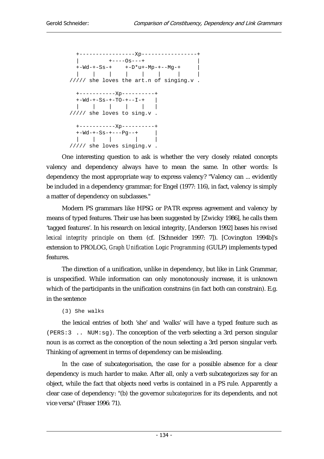+-----------------Xp-----------------+  $|$  +---------+ +-Wd-+-Ss-+ +-D\*u+-Mp-+--Mg-+ | | | | | | | | | ///// she loves the art.n of singing.v . +-----------Xp----------+  $+-Wd-+-SS-+-TO-+--I-+$  | | | | | | | ///// she loves to sing.v . +-----------Xp----------+ +-Wd-+-Ss-+---Pg--+ | | | | | | ///// she loves singing.v .

One interesting question to ask is whether the very closely related concepts valency and dependency always have to mean the same. In other words: Is dependency the most appropriate way to express valency? "Valency can ... evidently be included in a dependency grammar; for Engel (1977: 116), in fact, valency is simply a matter of dependency on subclasses."

Modern PS grammars like HPSG or PATR express agreement and valency by means of typed features. Their use has been suggested by [Zwicky 1986], he calls them 'tagged features'. In his research on lexical integrity, [Anderson 1992] bases his *revised lexical integrity principle* on them (cf. [Schneider 1997: 7]). [Covington 1994b]'s extension to PROLOG, *Graph Unification Logic Programming* (GULP) implements typed features.

The direction of a unification, unlike in dependency, but like in Link Grammar, is unspecified. While information can only monotonously increase, it is unknown which of the participants in the unification constrains (in fact both can constrain). E.g. in the sentence

### (3) She walks

the lexical entries of both 'she' and 'walks' will have a typed feature such as (PERS:3 .. NUM:sg). The conception of the verb selecting a 3rd person singular noun is as correct as the conception of the noun selecting a 3rd person singular verb. Thinking of agreement in terms of dependency can be misleading.

In the case of subcategorisation, the case for a possible absence for a clear dependency is much harder to make. After all, only a verb subcategorizes say for an object, while the fact that objects need verbs is contained in a PS rule. Apparently a clear case of dependency: "(b) the governor *subcategorizes* for its dependents, and not vice versa" (Fraser 1996: 71).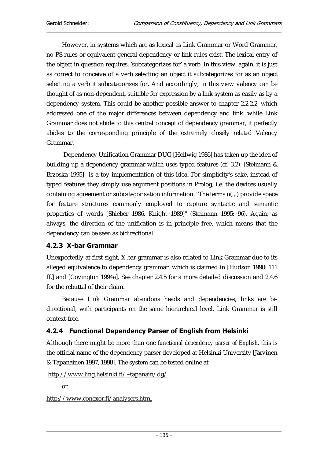However, in systems which are as lexical as Link Grammar or Word Grammar, no PS rules or equivalent general dependency or link rules exist. The lexical entry of the object in question requires, 'subcategorizes for' a verb. In this view, again, it is just as correct to conceive of a verb selecting an object it subcategorizes for as an object selecting a verb it subcategorizes for. And accordingly, in this view valency can be thought of as non-dependent, suitable for expression by a link system as easily as by a dependency system. This could be another possible answer to chapter 2.2.2.2, which addressed one of the major differences between dependency and link: while Link Grammar does not abide to this central concept of dependency grammar, it perfectly abides to the corresponding principle of the extremely closely related Valency Grammar.

 Dependency Unification Grammar DUG [Hellwig 1986] has taken up the idea of building up a dependency grammar which uses typed features (cf. 3.2). [Steimann & Brzoska 1995] is a toy implementation of this idea. For simplicity's sake, instead of typed features they simply use argument positions in Prolog, i.e. the devices usually containing agreement or subcategorisation information. "The terms n(.,.) provide space for feature structures commonly employed to capture syntactic and semantic properties of words [Shieber 1986, Knight 1989]" (Steimann 1995: 96). Again, as always, the direction of the unification is in principle free, which means that the dependency can be seen as bidirectional.

### 4.2.3 X-bar Grammar

Unexpectedly at first sight, X-bar grammar is also related to Link Grammar due to its alleged equivalence to dependency grammar, which is claimed in [Hudson 1990: 111 ff.] and [Covington 1994a]. See chapter 2.4.5 for a more detailed discussion and 2.4.6 for the rebuttal of their claim.

Because Link Grammar abandons heads and dependencies, links are bidirectional, with participants on the same hierarchical level. Link Grammar is still context-free.

## 4.2.4 Functional Dependency Parser of English from Helsinki

Although there might be more than one *functional dependency parser of English*, this is the official name of the dependency parser developed at Helsinki University [Järvinen & Tapanainen 1997, 1998]. The system can be tested online at

```
http://www.ling.helsinki.fi/~tapanain/dg/
```
or

http://www.conexor.fi/analysers.html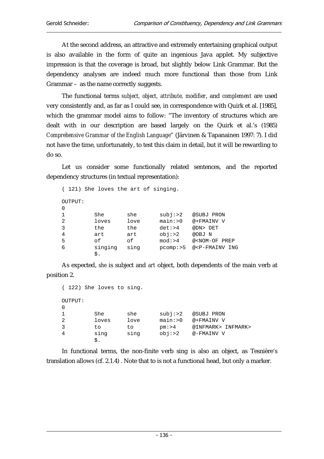At the second address, an attractive and extremely entertaining graphical output is also available in the form of quite an ingenious Java applet. My subjective impression is that the coverage is broad, but slightly below Link Grammar. But the dependency analyses are indeed much more functional than those from Link Grammar – as the name correctly suggests.

The functional terms *subject, object, attribute, modifier*, and *complement* are used very consistently and, as far as I could see, in correspondence with Quirk et al. [1985], which the grammar model aims to follow: "The inventory of structures which are dealt with in our description are based largely on the Quirk et al.'s (1985) *Comprehensive Grammar of the English Language*" (Järvinen & Tapanainen 1997: 7). I did not have the time, unfortunately, to test this claim in detail, but it will be rewarding to do so.

Let us consider some functionally related sentences, and the reported dependency structures (in textual representation):

```
( 121) She loves the art of singing. 
OUTPUT: 
0 
1 She she subj:>2 @SUBJ PRON
2 loves love main:>0 @+FMAINV V 
3 the the det:>4 @DN> DET 
4 art art obj:>2 @OBJ N 
5 of of mod:>4 @<NOM-OF PREP 
6 singing sing pcomp:>5 @<P-FMAINV ING 
       $.
```
As expected, *she* is subject and *art* object, both dependents of the main verb at position 2.

```
( 122) She loves to sing. 
OUTPUT: 
0 
1 She she subj:>2 @SUBJ PRON 
2 loves love main:>0 @+FMAINV V 
3 to to pm:>4 @INFMARK> INFMARK> 
4 sing sing obj:>2 @-FMAINV V 
       $.
```
In functional terms, the non-finite verb sing is also an object, as Tesnière's translation allows (cf. 2.1.4) . Note that to is not a functional head, but only a marker.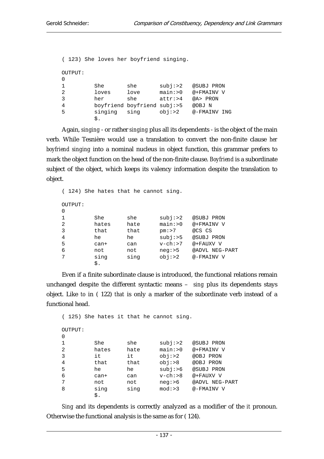```
( 123) She loves her boyfriend singing. 
OUTPUT: 
\Omega1 She she subj:>2 @SUBJ PRON 
2 loves love main:>0 @+FMAINV V 
3 her she attr:>4 @A> PRON 
4 boyfriend boyfriend subj:>5 @OBJ N 
5 singing sing obj:>2 @-FMAINV ING 
        $.
```
Again, *singing* - or rather *singing* plus all its dependents - is the object of the main verb. While Tesnière would use a translation to convert the non-finite clause *her boyfriend singing* into a nominal nucleus in object function, this grammar prefers to mark the object function on the head of the non-finite clause. *Boyfriend* is a subordinate subject of the object, which keeps its valency information despite the translation to object.

( 124) She hates that he cannot sing. OUTPUT:  $\Omega$ 1 She she subj:>2 @SUBJ PRON 2 hates hate main:>0 @+FMAINV V 3 that that pm:>7 @CS CS 4 he he subj:>5 @SUBJ PRON 5 can+ can v-ch:>7 @+FAUXV V 6 not not neg:>5 @ADVL NEG-PART 7 sing sing obj:>2 @-FMAINV V \$.

Even if a finite subordinate clause is introduced, the functional relations remain unchanged despite the different syntactic means – *sing* plus its dependents stays object. Like *to* in ( 122) *that* is only a marker of the subordinate verb instead of a functional head.

```
( 125) She hates it that he cannot sing. 
OUTPUT: 
\Omega1 She she subj:>2 @SUBJ PRON 
2 hates hate main:>0 @+FMAINV V 
3 it it obj:>2 @OBJ PRON 
4 that that obj:>8 @OBJ PRON 
5 he he subj:>6 @SUBJ PRON 
6 can+ can v-ch:>8 @+FAUXV V 
7 not not neg:>6 @ADVL NEG-PART 
8 sing sing mod:>3 @-FMAINV V 
       $.
```
*Sing* and its dependents is correctly analyzed as a modifier of the *it* pronoun. Otherwise the functional analysis is the same as for ( 124).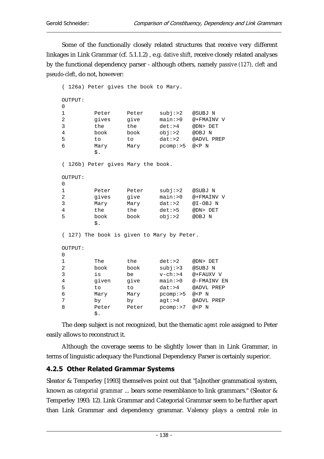Some of the functionally closely related structures that receive very different linkages in Link Grammar (cf. 5.1.1.2) , e.g. *dative shift*, receive closely related analyses by the functional dependency parser - although others, namely *passive (127), cleft* and *pseudo-cleft*, do not, however:

```
( 126a) Peter gives the book to Mary. 
OUTPUT: 
\Omega1 Peter Peter subj:>2 @SUBJ N 
2 gives give main:>0 @+FMAINV V 
3 the the det:>4 @DN> DET 
4 book book obj:>2 @OBJ N 
5 to to dat:>2 @ADVL PREP 
6 Mary Mary pcomp:>5 @<P N 
       $. 
( 126b) Peter gives Mary the book. 
OUTPUT: 
\cap1 Peter Peter subj:>2 @SUBJ N 
2 gives give main:>0 @+FMAINV V 
3 Mary Mary dat:>2 @I-OBJ N 
4 the the det:>5 @DN> DET 
5 book book obj:>2 @OBJ N 
       $. 
( 127) The book is given to Mary by Peter. 
OUTPUT: 
\Omega1 The the det:>2 @DN> DET 
2 book book subj:>3 @SUBJ N 
3 is be v-ch:>4 @+FAUXV V 
4 given give main:>0 @-FMAINV EN 
5 to to dat:>4 @ADVL PREP 
6 Mary Mary pcomp:>5 @<P N 
7 by by agt:>4 @ADVL PREP
8 Peter Peter pcomp:>7 @<P N
       $.
```
The deep subject is not recognized, but the thematic *agent* role assigned to Peter easily allows to reconstruct it.

Although the coverage seems to be slightly lower than in Link Grammar, in terms of linguistic adequacy the Functional Dependency Parser is certainly superior.

## 4.2.5 Other Related Grammar Systems

Sleator & Temperley [1993] themselves point out that "[a]nother grammatical system, known as *categorial grammar* ... bears some resemblance to link grammars." (Sleator & Temperley 1993: 12). Link Grammar and Categorial Grammar seem to be further apart than Link Grammar and dependency grammar. Valency plays a central role in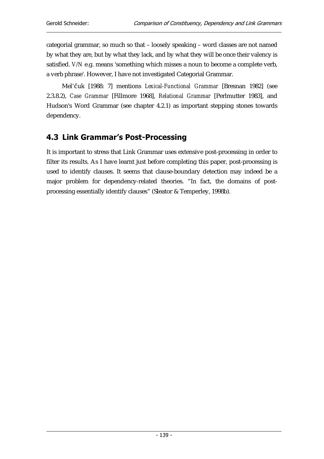categorial grammar, so much so that – loosely speaking – word classes are not named by what they are, but by what they lack, and by what they will be once their valency is satisfied. *V/N* e.g. means 'something which misses a noun to become a complete verb, a verb phrase'. However, I have not investigated Categorial Grammar.

Mel'þuk [1988: 7] mentions *Lexical-Functional Grammar* [Bresnan 1982] (see 2.3.8.2), *Case Grammar* [Fillmore 1968], *Relational Grammar* [Perlmutter 1983], and Hudson's Word Grammar (see chapter 4.2.1) as important stepping stones towards dependency.

## 4.3 Link Grammar's Post-Processing

It is important to stress that Link Grammar uses extensive post-processing in order to filter its results. As I have learnt just before completing this paper, post-processing is used to identify clauses. It seems that clause-boundary detection may indeed be a major problem for dependency-related theories. "In fact, the domains of postprocessing essentially identify clauses" (Sleator & Temperley, 1998b).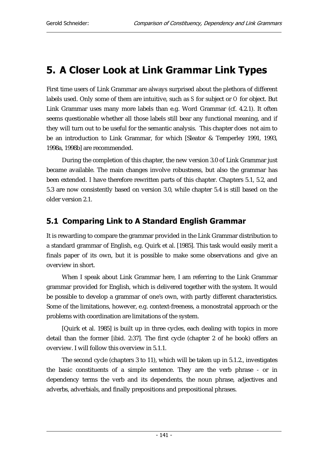# 5. A Closer Look at Link Grammar Link Types

First time users of Link Grammar are always surprised about the plethora of different labels used. Only some of them are intuitive, such as *S* for subject or *O* for object. But Link Grammar uses many more labels than e.g. Word Grammar (cf. 4.2.1). It often seems questionable whether all those labels still bear any functional meaning, and if they will turn out to be useful for the semantic analysis. This chapter does not aim to be an introduction to Link Grammar, for which [Sleator & Temperley 1991, 1993, 1998a, 1998b] are recommended.

During the completion of this chapter, the new version 3.0 of Link Grammar just became available. The main changes involve robustness, but also the grammar has been extended. I have therefore rewritten parts of this chapter. Chapters 5.1, 5.2, and 5.3 are now consistently based on version 3.0, while chapter 5.4 is still based on the older version 2.1.

## 5.1 Comparing Link to A Standard English Grammar

It is rewarding to compare the grammar provided in the Link Grammar distribution to a standard grammar of English, e.g. Quirk et al. [1985]. This task would easily merit a finals paper of its own, but it is possible to make some observations and give an overview in short.

When I speak about Link Grammar here, I am referring to the Link Grammar grammar provided for English, which is delivered together with the system. It would be possible to develop a grammar of one's own, with partly different characteristics. Some of the limitations, however, e.g. context-freeness, a monostratal approach or the problems with coordination are limitations of the system.

[Quirk et al. 1985] is built up in three cycles, each dealing with topics in more detail than the former [ibid. 2:37]. The first cycle (chapter 2 of he book) offers an overview. I will follow this overview in 5.1.1.

The second cycle (chapters 3 to 11), which will be taken up in 5.1.2., investigates the basic constituents of a simple sentence. They are the verb phrase - or in dependency terms the verb and its dependents, the noun phrase, adjectives and adverbs, adverbials, and finally prepositions and prepositional phrases.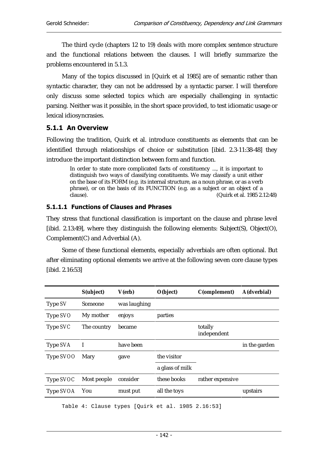The third cycle (chapters 12 to 19) deals with more complex sentence structure and the functional relations between the clauses. I will briefly summarize the problems encountered in 5.1.3.

Many of the topics discussed in [Quirk et al 1985] are of semantic rather than syntactic character, they can not be addressed by a syntactic parser. I will therefore only discuss some selected topics which are especially challenging in syntactic parsing. Neither was it possible, in the short space provided, to test idiomatic usage or lexical idiosyncrasies.

## 5.1.1 An Overview

Following the tradition, Quirk et al. introduce constituents as elements that can be identified through relationships of choice or substitution [ibid. 2.3-11:38-48] they introduce the important distinction between form and function.

In order to state more complicated facts of constituency ..., it is important to distinguish two ways of classifying constituents. We may classify a unit either on the base of its FORM (e.g. its internal structure, as a noun phrase, or as a verb phrase), or on the basis of its FUNCTION (e.g. as a subject or an object of a clause). (Quirk et al. 1985 2.12:48)

## 5.1.1.1 Functions of Clauses and Phrases

They stress that functional classification is important on the clause and phrase level [ibid. 2.13:49], where they distinguish the following elements: Subject(S), Object(O), Complement(C) and Adverbial (A).

Some of these functional elements, especially adverbials are often optional. But after eliminating optional elements we arrive at the following seven core clause types [ibid. 2.16:53]

|           | S(ubject)   | V(erb)       | O(bject)        | C(omplement)           | A(dverbial)   |
|-----------|-------------|--------------|-----------------|------------------------|---------------|
| Type SV   | Someone     | was laughing |                 |                        |               |
| Type SVO  | My mother   | enjoys       | parties         |                        |               |
| Type SVC  | The country | became       |                 | totally<br>independent |               |
| Type SVA  | I           | have been    |                 |                        | in the garden |
| Type SVOO | Mary        | gave         | the visitor     |                        |               |
|           |             |              | a glass of milk |                        |               |
| Type SVOC | Most people | consider     | these books     | rather expensive       |               |
| Type SVOA | You         | must put     | all the toys    |                        | upstairs      |
|           |             |              |                 |                        |               |

Table 4: Clause types [Quirk et al. 1985 2.16:53]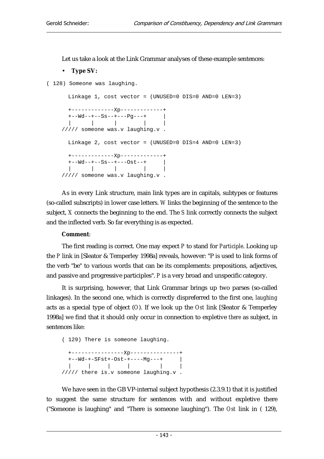Let us take a look at the Link Grammar analyses of these example sentences:

#### • **Type SV:**

( 128) Someone was laughing.

```
 Linkage 1, cost vector = (UNUSED=0 DIS=0 AND=0 LEN=3) 
  +-------------Xp-------------+ 
 +--Wd-+--Ss-+--Pg--++ |
  | | | | | 
///// someone was.v laughing.v . 
  Linkage 2, cost vector = (UNUSED=0 DIS=4 AND=0 LEN=3) 
  +-------------Xp-------------+ 
 +--Wd--+--Ss--+---Ost--+ | 
 | | | | | 
///// someone was.v laughing.v .
```
As in every Link structure, main link types are in capitals, subtypes or features (so-called subscripts) in lower case letters. *W* links the beginning of the sentence to the subject, *X* connects the beginning to the end. The *S* link correctly connects the subject and the inflected verb. So far everything is as expected.

#### **Comment**:

The first reading is correct. One may expect *P* to stand for *Participle*. Looking up the *P* link in [Sleator & Temperley 1998a] reveals, however: "P is used to link forms of the verb "be" to various words that can be its complements: prepositions, adjectives, and passive and progressive participles". *P* is a very broad and unspecific category.

It is surprising, however, that Link Grammar brings up two parses (so-called linkages). In the second one, which is correctly dispreferred to the first one, *laughing* acts as a special type of object (*O*). If we look up the *Ost* link [Sleator & Temperley 1998a] we find that it should only occur in connection to expletive *there* as subject, in sentences like:

( 129) There is someone laughing. +----------------Xp---------------+ +--Wd-+-SFst+-Ost-+----Mg---+ | | | | | | | ///// there is.v someone laughing.v .

We have seen in the GB VP-internal subject hypothesis (2.3.9.1) that it is justified to suggest the same structure for sentences with and without expletive there ("Someone is laughing" and "There is someone laughing"). The *Ost* link in ( 129),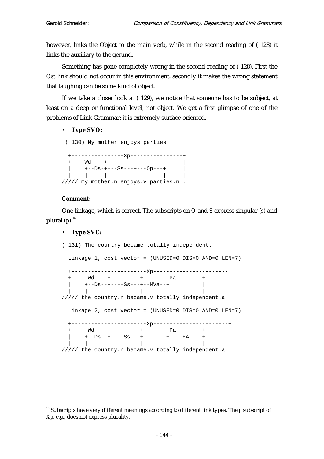however, links the Object to the main verb, while in the second reading of ( 128) it links the auxiliary to the gerund.

Something has gone completely wrong in the second reading of ( 128). First the *Ost* link should not occur in this environment, secondly it makes the wrong statement that laughing can be some kind of object.

If we take a closer look at ( 129), we notice that someone has to be subject, at least on a deep or functional level, not object. We get a first glimpse of one of the problems of Link Grammar: it is extremely surface-oriented.

• **Type SVO:** 

( 130) My mother enjoys parties.

 +----------------Xp----------------+  $+---Wd---+$  | +--Ds-+---Ss---+---Op---+ | | | | | | | ///// my mother.n enjoys.v parties.n .

### **Comment**:

One linkage, which is correct. The subscripts on *O* and *S* express singular (*s*) and plural  $(p)$ .<sup>10</sup>

### • **Type SVC:**

( 131) The country became totally independent.

Linkage 1, cost vector = (UNUSED=0 DIS=0 AND=0 LEN=7)

 +-----------------------Xp-----------------------+ +-----Wd----+ +--------Pa--------+ | | +--Ds--+----Ss---+--MVa--+ | | | | | | | | | ///// the country.n became.v totally independent.a . Linkage 2, cost vector = (UNUSED=0 DIS=0 AND=0 LEN=7) +-----------------------Xp-----------------------+ +-----Wd----+ +--------Pa--------+ | | +--Ds--+----Ss---+ +----EA----+ | | | | | | | | ///// the country.n became.v totally independent.a .

 $\overline{a}$ <sup>10</sup> Subscripts have very different meanings according to different link types. The *p* subscript of *Xp*, e.g., does not express plurality.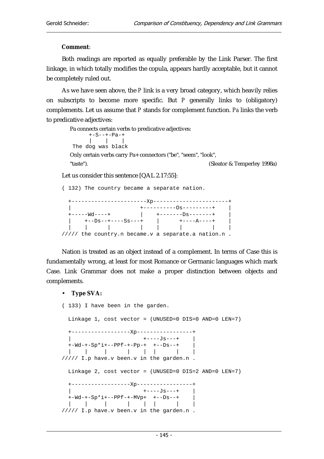#### **Comment**:

Both readings are reported as equally preferable by the Link Parser. The first linkage, in which totally modifies the copula, appears hardly acceptable, but it cannot be completely ruled out.

As we have seen above, the *P* link is a very broad category, which heavily relies on subscripts to become more specific. But *P* generally links to (obligatory) complements. Let us assume that *P* stands for complement function. *Pa* links the verb to predicative adjectives:

Pa connects certain verbs to predicative adjectives: +-S--+-Pa-+ | | | The dog was black Only certain verbs carry Pa+ connectors ("be", "seem", "look", "taste"). (Sleator & Temperley 1998a)

Let us consider this sentence [QAL 2.17:55]:

( 132) The country became a separate nation. +-----------------------Xp-----------------------+ | +----------Os---------+ | +-----Wd----+ | +-------Ds-------+ | | +--Ds--+----Ss---+ | +----A----+ | | | | | | | | | ///// the country.n became.v a separate.a nation.n .

Nation is treated as an object instead of a complement. In terms of Case this is fundamentally wrong, at least for most Romance or Germanic languages which mark Case. Link Grammar does not make a proper distinction between objects and complements.

#### • **Type SVA:**

( 133) I have been in the garden. Linkage 1, cost vector = (UNUSED=0 DIS=0 AND=0 LEN=7) +------------------Xp-----------------+  $+---Js---+$  | +-Wd-+-Sp\*i+--PPf-+-Pp-+ +--Ds--+ | | | | | | | | | ///// I.p have.v been.v in the garden.n . Linkage 2, cost vector = (UNUSED=0 DIS=2 AND=0 LEN=7) +------------------Xp-----------------+ | +----Js---+ |  $+-wd-+-Sp*i+--PPF-+-MVP+$  +--Ds--+ | | | | | | | | ///// I.p have.v been.v in the garden.n .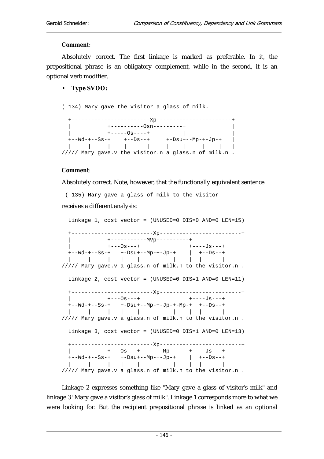### **Comment**:

Absolutely correct. The first linkage is marked as preferable. In it, the prepositional phrase is an obligatory complement, while in the second, it is an optional verb modifier.

### • **Type SVOO:**

( 134) Mary gave the visitor a glass of milk.

| +----------0sn---------+                             |  |
|------------------------------------------------------|--|
| +-----0s----+                                        |  |
|                                                      |  |
| .                                                    |  |
| ///// Mary gave.v the visitor.n a glass.n of milk.n. |  |

### **Comment**:

Absolutely correct. Note, however, that the functionally equivalent sentence

 ( 135) Mary gave a glass of milk to the visitor receives a different analysis:

 Linkage 1, cost vector = (UNUSED=0 DIS=0 AND=0 LEN=15) +-------------------------Xp-------------------------+ | +-----------MVp----------+ | | +---Os---+ +----Js---+ | +--Wd-+--Ss-+ +-Dsu+--Mp-+-Jp-+ | +--Ds--+ | | | | | | | | | | | | ///// Mary gave.v a glass.n of milk.n to the visitor.n . Linkage 2, cost vector = (UNUSED=0 DIS=1 AND=0 LEN=11) +-------------------------Xp-------------------------+  $+---0s---+$   $+---Js---+$  $+--Wd-+--Ss-+$   $+--Dsu+--Mp-+-Jp-+-Mp-+$   $+--Ds-+$  | | | | | | | | | | | ///// Mary gave.v a glass.n of milk.n to the visitor.n . Linkage 3, cost vector = (UNUSED=0 DIS=1 AND=0 LEN=13) +-------------------------Xp-------------------------+ | +---Os---+-------Mp------+----Js---+ | +--Wd-+--Ss-+ +-Dsu+--Mp-+-Jp-+ | +--Ds--+ | | | | | | | | | | | | ///// Mary gave.v a glass.n of milk.n to the visitor.n .

Linkage 2 expresses something like "Mary gave a glass of visitor's milk" and linkage 3 "Mary gave a visitor's glass of milk". Linkage 1 corresponds more to what we were looking for. But the recipient prepositional phrase is linked as an optional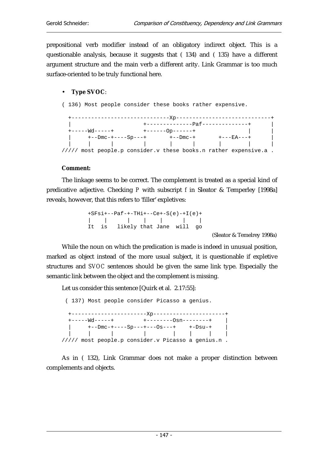prepositional verb modifier instead of an obligatory indirect object. This is a questionable analysis, because it suggests that ( 134) and ( 135) have a different argument structure and the main verb a different arity. Link Grammar is too much surface-oriented to be truly functional here.

## • **Type SVOC**:

( 136) Most people consider these books rather expensive.

|  |                |                                   |                             | -------Xp----------              |                                                                          |  |
|--|----------------|-----------------------------------|-----------------------------|----------------------------------|--------------------------------------------------------------------------|--|
|  |                |                                   |                             |                                  |                                                                          |  |
|  |                |                                   |                             | +---------------Paf------------- |                                                                          |  |
|  | +-----Wd-----+ |                                   | $+ - - - - - - 0$ p ------+ |                                  |                                                                          |  |
|  |                | $+$ - -Dmc - + - - - - Sp - - - + |                             | $+--Dmc-+$                       | +---EA---+                                                               |  |
|  |                |                                   |                             |                                  |                                                                          |  |
|  |                |                                   |                             |                                  | $\frac{1}{1}$ most people.p consider.v these books.n rather expensive.a. |  |

#### **Comment:**

The linkage seems to be correct. The complement is treated as a special kind of predicative adjective. Checking *P* with subscript *f* in Sleator & Temperley [1998a] reveals, however, that this refers to 'filler' expletives:

|  | $+SFs1+--Paf-+-THi+--Ce+-S(e)-+I(e)+$ |  |  |
|--|---------------------------------------|--|--|
|  |                                       |  |  |
|  | It is likely that Jane will go        |  |  |

(Sleator & Temelrey 1998a)

While the noun on which the predication is made is indeed in unusual position, marked as object instead of the more usual subject, it is questionable if expletive structures and *SVOC* sentences should be given the same link type. Especially the semantic link between the object and the complement is missing.

Let us consider this sentence [Quirk et al. 2.17:55]:

 ( 137) Most people consider Picasso a genius. +-----------------------Xp----------------------+ +-----Wd-----+ +--------Osn--------+ | | +--Dmc-+----Sp---+---Os---+ +-Dsu-+ | | | | | | | | | ///// most people.p consider.v Picasso a genius.n .

As in ( 132), Link Grammar does not make a proper distinction between complements and objects.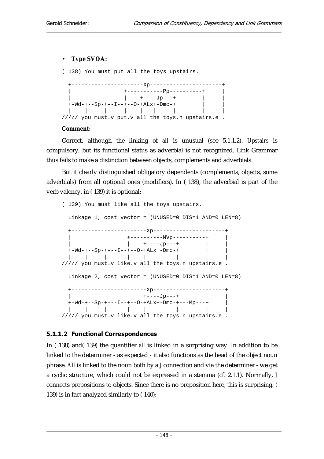### • **Type SVOA:**

( 138) You must put all the toys upstairs.

| --Xp---------                                     |  |
|---------------------------------------------------|--|
|                                                   |  |
| +-----------Pp----------+                         |  |
| +----Jp---+                                       |  |
| $+-Wd---Sp-+--I-+--O-+ALx+-Dmc-+$                 |  |
|                                                   |  |
| ///// you must.v put.v all the toys.n upstairs.e. |  |

#### **Comment**:

Correct, although the linking of *all* is unusual (see 5.1.1.2). *Upstairs* is compulsory, but its functional status as adverbial is not recognized. Link Grammar thus fails to make a distinction between objects, complements and adverbials.

But it clearly distinguished obligatory dependents (complements, objects, some adverbials) from all optional ones (modifiers). In ( 138), the adverbial is part of the verb valency, in ( 139) it is optional:

```
( 139) You must like all the toys upstairs. 
  Linkage 1, cost vector = (UNUSED=0 DIS=1 AND=0 LEN=8) 
  +-----------------------Xp----------------------+ 
                   | +----------MVp----------+ | 
                   | +-----Jp---+ |+-\text{Wd}-+--\text{Sp}-+---\text{I}-+--\text{O}-+\text{ALx}+-\text{Dmc}-+ | | | | | | | | | 
///// you must.v like.v all the toys.n upstairs.e . 
  Linkage 2, cost vector = (UNUSED=0 DIS=1 AND=0 LEN=8) 
  +-----------------------Xp----------------------+ 
                        | +----Jp---+ | 
 +-Wd-+--Sp-+---I--+--O-+ALx+-Dmc-+---Mp---+ | 
 | | | | | | | | | 
///// you must.v like.v all the toys.n upstairs.e .
```
## 5.1.1.2 Functional Correspondences

In ( 138) and( 139) the quantifier *all* is linked in a surprising way. In addition to be linked to the determiner - as expected - it also functions as the head of the object noun phrase. *All* is linked to the noun both by a *J* connection and via the determiner - we get a cyclic structure, which could not be expressed in a stemma (cf. 2.1.1). Normally, *J* connects prepositions to objects. Since there is no preposition here, this is surprising. ( 139) is in fact analyzed similarly to ( 140):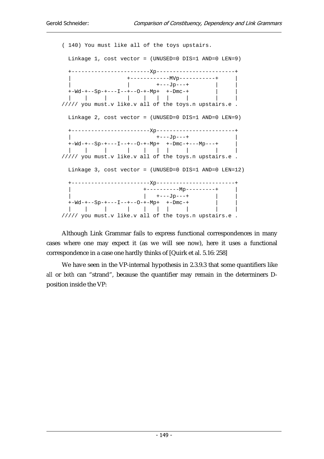( 140) You must like all of the toys upstairs. Linkage 1, cost vector = (UNUSED=0 DIS=1 AND=0 LEN=9) +------------------------Xp------------------------+ | +------------MVp-----------+ | | | +---Jp---+ | |  $+-\text{Md}-+--\text{Sp}-+---\text{I}--+--\text{O}-+-\text{Mp}+ +-\text{Dmc}-+$  | | | | | | | | | | ///// you must.v like.v all of the toys.n upstairs.e . Linkage 2, cost vector = (UNUSED=0 DIS=1 AND=0 LEN=9) +------------------------Xp------------------------+ | +---Jp---+ | +-Wd-+--Sp-+---I--+--O-+-Mp+ +-Dmc-+---Mp---+ | | | | | | | | | | | ///// you must.v like.v all of the toys.n upstairs.e . Linkage 3, cost vector = (UNUSED=0 DIS=1 AND=0 LEN=12) +------------------------Xp------------------------+ | +----------Mp---------+ |  $|$  +----Jp---+  $+-\text{Md}-+--\text{Sp}-+---\text{I}--+--\text{Op}+--\text{Mp}+ +-\text{Dmc}-+$  | | | | | | | | | | ///// you must.v like.v all of the toys.n upstairs.e .

Although Link Grammar fails to express functional correspondences in many cases where one may expect it (as we will see now), here it uses a functional correspondence in a case one hardly thinks of [Quirk et al. 5.16: 258]

We have seen in the VP-internal hypothesis in 2.3.9.3 that some quantifiers like *all* or *both* can "strand", because the quantifier may remain in the determiners Dposition inside the VP: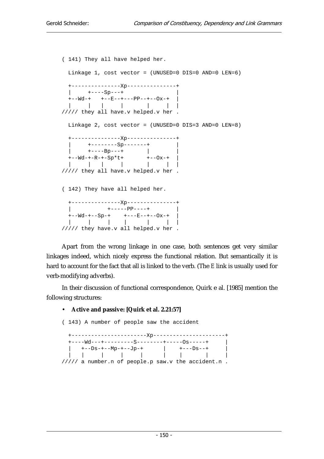```
( 141) They all have helped her. 
  Linkage 1, cost vector = (UNUSED=0 DIS=0 AND=0 LEN=6) 
  +---------------Xp---------------+ 
 | +-----Sp---+
  +--Wd-+ +--E--+---PP--+--Ox-+ | 
  | | | | | | | 
///// they all have.v helped.v her . 
  Linkage 2, cost vector = (UNUSED=0 DIS=3 AND=0 LEN=8) 
  +---------------Xp---------------+ 
 | +--------Sp-------+ | 
 | +----Bp---+ | | 
 +--Wd-+-R-+-Sp*t+ +--Ox-+ | 
 | | | | | | | 
///// they all have.v helped.v her . 
( 142) They have all helped her. 
  +---------------Xp---------------+ 
 | +------PP----+ | +--Wd-+--Sp-+ +---E--+--Ox-+ | 
 | | | | | | | 
///// they have.v all helped.v her .
```
Apart from the wrong linkage in one case, both sentences get very similar linkages indeed, which nicely express the functional relation. But semantically it is hard to account for the fact that all is linked to the verb. (The *E* link is usually used for verb-modifying adverbs).

In their discussion of functional correspondence, Quirk e al. [1985] mention the following structures:

#### • **Active and passive: [Quirk et al. 2.21:57]**

( 143) A number of people saw the accident +-----------------------Xp----------------------+ +----Wd---+---------S--------+-----Os-----+ | | +--Ds-+--Mp-+--Jp-+ | +---Ds--+ | | | | | | | | | | ///// a number.n of people.p saw.v the accident.n .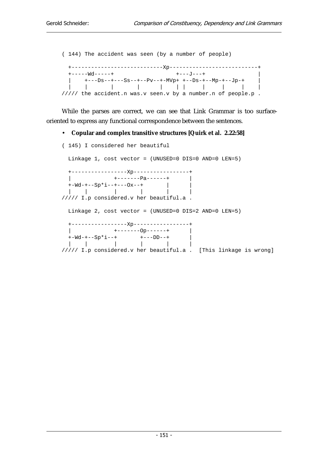( 144) The accident was seen (by a number of people) +----------------------------Xp---------------------------+  $+----wd----+-$ |  $+--Ds-+---Ss-+--Pv-+-MVP+$  +--Ds-+--Mp-+--Jp-+ | | | | | | | | | | | ///// the accident.n was.v seen.v by a number.n of people.p.

While the parses are correct, we can see that Link Grammar is too surfaceoriented to express any functional correspondence between the sentences.

#### • **Copular and complex transitive structures [Quirk et al. 2.22:58]**

```
( 145) I considered her beautiful 
  Linkage 1, cost vector = (UNUSED=0 DIS=0 AND=0 LEN=5) 
  +-----------------Xp-----------------+ 
             | +-------Pa------+ | 
 +-Wd-+--Sp*i--+---Ox--+ | | 
 | | | | | | 
///// I.p considered.v her beautiful.a . 
  Linkage 2, cost vector = (UNUSED=0 DIS=2 AND=0 LEN=5) 
  +-----------------Xp-----------------+ 
 | +-------------+
 +-Wd-+--Sp*i--+ +---DD--+ | 
 | | | | | | 
///// I.p considered.v her beautiful.a . [This linkage is wrong]
```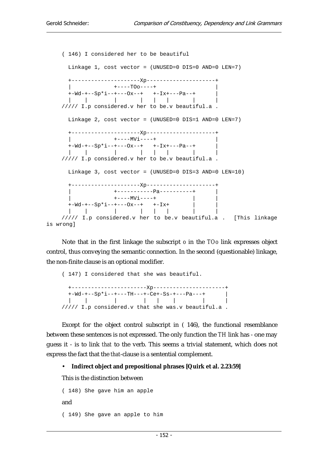( 146) I considered her to be beautiful Linkage 1, cost vector = (UNUSED=0 DIS=0 AND=0 LEN=7) +---------------------Xp---------------------+ | +----TOo----+ |  $+-Wd-+--Sp*i-+--Ox--+$   $+-Ix+--Pa--+$  | | | | | | | | ///// I.p considered.v her to be.v beautiful.a . Linkage 2, cost vector = (UNUSED=0 DIS=1 AND=0 LEN=7) +---------------------Xp---------------------+ | +----MVi----+ | +-Wd-+--Sp\*i--+---Ox--+ +-Ix+---Pa--+ | | | | | | | | | ///// I.p considered.v her to be.v beautiful.a . Linkage 3, cost vector = (UNUSED=0 DIS=3 AND=0 LEN=10) +---------------------Xp---------------------+ | +-----------Pa----------+ |  $+---MVi---+$  +-Wd-+--Sp\*i--+---Ox--+ +-Ix+ | | | | | | | | | | ///// I.p considered.v her to be.v beautiful.a . [This linkage is wrong]

Note that in the first linkage the subscript *o* in the *TOo* link expresses object control, thus conveying the semantic connection. In the second (questionable) linkage, the non-finite clause is an optional modifier.

( 147) I considered that she was beautiful. +-----------------------Xp----------------------+ +-Wd-+--Sp\*i--+---TH---+-Ce+-Ss-+---Pa---+ | | | | | | | | | ///// I.p considered.v that she was.v beautiful.a .

Except for the object control subscript in ( 146), the functional resemblance between these sentences is not expressed. The only function the *TH* link has - one may guess it - is to link *that* to the verb. This seems a trivial statement, which does not express the fact that the *that*-clause is a sentential complement.

#### • **Indirect object and prepositional phrases [Quirk et al. 2.23:59]**

This is the distinction between

```
( 148) She gave him an apple 
and 
( 149) She gave an apple to him
```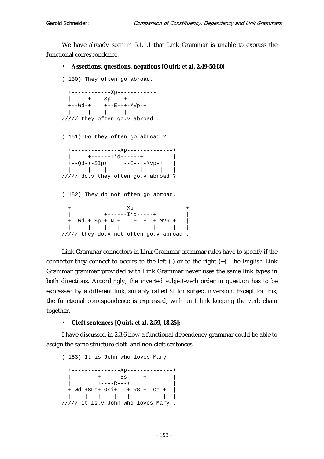We have already seen in 5.1.1.1 that Link Grammar is unable to express the functional correspondence.

#### • **Assertions, questions, negations [Quirk et al. 2.49-50:80]**

( 150) They often go abroad.

```
 +------------Xp------------+ 
 | +----Sp----+
 +--Wd-+ +--E--+-MVp-+ | 
 | | | | | | 
///// they often go.v abroad . 
( 151) Do they often go abroad ? 
  +---------------Xp--------------+ 
 | +----I*d-----+++--Qd-+-SIP+ +--E-++-MVP-+ |
  | | | | | | | 
///// do.v they often go.v abroad ? 
( 152) They do not often go abroad. 
      +-----------------Xp----------------+ 
         | +------I*d-----+ | 
 +--Wd-+-Sp-+-N-+ +--E---+-MVP-+ |
  | | | | | | | | 
///// they do.v not often go.v abroad .
```
Link Grammar connectors in Link Grammar grammar rules have to specify if the connector they connect to occurs to the left (-) or to the right (+). The English Link Grammar grammar provided with Link Grammar never uses the same link types in both directions. Accordingly, the inverted subject-verb order in question has to be expressed by a different link, suitably called *SI* for subject inversion. Except for this, the functional correspondence is expressed, with an *I* link keeping the verb chain together.

• **Cleft sentences [Quirk et al. 2.59, 18.25]:**

I have discussed in 2.3.6 how a functional dependency grammar could be able to assign the same structure cleft- and non-cleft sentences.

( 153) It is John who loves Mary +---------------Xp--------------+ | +------Bs-----+ | | +----R---+ | | +-Wd-+SFs+-Osi+ +-RS-+--Os-+ | | | | | | | | | ///// it is.v John who loves Mary .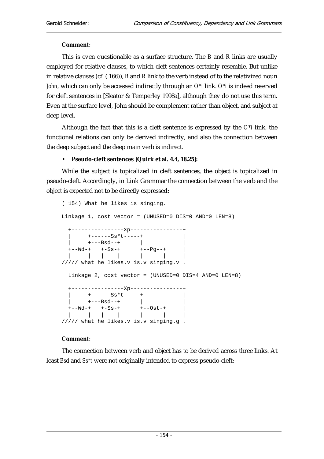## **Comment**:

This is even questionable as a surface structure. The *B* and *R* links are usually employed for relative clauses, to which cleft sentences certainly resemble. But unlike in relative clauses (cf. ( 166)), *B* and *R* link to the verb instead of to the relativized noun *John,* which can only be accessed indirectly through an *O\*i* link. *O\*i* is indeed reserved for cleft sentences in [Sleator & Temperley 1998a], although they do not use this term. Even at the surface level, John should be complement rather than object, and subject at deep level.

Although the fact that this is a cleft sentence is expressed by the *O\*i* link, the functional relations can only be derived indirectly, and also the connection between the deep subject and the deep main verb is indirect.

### • **Pseudo-cleft sentences [Quirk et al. 4.4, 18.25]:**

While the subject is topicalized in cleft sentences, the object is topicalized in pseudo-cleft. Accordingly, in Link Grammar the connection between the verb and the object is expected not to be directly expressed:

```
( 154) What he likes is singing. 
Linkage 1, cost vector = (UNUSED=0 DIS=0 AND=0 LEN=8) 
  +----------------Xp----------------+ 
      | +------Ss*t-----+ | 
 | +---Bsd--+ | | 
 +--Wd-+ +-Ss-+ +--Pg--+ | 
 | | | | | | | 
///// what he likes.v is.v singing.v . 
  Linkage 2, cost vector = (UNUSED=0 DIS=4 AND=0 LEN=8) 
  +----------------Xp----------------+ 
      | +------Ss*t-----+ | 
 | +---Bsd--+ | | 
 +--Wd-+ +-Ss-+ +--Ost-+ | 
 | | | | | | | 
///// what he likes.v is.v singing.g .
```
## **Comment**:

The connection between verb and object has to be derived across three links. At least *Bsd* and *Ss\*t* were not originally intended to express pseudo-cleft: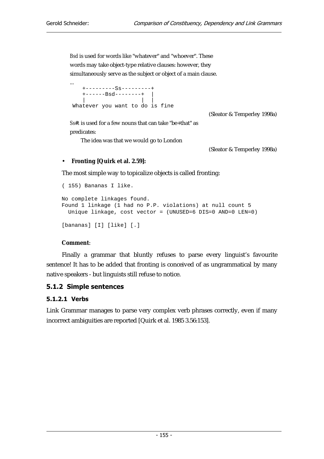*Bsd* is used for words like "whatever" and "whoever". These words may take object-type relative clauses: however, they simultaneously serve as the subject or object of a main clause.

| $\cdots$                                       |  |  |  |
|------------------------------------------------|--|--|--|
| $+$ - - - - - - - - - $SS$ - - - - - - - - - + |  |  |  |
| +------Bsd--------+                            |  |  |  |
|                                                |  |  |  |
| Whatever you want to do is fine                |  |  |  |

(Sleator & Temperley 1998a)

*Ss#t* is used for a few nouns that can take "be+that" as predicates:

The idea was that we would go to London

(Sleator & Temperley 1998a)

## • **Fronting [Quirk et al. 2.59]:**

The most simple way to topicalize objects is called fronting:

```
( 155) Bananas I like. 
No complete linkages found. 
Found 1 linkage (1 had no P.P. violations) at null count 5 
   Unique linkage, cost vector = (UNUSED=6 DIS=0 AND=0 LEN=0) 
[bananas] [I] [like] [.]
```
#### **Comment**:

Finally a grammar that bluntly refuses to parse every linguist's favourite sentence! It has to be added that fronting is conceived of as ungrammatical by many native speakers - but linguists still refuse to notice.

## 5.1.2 Simple sentences

## 5.1.2.1 Verbs

Link Grammar manages to parse very complex verb phrases correctly, even if many incorrect ambiguities are reported [Quirk et al. 1985 3.56:153].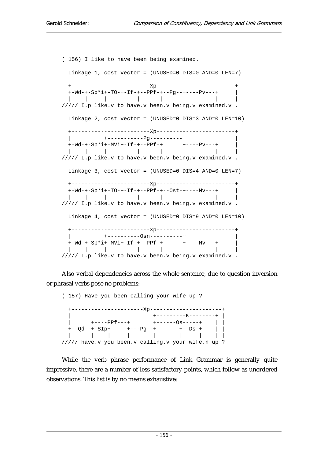( 156) I like to have been being examined. Linkage 1, cost vector = (UNUSED=0 DIS=0 AND=0 LEN=7) +------------------------Xp------------------------+ +- $\texttt{Wd--+-Sp*i+-TO-+-If---PPf---Pg---+---Pv---+$  | | | | | | | | | | ///// I.p like.v to have.v been.v being.v examined.v . Linkage 2, cost vector = (UNUSED=0 DIS=3 AND=0 LEN=10) +------------------------Xp------------------------+ | +-----------Pg----------+ | +-Wd-+-Sp\*i+-MVi+-If-+--PPf-+ +----Pv---+ | | | | | | | | | | ///// I.p like.v to have.v been.v being.v examined.v . Linkage 3, cost vector = (UNUSED=0 DIS=4 AND=0 LEN=7) +------------------------Xp------------------------+  $+-Wd--+Sp*i+-TO-+-If-+--PPf-+--Ost-+---Mv--+$  | | | | | | | | | | ///// I.p like.v to have.v been.v being.v examined.v . Linkage 4, cost vector = (UNUSED=0 DIS=9 AND=0 LEN=10) +------------------------Xp------------------------+ | +----------Osn----------+ | +-Wd-+-Sp\*i+-MVi+-If-+--PPf-+ +----Mv---+ | | | | | | | | | | ///// I.p like.v to have.v been.v being.v examined.v .

Also verbal dependencies across the whole sentence, due to question inversion or phrasal verbs pose no problems:

( 157) Have you been calling your wife up ? +----------------------Xp----------------------+ | +---------K--------+ | | +----PPf---+ +------Os-----+ | | +--Qd--+-SIp+ +---Pg--+ +--Ds-+ | | | | | | | | | | | ///// have.v you been.v calling.v your wife.n up ?

While the verb phrase performance of Link Grammar is generally quite impressive, there are a number of less satisfactory points, which follow as unordered observations. This list is by no means exhaustive: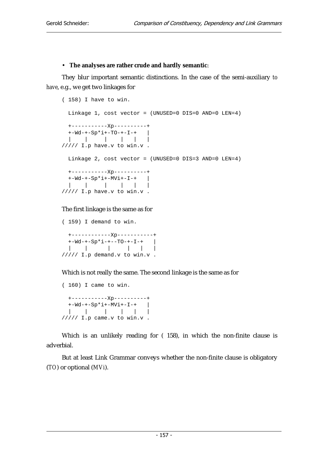#### • **The analyses are rather crude and hardly semantic**:

They blur important semantic distinctions. In the case of the semi-auxiliary *to have*, e.g., we get two linkages for

```
( 158) I have to win. 
  Linkage 1, cost vector = (UNUSED=0 DIS=0 AND=0 LEN=4) 
  +-----------Xp----------+ 
 +-Wd-+-Sp*i+-TO-+-I-+ |
  | | | | | | 
///// I.p have.v to win.v . 
  Linkage 2, cost vector = (UNUSED=0 DIS=3 AND=0 LEN=4) 
  +-----------Xp----------+ 
 +-\text{Wd}-+-\text{Sp*i}+-\text{MVi}+-\text{I}-+ | | | | | | 
///// I.p have.v to win.v .
```
#### The first linkage is the same as for

```
( 159) I demand to win. 
  +------------Xp-----------+ 
 +-Wd-+-Sp*i-+--TO-+-I-+ | 
 | | | | | | 
///// I.p demand.v to win.v .
```
Which is not really the same. The second linkage is the same as for

```
( 160) I came to win. 
  +-----------Xp----------+ 
 +-Wd-+-Sp*1+-MVi+-I-+ |
  | | | | | | 
///// I.p came.v to win.v .
```
Which is an unlikely reading for ( 158), in which the non-finite clause is adverbial.

But at least Link Grammar conveys whether the non-finite clause is obligatory (*TO*) or optional (*MVi*).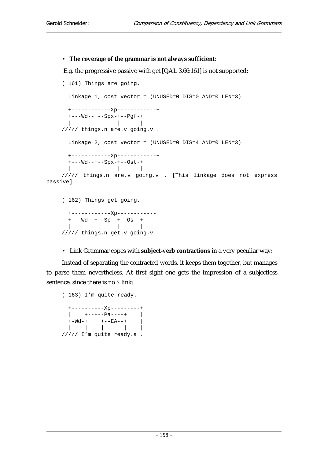#### • **The coverage of the grammar is not always sufficient**:

E.g. the progressive passive with get [QAL 3.66:161] is not supported:

```
( 161) Things are going. 
       Linkage 1, cost vector = (UNUSED=0 DIS=0 AND=0 LEN=3) 
       +------------Xp------------+ 
       +---Wd--+--Spx-+--Pgf-+ | 
           | | | | | 
    ///// things.n are.v going.v . 
       Linkage 2, cost vector = (UNUSED=0 DIS=4 AND=0 LEN=3) 
       +------------Xp------------+ 
       +---Wd--+--Spx-+--Ost-+ | 
       | | | | | 
    ///// things.n are.v going.v . [This linkage does not express 
passive] 
     ( 162) Things get going. 
       +------------Xp------------+
```
 +---Wd--+--Sp--+--Os--+ | | | | | | ///// things.n get.v going.v .

• Link Grammar copes with **subject-verb contractions** in a very peculiar way:

Instead of separating the contracted words, it keeps them together, but manages to parse them nevertheless. At first sight one gets the impression of a subjectless sentence, since there is no *S* link:

( 163) I'm quite ready. +----------Xp---------+  $|$  +------Pa----+ |  $+ -Wd-+ + -EA--+$  | | | | | ///// I'm quite ready.a .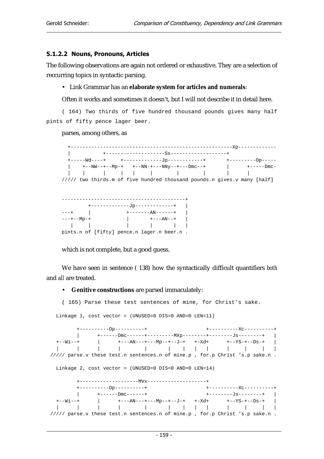#### 5.1.2.2 Nouns, Pronouns, Articles

The following observations are again not ordered or exhaustive. They are a selection of reccurring topics in syntactic parsing.

• Link Grammar has an **elaborate system for articles and numerals**:

Often it works and sometimes it doesn't, but I will not describe it in detail here.

( 164) Two thirds of five hundred thousand pounds gives many half pints of fifty pence lager beer.

#### parses, among others, as





which is not complete, but a good guess.

We have seen in sentence ( 138) how the syntactically difficult quantifiers *both* and *all* are treated.

#### • **Genitive constructions** are parsed immaculately:

( 165) Parse these test sentences of mine, for Christ's sake.

Linkage 1, cost vector = (UNUSED=0 DIS=0 AND=0 LEN=11)

| $+$ ----------0p---------+                             |  |                                                                               |
|--------------------------------------------------------|--|-------------------------------------------------------------------------------|
|                                                        |  |                                                                               |
|                                                        |  |                                                                               |
|                                                        |  |                                                                               |
|                                                        |  | ///// parse.v these test.n sentences.n of mine.p , for.p Christ 's.p sake.n.  |
|                                                        |  |                                                                               |
| Linkage 2, cost vector = (UNUSED=0 DIS=0 AND=0 LEN=14) |  |                                                                               |
|                                                        |  |                                                                               |
|                                                        |  |                                                                               |
| $+$ ----------0p---------+                             |  | +-----------Xc---------+                                                      |
| $+---Dmc---++$                                         |  | +---------Js-------+                                                          |
|                                                        |  |                                                                               |
|                                                        |  |                                                                               |
|                                                        |  | ///// parse.v these test.n sentences.n of mine.p , for.p Christ 's.p sake.n . |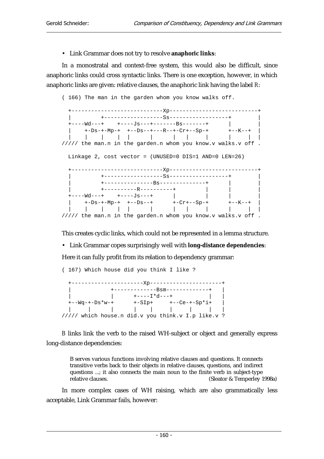• Link Grammar does not try to resolve **anaphoric links**:

In a monostratal and context-free system, this would also be difficult, since anaphoric links could cross syntactic links. There is one exception, however, in which anaphoric links are given: relative clauses, the anaphoric link having the label *R*:

( 166) The man in the garden whom you know walks off.

 +----------------------------Xp---------------------------+ | +------------------Ss------------------+ | +----Wd---+ +----Js---+-------Bs-------+ | | | +-Ds-+-Mp-+ +--Ds--+---R--+-Cr+--Sp-+ +--K--+ | | | | | | | | | | | | | ///// the man.n in the garden.n whom you know.v walks.v off . Linkage 2, cost vector = (UNUSED=0 DIS=1 AND=0 LEN=26) +----------------------------Xp---------------------------+ | +------------------Ss------------------+ | | +---------------Bs--------------+ | | | +----------R----------+ | | | +----Wd---+ +----Js---+ | | | | | +-Ds-+-Mp-+ +--Ds--+ +-Cr+--Sp-+ +--K--+ | | | | | | | | | | | | | ///// the man.n in the garden.n whom you know.v walks.v off .

This creates cyclic links, which could not be represented in a lemma structure.

• Link Grammar copes surprisingly well with **long-distance dependencies**:

Here it can fully profit from its relation to dependency grammar:

( 167) Which house did you think I like ?

 +----------------------Xp----------------------+ | +-------------Bsm-------------+ |  $|\t\t+---I^*d---+$   $|\t\t|$  +--Wq-+-Ds\*w-+ +-SIp+ +--Ce-+-Sp\*i+ | | | | | | | | | | ///// which house.n did.v you think.v I.p like.v ?

*B* links link the verb to the raised WH-subject or object and generally express long-distance dependencies:

B serves various functions involving relative clauses and questions. It connects transitive verbs back to their objects in relative clauses, questions, and indirect questions ...; it also connects the main noun to the finite verb in subject-type relative clauses. (Sleator & Temperlev 1) (Sleator & Temperley 1998a)

In more complex cases of WH raising, which are also grammatically less acceptable, Link Grammar fails, however: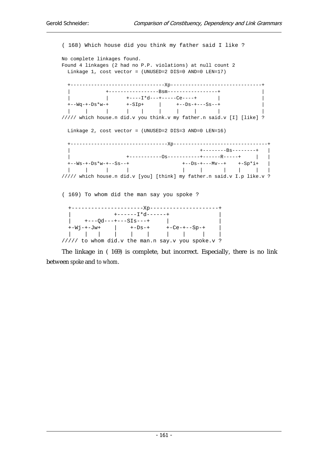( 168) Which house did you think my father said I like ? No complete linkages found. Found 4 linkages (2 had no P.P. violations) at null count 2 Linkage 1, cost vector = (UNUSED=2 DIS=0 AND=0 LEN=17) +--------------------------------Xp-------------------------------+ | +-----------------Bsm-----------------+ | | | +----I\*d---+-----Ce----+ | | +--Wq-+-Ds\*w-+ +-SIp+ | +--Ds-+---Ss--+ | | | | | | | | | | | ///// which house.n did.v you think.v my father.n said.v [I] [like] ? Linkage 2, cost vector = (UNUSED=2 DIS=3 AND=0 LEN=16) +---------------------------------Xp--------------------------------+ | +--------Bs--------+ | | +-----------Os-----------+------R-----+ | | +--Ws-+-Ds\*w-+--Ss--+ +--Ds-+---Mv--+ +-Sp\*i+ | | | | | | | | | | | ///// which house.n did.v [you] [think] my father.n said.v I.p like.v ? ( 169) To whom did the man say you spoke ? +----------------------Xp---------------------+ | +------I\*d------+ | | +---Qd---+---SIs---+ | | +-Wj-+-Jw+ | +-Ds-+ +-Ce-+--Sp-+ | | | | | | | | | | | ///// to whom did.v the man.n say.v you spoke.v ?

The linkage in ( 169) is complete, but incorrect. Especially, there is no link between *spoke* and *to whom*.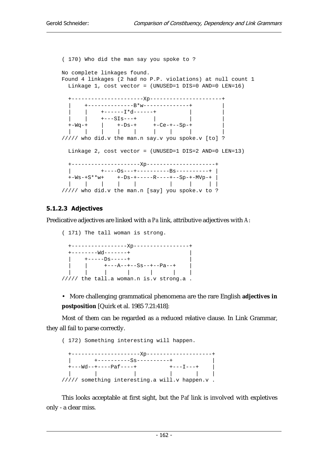( 170) Who did the man say you spoke to ? No complete linkages found. Found 4 linkages (2 had no P.P. violations) at null count 1 Linkage 1, cost vector = (UNUSED=1 DIS=0 AND=0 LEN=16) +----------------------Xp----------------------+ | +--------------B\*w--------------+ |  $|\t\t+---I^*d---++$  | | +---SIs---+ | | | +-Wq-+ | +-Ds-+ +-Ce-+--Sp-+ | | | | | | | | | | ///// who did.v the man.n say.v you spoke.v [to] ? Linkage 2, cost vector = (UNUSED=1 DIS=2 AND=0 LEN=13) +---------------------Xp---------------------+ | +----Os---+----------Bs----------+ | +-Ws-+S\*\*w+ +-Ds-+-----R----+--Sp-+-MVp-+ | | | | | | | | | | ///// who did.v the man.n [say] you spoke.v to ?

## 5.1.2.3 Adjectives

Predicative adjectives are linked with a *Pa* link, attributive adjectives with *A*:

( 171) The tall woman is strong. +-----------------Xp-----------------+  $+-------Wd------++$  $+---DS---++$  | | +---A--+--Ss--+--Pa--+ | | | | | | | | ///// the tall.a woman.n is.v strong.a .

• More challenging grammatical phenomena are the rare English **adjectives in postposition** [Quirk et al. 1985 7.21:418]:

Most of them can be regarded as a reduced relative clause. In Link Grammar, they all fail to parse correctly.

( 172) Something interesting will happen.

|                                         | +----------Ss----------+                                    |                     |  |
|-----------------------------------------|-------------------------------------------------------------|---------------------|--|
| $+ - - W$ d - - + - - - - Paf - - - - + |                                                             | $+ - - - 1 - - - +$ |  |
|                                         |                                                             |                     |  |
|                                         | $\frac{1}{1}$ //// something interesting.a will.v happen.v. |                     |  |

This looks acceptable at first sight, but the *Paf* link is involved with expletives only - a clear miss.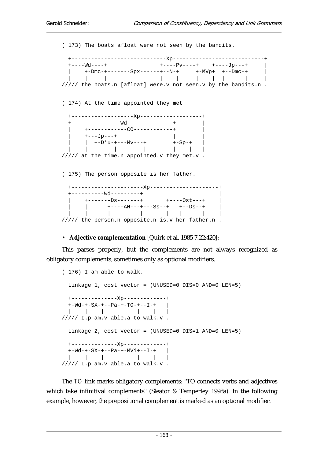( 173) The boats afloat were not seen by the bandits. +-----------------------------Xp----------------------------+ +----Wd----+ +----Pv----+ +----Jp---+ | | +-Dmc-+-------Spx------+--N-+ +-MVp+ +--Dmc-+ | | | | | | | | | | | ///// the boats.n [afloat] were.v not seen.v by the bandits.n . ( 174) At the time appointed they met +-------------------Xp-------------------+ +---------------Wd--------------+ | | +------------CO------------+ |  $|$  +---Jp---+  $|$  |  $\vert +-D^{\star}u^{-+---}Mv^{---+} \qquad \qquad +-Sp^{-+} \qquad \vert$  | | | | | | | | ///// at the time.n appointed.v they met.v . ( 175) The person opposite is her father. +----------------------Xp---------------------+ +----------Wd---------+ | | +-------Ds-------+ +----Ost---+ | | | +----AN---+---Ss--+ +--Ds--+ | | | | | | | | | ///// the person.n opposite.n is.v her father.n .

• **Adjective complementation** [Quirk et al. 1985 7.22:420]:

This parses properly, but the complements are not always recognized as obligatory complements, sometimes only as optional modifiers.

```
( 176) I am able to walk. 
  Linkage 1, cost vector = (UNUSED=0 DIS=0 AND=0 LEN=5) 
  +--------------Xp-------------+ 
  +-Wd-+-SX-+--Pa-+-TO-+--I-+ | 
  | | | | | | | 
///// I.p am.v able.a to walk.v . 
  Linkage 2, cost vector = (UNUSED=0 DIS=1 AND=0 LEN=5) 
  +--------------Xp-------------+ 
  +-Wd-+-SX-+--Pa-+-MVi+--I-+ | 
  | | | | | | | 
///// I.p am.v able.a to walk.v .
```
The *TO* link marks obligatory complements: "TO connects verbs and adjectives which take infinitival complements" (Sleator & Temperley 1998a). In the following example, however, the prepositional complement is marked as an optional modifier.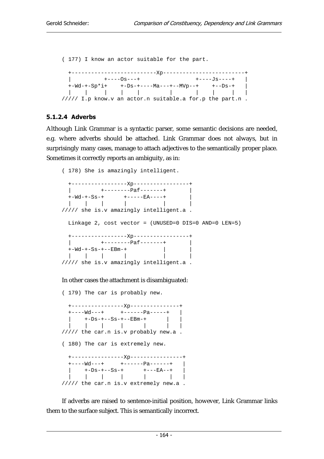( 177) I know an actor suitable for the part. +--------------------------Xp-------------------------+ | +----Os---+ +----Js----+ | +-Wd-+-Sp\*i+ +-Ds-+----Ma---+--MVp--+ +--Ds-+ | | | | | | | | | | | ///// I.p know.v an actor.n suitable.a for.p the part.n .

### 5.1.2.4 Adverbs

Although Link Grammar is a syntactic parser, some semantic decisions are needed, e.g. where adverbs should be attached. Link Grammar does not always, but in surprisingly many cases, manage to attach adjectives to the semantically proper place. Sometimes it correctly reports an ambiguity, as in:

```
( 178) She is amazingly intelligent. 
  +-----------------Xp-----------------+ 
 | + - - - - - - - - = paf - - - - - + +-Wd-+-Ss-+ +-----EA----+ | 
  | | | | | | 
///// she is.v amazingly intelligent.a . 
  Linkage 2, cost vector = (UNUSED=0 DIS=0 AND=0 LEN=5) 
  +-----------------Xp-----------------+ 
  | +--------Paf-------+ | 
 + -\text{Wd}-+ -\text{SS}-+--\text{EBm}-+ |
  | | | | | | 
///// she is.v amazingly intelligent.a .
```
#### In other cases the attachment is disambiguated:

( 179) The car is probably new. +----------------Xp---------------+ +----Wd---+ +------Pa-----+ | | +-Ds-+--Ss-+--EBm-+ | | | | | | | | | ///// the car.n is.v probably new.a . ( 180) The car is extremely new. +----------------Xp----------------+ +----Wd---+ +------Pa------+ | | +-Ds-+--Ss-+ +---EA--+ | | | | | | | | ///// the car.n is.v extremely new.a .

If adverbs are raised to sentence-initial position, however, Link Grammar links them to the surface subject. This is semantically incorrect.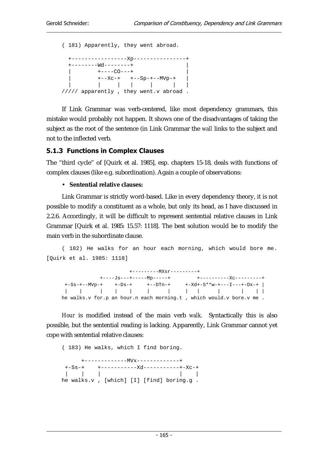( 181) Apparently, they went abroad. +-----------------Xp----------------+  $+------Wd------++$  | +----CO---+ | | +--Xc-+ +--Sp-+--MVp-+ | | | | | | | | ///// apparently , they went.v abroad .

If Link Grammar was verb-centered, like most dependency grammars, this mistake would probably not happen. It shows one of the disadvantages of taking the subject as the root of the sentence (in Link Grammar the *wall* links to the subject and not to the inflected verb.

## 5.1.3 Functions in Complex Clauses

The "third cycle" of [Quirk et al. 1985], esp. chapters 15-18, deals with functions of complex clauses (like e.g. subordination). Again a couple of observations:

## • **Sentential relative clauses:**

Link Grammar is strictly word-based. Like in every dependency theory, it is not possible to modify a constituent as a whole, but only its head, as I have discussed in 2.2.6. Accordingly, it will be difficult to represent sentential relative clauses in Link Grammar [Quirk et al. 1985: 15.57: 1118]. The best solution would be to modify the main verb in the subordinate clause.

( 182) He walks for an hour each morning, which would bore me. [Quirk et al. 1985: 1118]

| $+$ - - - - - - - - - $MXST$ - - - - - - - - + |  |  |  |  |                                                                       |  |  |                                          |  |  |  |
|------------------------------------------------|--|--|--|--|-----------------------------------------------------------------------|--|--|------------------------------------------|--|--|--|
|                                                |  |  |  |  |                                                                       |  |  |                                          |  |  |  |
|                                                |  |  |  |  |                                                                       |  |  | $+ -Xd - S^*w - + - - I - - - + -0x - +$ |  |  |  |
|                                                |  |  |  |  |                                                                       |  |  |                                          |  |  |  |
|                                                |  |  |  |  | he walks.v for.p an hour.n each morning.t , which would.v bore.v me . |  |  |                                          |  |  |  |

*Hour* is modified instead of the main verb *walk*. Syntactically this is also possible, but the sentential reading is lacking. Apparently, Link Grammar cannot yet cope with sentential relative clauses:

```
( 183) He walks, which I find boring. 
      +-------------MVx-------------+ 
 +-Ss-+ +-----------Xd-----------+-Xc-+ 
 | | | | | 
he walks.v , [which] [I] [find] boring.g .
```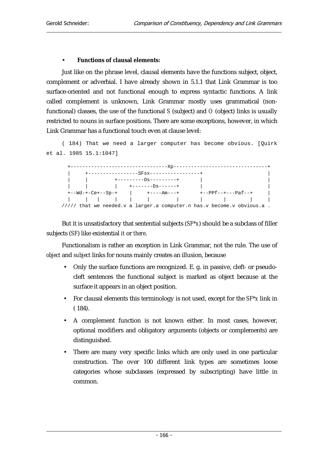### • **Functions of clausal elements:**

Just like on the phrase level, clausal elements have the functions subject, object, complement or adverbial. I have already shown in 5.1.1 that Link Grammar is too surface-oriented and not functional enough to express syntactic functions. A link called complement is unknown, Link Grammar mostly uses grammatical (nonfunctional) classes, the use of the functional *S* (subject) and *O* (object) links is usually restricted to nouns in surface positions. There are some exceptions, however, in which Link Grammar has a functional touch even at clause level:

```
( 184) That we need a larger computer has become obvious. [Quirk 
et al. 1985 15.1:1047]
```


But it is unsatisfactory that sentential subjects (*SF\*x*) should be a subclass of filler subjects (*SF*) like existential *it* or *there*.

Functionalism is rather an exception in Link Grammar, not the rule. The use of *object* and *subject* links for nouns mainly creates an illusion, because

- Only the surface functions are recognized. E. g. in passive, cleft- or pseudocleft sentences the functional subject is marked as object because at the surface it appears in an object position.
- For clausal elements this terminology is not used, except for the *SF\*x* link in ( 184).
- A complement function is not known either. In most cases, however, optional modifiers and obligatory arguments (objects or complements) are distinguished.
- There are many very specific links which are only used in one particular construction. The over 100 different link types are sometimes loose categories whose subclasses (expressed by subscripting) have little in common.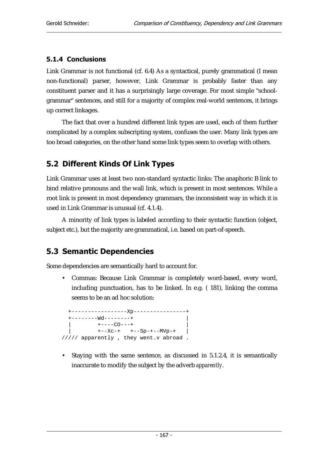## 5.1.4 Conclusions

Link Grammar is not functional (cf. 6.4) As a syntactical, purely grammatical (I mean non-functional) parser, however, Link Grammar is probably faster than any constituent parser and it has a surprisingly large coverage. For most simple "schoolgrammar" sentences, and still for a majority of complex real-world sentences, it brings up correct linkages.

The fact that over a hundred different link types are used, each of them further complicated by a complex subscripting system, confuses the user. Many link types are too broad categories, on the other hand some link types seem to overlap with others.

## 5.2 Different Kinds Of Link Types

Link Grammar uses at least two non-standard syntactic links: The anaphoric B link to bind relative pronouns and the wall link, which is present in most sentences. While a root link is present in most dependency grammars, the inconsistent way in which it is used in Link Grammar is unusual (cf. 4.1.4).

A minority of link types is labeled according to their syntactic function (object, subject etc.), but the majority are grammatical, i.e. based on part-of-speech.

## 5.3 Semantic Dependencies

Some dependencies are semantically hard to account for.

• Commas: Because Link Grammar is completely word-based, every word, including punctuation, has to be linked. In e.g. ( 181), linking the comma seems to be an ad hoc solution:

```
 +-----------------Xp----------------+ 
 +------wd-----+-+---CO---++--Xc-+ +--Sp-+--MVp-+///// apparently , they went.v abroad .
```
• Staying with the same sentence, as discussed in 5.1.2.4, it is semantically inaccurate to modify the subject by the adverb *apparently*.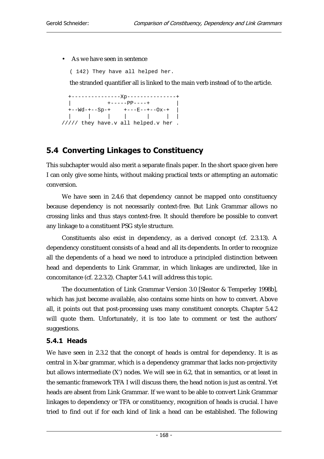#### • As we have seen in sentence

( 142) They have all helped her.

the stranded quantifier all is linked to the main verb instead of to the article.

 +---------------Xp---------------+  $+---PP---+$  $+--Wd-+--Sp-+$   $+---E---+-Ox-+$  | | | | | | | ///// they have.v all helped.v her .

## 5.4 Converting Linkages to Constituency

This subchapter would also merit a separate finals paper. In the short space given here I can only give some hints, without making practical texts or attempting an automatic conversion.

We have seen in 2.4.6 that dependency cannot be mapped onto constituency because dependency is not necessarily context-free. But Link Grammar allows no crossing links and thus stays context-free. It should therefore be possible to convert any linkage to a constituent PSG style structure.

Constituents also exist in dependency, as a derived concept (cf. 2.3.13). A dependency constituent consists of a head and all its dependents. In order to recognize all the dependents of a head we need to introduce a principled distinction between head and dependents to Link Grammar, in which linkages are undirected, like in concomitance (cf. 2.2.3.2). Chapter 5.4.1 will address this topic.

The documentation of Link Grammar Version 3.0 [Sleator & Temperley 1998b], which has just become available, also contains some hints on how to convert. Above all, it points out that post-processing uses many constituent concepts. Chapter 5.4.2 will quote them. Unfortunately, it is too late to comment or test the authors' suggestions.

## 5.4.1 Heads

We have seen in 2.3.2 that the concept of heads is central for dependency. It is as central in X-bar grammar, which is a dependency grammar that lacks non-projectivity but allows intermediate (X') nodes. We will see in 6.2, that in semantics, or at least in the semantic framework TFA I will discuss there, the head notion is just as central. Yet heads are absent from Link Grammar. If we want to be able to convert Link Grammar linkages to dependency or TFA or constituency, recognition of heads is crucial. I have tried to find out if for each kind of link a head can be established. The following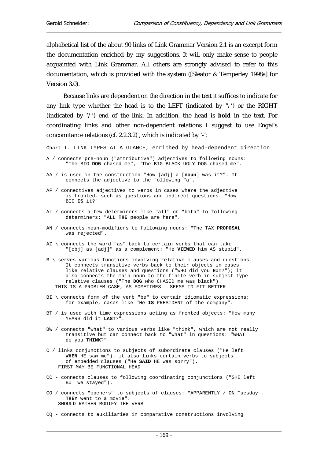alphabetical list of the about 90 links of Link Grammar Version 2.1 is an excerpt form the documentation enriched by my suggestions. It will only make sense to people acquainted with Link Grammar. All others are strongly advised to refer to this documentation, which is provided with the system ([Sleator & Temperley 1998a] for Version 3.0).

 Because links are dependent on the direction in the text it suffices to indicate for any link type whether the head is to the LEFT (indicated by  $\sqrt{ }$ ) or the RIGHT (indicated by '/') end of the link. In addition, the head is **bold** in the text. For coordinating links and other non-dependent relations I suggest to use Engel's concomitance relations (cf. 2.2.3.2) , which is indicated by '-':

Chart I. LINK TYPES AT A GLANCE, enriched by head-dependent direction

- A / connects pre-noun ("attributive") adjectives to following nouns: "The BIG **DOG** chased me", "The BIG BLACK UGLY DOG chased me".
- AA / is used in the construction "How [adj] a [**noun**] was it?". It connects the adjective to the following "a".
- AF / connectives adjectives to verbs in cases where the adjective is fronted, such as questions and indirect questions: "How BIG **IS** it?"
- AL / connects a few determiners like "all" or "both" to following determiners: "ALL **THE** people are here".
- AN / connects noun-modifiers to following nouns: "The TAX **PROPOSAL** was rejected".
- AZ \ connects the word "as" back to certain verbs that can take "[obj] as [adj]" as a complement: "He **VIEWED** him AS stupid".
- B \ serves various functions involving relative clauses and questions. It connects transitive verbs back to their objects in cases like relative clauses and questions ("WHO did you **HIT**?"); it also connects the main noun to the finite verb in subject-type relative clauses ("The **DOG** who CHASED me was black"). THIS IS A PROBLEM CASE, AS SOMETIMES – SEEMS TO FIT BETTER
- BI \ connects form of the verb "be" to certain idiomatic expressions: for example, cases like "He **IS** PRESIDENT of the company".
- BT / is used with time expressions acting as fronted objects: "How many YEARS did it **LAST**?".
- BW / connects "what" to various verbs like "think", which are not really transitive but can connect back to "what" in questions: "WHAT do you **THINK**?"
- C / links conjunctions to subjects of subordinate clauses ("He left **WHEN** HE saw me"). it also links certain verbs to subjects of embedded clauses ("He **SAID** HE was sorry"). FIRST MAY BE FUNCTIONAL HEAD
- CC connects clauses to following coordinating conjunctions ("SHE left BUT we stayed").
- CO / connects "openers" to subjects of clauses: "APPARENTLY / ON Tuesday , **THEY** went to a movie". SHOULD RATHER MODIFY THE VERB
- CQ connects to auxiliaries in comparative constructions involving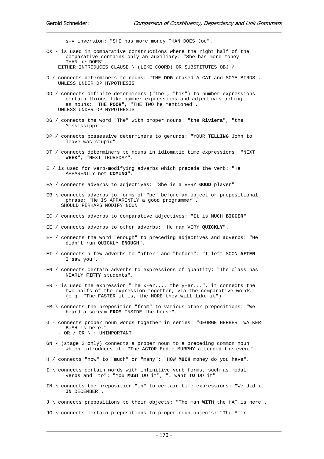s-v inversion: "SHE has more money THAN DOES Joe".

- CX is used in comparative constructions where the right half of the comparative contains only an auxiliary: "She has more money THAN he DOES".
	- EITHER INTRODUCES CLAUSE \ (LIKE COORD) OR SUBSTITUTES OBJ /
- D / connects determiners to nouns: "THE **DOG** chased A CAT and SOME BIRDS". UNLESS UNDER DP HYPOTHESIS
- DD / connects definite determiners ("the", "his") to number expressions certain things like number expressions and adjectives acting as nouns: "THE **POOR**", "THE TWO he mentioned". UNLESS UNDER DP HYPOTHESIS
- DG / connects the word "The" with proper nouns: "the **Riviera**", "the Mississippi".
- DP / connects possessive determiners to gerunds: "YOUR **TELLING** John to leave was stupid".
- DT / connects determiners to nouns in idiomatic time expressions: "NEXT **WEEK**", "NEXT THURSDAY".
- E / is used for verb-modifying adverbs which precede the verb: "He APPARENTLY not **COMING**".
- EA / connects adverbs to adjectives: "She is a VERY **GOOD** player".
- EB \ connects adverbs to forms of "be" before an object or prepositional phrase: "He IS APPARENTLY a good programmer". SHOULD PERHAPS MODIFY NOUN
- EC / connects adverbs to comparative adjectives: "It is MUCH **BIGGER**"
- EE / connects adverbs to other adverbs: "He ran VERY **QUICKLY**".
- EF / connects the word "enough" to preceding adjectives and adverbs: "He didn't run QUICKLY **ENOUGH**".
- EI / connects a few adverbs to "after" and "before": "I left SOON **AFTER** I saw you".
- EN / connects certain adverbs to expressions of quantity: "The class has NEARLY **FIFTY** students".
- ER is used the expression "The  $x$ -er..., the  $y$ -er...". it connects the two halfs of the expression together, via the comparative words (e.g. "The FASTER it is, the MORE they will like it").
- FM \ connects the preposition "from" to various other prepositions: "We heard a scream **FROM** INSIDE the house".
- G connects proper noun words together in series: "GEORGE HERBERT WALKER BUSH is here."  $-$  OR  $/$  OR  $\backslash$  : UNIMPORTANT
- 
- GN (stage 2 only) connects a proper noun to a preceding common noun which introduces it: "The ACTOR Eddie MURPHY attended the event".
- H / connects "how" to "much" or "many": "HOW **MUCH** money do you have".
- I \ connects certain words with infinitive verb forms, such as modal verbs and "to": "You **MUST** DO it", "I want **TO** DO it".
- IN \ connects the preposition "in" to certain time expressions: "We did it **IN** DECEMBER".
- J \ connects prepositions to their objects: "The man **WITH** the HAT is here".
- JG \ connects certain prepositions to proper-noun objects: "The Emir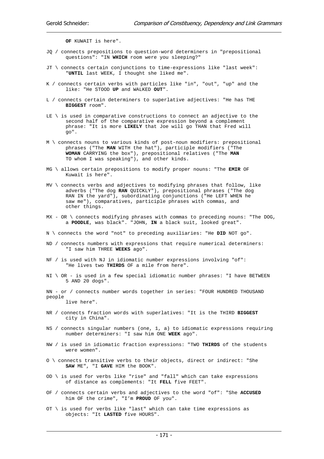**OF** KUWAIT is here".

- JQ / connects prepositions to question-word determiners in "prepositional questions": "IN **WHICH** room were you sleeping?"
- JT \ connects certain conjunctions to time-expressions like "last week": "**UNTIL** last WEEK, I thought she liked me".
- K / connects certain verbs with particles like "in", "out", "up" and the like: "He STOOD **UP** and WALKED **OUT**".
- L / connects certain determiners to superlative adjectives: "He has THE **BIGGEST** room".
- LE \ is used in comparative constructions to connect an adjective to the second half of the comparative expression beyond a complement phrase: "It is more **LIKELY** that Joe will go THAN that Fred will go".
- M \ connects nouns to various kinds of post-noun modifiers: prepositional phrases ("The **MAN** WITH the hat"), participle modifiers ("The **WOMAN** CARRYING the box"), prepositional relatives ("The **MAN** TO whom I was speaking"), and other kinds.
- MG \ allows certain prepositions to modify proper nouns: "The **EMIR** OF Kuwait is here".
- MV \ connects verbs and adjectives to modifying phrases that follow, like adverbs ("The dog **RAN** QUICKLY"), prepositional phrases ("The dog RAN IN the yard"), subordinating conjunctions ("He LEFT WHEN he saw me"), comparatives, participle phrases with commas, and other things.
- $MX OR \setminus connects modifying phrases with commas to preceding nouns: "The DOG,$ a **POODLE**, was black". "JOHN, **IN** a black suit, looked great".
- N \ connects the word "not" to preceding auxiliaries: "He **DID** NOT go".
- ND / connects numbers with expressions that require numerical determiners: "I saw him THREE **WEEKS** ago".
- NF / is used with NJ in idiomatic number expressions involving "of": "He lives two **THIRDS** OF a mile from here".
- $NI \setminus OR -$  is used in a few special idiomatic number phrases: "I have BETWEEN 5 AND 20 dogs".
- NN or / connects number words together in series: "FOUR HUNDRED THOUSAND people live here".
- NR / connects fraction words with superlatives: "It is the THIRD **BIGGEST** city in China".
- NS / connects singular numbers (one, 1, a) to idiomatic expressions requiring number determiners: "I saw him ONE **WEEK** ago".
- NW / is used in idiomatic fraction expressions: "TWO **THIRDS** of the students were women".
- O \ connects transitive verbs to their objects, direct or indirect: "She **SAW** ME", "I **GAVE** HIM the BOOK".
- OD  $\backslash$  is used for verbs like "rise" and "fall" which can take expressions of distance as complements: "It **FELL** five FEET".
- OF / connects certain verbs and adjectives to the word "of": "She **ACCUSED** him OF the crime", "I'm **PROUD** OF you".
- OT  $\setminus$  is used for verbs like "last" which can take time expressions as objects: "It **LASTED** five HOURS".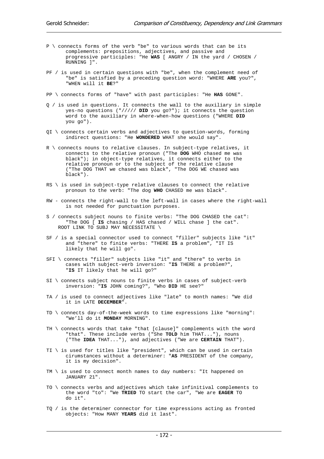- P \ connects forms of the verb "be" to various words that can be its complements: prepositions, adjectives, and passive and progressive participles: "He **WAS** [ ANGRY / IN the yard / CHOSEN / RUNNING ]".
- PF / is used in certain questions with "be", when the complement need of "be" is satisfied by a preceding question word: "WHERE **ARE** you?", "WHEN will it **BE**?"
- PP \ connects forms of "have" with past participles: "He **HAS** GONE".
- Q / is used in questions. It connects the wall to the auxiliary in simple yes-no questions ("///// **DID** you go?"); it connects the question word to the auxiliary in where-when-how questions ("WHERE **DID** you go").
- QI \ connects certain verbs and adjectives to question-words, forming indirect questions: "He **WONDERED** WHAT she would say".
- R \ connects nouns to relative clauses. In subject-type relatives, it connects to the relative pronoun ("The **DOG** WHO chased me was black"); in object-type relatives, it connects either to the relative pronoun or to the subject of the relative clause ("The DOG THAT we chased was black", "The DOG WE chased was black").
- $RS \setminus$  is used in subject-type relative clauses to connect the relative pronoun to the verb: "The dog **WHO** CHASED me was black".
- RW connects the right-wall to the left-wall in cases where the right-wall is not needed for punctuation purposes.
- S / connects subject nouns to finite verbs: "The DOG CHASED the cat": "The DOG [ **IS** chasing / HAS chased / WILL chase ] the cat". ROOT LINK TO SUBJ MAY NECESSITATE \
- SF / is a special connector used to connect "filler" subjects like "it" and "there" to finite verbs: "THERE **IS** a problem", "IT IS likely that he will go".
- SFI \ connects "filler" subjects like "it" and "there" to verbs in cases with subject-verb inversion: "**IS** THERE a problem?", "**IS** IT likely that he will go?"
- SI \ connects subject nouns to finite verbs in cases of subject-verb inversion: "**IS** JOHN coming?", "Who **DID** HE see?"
- TA / is used to connect adjectives like "late" to month names: "We did it in LATE **DECEMBER**".
- TD \ connects day-of-the-week words to time expressions like "morning": "We'll do it **MONDAY** MORNING".
- TH \ connects words that take "that [clause]" complements with the word "that". These include verbs ("She **TOLD** him THAT..."), nouns ("The **IDEA** THAT..."), and adjectives ("We are **CERTAIN** THAT").
- TI  $\setminus$  is used for titles like "president", which can be used in certain cirumstances without a determiner: "**AS** PRESIDENT of the company, it is my decision".
- TM \ is used to connect month names to day numbers: "It happened on JANUARY 21".
- TO \ connects verbs and adjectives which take infinitival complements to the word "to": "We **TRIED** TO start the car", "We are **EAGER** TO do it".
- TQ / is the determiner connector for time expressions acting as fronted objects: "How MANY **YEARS** did it last".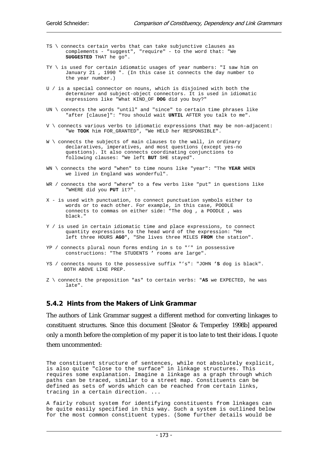- TS \ connects certain verbs that can take subjunctive clauses as complements - "suggest", "require" - to the word that: "We **SUGGESTED** THAT he go".
- TY \ is used for certain idiomatic usages of year numbers: "I saw him on January 21 , 1990 ". (In this case it connects the day number to the year number.)
- U / is a special connector on nouns, which is disjoined with both the determiner and subject-object connectors. It is used in idiomatic expressions like "What KIND\_OF **DOG** did you buy?"
- UN \ connects the words "until" and "since" to certain time phrases like "after [clause]": "You should wait **UNTIL** AFTER you talk to me".
- V \ connects various verbs to idiomatic expressions that may be non-adjacent: "We **TOOK** him FOR\_GRANTED", "We HELD her RESPONSIBLE".
- W \ connects the subjects of main clauses to the wall, in ordinary declaratives, imperatives, and most questions (except yes-no questions). It also connects coordinating conjunctions to following clauses: "We left **BUT** SHE stayed".
- WN \ connects the word "when" to time nouns like "year": "The **YEAR** WHEN we lived in England was wonderful".
- WR / connects the word "where" to a few verbs like "put" in questions like "WHERE did you **PUT** it?".
- X is used with punctuation, to connect punctuation symbols either to words or to each other. For example, in this case, POODLE connects to commas on either side: "The dog , a POODLE , was black."
- Y / is used in certain idiomatic time and place expressions, to connect quantity expressions to the head word of the expression: "He left three HOURS **AGO**", "She lives three MILES **FROM** the station".
- YP / connects plural noun forms ending in s to "'" in possessive constructions: "The STUDENTS **'** rooms are large".
- YS / connects nouns to the possessive suffix "'s": "JOHN **'S** dog is black". BOTH ABOVE LIKE PREP.
- Z \ connects the preposition "as" to certain verbs: "**AS** we EXPECTED, he was late".

#### 5.4.2 Hints from the Makers of Link Grammar

The authors of Link Grammar suggest a different method for converting linkages to constituent structures. Since this document [Sleator & Temperley 1998b] appeared only a month before the completion of my paper it is too late to test their ideas. I quote them uncommented:

The constituent structure of sentences, while not absolutely explicit, is also quite "close to the surface" in linkage structures. This requires some explanation. Imagine a linkage as a graph through which paths can be traced, similar to a street map. Constituents can be defined as sets of words which can be reached from certain links, tracing in a certain direction. ...

A fairly robust system for identifying constituents from linkages can be quite easily specified in this way. Such a system is outlined below for the most common constituent types. (Some further details would be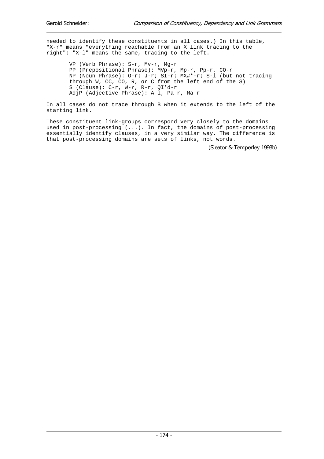needed to identify these constituents in all cases.) In this table, "X-r" means "everything reachable from an X link tracing to the right": "X-l" means the same, tracing to the left.

 VP (Verb Phrase): S-r, Mv-r, Mg-r PP (Prepositional Phrase): MVp-r, Mp-r, Pp-r, CO-r NP (Noun Phrase): O-r; J-r; SI-r; MX#\*-r; S-l (but not tracing through W, CC, CO, R, or C from the left end of the S) S (Clause):  $C-r$ ,  $W-r$ ,  $R-r$ ,  $QI*d-r$ AdjP (Adjective Phrase): A-l, Pa-r, Ma-r

In all cases do not trace through B when it extends to the left of the starting link.

These constituent link-groups correspond very closely to the domains used in post-processing (...). In fact, the domains of post-processing essentially identify clauses, in a very similar way. The difference is that post-processing domains are sets of links, not words.

(Sleator & Temperley 1998b)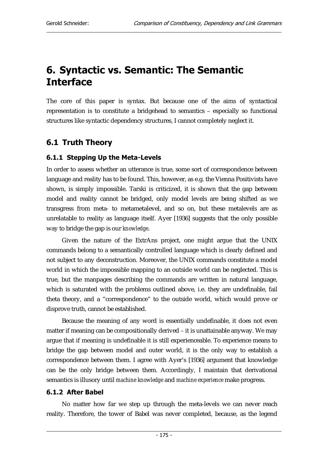# 6. Syntactic vs. Semantic: The Semantic **Interface**

The core of this paper is syntax. But because one of the aims of syntactical representation is to constitute a bridgehead to semantics – especially so functional structures like syntactic dependency structures, I cannot completely neglect it.

## 6.1 Truth Theory

## 6.1.1 Stepping Up the Meta-Levels

In order to assess whether an utterance is true, some sort of correspondence between language and reality has to be found. This, however, as e.g. the Vienna Positivists have shown, is simply impossible. Tarski is criticized, it is shown that the gap between model and reality cannot be bridged, only model levels are being shifted as we transgress from meta- to metametalevel, and so on, but these metalevels are as unrelatable to reality as language itself. Ayer [1936] suggests that the only possible way to bridge the gap is our *knowledge*.

Given the nature of the ExtrAns project, one might argue that the UNIX commands belong to a semantically controlled language which is clearly defined and not subject to any deconstruction. Moreover, the UNIX commands constitute a model world in which the impossible mapping to an outside world can be neglected. This is true, but the manpages describing the commands are written in natural language, which is saturated with the problems outlined above, i.e. they are undefinable, fail theta theory, and a "correspondence" to the outside world, which would prove or disprove truth, cannot be established.

Because the meaning of any word is essentially undefinable, it does not even matter if meaning can be compositionally derived – it is unattainable anyway. We may argue that if meaning is undefinable it is still experienceable. To experience means to bridge the gap between model and outer world, it is the only way to establish a correspondence between them. I agree with Ayer's [1936] argument that knowledge can be the only bridge between them. Accordingly, I maintain that derivational semantics is illusory until *machine knowledge* and *machine experience* make progress.

#### 6.1.2 After Babel

No matter how far we step up through the meta-levels we can never reach reality. Therefore, the tower of Babel was never completed, because, as the legend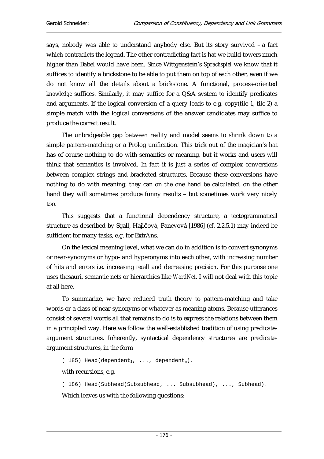says, nobody was able to understand anybody else. But its story survived – a fact which contradicts the legend. The other contradicting fact is hat we build towers much higher than Babel would have been. Since Wittgenstein's *Sprachspiel* we know that it suffices to identify a brickstone to be able to put them on top of each other, even if we do not know all the details about a brickstone. A functional, process-oriented *knowledge* suffices. Similarly, it may suffice for a Q&A system to identify predicates and arguments. If the logical conversion of a query leads to e.g. copy(file-1, file-2) a simple match with the logical conversions of the answer candidates may suffice to produce the correct result.

The unbridgeable gap between reality and model seems to shrink down to a simple pattern-matching or a Prolog unification. This trick out of the magician's hat has of course nothing to do with semantics or meaning, but it works and users will think that semantics is involved. In fact it is just a series of complex conversions between complex strings and bracketed structures. Because these conversions have nothing to do with meaning, they can on the one hand be calculated, on the other hand they will sometimes produce funny results – but sometimes work very nicely too.

This suggests that a functional dependency structure, a tectogrammatical structure as described by Sgall, Hajičová, Panevová [1986] (cf. 2.2.5.1) may indeed be sufficient for many tasks, e.g. for ExtrAns.

On the lexical meaning level, what we can do in addition is to convert synonyms or near-synonyms or hypo- and hyperonyms into each other, with increasing number of hits and errors i.e. increasing *recall* and decreasing *precision*. For this purpose one uses thesauri, semantic nets or hierarchies like *WordNet*. I will not deal with this topic at all here.

To summarize, we have reduced truth theory to pattern-matching and take words or a class of near-synonyms or whatever as meaning atoms. Because utterances consist of several words all that remains to do is to express the relations between them in a principled way. Here we follow the well-established tradition of using predicateargument structures. Inherently, syntactical dependency structures are predicateargument structures, in the form

( 185) Head(dependent<sub>1</sub>, ..., dependent<sub>n</sub>).

with recursions, e.g.

( 186) Head(Subhead(Subsubhead, ... Subsubhead), ..., Subhead).

Which leaves us with the following questions: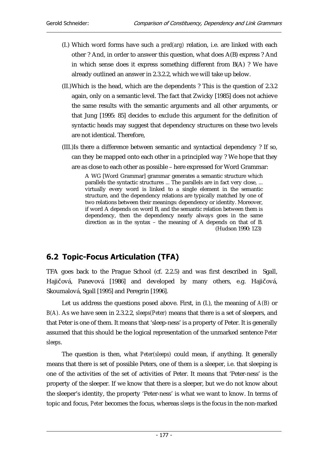- (I.) Which word forms have such a *pred(arg)* relation, i.e. are linked with each other ? And, in order to answer this question, what does A(B) express ? And in which sense does it express something different from B(A) ? We have already outlined an answer in 2.3.2.2, which we will take up below.
- (II.) Which is the head, which are the dependents ? This is the question of 2.3.2 again, only on a semantic level. The fact that Zwicky [1985] does not achieve the same results with the semantic arguments and all other arguments, or that Jung [1995: 85] decides to exclude this argument for the definition of syntactic heads may suggest that dependency structures on these two levels are not identical. Therefore,
- (III.)Is there a difference between semantic and syntactical dependency ? If so, can they be mapped onto each other in a principled way ? We hope that they are as close to each other as possible – here expressed for Word Grammar:

A WG [Word Grammar] grammar generates a semantic structure which parallels the syntactic structures ... The parallels are in fact very close, ... virtually every word is linked to a single element in the semantic structure, and the dependency relations are typically matched by one of two relations between their meanings: dependency or identity. Moreover, if word A depends on word B, and the semantic relation between them is dependency, then the dependency nearly always goes in the same direction as in the syntax – the meaning of A depends on that of B. (Hudson 1990: 123)

# 6.2 Topic-Focus Articulation (TFA)

TFA goes back to the Prague School (cf. 2.2.5) and was first described in Sgall, Hajičová, Panevová [1986] and developed by many others, e.g. Hajičová, Skoumalová, Sgall [1995] and Peregrin [1996].

Let us address the questions posed above. First, in (I.), the meaning of *A(B)* or *B(A).* As we have seen in 2.3.2.2, *sleeps(Peter)* means that there is a set of sleepers, and that Peter is one of them. It means that 'sleep-ness' is a property of Peter. It is generally assumed that this should be the logical representation of the unmarked sentence *Peter sleeps*.

The question is then, what *Peter(sleeps)* could mean, if anything. It generally means that there is set of possible Peters, one of them is a sleeper, i.e. that sleeping is one of the activities of the set of activities of Peter. It means that 'Peter-ness' is the property of the sleeper. If we know that there is a sleeper, but we do not know about the sleeper's identity, the property 'Peter-ness' is what we want to know. In terms of topic and focus, *Peter* becomes the focus, whereas *sleeps* is the focus in the non-marked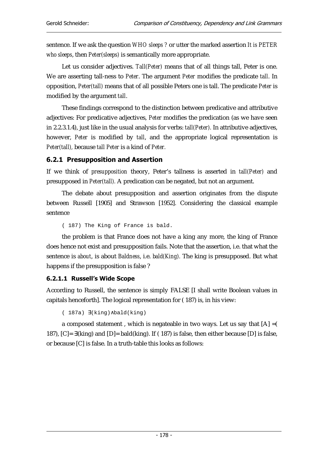sentence. If we ask the question *WHO sleeps ?* or utter the marked assertion *It is PETER who sleeps*, then *Peter(sleeps)* is semantically more appropriate.

Let us consider adjectives. *Tall(Peter)* means that of all things tall, Peter is one. We are asserting tall-ness to *Peter*. The argument *Peter* modifies the predicate *tall*. In opposition, *Peter(tall)* means that of all possible Peters one is tall. The predicate *Peter* is modified by the argument *tall*.

These findings correspond to the distinction between predicative and attributive adjectives: For predicative adjectives, *Peter* modifies the predication (as we have seen in 2.2.3.1.4), just like in the usual analysis for verbs: *tall(Peter).* In attributive adjectives, however, *Peter* is modified by *tall*, and the appropriate logical representation is *Peter(tall),* because *tall Peter* is a kind of *Peter.*

## 6.2.1 Presupposition and Assertion

If we think of *presupposition* theory, Peter's tallness is asserted in *tall(Peter)* and presupposed in *Peter(tall).* A predication can be negated, but not an argument.

The debate about presupposition and assertion originates from the dispute between Russell [1905] and Strawson [1952]. Considering the classical example sentence

( 187) The King of France is bald.

the problem is that France does not have a king any more, the king of France does hence not exist and presupposition fails. Note that the assertion, i.e. that what the sentence is *about*, is about *Baldness*, i.e. *bald(King).* The king is presupposed. But what happens if the presupposition is false ?

#### 6.2.1.1 Russell's Wide Scope

According to Russell, the sentence is simply FALSE [I shall write Boolean values in capitals henceforth]. The logical representation for ( 187) is, in his view:

( 187a) ∃(king)∧bald(king)

a composed statement, which is negateable in two ways. Let us say that  $[A] = ($ 187), [C]= ∃(king) and [D]= bald(king). If ( 187) is false, then either because [D] is false, or because [C] is false. In a truth-table this looks as follows: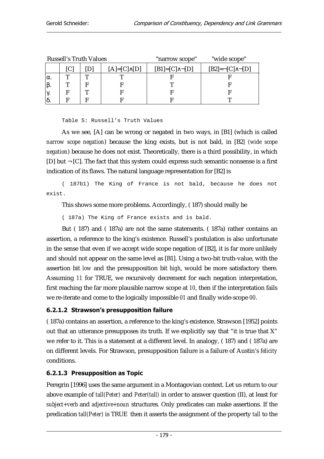|     | <b>Russell's Truth Values</b> |                    | "narrow scope"           | "wide scope"                   |  |
|-----|-------------------------------|--------------------|--------------------------|--------------------------------|--|
|     |                               | $[A]=[C]\wedge[D]$ | $[B1]=[C]\wedge \neg[D]$ | $[B2]=\neg [C]\wedge \neg [D]$ |  |
| lα. | ᡣ                             |                    |                          |                                |  |
|     |                               |                    |                          |                                |  |
|     | m                             |                    |                          |                                |  |
|     |                               |                    |                          |                                |  |

Table 5: Russell's Truth Values

As we see, [A] can be wrong or negated in two ways, in [B1] (which is called *narrow scope negation*) because the king exists, but is not bald, in [B2*] (wide scope negation*) because he does not exist. Theoretically, there is a third possibility, in which [D] but  $\neg$  [C]. The fact that this system could express such semantic nonsense is a first indication of its flaws. The natural language representation for [B2] is

( 187b1) The King of France is not bald, because he does not exist.

This shows some more problems. Accordingly, ( 187) should really be

( 187a) The King of France exists and is bald.

But ( 187) and ( 187a) are not the same statements. ( 187a) rather contains an assertion, a reference to the king's existence. Russell's postulation is also unfortunate in the sense that even if we accept wide scope negation of [B2], it is far more unlikely and should not appear on the same level as [B1]. Using a two-bit truth-value, with the assertion bit *low* and the presupposition bit *high*, would be more satisfactory there. Assuming *11* for TRUE, we recursively decrement for each negation interpretation, first reaching the far more plausible narrow scope at *10*, then if the interpretation fails we re-iterate and come to the logically impossible *01* and finally wide-scope *00*.

#### 6.2.1.2 Strawson's presupposition failure

( 187a) contains an assertion, a reference to the king's existence. Strawson [1952] points out that an utterance presupposes its truth. If we explicitly say that "it is true that X" we refer to it. This is a statement at a different level. In analogy, ( 187) and ( 187a) are on different levels. For Strawson, presupposition failure is a failure of Austin's *felicity* conditions.

#### 6.2.1.3 Presupposition as Topic

Peregrin [1996] uses the same argument in a Montagovian context. Let us return to our above example of *tall(Peter)* and *Peter(tall)* in order to answer question (II), at least for *subject+verb* and *adjective+noun* structures*.* Only predicates can make assertions. If the predication *tall(Peter)* is TRUE then it asserts the assignment of the property *tall* to the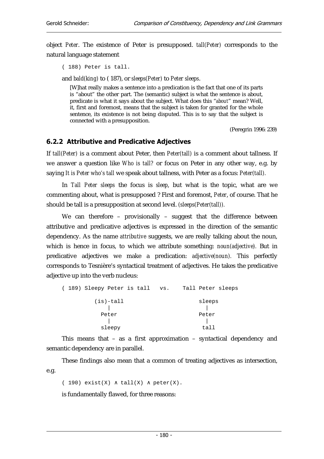object *Peter*. The existence of Peter is presupposed. *tall(Peter)* corresponds to the natural language statement

( 188) Peter is tall.

and *bald(king)* to ( 187), or *sleeps(Peter)* to *Peter sleeps*.

[W]hat really makes a sentence into a predication is the fact that one of its parts is "about" the other part. The (semantic) subject is what the sentence is about, predicate is what it says about the subject. What does this "*about*" mean? Well, it, first and foremost, means that the subject is taken for granted for the whole sentence, its existence is not being disputed. This is to say that the subject is connected with a presupposition.

(Peregrin 1996: 239)

#### 6.2.2 Attributive and Predicative Adjectives

If *tall(Peter)* is a comment about Peter, then *Peter(tall)* is a comment about tallness. If we answer a question like *Who is tall?* or focus on Peter in any other way, e.g. by saying *It is Peter who's tall* we speak about tallness, with Peter as a focus: *Peter(tall).*

In *Tall Peter sleeps* the focus is *sleep*, but what is the topic, what are we commenting about, what is presupposed ? First and foremost, *Peter*, of course. That he should be tall is a presupposition at second level. *(sleeps(Peter(tall)).*

We can therefore – provisionally – suggest that the difference between attributive and predicative adjectives is expressed in the direction of the semantic dependency. As the name *attributive* suggests, we are really talking about the noun, which is hence in focus, to which we attribute something: *noun(adjective).* But in predicative adjectives we make a predication: *adjective(noun).* This perfectly corresponds to Tesnière's syntactical treatment of adjectives. He takes the predicative adjective up into the verb nucleus:

| (189) Sleepy Peter is tall | VS.    | Tall Peter sleeps |  |  |
|----------------------------|--------|-------------------|--|--|
| $(is) - tall$              | sleeps |                   |  |  |
| Peter                      |        | Peter             |  |  |
| sleepy                     | tail   |                   |  |  |

This means that – as a first approximation – syntactical dependency and semantic dependency are in parallel.

These findings also mean that a common of treating adjectives as intersection, e.g.

( 190)  $ext(X) \wedge tall(X) \wedge peter(X)$ .

is fundamentally flawed, for three reasons: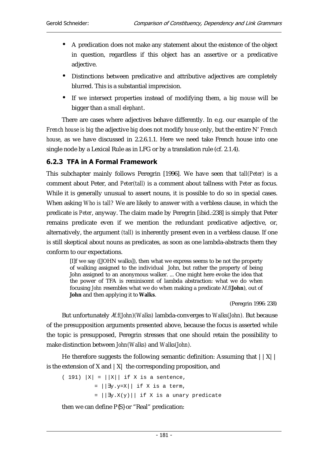- A predication does not make any statement about the existence of the object in question, regardless if this object has an assertive or a predicative adjective.
- Distinctions between predicative and attributive adjectives are completely blurred. This is a substantial imprecision.
- If we intersect properties instead of modifying them, a *big mouse* will be bigger than a *small elephant*.

There are cases where adjectives behave differently. In e.g. our example of *the French house is big* the adjective *big* does not modify *house* only, but the entire N' *French house*, as we have discussed in 2.2.6.1.1. Here we need take French house into one single node by a Lexical Rule as in LFG or by a translation rule (cf. 2.1.4).

## 6.2.3 TFA in A Formal Framework

This subchapter mainly follows Peregrin [1996]. We have seen that *tall(Peter)* is a comment about Peter, and *Peter(tall)* is a comment about tallness with *Peter* as focus. While it is generally unusual to assert nouns, it is possible to do so in special cases. When asking *Who is tall?* We are likely to answer with a verbless clause, in which the predicate is *Peter*, anyway. The claim made by Peregrin [ibid.:238] is simply that Peter remains predicate even if we mention the redundant predicative adjective, or, alternatively, the argument *(tall)* is inherently present even in a verbless clause. If one is still skeptical about nouns as predicates, as soon as one lambda-abstracts them they conform to our expectations.

[I]f we say ([JOHN walks]), then what we express seems to be not the property of walking assigned to the individual John, but rather the property of being John assigned to an anonymous walker. ... One might here evoke the idea that the power of TFA is reminiscent of lambda abstraction: what we do when focusing *John* resembles what we do when making a predicate λf.f(**John**), out of **John** and then applying it to **Walks**.

(Peregrin 1996: 238)

But unfortunately λ*f.f(John)(Walks)* lambda-converges to *Walks(John).* But because of the presupposition arguments presented above, because the focus is asserted while the topic is presupposed, Peregrin stresses that one should retain the possibility to make distinction between *John(Walks)* and *Walks(John).*

He therefore suggests the following semantic definition: Assuming that  $||X||$ is the extension of X and  $|X|$  the corresponding proposition, and

 $(191)$   $|X| = ||X||$  if X is a sentence, = ||∃y.y=X|| if X is a term, = ||∃y.X(y)|| if X is a unary predicate

then we can define P{S} or "Real" predication: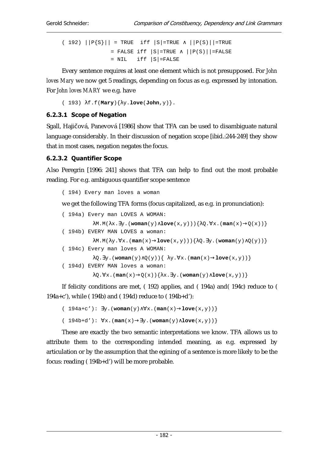( 192)  $||P{S}|| = TRUE$  iff  $|S| = TRUE \wedge ||P(S)|| = TRUE$ = FALSE iff  $|S|$ =TRUE  $\wedge$   $|P(S)|$  = FALSE  $=$  NIL iff  $|S|$ =FALSE

Every sentence requires at least one element which is not presupposed. For *John loves Mary* we now get 5 readings, depending on focus as e.g. expressed by intonation. For *John loves MARY* we e.g. have

( 193) λf.f(**Mary**){λy.**love**(**John**,y)}.

#### 6.2.3.1 Scope of Negation

Sgall, Hajičová, Panevová [1986] show that TFA can be used to disambiguate natural language considerably. In their discussion of negation scope [ibid.:244-249] they show that in most cases, negation negates the focus.

#### 6.2.3.2 Quantifier Scope

Also Peregrin [1996: 241] shows that TFA can help to find out the most probable reading. For e.g. ambiguous quantifier scope sentence

( 194) Every man loves a woman

we get the following TFA forms (focus capitalized, as e.g. in pronunciation):

```
( 194a) Every man LOVES A WOMAN: 
                     λM.M(λx.∃y.(woman(y)∧love(x,y))){λQ.∀x.(man(x)→Q(x))} 
( 194b) EVERY MAN LOVES a woman: 
                    λM.M(λy.∀x.(man(x)→love(x,y))){λQ.∃y.(woman(y)∧Q(y))} 
( 194c) Every man loves A WOMAN: 
                    \texttt{{\char'134} \lambda \texttt{{\char'134} \lambda \texttt{{\char'134} \lambda \texttt{{\char'134} \lambda \texttt{{\char'134} \lambda \texttt{{\char'134} \lambda \texttt{{\char'134} \lambda \texttt{{\char'134} \lambda \texttt{{\char'134} \lambda \texttt{{\char'134} \lambda \texttt{{\char'134} \lambda \texttt{{\char'134} \lambda \texttt{{\char'134} \lambda \texttt{{\char'134} \lambda \texttt{{\char'134} \lambda \texttt{{\char'134} \lambda \texttt{{\char'134} \( 194d) EVERY MAN loves a woman: 
                     λQ.∀x.(man(x)→Q(x)){λx.∃y.(woman(y)∧love(x,y))}
```
If felicity conditions are met, ( 192) applies, and ( 194a) and( 194c) reduce to ( 194a+c'), while ( 194b) and ( 194d) reduce to ( 194b+d'):

```
( 194a+c'): ∃y.(woman(y)∧∀x.(man(x)→love(x,y))} 
( 194b+d'): ∀x.(man(x)→∃y.(woman(y)∧love(x,y))}
```
These are exactly the two semantic interpretations we know. TFA allows us to attribute them to the corresponding intended meaning, as e.g. expressed by articulation or by the assumption that the egining of a sentence is more likely to be the focus: reading ( 194b+d') will be more probable.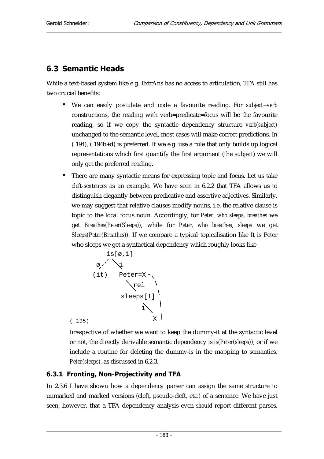# 6.3 Semantic Heads

While a text-based system like e.g. ExtrAns has no access to articulation, TFA still has two crucial benefits:

- We can easily postulate and code a favourite reading. For *subject+verb* constructions, the reading with verb=predicate=focus will be the favourite reading, so if we copy the syntactic dependency structure *verb(subject)* unchanged to the semantic level, most cases will make correct predictions. In ( 194), ( 194b+d) is preferred. If we e.g. use a rule that only builds up logical representations which first quantify the first argument (the subject) we will only get the preferred reading.
- There are many syntactic means for expressing topic and focus. Let us take *cleft-sentences* as an example. We have seen in 6.2.2 that TFA allows us to distinguish elegantly between predicative and assertive adjectives. Similarly, we may suggest that relative clauses modify nouns, i.e. the relative clause is topic to the local focus noun. Accordingly, for *Peter, who sleeps, breathes* we get *Breathes(Peter(Sleeps)),* while for *Peter, who breathes, sleeps* we get *Sleeps(Peter(Breathes)).* If we compare a typical topicalisation like It is Peter who sleeps we get a syntactical dependency which roughly looks like

is[0,1]  
\n0,'  
\n(it) Peter=X  
\nrel  
\n
$$
x
$$
\n
$$
x
$$
\n
$$
x
$$
\n
$$
x
$$
\n
$$
x
$$
\n
$$
x
$$
\n
$$
x
$$

Irrespective of whether we want to keep the dummy-*it* at the syntactic level or not, the directly derivable semantic dependency is *is(Peter(sleeps)),* or if we include a routine for deleting the dummy-*is* in the mapping to semantics, *Peter(sleeps),* as discussed in 6.2.3.

## 6.3.1 Fronting, Non-Projectivity and TFA

In 2.3.6 I have shown how a dependency parser can assign the same structure to unmarked and marked versions (cleft, pseudo-cleft, etc.) of a sentence. We have just seen, however, that a TFA dependency analysis even *should* report different parses.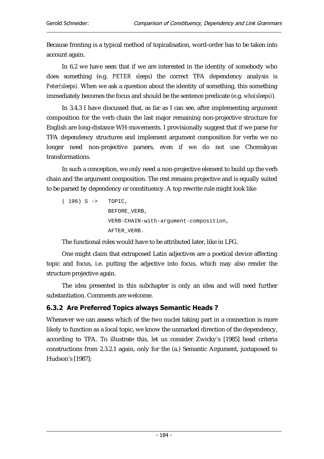Because fronting is a typical method of topicalisation, word-order has to be taken into account again.

In 6.2 we have seen that if we are interested in the identity of somebody who does something (e.g. *PETER sleeps*) the correct TFA dependency analysis is *Peter(sleeps).* When we ask a question about the identity of something, this something immediately becomes the focus and should be the sentence predicate (e.g. *who(sleeps)*).

In 3.4.3 I have discussed that, as far as I can see, after implementing argument composition for the verb chain the last major remaining non-projective structure for English are long-distance WH-movements. I provisionally suggest that if we parse for TFA dependency structures and implement argument composition for verbs we no longer need non-projective parsers, even if we do not use Chomskyan transformations.

In such a conception, we only need a non-projective element to build up the verb chain and the argument composition. The rest remains projective and is equally suited to be parsed by dependency or constituency. A top rewrite rule might look like

( 196) S -> TOPIC, BEFORE\_VERB, VERB-CHAIN-with-argument-composition, AFTER\_VERB.

The functional roles would have to be attributed later, like in LFG.

One might claim that extraposed Latin adjectives are a poetical device affecting topic and focus, i.e. putting the adjective into focus, which may also render the structure projective again.

The idea presented in this subchapter is only an idea and will need further substantiation. Comments are welcome.

## 6.3.2 Are Preferred Topics always Semantic Heads?

Whenever we can assess which of the two nuclei taking part in a connection is more likely to function as a local topic, we know the unmarked direction of the dependency, according to TFA. To illustrate this, let us consider Zwicky's [1985] head criteria constructions from 2.3.2.1 again, only for the (a.) Semantic Argument, juxtaposed to Hudson's [1987]: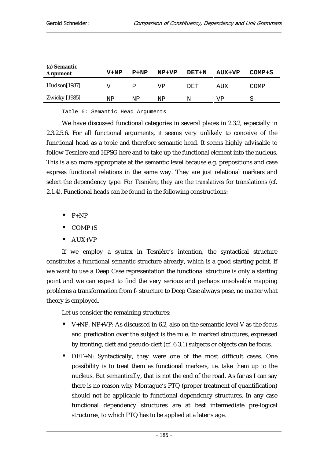| (a) Semantic<br><b>Argument</b> | $V+NP$ | $P+NP$ | NP+VP | DET+N | AUX+VP | $COMP + S$ |
|---------------------------------|--------|--------|-------|-------|--------|------------|
| Hudson[1987]                    |        | Р      | VP    | DET   | AUX    | COMP       |
| <b>Zwicky</b> [1985]            | ΝP     | ΝP     | ΝP    | N     | VP     | S          |

Table 6: Semantic Head Arguments

We have discussed functional categories in several places in 2.3.2, especially in 2.3.2.5.6. For all functional arguments, it seems very unlikely to conceive of the functional head as a topic and therefore semantic head. It seems highly advisable to follow Tesnière and HPSG here and to take up the functional element into the nucleus. This is also more appropriate at the semantic level because e.g. prepositions and case express functional relations in the same way. They are just relational markers and select the dependency type. For Tesnière, they are the *translatives* for translations (cf. 2.1.4). Functional heads can be found in the following constructions:

 $P+NP$ 

- COMP+S
- AUX+VP

If we employ a syntax in Tesnière's intention, the syntactical structure constitutes a functional semantic structure already, which is a good starting point. If we want to use a Deep Case representation the functional structure is only a starting point and we can expect to find the very serious and perhaps unsolvable mapping problems a transformation from f- structure to Deep Case always pose, no matter what theory is employed.

Let us consider the remaining structures:

- V+NP, NP+VP: As discussed in 6.2, also on the semantic level V as the focus and predication over the subject is the rule. In marked structures, expressed by fronting, cleft and pseudo-cleft (cf. 6.3.1) subjects or objects can be focus.
- DET+N: Syntactically, they were one of the most difficult cases. One possibility is to treat them as functional markers, i.e. take them up to the nucleus. But semantically, that is not the end of the road. As far as I can say there is no reason why Montague's PTQ (proper treatment of quantification) should not be applicable to functional dependency structures. In any case functional dependency structures are at best intermediate pre-logical structures, to which PTQ has to be applied at a later stage.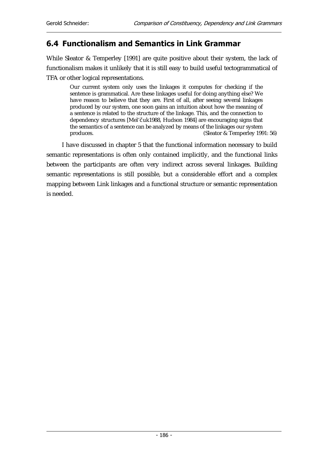## 6.4 Functionalism and Semantics in Link Grammar

While Sleator & Temperley [1991] are quite positive about their system, the lack of functionalism makes it unlikely that it is still easy to build useful tectogrammatical of TFA or other logical representations.

Our current system only uses the linkages it computes for checking if the sentence is grammatical. Are these linkages useful for doing anything else? We have reason to believe that they are. First of all, after seeing several linkages produced by our system, one soon gains an intuition about how the meaning of a sentence is related to the structure of the linkage. This, and the connection to dependency structures [Mel'Čuk1988, Hudson 1984] are encouraging signs that the semantics of a sentence can be analyzed by means of the linkages our system produces. (Sleator & Temperley 1991: 56)

I have discussed in chapter 5 that the functional information necessary to build semantic representations is often only contained implicitly, and the functional links between the participants are often very indirect across several linkages. Building semantic representations is still possible, but a considerable effort and a complex mapping between Link linkages and a functional structure or semantic representation is needed.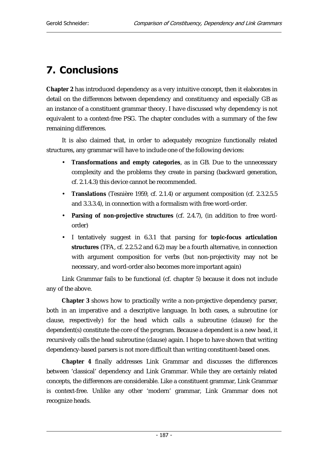# **7. Conclusions**

**Chapter 2** has introduced dependency as a very intuitive concept, then it elaborates in detail on the differences between dependency and constituency and especially GB as an instance of a constituent grammar theory. I have discussed why dependency is not equivalent to a context-free PSG. The chapter concludes with a summary of the few remaining differences.

It is also claimed that, in order to adequately recognize functionally related structures, any grammar will have to include one of the following devices:

- **Transformations and empty categories**, as in GB. Due to the unnecessary complexity and the problems they create in parsing (backward generation, cf. 2.1.4.3) this device cannot be recommended.
- **Translations** (Tesnière 1959, cf. 2.1.4) or argument composition (cf. 2.3.2.5.5 and 3.3.3.4), in connection with a formalism with free word-order.
- **Parsing of non-projective structures** (cf. 2.4.7), (in addition to free wordorder)
- I tentatively suggest in 6.3.1 that parsing for **topic-focus articulation structures** (TFA, cf. 2.2.5.2 and 6.2) may be a fourth alternative, in connection with argument composition for verbs (but non-projectivity may not be necessary, and word-order also becomes more important again)

Link Grammar fails to be functional (cf. chapter 5) because it does not include any of the above.

**Chapter 3** shows how to practically write a non-projective dependency parser, both in an imperative and a descriptive language. In both cases, a subroutine (or clause, respectively) for the head which calls a subroutine (clause) for the dependent(s) constitute the core of the program. Because a dependent is a new head, it recursively calls the head subroutine (clause) again. I hope to have shown that writing dependency-based parsers is not more difficult than writing constituent-based ones.

**Chapter 4** finally addresses Link Grammar and discusses the differences between 'classical' dependency and Link Grammar. While they are certainly related concepts, the differences are considerable. Like a constituent grammar, Link Grammar is context-free. Unlike any other 'modern' grammar, Link Grammar does not recognize heads.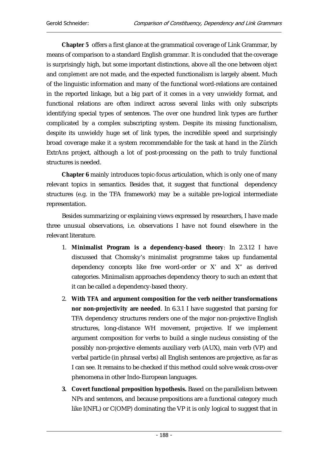**Chapter 5** offers a first glance at the grammatical coverage of Link Grammar, by means of comparison to a standard English grammar. It is concluded that the coverage is surprisingly high, but some important distinctions, above all the one between *object* and *complement* are not made, and the expected functionalism is largely absent. Much of the linguistic information and many of the functional word-relations are contained in the reported linkage, but a big part of it comes in a very unwieldy format, and functional relations are often indirect across several links with only subscripts identifying special types of sentences. The over one hundred link types are further complicated by a complex subscripting system. Despite its missing functionalism, despite its unwieldy huge set of link types, the incredible speed and surprisingly broad coverage make it a system recommendable for the task at hand in the Zürich ExtrAns project, although a lot of post-processing on the path to truly functional structures is needed.

**Chapter 6** mainly introduces topic-focus articulation, which is only one of many relevant topics in semantics. Besides that, it suggest that functional dependency structures (e.g. in the TFA framework) may be a suitable pre-logical intermediate representation.

Besides summarizing or explaining views expressed by researchers, I have made three unusual observations, i.e. observations I have not found elsewhere in the relevant literature.

- 1. **Minimalist Program is a dependency-based theory**: In 2.3.12 I have discussed that Chomsky's minimalist programme takes up fundamental dependency concepts like free word-order or X' and X" as derived categories. Minimalism approaches dependency theory to such an extent that it can be called a dependency-based theory.
- 2. **With TFA and argument composition for the verb neither transformations nor non-projectivity are needed**. In 6.3.1 I have suggested that parsing for TFA dependency structures renders one of the major non-projective English structures, long-distance WH movement, projective. If we implement argument composition for verbs to build a single nucleus consisting of the possibly non-projective elements auxiliary verb (AUX), main verb (VP) and verbal particle (in phrasal verbs) all English sentences are projective, as far as I can see. It remains to be checked if this method could solve weak cross-over phenomena in other Indo-European languages.
- **3. Covert functional preposition hypothesis.** Based on the parallelism between NPs and sentences, and because prepositions are a functional category much like I(NFL) or C(OMP) dominating the VP it is only logical to suggest that in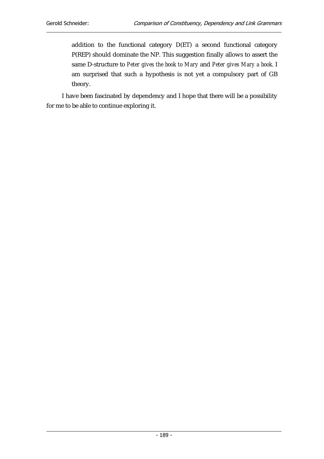addition to the functional category D(ET) a second functional category P(REP) should dominate the NP. This suggestion finally allows to assert the same D-structure to *Peter gives the book to Mary* and *Peter gives Mary a book*. I am surprised that such a hypothesis is not yet a compulsory part of GB theory.

I have been fascinated by dependency and I hope that there will be a possibility for me to be able to continue exploring it.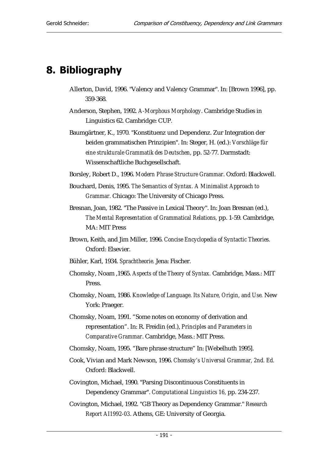# 8. Bibliography

- Allerton, David, 1996. "Valency and Valency Grammar". In: [Brown 1996], pp. 359-368.
- Anderson, Stephen, 1992. *A-Morphous Morphology*. Cambridge Studies in Linguistics 62. Cambridge: CUP*.*
- Baumgärtner, K., 1970. "Konstituenz und Dependenz. Zur Integration der beiden grammatischen Prinzipien". In: Steger, H. (ed.): *Vorschläge für eine strukturale Grammatik des Deutschen,* pp. 52-77. Darmstadt: Wissenschaftliche Buchgesellschaft.
- Borsley, Robert D., 1996. *Modern Phrase Structure Grammar*. Oxford: Blackwell.
- Bouchard, Denis, 1995. *The Semantics of Syntax. A Minimalist Approach to Grammar.* Chicago: The University of Chicago Press.
- Bresnan, Joan, 1982. "The Passive in Lexical Theory". In: Joan Bresnan (ed.), *The Mental Representation of Grammatical Relations,* pp. 1-59. Cambridge, MA: MIT Press
- Brown, Keith, and Jim Miller, 1996. *Concise Encyclopedia of Syntactic Theories.* Oxford: Elsevier.
- Bühler, Karl, 1934. *Sprachtheorie.* Jena: Fischer.
- Chomsky, Noam ,1965. *Aspects of the Theory of Syntax.* Cambridge, Mass.: MIT Press.
- Chomsky, Noam, 1986. *Knowledge of Language. Its Nature, Origin, and Use.* New York: Praeger.
- Chomsky, Noam, 1991. "Some notes on economy of derivation and representation". In: R. Freidin (ed.), *Principles and Parameters in Comparative Grammar*. Cambridge, Mass.: MIT Press.
- Chomsky, Noam, 1995. "Bare phrase structure" In: [Webelhuth 1995].
- Cook, Vivian and Mark Newson, 1996. *Chomsky's Universal Grammar, 2nd. Ed.*  Oxford: Blackwell.
- Covington, Michael, 1990. "Parsing Discontinuous Constituents in Dependency Grammar". *Computational Linguistics 16,* pp. 234-237.
- Covington, Michael, 1992. "GB Theory as Dependency Grammar." *Research Report AI1992-03*. Athens, GE: University of Georgia.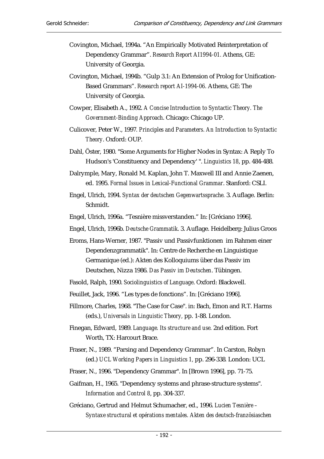- Covington, Michael, 1994a. "An Empirically Motivated Reinterpretation of Dependency Grammar". *Research Report AI1994-01.* Athens, GE: University of Georgia.
- Covington, Michael, 1994b. "Gulp 3.1: An Extension of Prolog for Unification-Based Grammars". *Research report AI-1994-06.* Athens, GE: The University of Georgia.
- Cowper, Elisabeth A., 1992. *A Concise Introduction to Syntactic Theory. The Government-Binding Approach*. Chicago: Chicago UP.
- Culicover, Peter W., 1997*. Principles and Parameters. An Introduction to Syntactic Theory*. Oxford: OUP.
- Dahl, Öster, 1980. "Some Arguments for Higher Nodes in Syntax: A Reply To Hudson's 'Constituency and Dependency' ". *Linguistics 18*, pp. 484-488.
- Dalrymple, Mary, Ronald M. Kaplan, John T. Maxwell III and Annie Zaenen, ed. 1995. *Formal Issues in Lexical-Functional Grammar*. Stanford: CSLI.
- Engel, Ulrich, 1994. *Syntax der deutschen Gegenwartssprache.* 3. Auflage. Berlin: Schmidt.
- Engel, Ulrich, 1996a. "Tesnière missverstanden." In: [Gréciano 1996].
- Engel, Ulrich, 1996b. *Deutsche Grammatik*. 3. Auflage. Heidelberg: Julius Groos
- Eroms, Hans-Werner, 1987. "Passiv und Passivfunktionen im Rahmen einer Dependenzgrammatik". In: Centre de Recherche en Linguistique Germanique (ed.): Akten des Kolloquiums über das Passiv im Deutschen, Nizza 1986. *Das Passiv im Deutschen*. Tübingen.
- Fasold, Ralph, 1990. *Sociolinguistics of Language*. Oxford: Blackwell.

Feuillet, Jack, 1996. "Les types de fonctions". In: [Gréciano 1996].

- Fillmore, Charles, 1968. "The Case for Case". in: Bach, Emon and R.T. Harms (eds.), *Universals in Linguistic Theory,* pp. 1-88. London.
- Finegan, Edward, 1989. *Language. Its structure and use.* 2nd edition. Fort Worth, TX: Harcourt Brace.
- Fraser, N., 1989. "Parsing and Dependency Grammar". In Carston, Robyn (ed.) *UCL Working Papers in Linguistics 1,* pp. 296-338*.* London: UCL
- Fraser, N., 1996. "Dependency Grammar". In [Brown 1996], pp. 71-75.
- Gaifman, H., 1965. "Dependency systems and phrase-structure systems". *Information and Control 8*, pp. 304-337.
- Gréciano, Gertrud and Helmut Schumacher, ed., 1996. *Lucien Tesnière Syntaxe structural et opérations mentales. Akten des deutsch-französiaschen*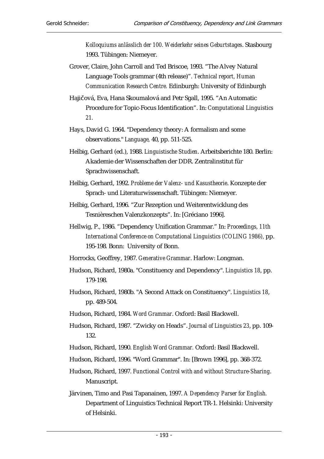*Kolloquiums anlässlich der 100. Weiderkehr seines Geburtstages*. Stasbourg 1993. Tübingen: Niemeyer.

Grover, Claire, John Carroll and Ted Briscoe, 1993. "The Alvey Natural Language Tools grammar (4th release)"*. Technical report, Human Communication Research Centre.* Edinburgh: University of Edinburgh

Hajičová, Eva, Hana Skoumalová and Petr Sgall, 1995. "An Automatic Procedure for Topic-Focus Identification". In: *Computational Linguistics 21.*

Hays, David G. 1964. "Dependency theory: A formalism and some observations." *Language,* 40, pp. 511-525.

Helbig, Gerhard (ed.), 1988. *Linguistische Studien*. Arbeitsberichte 180. Berlin: Akademie der Wissenschaften der DDR. Zentralinstitut für Sprachwissenschaft.

Helbig, Gerhard, 1992. *Probleme der Valenz- und Kasustheorie*. Konzepte der Sprach- und Literaturwissenschaft. Tübingen: Niemeyer.

Helbig, Gerhard, 1996. "Zur Rezeption und Weiterentwicklung des Tesnièreschen Valenzkonzepts". In: [Gréciano 1996].

- Hellwig, P., 1986. "Dependency Unification Grammar." In: *Proceedings, 11th International Conference on Computational Linguistics (COLING 1986),* pp. 195-198*.* Bonn: University of Bonn.
- Horrocks, Geoffrey, 1987. *Generative Grammar*. Harlow: Longman.
- Hudson, Richard, 1980a. "Constituency and Dependency". *Linguistics 18*, pp. 179-198.
- Hudson, Richard, 1980b. "A Second Attack on Constituency". *Linguistics 18*, pp. 489-504.
- Hudson, Richard, 1984. *Word Grammar*. Oxford: Basil Blackwell.
- Hudson, Richard, 1987. "Zwicky on Heads". *Journal of Linguistics 23*, pp. 109- 132.
- Hudson, Richard, 1990. *English Word Grammar.* Oxford: Basil Blackwell.
- Hudson, Richard, 1996. "Word Grammar". In: [Brown 1996], pp. 368-372.
- Hudson, Richard, 1997. *Functional Control with and without Structure-Sharing*. Manuscript.
- Järvinen, Timo and Pasi Tapanainen, 1997. *A Dependency Parser for English.* Department of Linguistics Technical Report TR-1. Helsinki: University of Helsinki.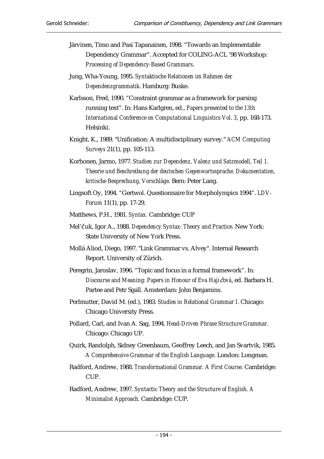- Järvinen, Timo and Pasi Tapanainen, 1998. "Towards an Implementable Dependency Grammar". Accepted for COLING-ACL '98 Workshop: *Processing of Dependency-Based Grammars*.
- Jung, Wha-Young, 1995. *Syntaktische Relationen im Rahmen der Dependenzgrammatik*. Hamburg: Buske.
- Karlsson, Fred, 1990. "Constraint grammar as a framework for parsing running text". In: Hans Karlgren, ed., *Papers presented to the 13th International Conference on Computational Linguistics Vol. 3*, pp. 168-173. Helsinki.
- Knight, K., 1989. "Unification: A multidisciplinary survey." *ACM Computing Surveys* 21(1), pp. 105-113.
- Korhonen, Jarmo, 1977. *Studien zur Dependenz, Valenz und Satzmodell, Teil 1. Theorie und Beschreibung der deutschen Gegenwartssprache. Dokumentation, kritische Besprechung, Vorschläge.* Bern: Peter Lang.
- Lingsoft Oy, 1994. "Gertwol. Questionnaire for Morpholympics 1994". *LDV-Forum* 11(1), pp. 17-29.
- Matthews, P.H., 1981. *Syntax.* Cambridge: CUP
- Mel'čuk, Igor A., 1988. *Dependency Syntax: Theory and Practice.* New York: State University of New York Press.
- Mollá Aliod, Diego, 1997. "Link Grammar vs. Alvey". Internal Research Report. University of Zürich.
- Peregrin, Jaroslav, 1996. "Topic and focus in a formal framework". In: *Discourse and Meaning: Papers in Honour of Eva Haji*þ*ová*, ed. Barbara H. Partee and Petr Sgall. Amsterdam: John Benjamins.
- Perlmutter, David M. (ed.), 1983. *Studies in Relational Grammar I.* Chicago: Chicago University Press.
- Pollard, Carl, and Ivan A. Sag, 1994. *Head-Driven Phrase Structure Grammar.*  Chicago: Chicago UP.
- Quirk, Randolph, Sidney Greenbaum, Geoffrey Leech, and Jan Svartvik, 1985. *A Comprehensive Grammar of the English Language.* London: Longman.
- Radford, Andrew, 1988. *Transformational Grammar. A First Course.* Cambridge: CUP.

Radford, Andrew, 1997. *Syntactic Theory and the Structure of English. A Minimalist Approach.* Cambridge: CUP.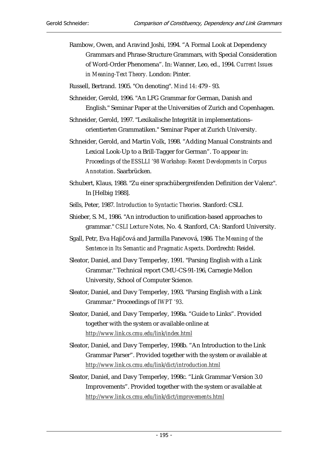Rambow, Owen, and Aravind Joshi, 1994. "A Formal Look at Dependency Grammars and Phrase-Structure Grammars, with Special Consideration of Word-Order Phenomena". In: Wanner, Leo, ed., 1994. *Current Issues in Meaning-Text Theory.* London: Pinter.

Russell, Bertrand. 1905. "On denoting". *Mind 14*: 479 - 93.

- Schneider, Gerold, 1996. "An LFG Grammar for German, Danish and English." Seminar Paper at the Universities of Zurich and Copenhagen.
- Schneider, Gerold, 1997. "Lexikalische Integrität in implementations– orientierten Grammatiken." Seminar Paper at Zurich University.
- Schneider, Gerold, and Martin Volk, 1998. "Adding Manual Constraints and Lexical Look-Up to a Brill-Tagger for German". To appear in: *Proceedings of the ESSLLI '98 Workshop: Recent Developments in Corpus Annotation*. Saarbrücken.
- Schubert, Klaus, 1988. "Zu einer sprachübergreifenden Definition der Valenz". In [Helbig 1988].
- Sells, Peter, 1987. *Introduction to Syntactic Theories*. Stanford: CSLI.
- Shieber, S. M., 1986. "An introduction to unification-based approaches to grammar." *CSLI Lecture Notes,* No. 4. Stanford, CA: Stanford University.
- Sgall, Petr, Eva Hajičová and Jarmilla Panevová, 1986. The Meaning of the *Sentence in Its Semantic and Pragmatic Aspects*. Dordrecht: Reidel.
- Sleator, Daniel, and Davy Temperley, 1991. "Parsing English with a Link Grammar." Technical report CMU-CS-91-196, Carnegie Mellon University, School of Computer Science.
- Sleator, Daniel, and Davy Temperley, 1993. "Parsing English with a Link Grammar." Proceedings of *IWPT '93*.
- Sleator, Daniel, and Davy Temperley, 1998a. "Guide to Links". Provided together with the system or available online at *http://www.link.cs.cmu.edu/link/index.html*
- Sleator, Daniel, and Davy Temperley, 1998b. "An Introduction to the Link Grammar Parser". Provided together with the system or available at *http://www.link.cs.cmu.edu/link/dict/introduction.html*
- Sleator, Daniel, and Davy Temperley, 1998c. "Link Grammar Version 3.0 Improvements". Provided together with the system or available at *http://www.link.cs.cmu.edu/link/dict/improvements.html*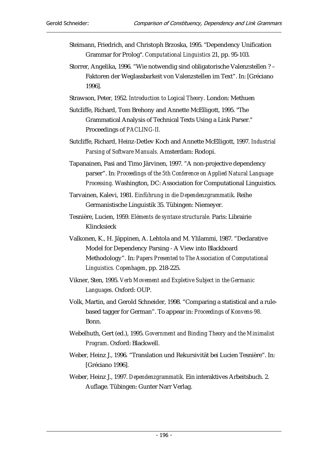- Steimann, Friedrich, and Christoph Brzoska, 1995. "Dependency Unification Grammar for Prolog". *Computational Linguistics* 21, pp. 95-103.
- Storrer, Angelika, 1996. "Wie notwendig sind obligatorische Valenzstellen ? Faktoren der Weglassbarkeit von Valenzstellen im Text". In: [Gréciano 1996].
- Strawson, Peter, 1952. *Introduction to Logical Theory*. London: Methuen
- Sutcliffe, Richard, Tom Brehony and Annette McElligott, 1995. "The Grammatical Analysis of Technical Texts Using a Link Parser." Proceedings of *PACLING-II.*
- Sutcliffe, Richard, Heinz-Detlev Koch and Annette McElligott, 1997. *Industrial Parsing of Software Manuals.* Amsterdam: Rodopi.
- Tapanainen, Pasi and Timo Järvinen, 1997. "A non-projective dependency parser". In: *Proceedings of the 5th Conference on Applied Natural Language Processing.* Washington, DC: Association for Computational Linguistics.
- Tarvainen, Kalevi, 1981. *Einführung in die Dependenzgrammatik*. Reihe Germanistische Linguistik 35. Tübingen: Niemeyer.
- Tesnière, Lucien, 1959. *Eléments de syntaxe structurale.* Paris: Librairie Klincksieck
- Valkonen, K., H. Jäppinen, A. Lehtola and M. Ylilammi, 1987. "Declarative Model for Dependency Parsing - A View into Blackboard Methodology". In: *Papers Presented to The Association of Computational Linguistics. Copenhagen*, pp. 218-225.
- Vikner, Sten, 1995. *Verb Movement and Expletive Subject in the Germanic Languages*. Oxford: OUP.
- Volk, Martin, and Gerold Schneider, 1998. "Comparing a statistical and a rulebased tagger for German". To appear in: *Proceedings of Konvens-98.*  Bonn.
- Webelhuth, Gert (ed.), 1995. *Government and Binding Theory and the Minimalist Program*. Oxford: Blackwell.
- Weber, Heinz J., 1996. "Translation und Rekursivität bei Lucien Tesnière". In: [Gréciano 1996].
- Weber, Heinz J., 1997. *Dependenzgrammatik.* Ein interaktives Arbeitsbuch. 2. Auflage. Tübingen: Gunter Narr Verlag.